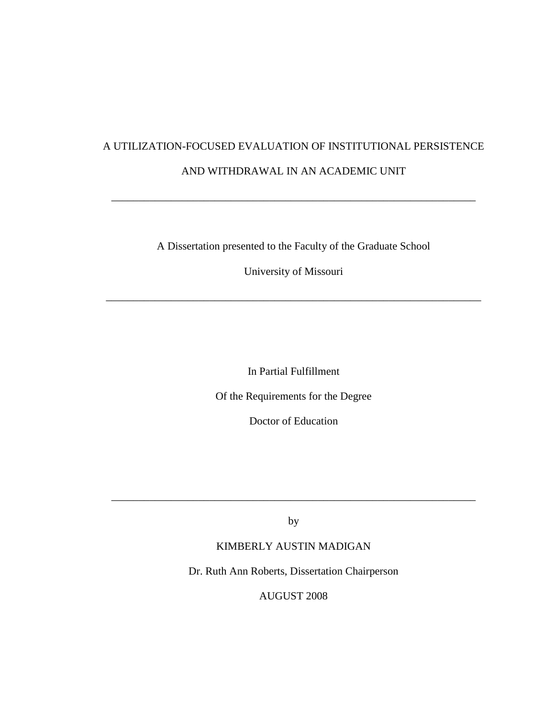# A UTILIZATION-FOCUSED EVALUATION OF INSTITUTIONAL PERSISTENCE AND WITHDRAWAL IN AN ACADEMIC UNIT

\_\_\_\_\_\_\_\_\_\_\_\_\_\_\_\_\_\_\_\_\_\_\_\_\_\_\_\_\_\_\_\_\_\_\_\_\_\_\_\_\_\_\_\_\_\_\_\_\_\_\_\_\_\_\_\_\_\_\_\_\_\_\_\_\_\_\_

A Dissertation presented to the Faculty of the Graduate School

University of Missouri

\_\_\_\_\_\_\_\_\_\_\_\_\_\_\_\_\_\_\_\_\_\_\_\_\_\_\_\_\_\_\_\_\_\_\_\_\_\_\_\_\_\_\_\_\_\_\_\_\_\_\_\_\_\_\_\_\_\_\_\_\_\_\_\_\_\_\_\_\_

In Partial Fulfillment

Of the Requirements for the Degree

Doctor of Education

by

\_\_\_\_\_\_\_\_\_\_\_\_\_\_\_\_\_\_\_\_\_\_\_\_\_\_\_\_\_\_\_\_\_\_\_\_\_\_\_\_\_\_\_\_\_\_\_\_\_\_\_\_\_\_\_\_\_\_\_\_\_\_\_\_\_\_\_

# KIMBERLY AUSTIN MADIGAN

Dr. Ruth Ann Roberts, Dissertation Chairperson

AUGUST 2008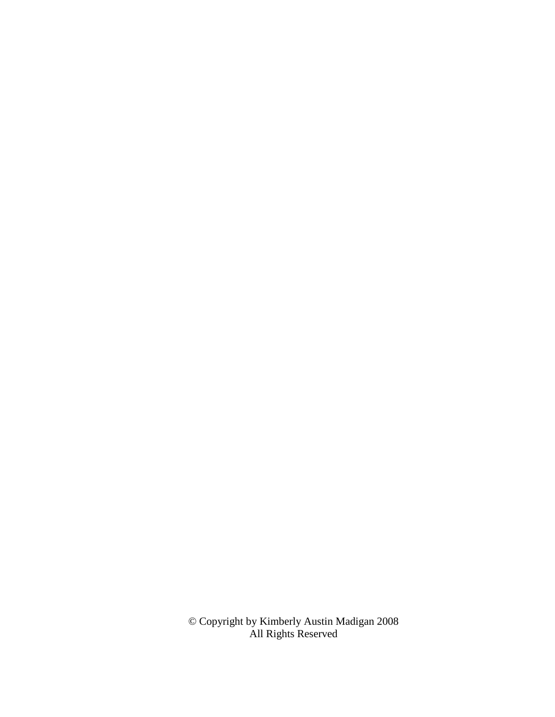© Copyright by Kimberly Austin Madigan 2008 All Rights Reserved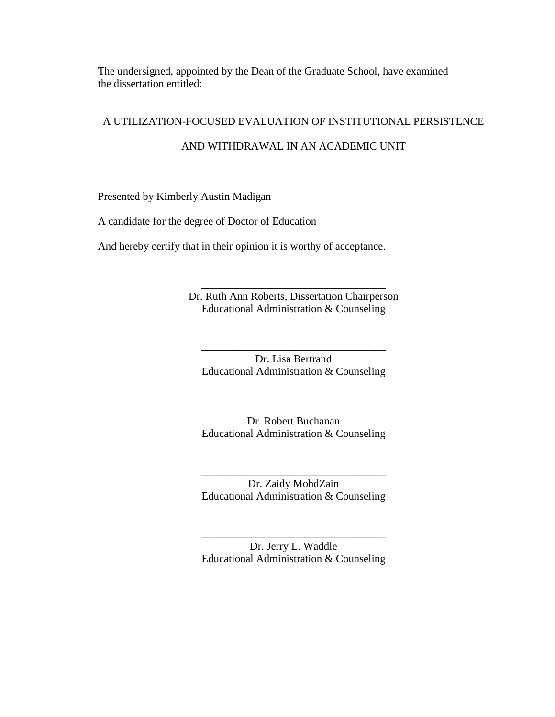The undersigned, appointed by the Dean of the Graduate School, have examined the dissertation entitled:

# A UTILIZATION-FOCUSED EVALUATION OF INSTITUTIONAL PERSISTENCE

# AND WITHDRAWAL IN AN ACADEMIC UNIT

Presented by Kimberly Austin Madigan

A candidate for the degree of Doctor of Education

And hereby certify that in their opinion it is worthy of acceptance.

Dr. Ruth Ann Roberts, Dissertation Chairperson Educational Administration & Counseling

\_\_\_\_\_\_\_\_\_\_\_\_\_\_\_\_\_\_\_\_\_\_\_\_\_\_\_\_\_\_\_\_\_\_

Dr. Lisa Bertrand Educational Administration & Counseling

\_\_\_\_\_\_\_\_\_\_\_\_\_\_\_\_\_\_\_\_\_\_\_\_\_\_\_\_\_\_\_\_\_\_

Dr. Robert Buchanan Educational Administration & Counseling

\_\_\_\_\_\_\_\_\_\_\_\_\_\_\_\_\_\_\_\_\_\_\_\_\_\_\_\_\_\_\_\_\_\_

Dr. Zaidy MohdZain Educational Administration & Counseling

\_\_\_\_\_\_\_\_\_\_\_\_\_\_\_\_\_\_\_\_\_\_\_\_\_\_\_\_\_\_\_\_\_\_

Dr. Jerry L. Waddle Educational Administration & Counseling

\_\_\_\_\_\_\_\_\_\_\_\_\_\_\_\_\_\_\_\_\_\_\_\_\_\_\_\_\_\_\_\_\_\_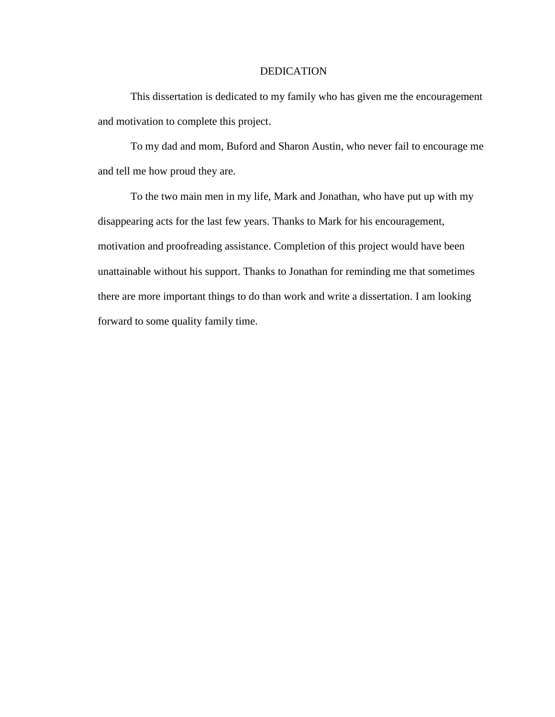### DEDICATION

This dissertation is dedicated to my family who has given me the encouragement and motivation to complete this project.

To my dad and mom, Buford and Sharon Austin, who never fail to encourage me and tell me how proud they are.

To the two main men in my life, Mark and Jonathan, who have put up with my disappearing acts for the last few years. Thanks to Mark for his encouragement, motivation and proofreading assistance. Completion of this project would have been unattainable without his support. Thanks to Jonathan for reminding me that sometimes there are more important things to do than work and write a dissertation. I am looking forward to some quality family time.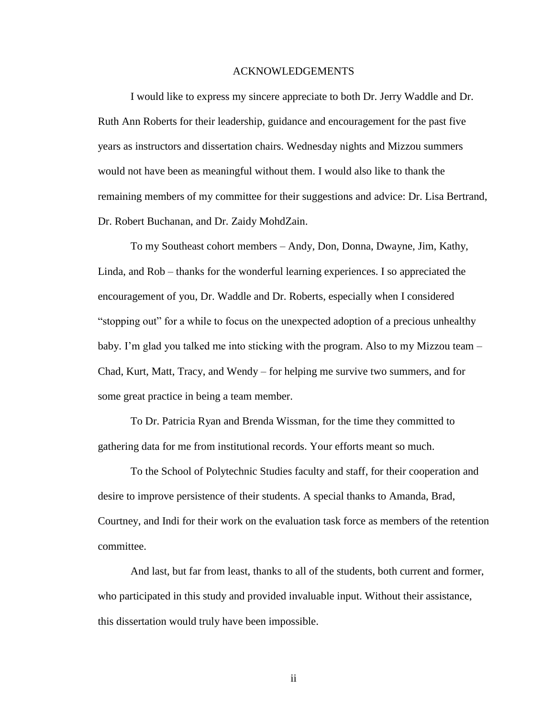#### ACKNOWLEDGEMENTS

I would like to express my sincere appreciate to both Dr. Jerry Waddle and Dr. Ruth Ann Roberts for their leadership, guidance and encouragement for the past five years as instructors and dissertation chairs. Wednesday nights and Mizzou summers would not have been as meaningful without them. I would also like to thank the remaining members of my committee for their suggestions and advice: Dr. Lisa Bertrand, Dr. Robert Buchanan, and Dr. Zaidy MohdZain.

To my Southeast cohort members – Andy, Don, Donna, Dwayne, Jim, Kathy, Linda, and Rob – thanks for the wonderful learning experiences. I so appreciated the encouragement of you, Dr. Waddle and Dr. Roberts, especially when I considered "stopping out" for a while to focus on the unexpected adoption of a precious unhealthy baby. I'm glad you talked me into sticking with the program. Also to my Mizzou team – Chad, Kurt, Matt, Tracy, and Wendy – for helping me survive two summers, and for some great practice in being a team member.

To Dr. Patricia Ryan and Brenda Wissman, for the time they committed to gathering data for me from institutional records. Your efforts meant so much.

To the School of Polytechnic Studies faculty and staff, for their cooperation and desire to improve persistence of their students. A special thanks to Amanda, Brad, Courtney, and Indi for their work on the evaluation task force as members of the retention committee.

And last, but far from least, thanks to all of the students, both current and former, who participated in this study and provided invaluable input. Without their assistance, this dissertation would truly have been impossible.

ii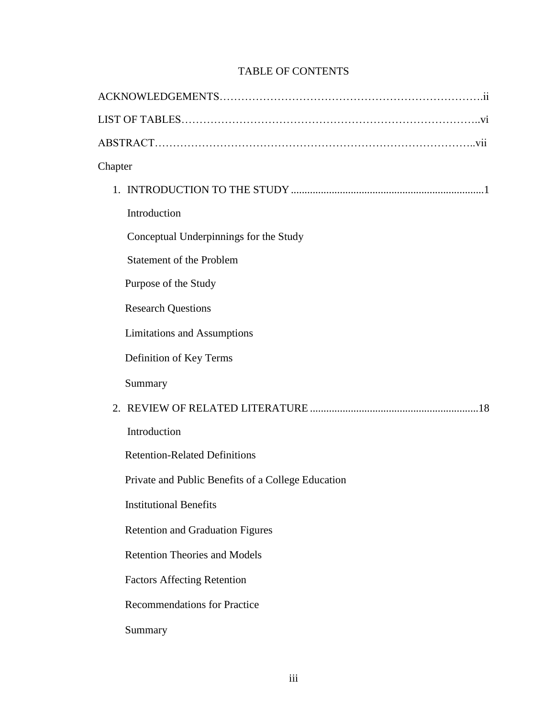# TABLE OF CONTENTS

| Chapter                                            |  |
|----------------------------------------------------|--|
|                                                    |  |
| Introduction                                       |  |
| Conceptual Underpinnings for the Study             |  |
| <b>Statement of the Problem</b>                    |  |
| Purpose of the Study                               |  |
| <b>Research Questions</b>                          |  |
| <b>Limitations and Assumptions</b>                 |  |
| Definition of Key Terms                            |  |
| Summary                                            |  |
|                                                    |  |
| Introduction                                       |  |
| <b>Retention-Related Definitions</b>               |  |
| Private and Public Benefits of a College Education |  |
| <b>Institutional Benefits</b>                      |  |
| <b>Retention and Graduation Figures</b>            |  |
| <b>Retention Theories and Models</b>               |  |
| <b>Factors Affecting Retention</b>                 |  |
| <b>Recommendations for Practice</b>                |  |
| Summary                                            |  |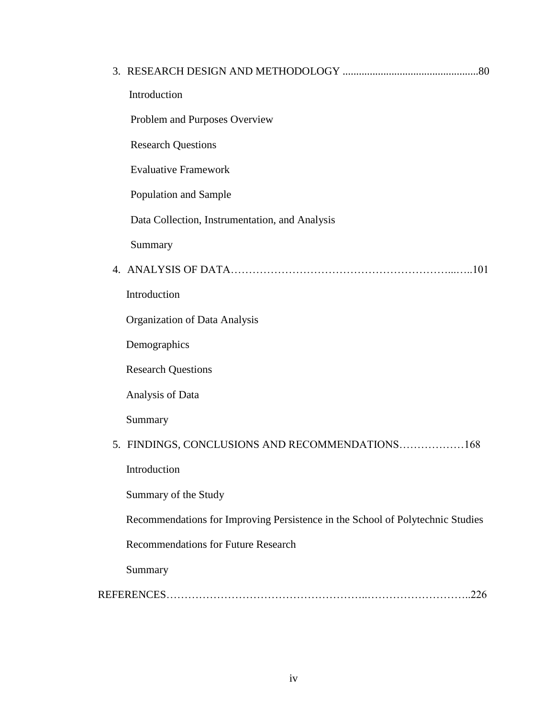| Introduction                                                                   |
|--------------------------------------------------------------------------------|
| Problem and Purposes Overview                                                  |
| <b>Research Questions</b>                                                      |
| <b>Evaluative Framework</b>                                                    |
| Population and Sample                                                          |
| Data Collection, Instrumentation, and Analysis                                 |
| Summary                                                                        |
|                                                                                |
| Introduction                                                                   |
| Organization of Data Analysis                                                  |
| Demographics                                                                   |
| <b>Research Questions</b>                                                      |
| Analysis of Data                                                               |
| Summary                                                                        |
| 5. FINDINGS, CONCLUSIONS AND RECOMMENDATIONS168                                |
| Introduction                                                                   |
| Summary of the Study                                                           |
| Recommendations for Improving Persistence in the School of Polytechnic Studies |
| <b>Recommendations for Future Research</b>                                     |
| Summary                                                                        |
|                                                                                |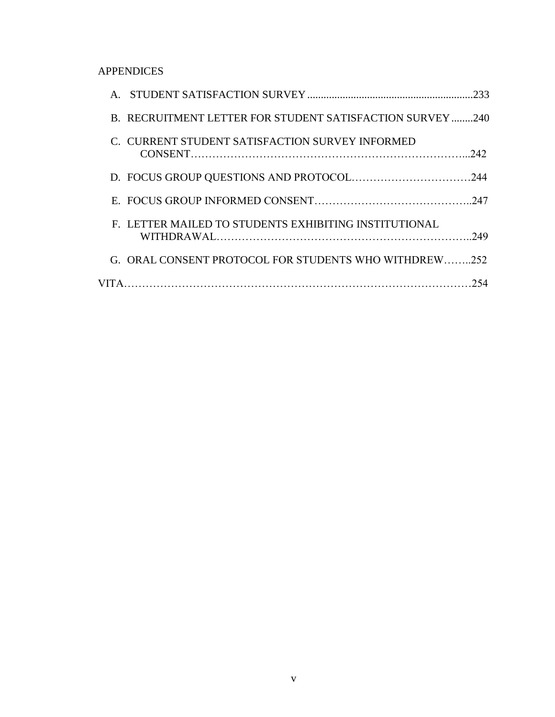# APPENDICES

|                                                          | .233 |
|----------------------------------------------------------|------|
| B. RECRUITMENT LETTER FOR STUDENT SATISFACTION SURVEY240 |      |
| C. CURRENT STUDENT SATISFACTION SURVEY INFORMED          |      |
|                                                          |      |
|                                                          |      |
| F. LETTER MAILED TO STUDENTS EXHIBITING INSTITUTIONAL    | 249  |
| G. ORAL CONSENT PROTOCOL FOR STUDENTS WHO WITHDREW252    |      |
|                                                          |      |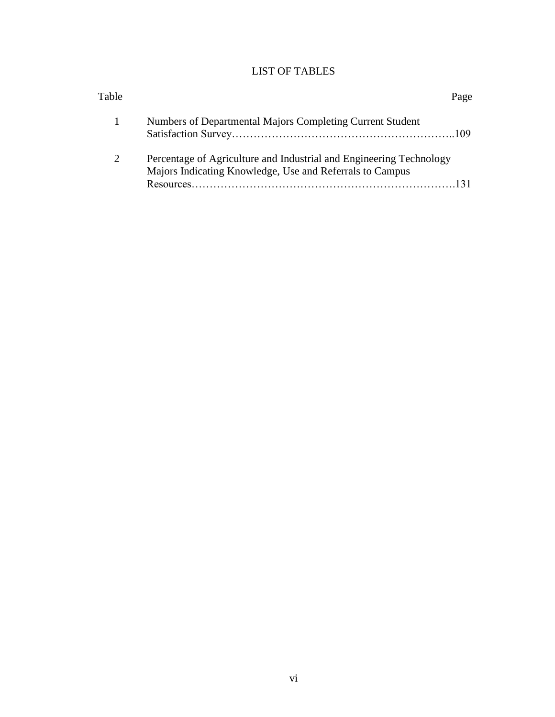# LIST OF TABLES

| Table                 |                                                                                                                                 | Page |
|-----------------------|---------------------------------------------------------------------------------------------------------------------------------|------|
|                       | Numbers of Departmental Majors Completing Current Student                                                                       |      |
| $\mathcal{D}_{\cdot}$ | Percentage of Agriculture and Industrial and Engineering Technology<br>Majors Indicating Knowledge, Use and Referrals to Campus |      |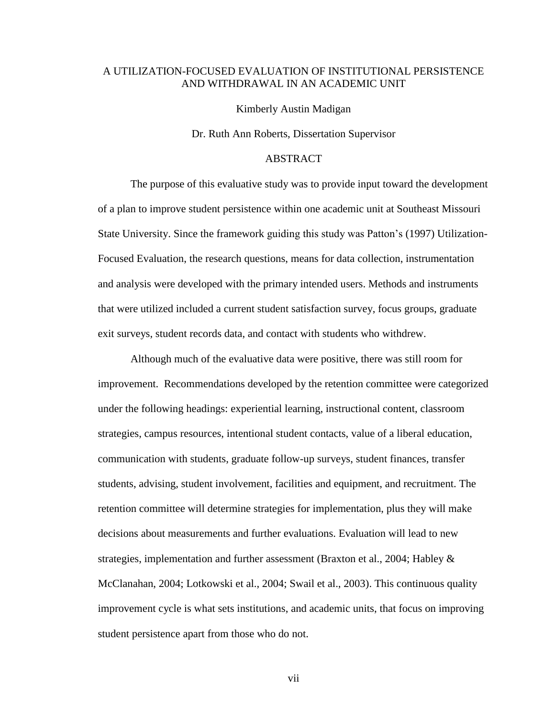# A UTILIZATION-FOCUSED EVALUATION OF INSTITUTIONAL PERSISTENCE AND WITHDRAWAL IN AN ACADEMIC UNIT

Kimberly Austin Madigan

Dr. Ruth Ann Roberts, Dissertation Supervisor

## ABSTRACT

The purpose of this evaluative study was to provide input toward the development of a plan to improve student persistence within one academic unit at Southeast Missouri State University. Since the framework guiding this study was Patton"s (1997) Utilization-Focused Evaluation, the research questions, means for data collection, instrumentation and analysis were developed with the primary intended users. Methods and instruments that were utilized included a current student satisfaction survey, focus groups, graduate exit surveys, student records data, and contact with students who withdrew.

Although much of the evaluative data were positive, there was still room for improvement. Recommendations developed by the retention committee were categorized under the following headings: experiential learning, instructional content, classroom strategies, campus resources, intentional student contacts, value of a liberal education, communication with students, graduate follow-up surveys, student finances, transfer students, advising, student involvement, facilities and equipment, and recruitment. The retention committee will determine strategies for implementation, plus they will make decisions about measurements and further evaluations. Evaluation will lead to new strategies, implementation and further assessment (Braxton et al., 2004; Habley & McClanahan, 2004; Lotkowski et al., 2004; Swail et al., 2003). This continuous quality improvement cycle is what sets institutions, and academic units, that focus on improving student persistence apart from those who do not.

vii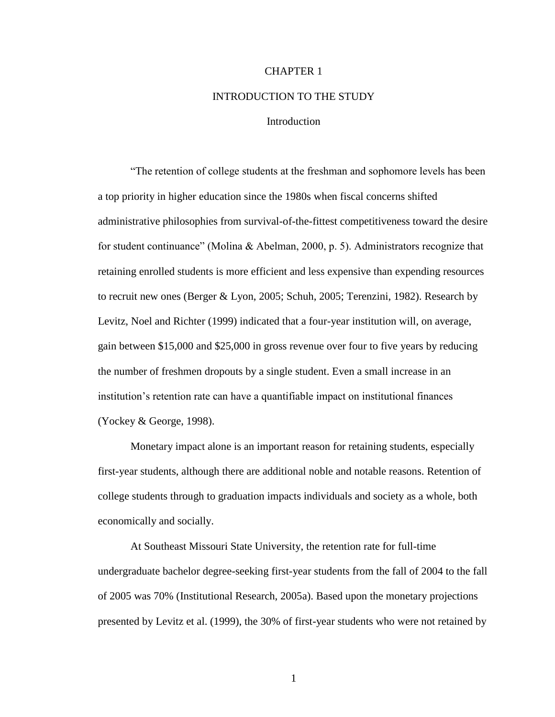### CHAPTER 1

#### INTRODUCTION TO THE STUDY

### **Introduction**

"The retention of college students at the freshman and sophomore levels has been a top priority in higher education since the 1980s when fiscal concerns shifted administrative philosophies from survival-of-the-fittest competitiveness toward the desire for student continuance" (Molina & Abelman, 2000, p. 5). Administrators recognize that retaining enrolled students is more efficient and less expensive than expending resources to recruit new ones (Berger & Lyon, 2005; Schuh, 2005; Terenzini, 1982). Research by Levitz, Noel and Richter (1999) indicated that a four-year institution will, on average, gain between \$15,000 and \$25,000 in gross revenue over four to five years by reducing the number of freshmen dropouts by a single student. Even a small increase in an institution"s retention rate can have a quantifiable impact on institutional finances (Yockey & George, 1998).

Monetary impact alone is an important reason for retaining students, especially first-year students, although there are additional noble and notable reasons. Retention of college students through to graduation impacts individuals and society as a whole, both economically and socially.

At Southeast Missouri State University, the retention rate for full-time undergraduate bachelor degree-seeking first-year students from the fall of 2004 to the fall of 2005 was 70% (Institutional Research, 2005a). Based upon the monetary projections presented by Levitz et al. (1999), the 30% of first-year students who were not retained by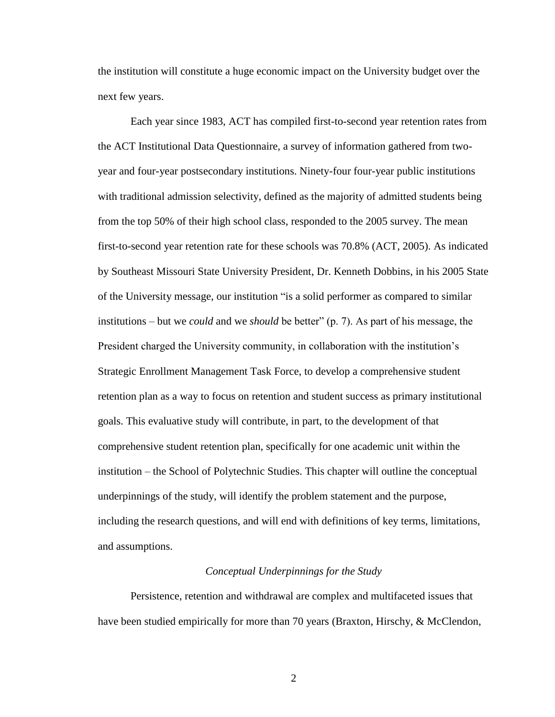the institution will constitute a huge economic impact on the University budget over the next few years.

Each year since 1983, ACT has compiled first-to-second year retention rates from the ACT Institutional Data Questionnaire, a survey of information gathered from twoyear and four-year postsecondary institutions. Ninety-four four-year public institutions with traditional admission selectivity, defined as the majority of admitted students being from the top 50% of their high school class, responded to the 2005 survey. The mean first-to-second year retention rate for these schools was 70.8% (ACT, 2005). As indicated by Southeast Missouri State University President, Dr. Kenneth Dobbins, in his 2005 State of the University message, our institution "is a solid performer as compared to similar institutions – but we *could* and we *should* be better" (p. 7). As part of his message, the President charged the University community, in collaboration with the institution"s Strategic Enrollment Management Task Force, to develop a comprehensive student retention plan as a way to focus on retention and student success as primary institutional goals. This evaluative study will contribute, in part, to the development of that comprehensive student retention plan, specifically for one academic unit within the institution – the School of Polytechnic Studies. This chapter will outline the conceptual underpinnings of the study, will identify the problem statement and the purpose, including the research questions, and will end with definitions of key terms, limitations, and assumptions.

#### *Conceptual Underpinnings for the Study*

Persistence, retention and withdrawal are complex and multifaceted issues that have been studied empirically for more than 70 years (Braxton, Hirschy, & McClendon,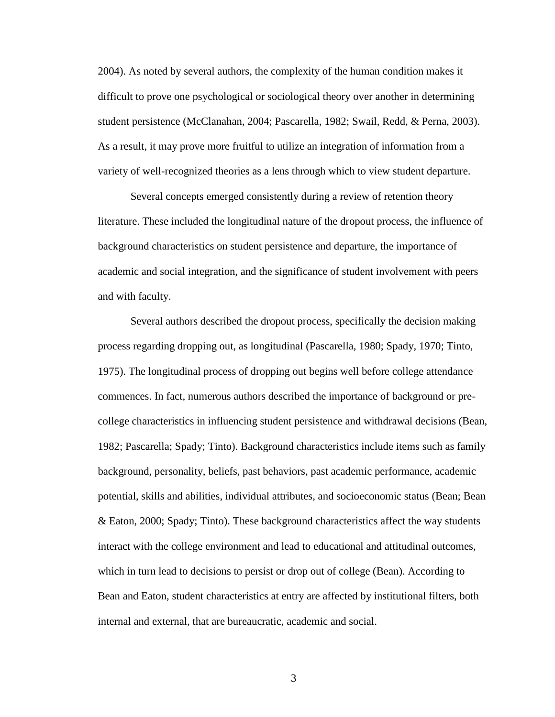2004). As noted by several authors, the complexity of the human condition makes it difficult to prove one psychological or sociological theory over another in determining student persistence (McClanahan, 2004; Pascarella, 1982; Swail, Redd, & Perna, 2003). As a result, it may prove more fruitful to utilize an integration of information from a variety of well-recognized theories as a lens through which to view student departure.

Several concepts emerged consistently during a review of retention theory literature. These included the longitudinal nature of the dropout process, the influence of background characteristics on student persistence and departure, the importance of academic and social integration, and the significance of student involvement with peers and with faculty.

Several authors described the dropout process, specifically the decision making process regarding dropping out, as longitudinal (Pascarella, 1980; Spady, 1970; Tinto, 1975). The longitudinal process of dropping out begins well before college attendance commences. In fact, numerous authors described the importance of background or precollege characteristics in influencing student persistence and withdrawal decisions (Bean, 1982; Pascarella; Spady; Tinto). Background characteristics include items such as family background, personality, beliefs, past behaviors, past academic performance, academic potential, skills and abilities, individual attributes, and socioeconomic status (Bean; Bean & Eaton, 2000; Spady; Tinto). These background characteristics affect the way students interact with the college environment and lead to educational and attitudinal outcomes, which in turn lead to decisions to persist or drop out of college (Bean). According to Bean and Eaton, student characteristics at entry are affected by institutional filters, both internal and external, that are bureaucratic, academic and social.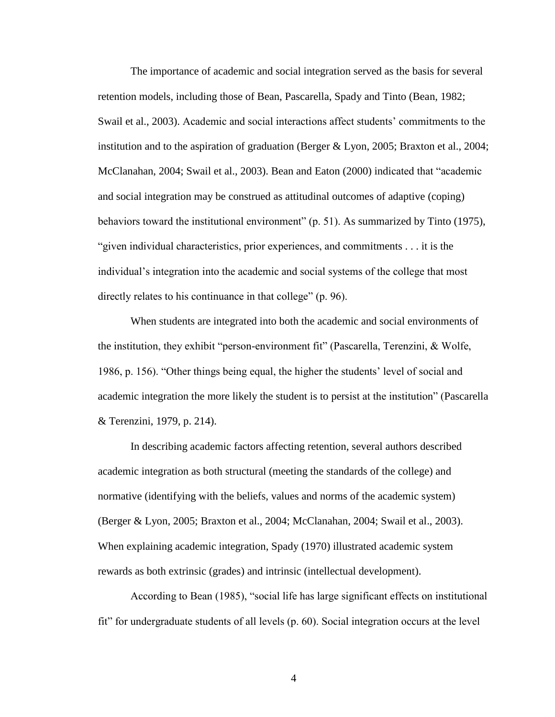The importance of academic and social integration served as the basis for several retention models, including those of Bean, Pascarella, Spady and Tinto (Bean, 1982; Swail et al., 2003). Academic and social interactions affect students" commitments to the institution and to the aspiration of graduation (Berger & Lyon, 2005; Braxton et al., 2004; McClanahan, 2004; Swail et al., 2003). Bean and Eaton (2000) indicated that "academic and social integration may be construed as attitudinal outcomes of adaptive (coping) behaviors toward the institutional environment" (p. 51). As summarized by Tinto (1975), "given individual characteristics, prior experiences, and commitments . . . it is the individual"s integration into the academic and social systems of the college that most directly relates to his continuance in that college" (p. 96).

When students are integrated into both the academic and social environments of the institution, they exhibit "person-environment fit" (Pascarella, Terenzini, & Wolfe, 1986, p. 156). "Other things being equal, the higher the students" level of social and academic integration the more likely the student is to persist at the institution" (Pascarella & Terenzini, 1979, p. 214).

In describing academic factors affecting retention, several authors described academic integration as both structural (meeting the standards of the college) and normative (identifying with the beliefs, values and norms of the academic system) (Berger & Lyon, 2005; Braxton et al., 2004; McClanahan, 2004; Swail et al., 2003). When explaining academic integration, Spady (1970) illustrated academic system rewards as both extrinsic (grades) and intrinsic (intellectual development).

According to Bean (1985), "social life has large significant effects on institutional fit" for undergraduate students of all levels (p. 60). Social integration occurs at the level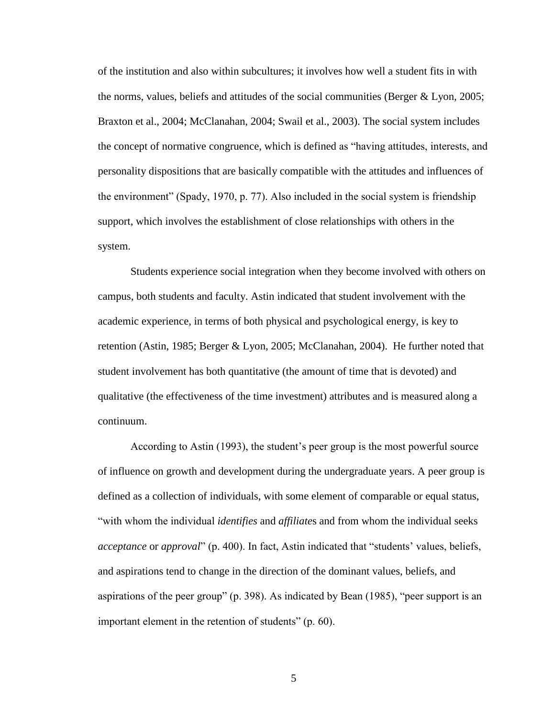of the institution and also within subcultures; it involves how well a student fits in with the norms, values, beliefs and attitudes of the social communities (Berger  $& Lyon, 2005$ ; Braxton et al., 2004; McClanahan, 2004; Swail et al., 2003). The social system includes the concept of normative congruence, which is defined as "having attitudes, interests, and personality dispositions that are basically compatible with the attitudes and influences of the environment" (Spady, 1970, p. 77). Also included in the social system is friendship support, which involves the establishment of close relationships with others in the system.

Students experience social integration when they become involved with others on campus, both students and faculty. Astin indicated that student involvement with the academic experience, in terms of both physical and psychological energy, is key to retention (Astin, 1985; Berger & Lyon, 2005; McClanahan, 2004). He further noted that student involvement has both quantitative (the amount of time that is devoted) and qualitative (the effectiveness of the time investment) attributes and is measured along a continuum.

According to Astin (1993), the student's peer group is the most powerful source of influence on growth and development during the undergraduate years. A peer group is defined as a collection of individuals, with some element of comparable or equal status, "with whom the individual *identifies* and *affiliate*s and from whom the individual seeks *acceptance* or *approval*" (p. 400). In fact, Astin indicated that "students' values, beliefs, and aspirations tend to change in the direction of the dominant values, beliefs, and aspirations of the peer group" (p. 398). As indicated by Bean (1985), "peer support is an important element in the retention of students" (p. 60).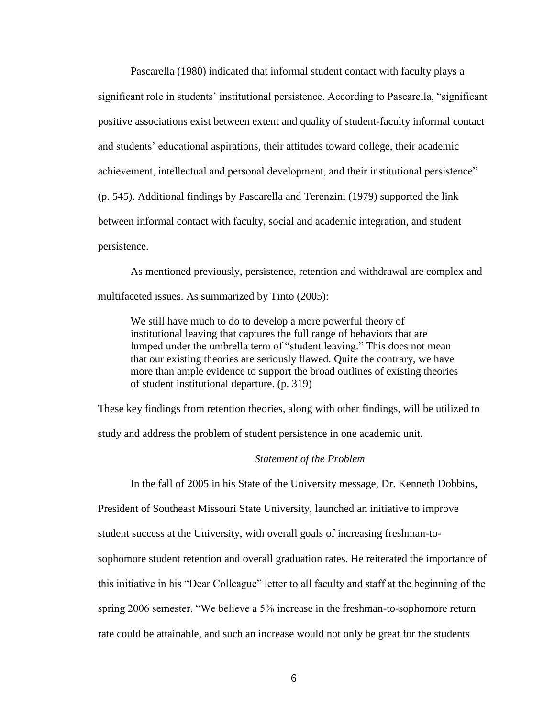Pascarella (1980) indicated that informal student contact with faculty plays a significant role in students' institutional persistence. According to Pascarella, "significant positive associations exist between extent and quality of student-faculty informal contact and students" educational aspirations, their attitudes toward college, their academic achievement, intellectual and personal development, and their institutional persistence" (p. 545). Additional findings by Pascarella and Terenzini (1979) supported the link between informal contact with faculty, social and academic integration, and student persistence.

As mentioned previously, persistence, retention and withdrawal are complex and multifaceted issues. As summarized by Tinto (2005):

We still have much to do to develop a more powerful theory of institutional leaving that captures the full range of behaviors that are lumped under the umbrella term of "student leaving." This does not mean that our existing theories are seriously flawed. Quite the contrary, we have more than ample evidence to support the broad outlines of existing theories of student institutional departure. (p. 319)

These key findings from retention theories, along with other findings, will be utilized to study and address the problem of student persistence in one academic unit.

### *Statement of the Problem*

In the fall of 2005 in his State of the University message, Dr. Kenneth Dobbins,

President of Southeast Missouri State University, launched an initiative to improve

student success at the University, with overall goals of increasing freshman-to-

sophomore student retention and overall graduation rates. He reiterated the importance of

this initiative in his "Dear Colleague" letter to all faculty and staff at the beginning of the

spring 2006 semester. "We believe a 5% increase in the freshman-to-sophomore return

rate could be attainable, and such an increase would not only be great for the students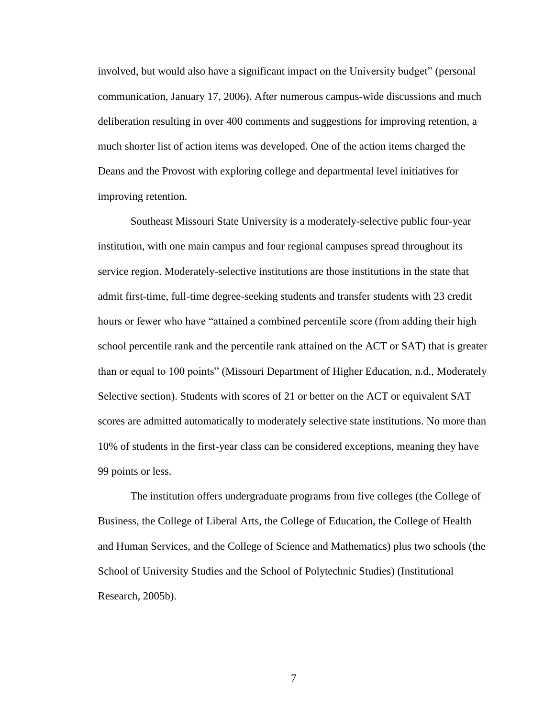involved, but would also have a significant impact on the University budget" (personal communication, January 17, 2006). After numerous campus-wide discussions and much deliberation resulting in over 400 comments and suggestions for improving retention, a much shorter list of action items was developed. One of the action items charged the Deans and the Provost with exploring college and departmental level initiatives for improving retention.

Southeast Missouri State University is a moderately-selective public four-year institution, with one main campus and four regional campuses spread throughout its service region. Moderately-selective institutions are those institutions in the state that admit first-time, full-time degree-seeking students and transfer students with 23 credit hours or fewer who have "attained a combined percentile score (from adding their high school percentile rank and the percentile rank attained on the ACT or SAT) that is greater than or equal to 100 points" (Missouri Department of Higher Education, n.d., Moderately Selective section). Students with scores of 21 or better on the ACT or equivalent SAT scores are admitted automatically to moderately selective state institutions. No more than 10% of students in the first-year class can be considered exceptions, meaning they have 99 points or less.

The institution offers undergraduate programs from five colleges (the College of Business, the College of Liberal Arts, the College of Education, the College of Health and Human Services, and the College of Science and Mathematics) plus two schools (the School of University Studies and the School of Polytechnic Studies) (Institutional Research, 2005b).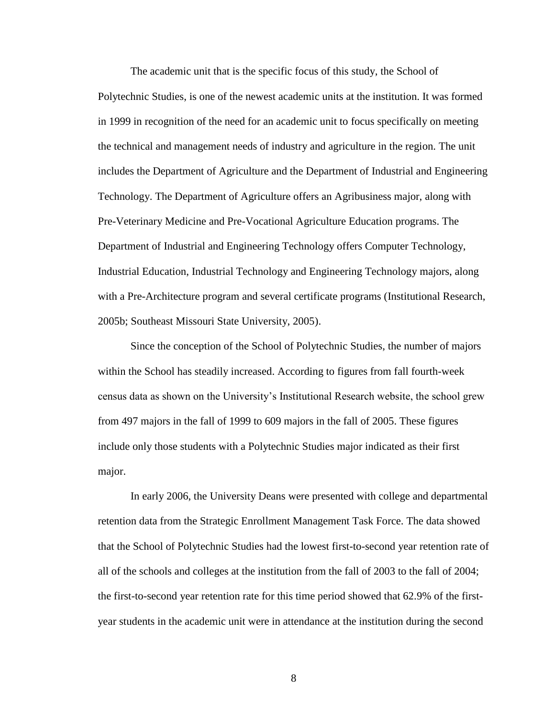The academic unit that is the specific focus of this study, the School of Polytechnic Studies, is one of the newest academic units at the institution. It was formed in 1999 in recognition of the need for an academic unit to focus specifically on meeting the technical and management needs of industry and agriculture in the region. The unit includes the Department of Agriculture and the Department of Industrial and Engineering Technology. The Department of Agriculture offers an Agribusiness major, along with Pre-Veterinary Medicine and Pre-Vocational Agriculture Education programs. The Department of Industrial and Engineering Technology offers Computer Technology, Industrial Education, Industrial Technology and Engineering Technology majors, along with a Pre-Architecture program and several certificate programs (Institutional Research, 2005b; Southeast Missouri State University, 2005).

Since the conception of the School of Polytechnic Studies, the number of majors within the School has steadily increased. According to figures from fall fourth-week census data as shown on the University"s Institutional Research website, the school grew from 497 majors in the fall of 1999 to 609 majors in the fall of 2005. These figures include only those students with a Polytechnic Studies major indicated as their first major.

In early 2006, the University Deans were presented with college and departmental retention data from the Strategic Enrollment Management Task Force. The data showed that the School of Polytechnic Studies had the lowest first-to-second year retention rate of all of the schools and colleges at the institution from the fall of 2003 to the fall of 2004; the first-to-second year retention rate for this time period showed that 62.9% of the firstyear students in the academic unit were in attendance at the institution during the second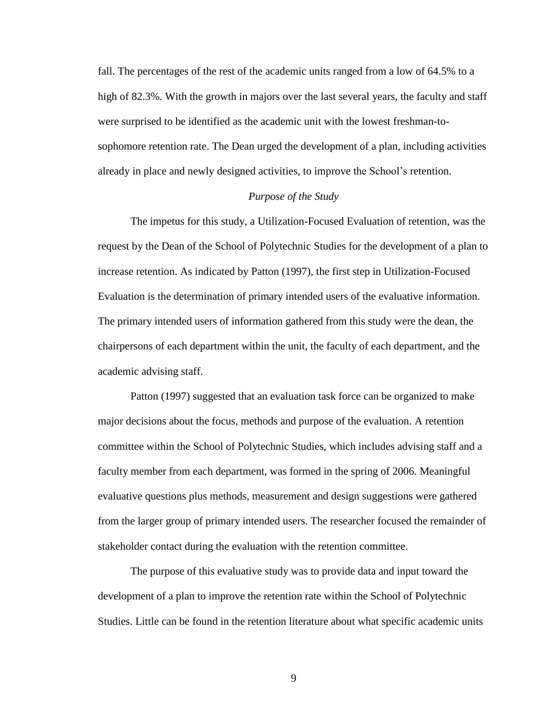fall. The percentages of the rest of the academic units ranged from a low of 64.5% to a high of 82.3%. With the growth in majors over the last several years, the faculty and staff were surprised to be identified as the academic unit with the lowest freshman-tosophomore retention rate. The Dean urged the development of a plan, including activities already in place and newly designed activities, to improve the School"s retention.

### *Purpose of the Study*

The impetus for this study, a Utilization-Focused Evaluation of retention, was the request by the Dean of the School of Polytechnic Studies for the development of a plan to increase retention. As indicated by Patton (1997), the first step in Utilization-Focused Evaluation is the determination of primary intended users of the evaluative information. The primary intended users of information gathered from this study were the dean, the chairpersons of each department within the unit, the faculty of each department, and the academic advising staff.

Patton (1997) suggested that an evaluation task force can be organized to make major decisions about the focus, methods and purpose of the evaluation. A retention committee within the School of Polytechnic Studies, which includes advising staff and a faculty member from each department, was formed in the spring of 2006. Meaningful evaluative questions plus methods, measurement and design suggestions were gathered from the larger group of primary intended users. The researcher focused the remainder of stakeholder contact during the evaluation with the retention committee.

The purpose of this evaluative study was to provide data and input toward the development of a plan to improve the retention rate within the School of Polytechnic Studies. Little can be found in the retention literature about what specific academic units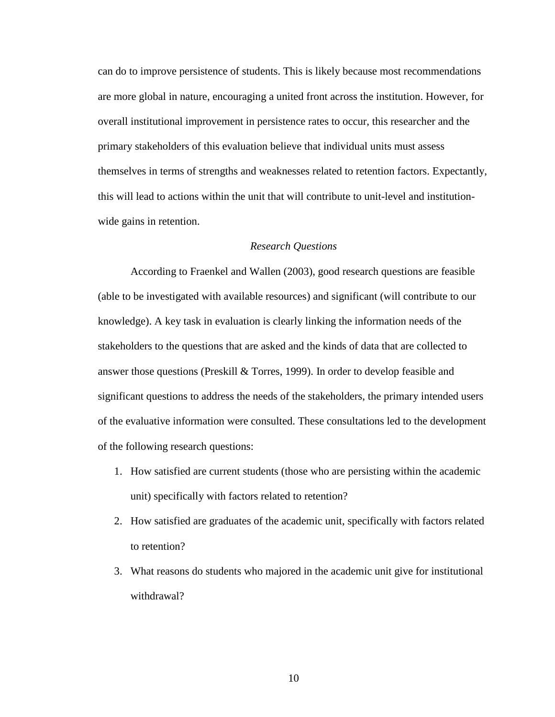can do to improve persistence of students. This is likely because most recommendations are more global in nature, encouraging a united front across the institution. However, for overall institutional improvement in persistence rates to occur, this researcher and the primary stakeholders of this evaluation believe that individual units must assess themselves in terms of strengths and weaknesses related to retention factors. Expectantly, this will lead to actions within the unit that will contribute to unit-level and institutionwide gains in retention.

#### *Research Questions*

According to Fraenkel and Wallen (2003), good research questions are feasible (able to be investigated with available resources) and significant (will contribute to our knowledge). A key task in evaluation is clearly linking the information needs of the stakeholders to the questions that are asked and the kinds of data that are collected to answer those questions (Preskill & Torres, 1999). In order to develop feasible and significant questions to address the needs of the stakeholders, the primary intended users of the evaluative information were consulted. These consultations led to the development of the following research questions:

- 1. How satisfied are current students (those who are persisting within the academic unit) specifically with factors related to retention?
- 2. How satisfied are graduates of the academic unit, specifically with factors related to retention?
- 3. What reasons do students who majored in the academic unit give for institutional withdrawal?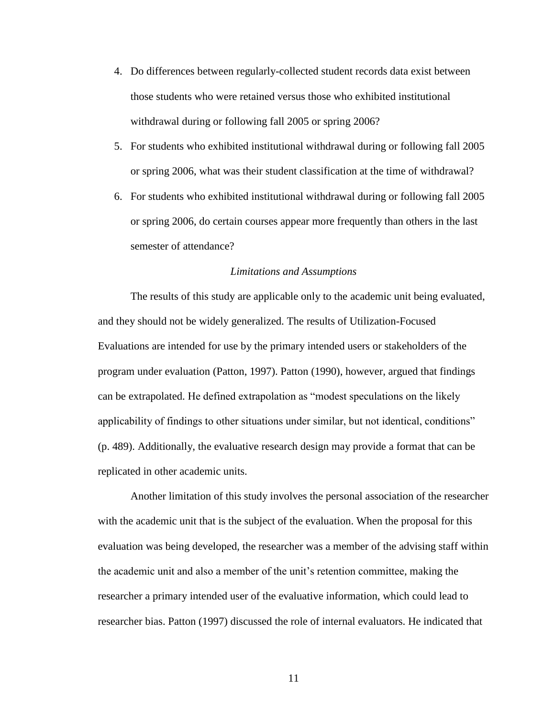- 4. Do differences between regularly-collected student records data exist between those students who were retained versus those who exhibited institutional withdrawal during or following fall 2005 or spring 2006?
- 5. For students who exhibited institutional withdrawal during or following fall 2005 or spring 2006, what was their student classification at the time of withdrawal?
- 6. For students who exhibited institutional withdrawal during or following fall 2005 or spring 2006, do certain courses appear more frequently than others in the last semester of attendance?

### *Limitations and Assumptions*

The results of this study are applicable only to the academic unit being evaluated, and they should not be widely generalized. The results of Utilization-Focused Evaluations are intended for use by the primary intended users or stakeholders of the program under evaluation (Patton, 1997). Patton (1990), however, argued that findings can be extrapolated. He defined extrapolation as "modest speculations on the likely applicability of findings to other situations under similar, but not identical, conditions" (p. 489). Additionally, the evaluative research design may provide a format that can be replicated in other academic units.

Another limitation of this study involves the personal association of the researcher with the academic unit that is the subject of the evaluation. When the proposal for this evaluation was being developed, the researcher was a member of the advising staff within the academic unit and also a member of the unit"s retention committee, making the researcher a primary intended user of the evaluative information, which could lead to researcher bias. Patton (1997) discussed the role of internal evaluators. He indicated that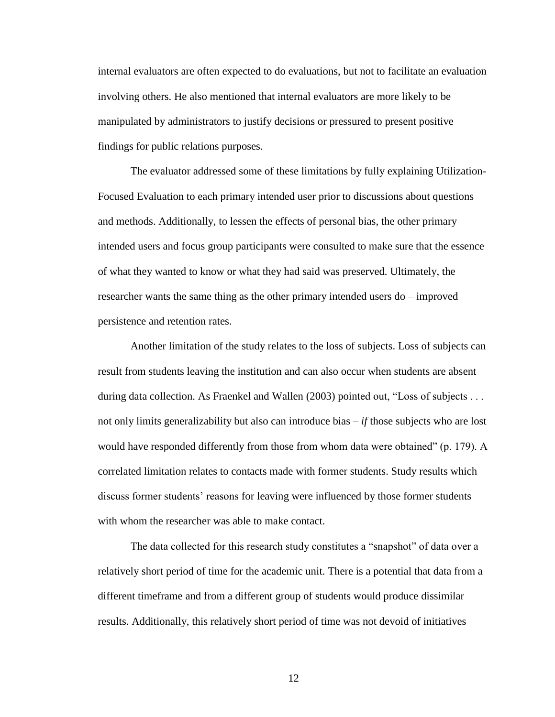internal evaluators are often expected to do evaluations, but not to facilitate an evaluation involving others. He also mentioned that internal evaluators are more likely to be manipulated by administrators to justify decisions or pressured to present positive findings for public relations purposes.

The evaluator addressed some of these limitations by fully explaining Utilization-Focused Evaluation to each primary intended user prior to discussions about questions and methods. Additionally, to lessen the effects of personal bias, the other primary intended users and focus group participants were consulted to make sure that the essence of what they wanted to know or what they had said was preserved. Ultimately, the researcher wants the same thing as the other primary intended users do – improved persistence and retention rates.

Another limitation of the study relates to the loss of subjects. Loss of subjects can result from students leaving the institution and can also occur when students are absent during data collection. As Fraenkel and Wallen (2003) pointed out, "Loss of subjects . . . not only limits generalizability but also can introduce bias – *if* those subjects who are lost would have responded differently from those from whom data were obtained" (p. 179). A correlated limitation relates to contacts made with former students. Study results which discuss former students' reasons for leaving were influenced by those former students with whom the researcher was able to make contact.

The data collected for this research study constitutes a "snapshot" of data over a relatively short period of time for the academic unit. There is a potential that data from a different timeframe and from a different group of students would produce dissimilar results. Additionally, this relatively short period of time was not devoid of initiatives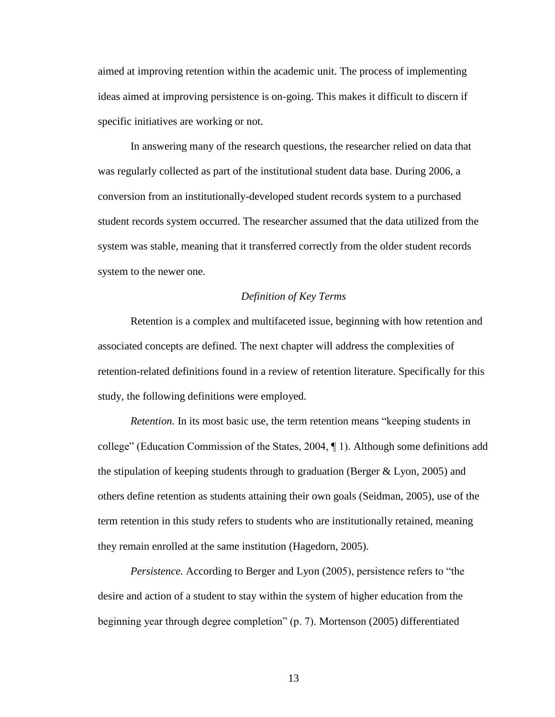aimed at improving retention within the academic unit. The process of implementing ideas aimed at improving persistence is on-going. This makes it difficult to discern if specific initiatives are working or not.

In answering many of the research questions, the researcher relied on data that was regularly collected as part of the institutional student data base. During 2006, a conversion from an institutionally-developed student records system to a purchased student records system occurred. The researcher assumed that the data utilized from the system was stable, meaning that it transferred correctly from the older student records system to the newer one.

### *Definition of Key Terms*

Retention is a complex and multifaceted issue, beginning with how retention and associated concepts are defined. The next chapter will address the complexities of retention-related definitions found in a review of retention literature. Specifically for this study, the following definitions were employed.

*Retention.* In its most basic use, the term retention means "keeping students in college" (Education Commission of the States, 2004, ¶ 1). Although some definitions add the stipulation of keeping students through to graduation (Berger & Lyon, 2005) and others define retention as students attaining their own goals (Seidman, 2005), use of the term retention in this study refers to students who are institutionally retained, meaning they remain enrolled at the same institution (Hagedorn, 2005).

*Persistence.* According to Berger and Lyon (2005), persistence refers to "the desire and action of a student to stay within the system of higher education from the beginning year through degree completion" (p. 7). Mortenson (2005) differentiated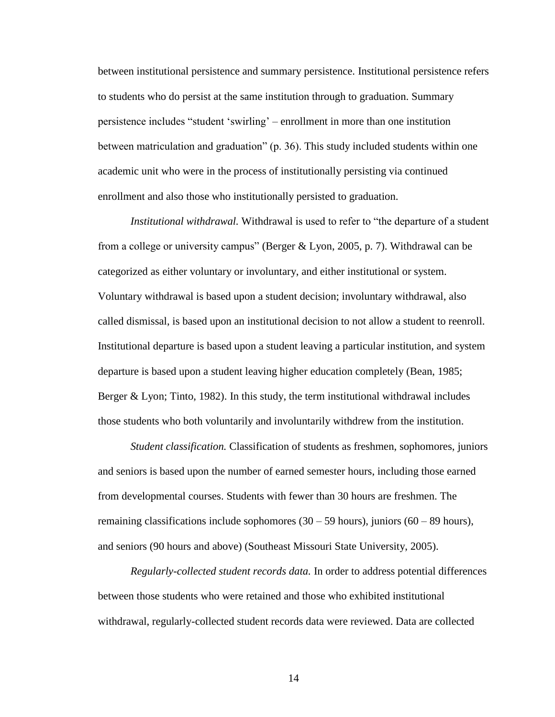between institutional persistence and summary persistence. Institutional persistence refers to students who do persist at the same institution through to graduation. Summary persistence includes "student "swirling" – enrollment in more than one institution between matriculation and graduation" (p. 36). This study included students within one academic unit who were in the process of institutionally persisting via continued enrollment and also those who institutionally persisted to graduation.

*Institutional withdrawal.* Withdrawal is used to refer to "the departure of a student from a college or university campus" (Berger & Lyon, 2005, p. 7). Withdrawal can be categorized as either voluntary or involuntary, and either institutional or system. Voluntary withdrawal is based upon a student decision; involuntary withdrawal, also called dismissal, is based upon an institutional decision to not allow a student to reenroll. Institutional departure is based upon a student leaving a particular institution, and system departure is based upon a student leaving higher education completely (Bean, 1985; Berger & Lyon; Tinto, 1982). In this study, the term institutional withdrawal includes those students who both voluntarily and involuntarily withdrew from the institution.

*Student classification.* Classification of students as freshmen, sophomores, juniors and seniors is based upon the number of earned semester hours, including those earned from developmental courses. Students with fewer than 30 hours are freshmen. The remaining classifications include sophomores  $(30 - 59$  hours), juniors  $(60 - 89$  hours), and seniors (90 hours and above) (Southeast Missouri State University, 2005).

*Regularly-collected student records data.* In order to address potential differences between those students who were retained and those who exhibited institutional withdrawal, regularly-collected student records data were reviewed. Data are collected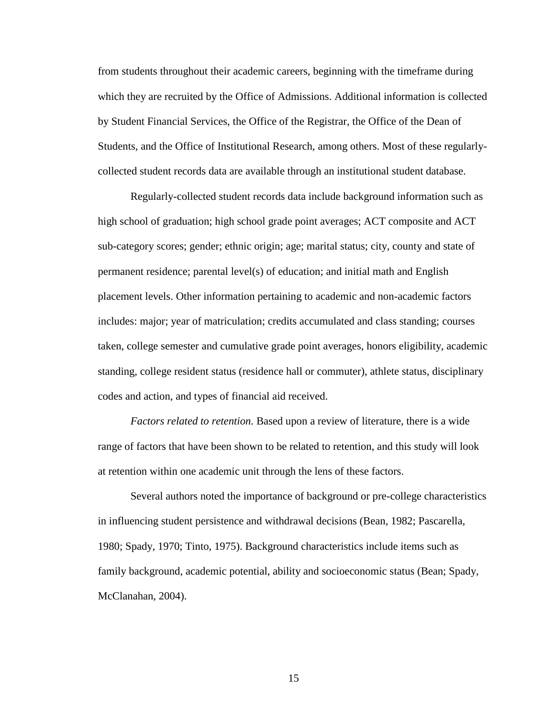from students throughout their academic careers, beginning with the timeframe during which they are recruited by the Office of Admissions. Additional information is collected by Student Financial Services, the Office of the Registrar, the Office of the Dean of Students, and the Office of Institutional Research, among others. Most of these regularlycollected student records data are available through an institutional student database.

Regularly-collected student records data include background information such as high school of graduation; high school grade point averages; ACT composite and ACT sub-category scores; gender; ethnic origin; age; marital status; city, county and state of permanent residence; parental level(s) of education; and initial math and English placement levels. Other information pertaining to academic and non-academic factors includes: major; year of matriculation; credits accumulated and class standing; courses taken, college semester and cumulative grade point averages, honors eligibility, academic standing, college resident status (residence hall or commuter), athlete status, disciplinary codes and action, and types of financial aid received.

*Factors related to retention.* Based upon a review of literature, there is a wide range of factors that have been shown to be related to retention, and this study will look at retention within one academic unit through the lens of these factors.

Several authors noted the importance of background or pre-college characteristics in influencing student persistence and withdrawal decisions (Bean, 1982; Pascarella, 1980; Spady, 1970; Tinto, 1975). Background characteristics include items such as family background, academic potential, ability and socioeconomic status (Bean; Spady, McClanahan, 2004).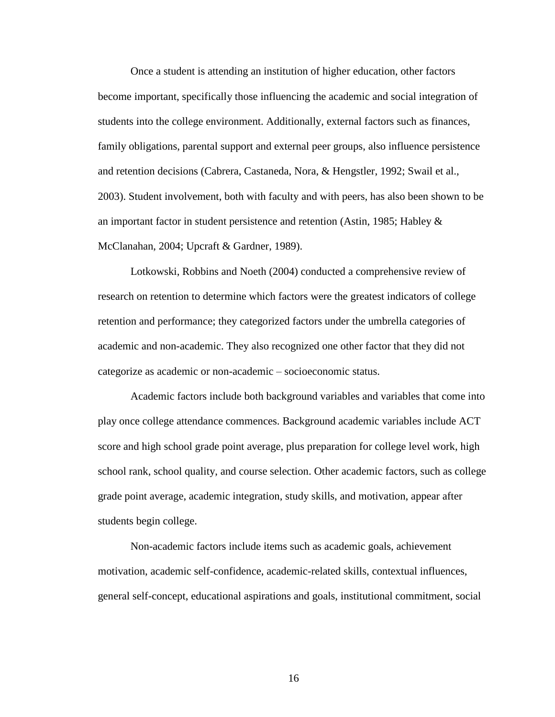Once a student is attending an institution of higher education, other factors become important, specifically those influencing the academic and social integration of students into the college environment. Additionally, external factors such as finances, family obligations, parental support and external peer groups, also influence persistence and retention decisions (Cabrera, Castaneda, Nora, & Hengstler, 1992; Swail et al., 2003). Student involvement, both with faculty and with peers, has also been shown to be an important factor in student persistence and retention (Astin, 1985; Habley  $\&$ McClanahan, 2004; Upcraft & Gardner, 1989).

Lotkowski, Robbins and Noeth (2004) conducted a comprehensive review of research on retention to determine which factors were the greatest indicators of college retention and performance; they categorized factors under the umbrella categories of academic and non-academic. They also recognized one other factor that they did not categorize as academic or non-academic – socioeconomic status.

Academic factors include both background variables and variables that come into play once college attendance commences. Background academic variables include ACT score and high school grade point average, plus preparation for college level work, high school rank, school quality, and course selection. Other academic factors, such as college grade point average, academic integration, study skills, and motivation, appear after students begin college.

Non-academic factors include items such as academic goals, achievement motivation, academic self-confidence, academic-related skills, contextual influences, general self-concept, educational aspirations and goals, institutional commitment, social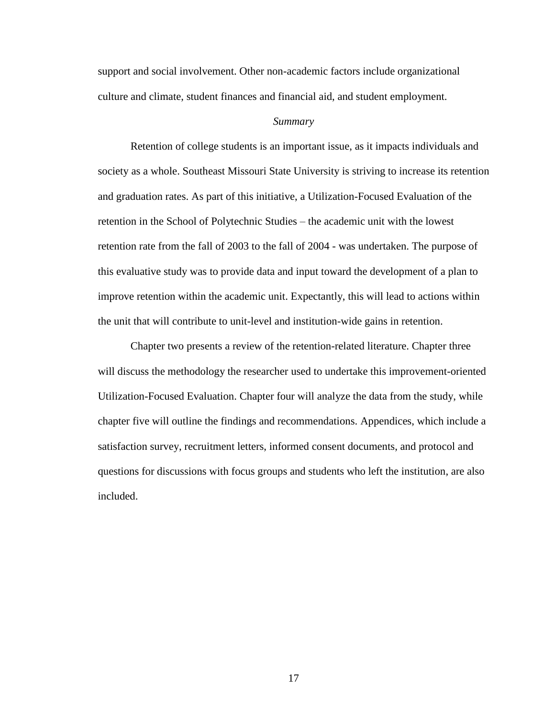support and social involvement. Other non-academic factors include organizational culture and climate, student finances and financial aid, and student employment.

#### *Summary*

Retention of college students is an important issue, as it impacts individuals and society as a whole. Southeast Missouri State University is striving to increase its retention and graduation rates. As part of this initiative, a Utilization-Focused Evaluation of the retention in the School of Polytechnic Studies – the academic unit with the lowest retention rate from the fall of 2003 to the fall of 2004 - was undertaken. The purpose of this evaluative study was to provide data and input toward the development of a plan to improve retention within the academic unit. Expectantly, this will lead to actions within the unit that will contribute to unit-level and institution-wide gains in retention.

Chapter two presents a review of the retention-related literature. Chapter three will discuss the methodology the researcher used to undertake this improvement-oriented Utilization-Focused Evaluation. Chapter four will analyze the data from the study, while chapter five will outline the findings and recommendations. Appendices, which include a satisfaction survey, recruitment letters, informed consent documents, and protocol and questions for discussions with focus groups and students who left the institution, are also included.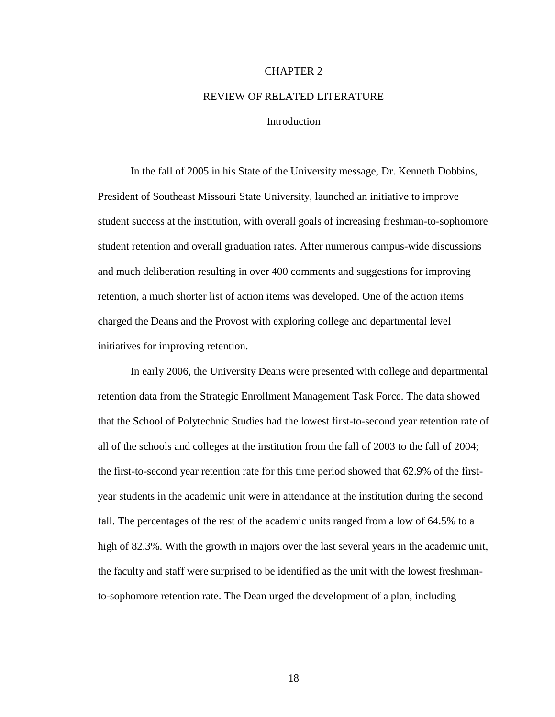#### CHAPTER 2

# REVIEW OF RELATED LITERATURE

#### **Introduction**

In the fall of 2005 in his State of the University message, Dr. Kenneth Dobbins, President of Southeast Missouri State University, launched an initiative to improve student success at the institution, with overall goals of increasing freshman-to-sophomore student retention and overall graduation rates. After numerous campus-wide discussions and much deliberation resulting in over 400 comments and suggestions for improving retention, a much shorter list of action items was developed. One of the action items charged the Deans and the Provost with exploring college and departmental level initiatives for improving retention.

In early 2006, the University Deans were presented with college and departmental retention data from the Strategic Enrollment Management Task Force. The data showed that the School of Polytechnic Studies had the lowest first-to-second year retention rate of all of the schools and colleges at the institution from the fall of 2003 to the fall of 2004; the first-to-second year retention rate for this time period showed that 62.9% of the firstyear students in the academic unit were in attendance at the institution during the second fall. The percentages of the rest of the academic units ranged from a low of 64.5% to a high of 82.3%. With the growth in majors over the last several years in the academic unit, the faculty and staff were surprised to be identified as the unit with the lowest freshmanto-sophomore retention rate. The Dean urged the development of a plan, including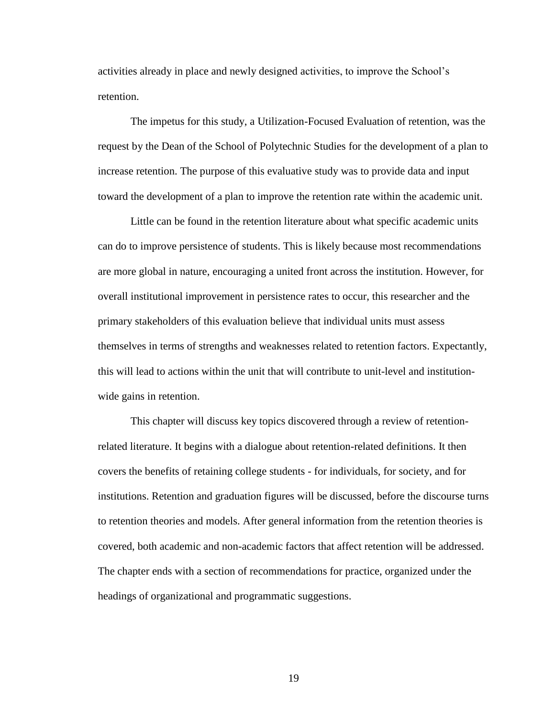activities already in place and newly designed activities, to improve the School"s retention.

The impetus for this study, a Utilization-Focused Evaluation of retention, was the request by the Dean of the School of Polytechnic Studies for the development of a plan to increase retention. The purpose of this evaluative study was to provide data and input toward the development of a plan to improve the retention rate within the academic unit.

Little can be found in the retention literature about what specific academic units can do to improve persistence of students. This is likely because most recommendations are more global in nature, encouraging a united front across the institution. However, for overall institutional improvement in persistence rates to occur, this researcher and the primary stakeholders of this evaluation believe that individual units must assess themselves in terms of strengths and weaknesses related to retention factors. Expectantly, this will lead to actions within the unit that will contribute to unit-level and institutionwide gains in retention.

This chapter will discuss key topics discovered through a review of retentionrelated literature. It begins with a dialogue about retention-related definitions. It then covers the benefits of retaining college students - for individuals, for society, and for institutions. Retention and graduation figures will be discussed, before the discourse turns to retention theories and models. After general information from the retention theories is covered, both academic and non-academic factors that affect retention will be addressed. The chapter ends with a section of recommendations for practice, organized under the headings of organizational and programmatic suggestions.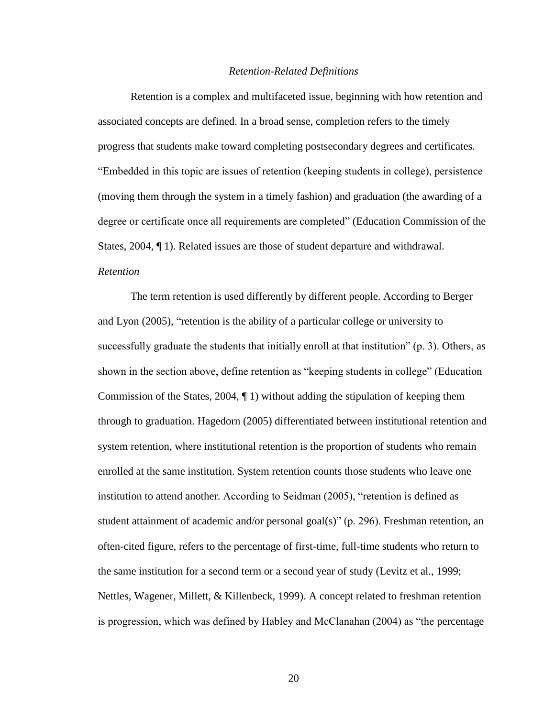#### *Retention-Related Definitions*

Retention is a complex and multifaceted issue, beginning with how retention and associated concepts are defined. In a broad sense, completion refers to the timely progress that students make toward completing postsecondary degrees and certificates. "Embedded in this topic are issues of retention (keeping students in college), persistence (moving them through the system in a timely fashion) and graduation (the awarding of a degree or certificate once all requirements are completed" (Education Commission of the States, 2004, ¶ 1). Related issues are those of student departure and withdrawal. *Retention*

The term retention is used differently by different people. According to Berger and Lyon (2005), "retention is the ability of a particular college or university to successfully graduate the students that initially enroll at that institution" (p. 3). Others, as shown in the section above, define retention as "keeping students in college" (Education Commission of the States,  $2004$ ,  $\P$  1) without adding the stipulation of keeping them through to graduation. Hagedorn (2005) differentiated between institutional retention and system retention, where institutional retention is the proportion of students who remain enrolled at the same institution. System retention counts those students who leave one institution to attend another. According to Seidman (2005), "retention is defined as student attainment of academic and/or personal goal(s)" (p. 296). Freshman retention, an often-cited figure, refers to the percentage of first-time, full-time students who return to the same institution for a second term or a second year of study (Levitz et al., 1999; Nettles, Wagener, Millett, & Killenbeck, 1999). A concept related to freshman retention is progression, which was defined by Habley and McClanahan (2004) as "the percentage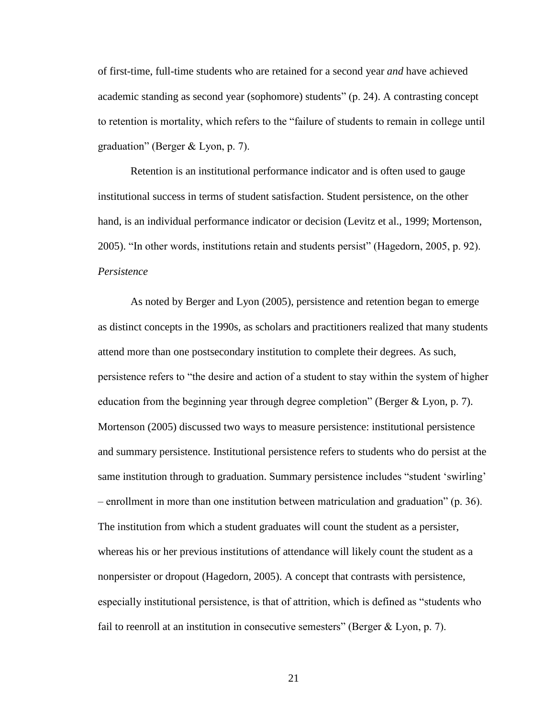of first-time, full-time students who are retained for a second year *and* have achieved academic standing as second year (sophomore) students" (p. 24). A contrasting concept to retention is mortality, which refers to the "failure of students to remain in college until graduation" (Berger & Lyon, p. 7).

Retention is an institutional performance indicator and is often used to gauge institutional success in terms of student satisfaction. Student persistence, on the other hand, is an individual performance indicator or decision (Levitz et al., 1999; Mortenson, 2005). "In other words, institutions retain and students persist" (Hagedorn, 2005, p. 92). *Persistence*

As noted by Berger and Lyon (2005), persistence and retention began to emerge as distinct concepts in the 1990s, as scholars and practitioners realized that many students attend more than one postsecondary institution to complete their degrees. As such, persistence refers to "the desire and action of a student to stay within the system of higher education from the beginning year through degree completion" (Berger & Lyon, p. 7). Mortenson (2005) discussed two ways to measure persistence: institutional persistence and summary persistence. Institutional persistence refers to students who do persist at the same institution through to graduation. Summary persistence includes "student 'swirling' – enrollment in more than one institution between matriculation and graduation" (p. 36). The institution from which a student graduates will count the student as a persister, whereas his or her previous institutions of attendance will likely count the student as a nonpersister or dropout (Hagedorn, 2005). A concept that contrasts with persistence, especially institutional persistence, is that of attrition, which is defined as "students who fail to reenroll at an institution in consecutive semesters" (Berger  $& Lyon, p. 7$ ).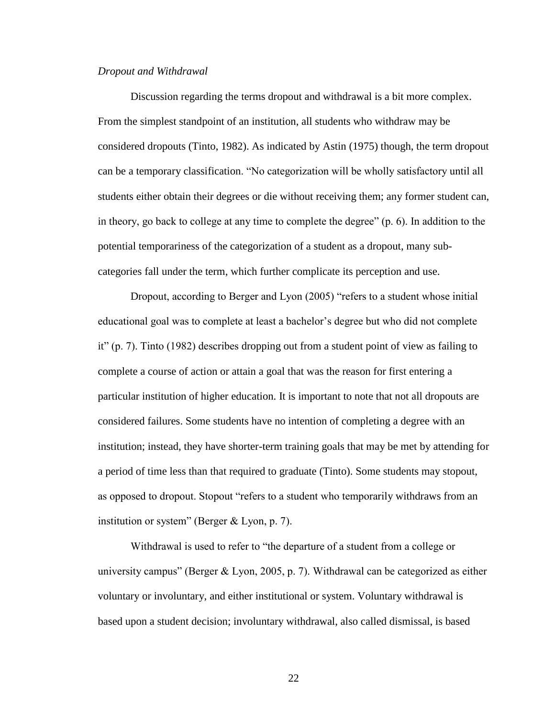#### *Dropout and Withdrawal*

Discussion regarding the terms dropout and withdrawal is a bit more complex. From the simplest standpoint of an institution, all students who withdraw may be considered dropouts (Tinto, 1982). As indicated by Astin (1975) though, the term dropout can be a temporary classification. "No categorization will be wholly satisfactory until all students either obtain their degrees or die without receiving them; any former student can, in theory, go back to college at any time to complete the degree" (p. 6). In addition to the potential temporariness of the categorization of a student as a dropout, many subcategories fall under the term, which further complicate its perception and use.

Dropout, according to Berger and Lyon (2005) "refers to a student whose initial educational goal was to complete at least a bachelor"s degree but who did not complete it" (p. 7). Tinto (1982) describes dropping out from a student point of view as failing to complete a course of action or attain a goal that was the reason for first entering a particular institution of higher education. It is important to note that not all dropouts are considered failures. Some students have no intention of completing a degree with an institution; instead, they have shorter-term training goals that may be met by attending for a period of time less than that required to graduate (Tinto). Some students may stopout, as opposed to dropout. Stopout "refers to a student who temporarily withdraws from an institution or system" (Berger & Lyon, p. 7).

Withdrawal is used to refer to "the departure of a student from a college or university campus" (Berger & Lyon, 2005, p. 7). Withdrawal can be categorized as either voluntary or involuntary, and either institutional or system. Voluntary withdrawal is based upon a student decision; involuntary withdrawal, also called dismissal, is based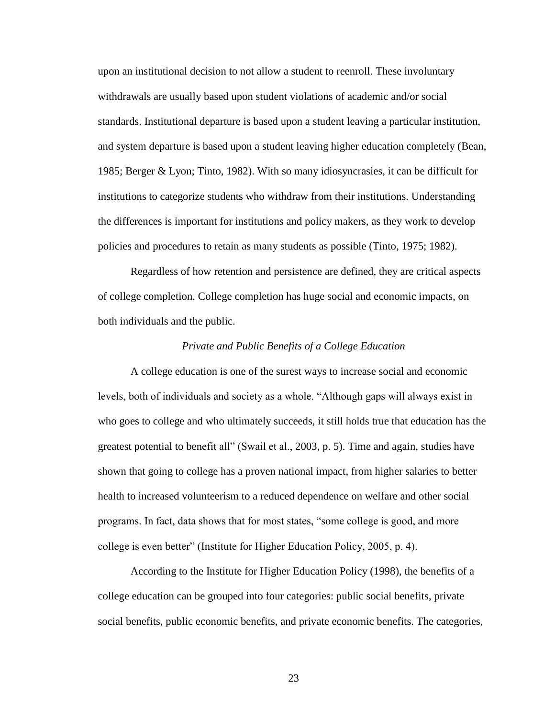upon an institutional decision to not allow a student to reenroll. These involuntary withdrawals are usually based upon student violations of academic and/or social standards. Institutional departure is based upon a student leaving a particular institution, and system departure is based upon a student leaving higher education completely (Bean, 1985; Berger & Lyon; Tinto, 1982). With so many idiosyncrasies, it can be difficult for institutions to categorize students who withdraw from their institutions. Understanding the differences is important for institutions and policy makers, as they work to develop policies and procedures to retain as many students as possible (Tinto, 1975; 1982).

Regardless of how retention and persistence are defined, they are critical aspects of college completion. College completion has huge social and economic impacts, on both individuals and the public.

#### *Private and Public Benefits of a College Education*

A college education is one of the surest ways to increase social and economic levels, both of individuals and society as a whole. "Although gaps will always exist in who goes to college and who ultimately succeeds, it still holds true that education has the greatest potential to benefit all" (Swail et al., 2003, p. 5). Time and again, studies have shown that going to college has a proven national impact, from higher salaries to better health to increased volunteerism to a reduced dependence on welfare and other social programs. In fact, data shows that for most states, "some college is good, and more college is even better" (Institute for Higher Education Policy, 2005, p. 4).

According to the Institute for Higher Education Policy (1998), the benefits of a college education can be grouped into four categories: public social benefits, private social benefits, public economic benefits, and private economic benefits. The categories,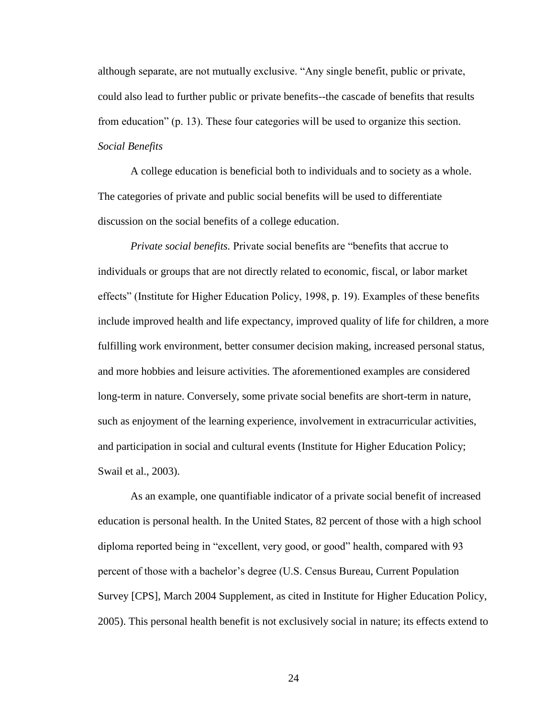although separate, are not mutually exclusive. "Any single benefit, public or private, could also lead to further public or private benefits--the cascade of benefits that results from education" (p. 13). These four categories will be used to organize this section. *Social Benefits*

A college education is beneficial both to individuals and to society as a whole. The categories of private and public social benefits will be used to differentiate discussion on the social benefits of a college education.

*Private social benefits.* Private social benefits are "benefits that accrue to individuals or groups that are not directly related to economic, fiscal, or labor market effects" (Institute for Higher Education Policy, 1998, p. 19). Examples of these benefits include improved health and life expectancy, improved quality of life for children, a more fulfilling work environment, better consumer decision making, increased personal status, and more hobbies and leisure activities. The aforementioned examples are considered long-term in nature. Conversely, some private social benefits are short-term in nature, such as enjoyment of the learning experience, involvement in extracurricular activities, and participation in social and cultural events (Institute for Higher Education Policy; Swail et al., 2003).

As an example, one quantifiable indicator of a private social benefit of increased education is personal health. In the United States, 82 percent of those with a high school diploma reported being in "excellent, very good, or good" health, compared with 93 percent of those with a bachelor"s degree (U.S. Census Bureau, Current Population Survey [CPS], March 2004 Supplement, as cited in Institute for Higher Education Policy, 2005). This personal health benefit is not exclusively social in nature; its effects extend to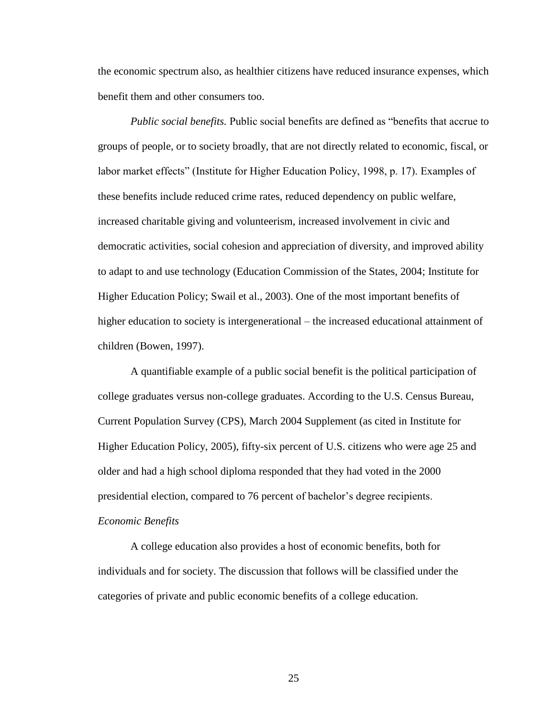the economic spectrum also, as healthier citizens have reduced insurance expenses, which benefit them and other consumers too.

*Public social benefits.* Public social benefits are defined as "benefits that accrue to groups of people, or to society broadly, that are not directly related to economic, fiscal, or labor market effects" (Institute for Higher Education Policy, 1998, p. 17). Examples of these benefits include reduced crime rates, reduced dependency on public welfare, increased charitable giving and volunteerism, increased involvement in civic and democratic activities, social cohesion and appreciation of diversity, and improved ability to adapt to and use technology (Education Commission of the States, 2004; Institute for Higher Education Policy; Swail et al., 2003). One of the most important benefits of higher education to society is intergenerational – the increased educational attainment of children (Bowen, 1997).

A quantifiable example of a public social benefit is the political participation of college graduates versus non-college graduates. According to the U.S. Census Bureau, Current Population Survey (CPS), March 2004 Supplement (as cited in Institute for Higher Education Policy, 2005), fifty-six percent of U.S. citizens who were age 25 and older and had a high school diploma responded that they had voted in the 2000 presidential election, compared to 76 percent of bachelor"s degree recipients. *Economic Benefits*

A college education also provides a host of economic benefits, both for individuals and for society. The discussion that follows will be classified under the categories of private and public economic benefits of a college education.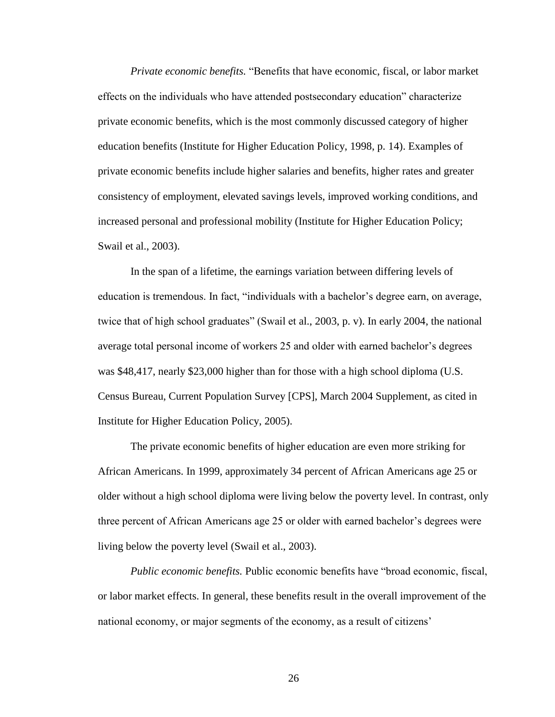*Private economic benefits.* "Benefits that have economic, fiscal, or labor market effects on the individuals who have attended postsecondary education" characterize private economic benefits, which is the most commonly discussed category of higher education benefits (Institute for Higher Education Policy, 1998, p. 14). Examples of private economic benefits include higher salaries and benefits, higher rates and greater consistency of employment, elevated savings levels, improved working conditions, and increased personal and professional mobility (Institute for Higher Education Policy; Swail et al., 2003).

In the span of a lifetime, the earnings variation between differing levels of education is tremendous. In fact, "individuals with a bachelor's degree earn, on average, twice that of high school graduates" (Swail et al., 2003, p. v). In early 2004, the national average total personal income of workers 25 and older with earned bachelor"s degrees was \$48,417, nearly \$23,000 higher than for those with a high school diploma (U.S. Census Bureau, Current Population Survey [CPS], March 2004 Supplement, as cited in Institute for Higher Education Policy, 2005).

The private economic benefits of higher education are even more striking for African Americans. In 1999, approximately 34 percent of African Americans age 25 or older without a high school diploma were living below the poverty level. In contrast, only three percent of African Americans age 25 or older with earned bachelor"s degrees were living below the poverty level (Swail et al., 2003).

*Public economic benefits.* Public economic benefits have "broad economic, fiscal, or labor market effects. In general, these benefits result in the overall improvement of the national economy, or major segments of the economy, as a result of citizens'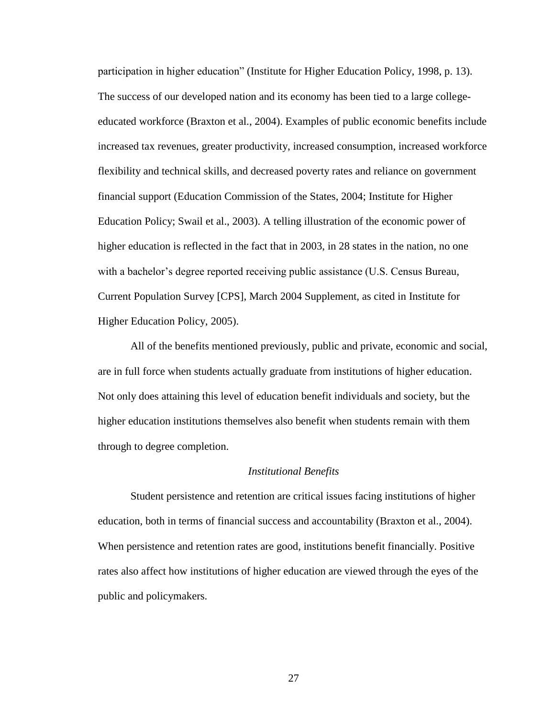participation in higher education" (Institute for Higher Education Policy, 1998, p. 13). The success of our developed nation and its economy has been tied to a large collegeeducated workforce (Braxton et al., 2004). Examples of public economic benefits include increased tax revenues, greater productivity, increased consumption, increased workforce flexibility and technical skills, and decreased poverty rates and reliance on government financial support (Education Commission of the States, 2004; Institute for Higher Education Policy; Swail et al., 2003). A telling illustration of the economic power of higher education is reflected in the fact that in 2003, in 28 states in the nation, no one with a bachelor's degree reported receiving public assistance (U.S. Census Bureau, Current Population Survey [CPS], March 2004 Supplement, as cited in Institute for Higher Education Policy, 2005).

All of the benefits mentioned previously, public and private, economic and social, are in full force when students actually graduate from institutions of higher education. Not only does attaining this level of education benefit individuals and society, but the higher education institutions themselves also benefit when students remain with them through to degree completion.

#### *Institutional Benefits*

Student persistence and retention are critical issues facing institutions of higher education, both in terms of financial success and accountability (Braxton et al., 2004). When persistence and retention rates are good, institutions benefit financially. Positive rates also affect how institutions of higher education are viewed through the eyes of the public and policymakers.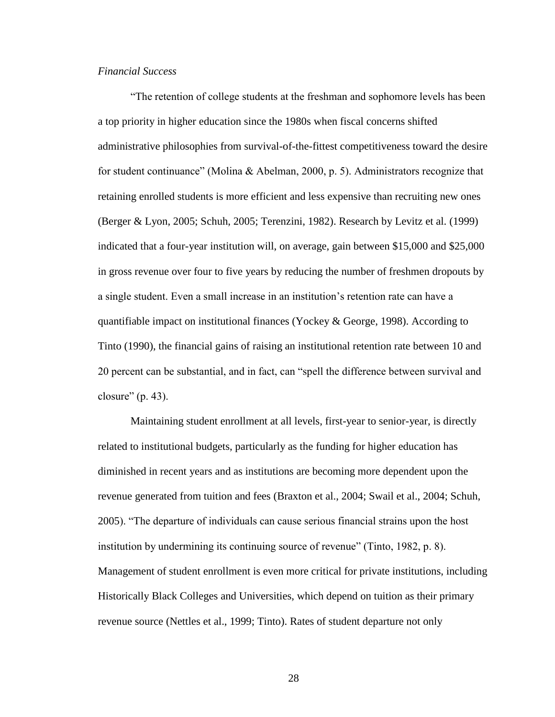# *Financial Success*

"The retention of college students at the freshman and sophomore levels has been a top priority in higher education since the 1980s when fiscal concerns shifted administrative philosophies from survival-of-the-fittest competitiveness toward the desire for student continuance" (Molina & Abelman, 2000, p. 5). Administrators recognize that retaining enrolled students is more efficient and less expensive than recruiting new ones (Berger & Lyon, 2005; Schuh, 2005; Terenzini, 1982). Research by Levitz et al. (1999) indicated that a four-year institution will, on average, gain between \$15,000 and \$25,000 in gross revenue over four to five years by reducing the number of freshmen dropouts by a single student. Even a small increase in an institution"s retention rate can have a quantifiable impact on institutional finances (Yockey & George, 1998). According to Tinto (1990), the financial gains of raising an institutional retention rate between 10 and 20 percent can be substantial, and in fact, can "spell the difference between survival and closure"  $(p. 43)$ .

Maintaining student enrollment at all levels, first-year to senior-year, is directly related to institutional budgets, particularly as the funding for higher education has diminished in recent years and as institutions are becoming more dependent upon the revenue generated from tuition and fees (Braxton et al., 2004; Swail et al., 2004; Schuh, 2005). "The departure of individuals can cause serious financial strains upon the host institution by undermining its continuing source of revenue" (Tinto, 1982, p. 8). Management of student enrollment is even more critical for private institutions, including Historically Black Colleges and Universities, which depend on tuition as their primary revenue source (Nettles et al., 1999; Tinto). Rates of student departure not only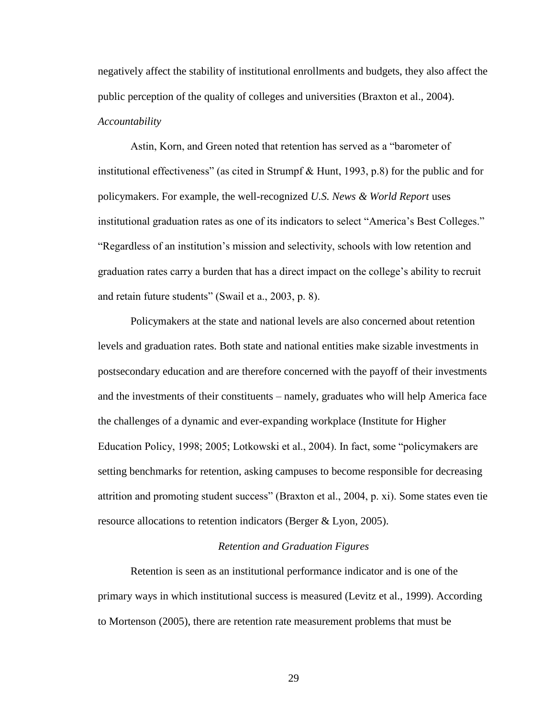negatively affect the stability of institutional enrollments and budgets, they also affect the public perception of the quality of colleges and universities (Braxton et al., 2004). *Accountability* 

Astin, Korn, and Green noted that retention has served as a "barometer of institutional effectiveness" (as cited in Strumpf & Hunt, 1993, p.8) for the public and for policymakers. For example, the well-recognized *U.S. News & World Report* uses institutional graduation rates as one of its indicators to select "America"s Best Colleges." "Regardless of an institution"s mission and selectivity, schools with low retention and graduation rates carry a burden that has a direct impact on the college"s ability to recruit and retain future students" (Swail et a., 2003, p. 8).

Policymakers at the state and national levels are also concerned about retention levels and graduation rates. Both state and national entities make sizable investments in postsecondary education and are therefore concerned with the payoff of their investments and the investments of their constituents – namely, graduates who will help America face the challenges of a dynamic and ever-expanding workplace (Institute for Higher Education Policy, 1998; 2005; Lotkowski et al., 2004). In fact, some "policymakers are setting benchmarks for retention, asking campuses to become responsible for decreasing attrition and promoting student success" (Braxton et al., 2004, p. xi). Some states even tie resource allocations to retention indicators (Berger & Lyon, 2005).

### *Retention and Graduation Figures*

Retention is seen as an institutional performance indicator and is one of the primary ways in which institutional success is measured (Levitz et al., 1999). According to Mortenson (2005), there are retention rate measurement problems that must be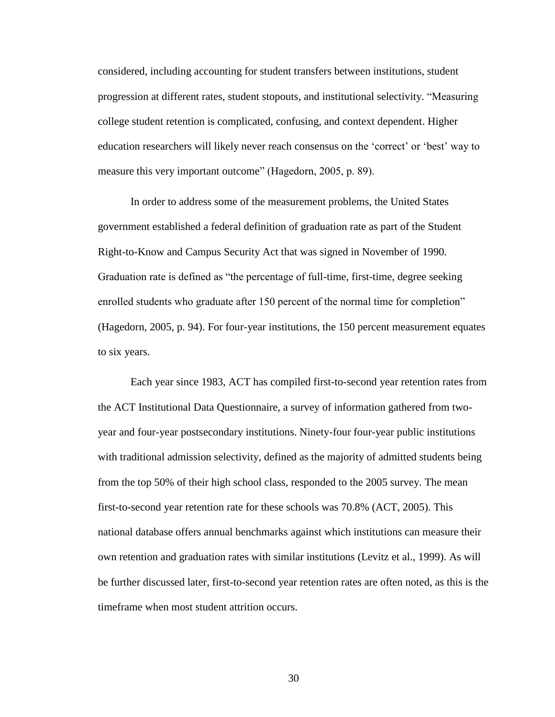considered, including accounting for student transfers between institutions, student progression at different rates, student stopouts, and institutional selectivity. "Measuring college student retention is complicated, confusing, and context dependent. Higher education researchers will likely never reach consensus on the "correct" or "best" way to measure this very important outcome" (Hagedorn, 2005, p. 89).

In order to address some of the measurement problems, the United States government established a federal definition of graduation rate as part of the Student Right-to-Know and Campus Security Act that was signed in November of 1990. Graduation rate is defined as "the percentage of full-time, first-time, degree seeking enrolled students who graduate after 150 percent of the normal time for completion" (Hagedorn, 2005, p. 94). For four-year institutions, the 150 percent measurement equates to six years.

Each year since 1983, ACT has compiled first-to-second year retention rates from the ACT Institutional Data Questionnaire, a survey of information gathered from twoyear and four-year postsecondary institutions. Ninety-four four-year public institutions with traditional admission selectivity, defined as the majority of admitted students being from the top 50% of their high school class, responded to the 2005 survey. The mean first-to-second year retention rate for these schools was 70.8% (ACT, 2005). This national database offers annual benchmarks against which institutions can measure their own retention and graduation rates with similar institutions (Levitz et al., 1999). As will be further discussed later, first-to-second year retention rates are often noted, as this is the timeframe when most student attrition occurs.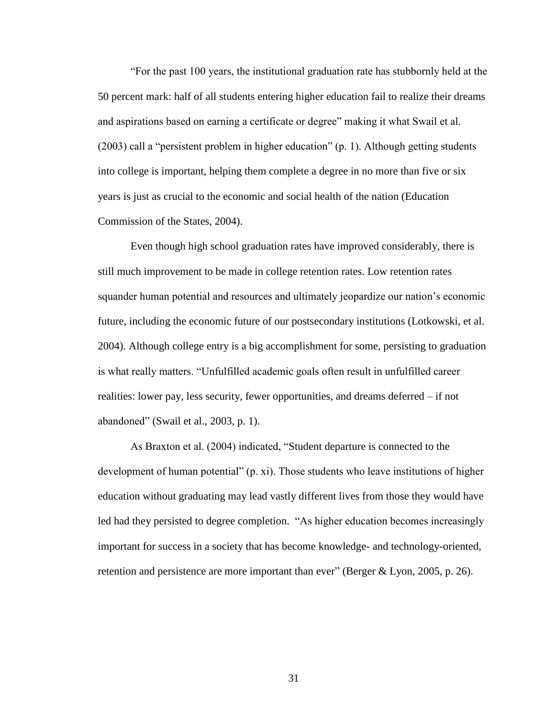"For the past 100 years, the institutional graduation rate has stubbornly held at the 50 percent mark: half of all students entering higher education fail to realize their dreams and aspirations based on earning a certificate or degree" making it what Swail et al. (2003) call a "persistent problem in higher education" (p. 1). Although getting students into college is important, helping them complete a degree in no more than five or six years is just as crucial to the economic and social health of the nation (Education Commission of the States, 2004).

Even though high school graduation rates have improved considerably, there is still much improvement to be made in college retention rates. Low retention rates squander human potential and resources and ultimately jeopardize our nation"s economic future, including the economic future of our postsecondary institutions (Lotkowski, et al. 2004). Although college entry is a big accomplishment for some, persisting to graduation is what really matters. "Unfulfilled academic goals often result in unfulfilled career realities: lower pay, less security, fewer opportunities, and dreams deferred – if not abandoned" (Swail et al., 2003, p. 1).

As Braxton et al. (2004) indicated, "Student departure is connected to the development of human potential" (p. xi). Those students who leave institutions of higher education without graduating may lead vastly different lives from those they would have led had they persisted to degree completion. "As higher education becomes increasingly important for success in a society that has become knowledge- and technology-oriented, retention and persistence are more important than ever" (Berger & Lyon, 2005, p. 26).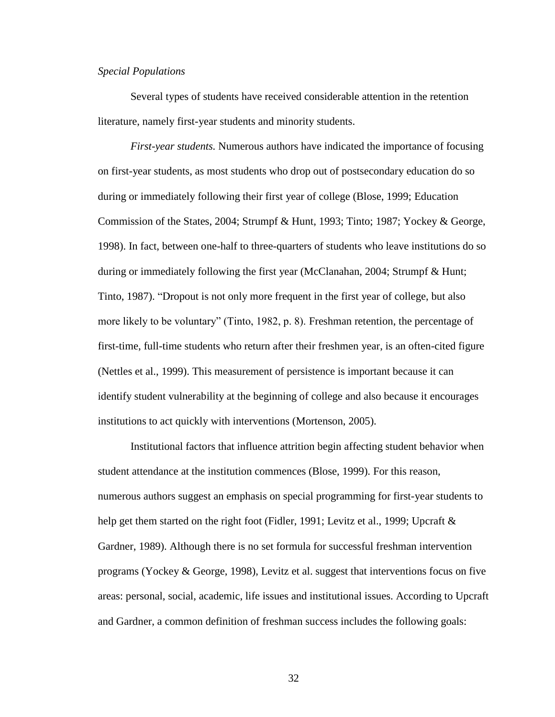### *Special Populations*

Several types of students have received considerable attention in the retention literature, namely first-year students and minority students.

*First-year students.* Numerous authors have indicated the importance of focusing on first-year students, as most students who drop out of postsecondary education do so during or immediately following their first year of college (Blose, 1999; Education Commission of the States, 2004; Strumpf & Hunt, 1993; Tinto; 1987; Yockey & George, 1998). In fact, between one-half to three-quarters of students who leave institutions do so during or immediately following the first year (McClanahan, 2004; Strumpf & Hunt; Tinto, 1987). "Dropout is not only more frequent in the first year of college, but also more likely to be voluntary" (Tinto, 1982, p. 8). Freshman retention, the percentage of first-time, full-time students who return after their freshmen year, is an often-cited figure (Nettles et al., 1999). This measurement of persistence is important because it can identify student vulnerability at the beginning of college and also because it encourages institutions to act quickly with interventions (Mortenson, 2005).

Institutional factors that influence attrition begin affecting student behavior when student attendance at the institution commences (Blose, 1999). For this reason, numerous authors suggest an emphasis on special programming for first-year students to help get them started on the right foot (Fidler, 1991; Levitz et al., 1999; Upcraft  $\&$ Gardner, 1989). Although there is no set formula for successful freshman intervention programs (Yockey & George, 1998), Levitz et al. suggest that interventions focus on five areas: personal, social, academic, life issues and institutional issues. According to Upcraft and Gardner, a common definition of freshman success includes the following goals: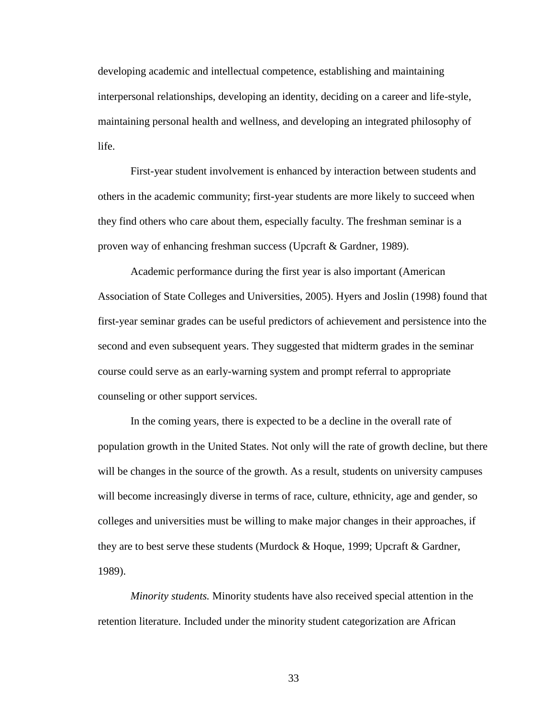developing academic and intellectual competence, establishing and maintaining interpersonal relationships, developing an identity, deciding on a career and life-style, maintaining personal health and wellness, and developing an integrated philosophy of life.

First-year student involvement is enhanced by interaction between students and others in the academic community; first-year students are more likely to succeed when they find others who care about them, especially faculty. The freshman seminar is a proven way of enhancing freshman success (Upcraft & Gardner, 1989).

Academic performance during the first year is also important (American Association of State Colleges and Universities, 2005). Hyers and Joslin (1998) found that first-year seminar grades can be useful predictors of achievement and persistence into the second and even subsequent years. They suggested that midterm grades in the seminar course could serve as an early-warning system and prompt referral to appropriate counseling or other support services.

In the coming years, there is expected to be a decline in the overall rate of population growth in the United States. Not only will the rate of growth decline, but there will be changes in the source of the growth. As a result, students on university campuses will become increasingly diverse in terms of race, culture, ethnicity, age and gender, so colleges and universities must be willing to make major changes in their approaches, if they are to best serve these students (Murdock & Hoque, 1999; Upcraft & Gardner, 1989).

*Minority students.* Minority students have also received special attention in the retention literature. Included under the minority student categorization are African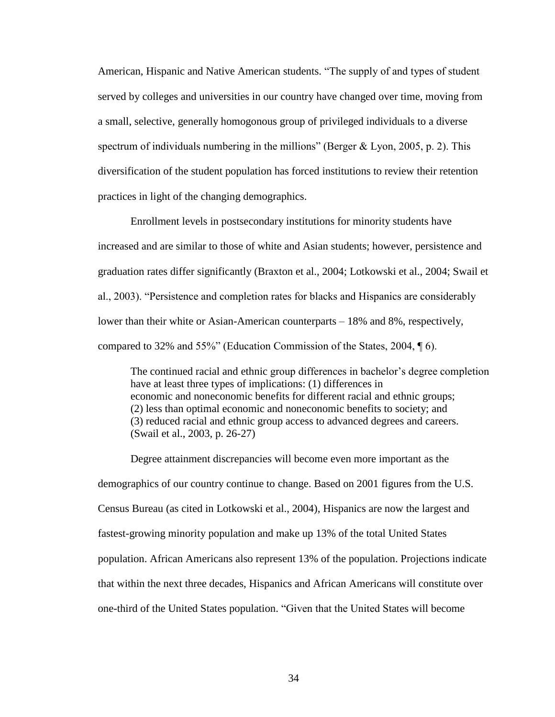American, Hispanic and Native American students. "The supply of and types of student served by colleges and universities in our country have changed over time, moving from a small, selective, generally homogonous group of privileged individuals to a diverse spectrum of individuals numbering in the millions" (Berger  $& Lyon, 2005, p. 2$ ). This diversification of the student population has forced institutions to review their retention practices in light of the changing demographics.

Enrollment levels in postsecondary institutions for minority students have increased and are similar to those of white and Asian students; however, persistence and graduation rates differ significantly (Braxton et al., 2004; Lotkowski et al., 2004; Swail et al., 2003). "Persistence and completion rates for blacks and Hispanics are considerably lower than their white or Asian-American counterparts – 18% and 8%, respectively, compared to 32% and 55%" (Education Commission of the States, 2004, ¶ 6).

The continued racial and ethnic group differences in bachelor"s degree completion have at least three types of implications: (1) differences in economic and noneconomic benefits for different racial and ethnic groups; (2) less than optimal economic and noneconomic benefits to society; and (3) reduced racial and ethnic group access to advanced degrees and careers. (Swail et al., 2003, p. 26-27)

Degree attainment discrepancies will become even more important as the demographics of our country continue to change. Based on 2001 figures from the U.S. Census Bureau (as cited in Lotkowski et al., 2004), Hispanics are now the largest and fastest-growing minority population and make up 13% of the total United States population. African Americans also represent 13% of the population. Projections indicate that within the next three decades, Hispanics and African Americans will constitute over one-third of the United States population. "Given that the United States will become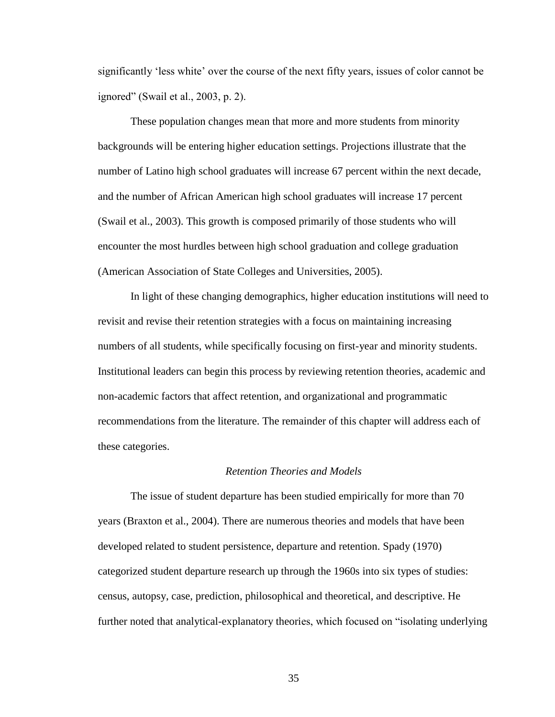significantly "less white" over the course of the next fifty years, issues of color cannot be ignored" (Swail et al., 2003, p. 2).

These population changes mean that more and more students from minority backgrounds will be entering higher education settings. Projections illustrate that the number of Latino high school graduates will increase 67 percent within the next decade, and the number of African American high school graduates will increase 17 percent (Swail et al., 2003). This growth is composed primarily of those students who will encounter the most hurdles between high school graduation and college graduation (American Association of State Colleges and Universities, 2005).

In light of these changing demographics, higher education institutions will need to revisit and revise their retention strategies with a focus on maintaining increasing numbers of all students, while specifically focusing on first-year and minority students. Institutional leaders can begin this process by reviewing retention theories, academic and non-academic factors that affect retention, and organizational and programmatic recommendations from the literature. The remainder of this chapter will address each of these categories.

#### *Retention Theories and Models*

The issue of student departure has been studied empirically for more than 70 years (Braxton et al., 2004). There are numerous theories and models that have been developed related to student persistence, departure and retention. Spady (1970) categorized student departure research up through the 1960s into six types of studies: census, autopsy, case, prediction, philosophical and theoretical, and descriptive. He further noted that analytical-explanatory theories, which focused on "isolating underlying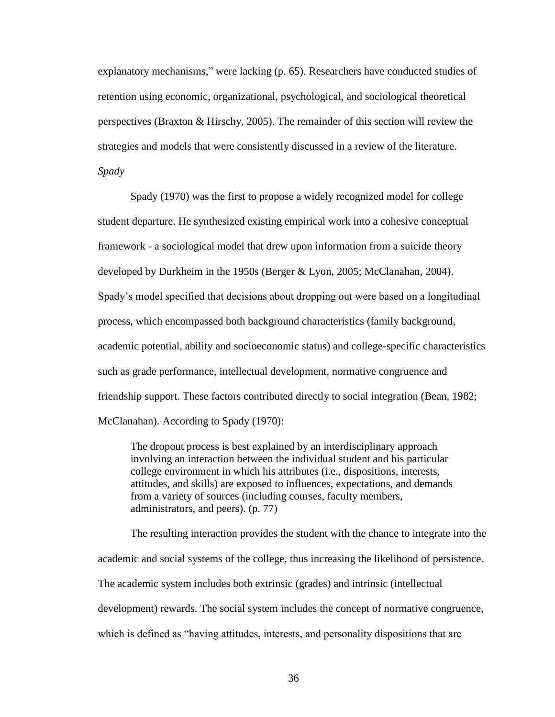explanatory mechanisms," were lacking (p. 65). Researchers have conducted studies of retention using economic, organizational, psychological, and sociological theoretical perspectives (Braxton & Hirschy, 2005). The remainder of this section will review the strategies and models that were consistently discussed in a review of the literature. *Spady*

Spady (1970) was the first to propose a widely recognized model for college student departure. He synthesized existing empirical work into a cohesive conceptual framework - a sociological model that drew upon information from a suicide theory developed by Durkheim in the 1950s (Berger & Lyon, 2005; McClanahan, 2004). Spady"s model specified that decisions about dropping out were based on a longitudinal process, which encompassed both background characteristics (family background, academic potential, ability and socioeconomic status) and college-specific characteristics such as grade performance, intellectual development, normative congruence and friendship support. These factors contributed directly to social integration (Bean, 1982; McClanahan). According to Spady (1970):

The dropout process is best explained by an interdisciplinary approach involving an interaction between the individual student and his particular college environment in which his attributes (i.e., dispositions, interests, attitudes, and skills) are exposed to influences, expectations, and demands from a variety of sources (including courses, faculty members, administrators, and peers). (p. 77)

The resulting interaction provides the student with the chance to integrate into the academic and social systems of the college, thus increasing the likelihood of persistence. The academic system includes both extrinsic (grades) and intrinsic (intellectual development) rewards. The social system includes the concept of normative congruence, which is defined as "having attitudes, interests, and personality dispositions that are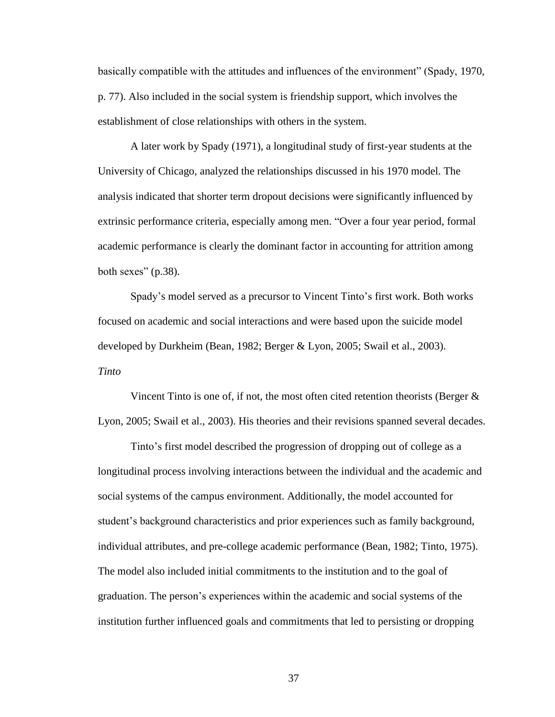basically compatible with the attitudes and influences of the environment" (Spady, 1970, p. 77). Also included in the social system is friendship support, which involves the establishment of close relationships with others in the system.

A later work by Spady (1971), a longitudinal study of first-year students at the University of Chicago, analyzed the relationships discussed in his 1970 model. The analysis indicated that shorter term dropout decisions were significantly influenced by extrinsic performance criteria, especially among men. "Over a four year period, formal academic performance is clearly the dominant factor in accounting for attrition among both sexes"  $(p.38)$ .

Spady"s model served as a precursor to Vincent Tinto"s first work. Both works focused on academic and social interactions and were based upon the suicide model developed by Durkheim (Bean, 1982; Berger & Lyon, 2005; Swail et al., 2003). *Tinto*

Vincent Tinto is one of, if not, the most often cited retention theorists (Berger  $\&$ Lyon, 2005; Swail et al., 2003). His theories and their revisions spanned several decades.

Tinto"s first model described the progression of dropping out of college as a longitudinal process involving interactions between the individual and the academic and social systems of the campus environment. Additionally, the model accounted for student"s background characteristics and prior experiences such as family background, individual attributes, and pre-college academic performance (Bean, 1982; Tinto, 1975). The model also included initial commitments to the institution and to the goal of graduation. The person"s experiences within the academic and social systems of the institution further influenced goals and commitments that led to persisting or dropping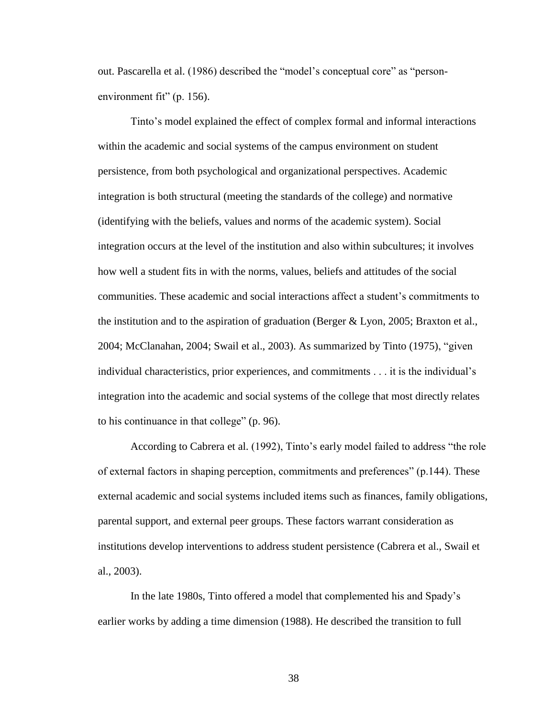out. Pascarella et al. (1986) described the "model"s conceptual core" as "personenvironment fit" (p. 156).

Tinto"s model explained the effect of complex formal and informal interactions within the academic and social systems of the campus environment on student persistence, from both psychological and organizational perspectives. Academic integration is both structural (meeting the standards of the college) and normative (identifying with the beliefs, values and norms of the academic system). Social integration occurs at the level of the institution and also within subcultures; it involves how well a student fits in with the norms, values, beliefs and attitudes of the social communities. These academic and social interactions affect a student"s commitments to the institution and to the aspiration of graduation (Berger  $& Lyon, 2005$ ; Braxton et al., 2004; McClanahan, 2004; Swail et al., 2003). As summarized by Tinto (1975), "given individual characteristics, prior experiences, and commitments . . . it is the individual's integration into the academic and social systems of the college that most directly relates to his continuance in that college" (p. 96).

According to Cabrera et al. (1992), Tinto"s early model failed to address "the role of external factors in shaping perception, commitments and preferences" (p.144). These external academic and social systems included items such as finances, family obligations, parental support, and external peer groups. These factors warrant consideration as institutions develop interventions to address student persistence (Cabrera et al., Swail et al., 2003).

In the late 1980s, Tinto offered a model that complemented his and Spady"s earlier works by adding a time dimension (1988). He described the transition to full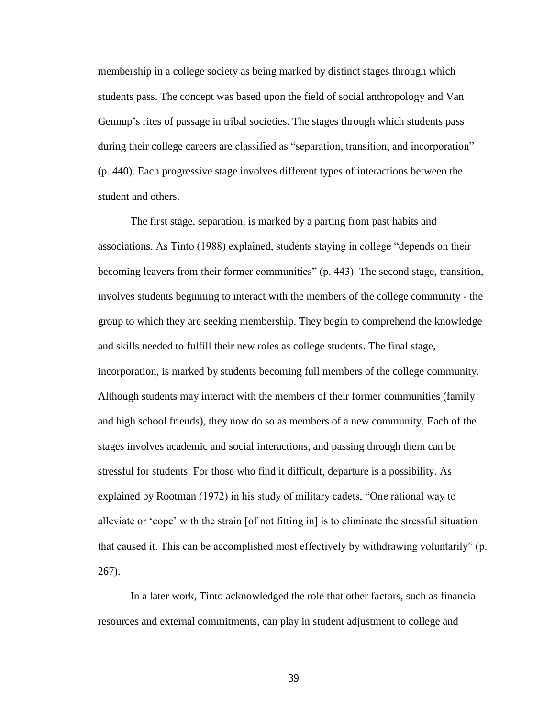membership in a college society as being marked by distinct stages through which students pass. The concept was based upon the field of social anthropology and Van Gennup"s rites of passage in tribal societies. The stages through which students pass during their college careers are classified as "separation, transition, and incorporation" (p. 440). Each progressive stage involves different types of interactions between the student and others.

The first stage, separation, is marked by a parting from past habits and associations. As Tinto (1988) explained, students staying in college "depends on their becoming leavers from their former communities" (p. 443). The second stage, transition, involves students beginning to interact with the members of the college community - the group to which they are seeking membership. They begin to comprehend the knowledge and skills needed to fulfill their new roles as college students. The final stage, incorporation, is marked by students becoming full members of the college community. Although students may interact with the members of their former communities (family and high school friends), they now do so as members of a new community. Each of the stages involves academic and social interactions, and passing through them can be stressful for students. For those who find it difficult, departure is a possibility. As explained by Rootman (1972) in his study of military cadets, "One rational way to alleviate or "cope" with the strain [of not fitting in] is to eliminate the stressful situation that caused it. This can be accomplished most effectively by withdrawing voluntarily" (p. 267).

In a later work, Tinto acknowledged the role that other factors, such as financial resources and external commitments, can play in student adjustment to college and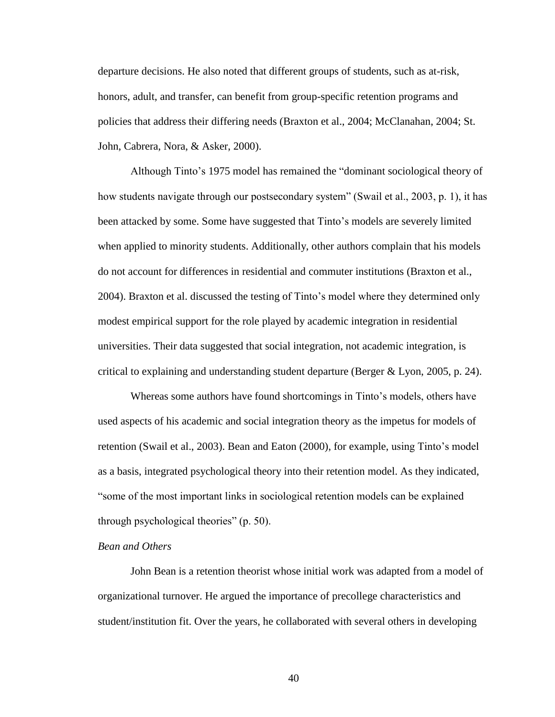departure decisions. He also noted that different groups of students, such as at-risk, honors, adult, and transfer, can benefit from group-specific retention programs and policies that address their differing needs (Braxton et al., 2004; McClanahan, 2004; St. John, Cabrera, Nora, & Asker, 2000).

Although Tinto"s 1975 model has remained the "dominant sociological theory of how students navigate through our postsecondary system" (Swail et al., 2003, p. 1), it has been attacked by some. Some have suggested that Tinto"s models are severely limited when applied to minority students. Additionally, other authors complain that his models do not account for differences in residential and commuter institutions (Braxton et al., 2004). Braxton et al. discussed the testing of Tinto"s model where they determined only modest empirical support for the role played by academic integration in residential universities. Their data suggested that social integration, not academic integration, is critical to explaining and understanding student departure (Berger & Lyon, 2005, p. 24).

Whereas some authors have found shortcomings in Tinto"s models, others have used aspects of his academic and social integration theory as the impetus for models of retention (Swail et al., 2003). Bean and Eaton (2000), for example, using Tinto"s model as a basis, integrated psychological theory into their retention model. As they indicated, "some of the most important links in sociological retention models can be explained through psychological theories" (p. 50).

# *Bean and Others*

John Bean is a retention theorist whose initial work was adapted from a model of organizational turnover. He argued the importance of precollege characteristics and student/institution fit. Over the years, he collaborated with several others in developing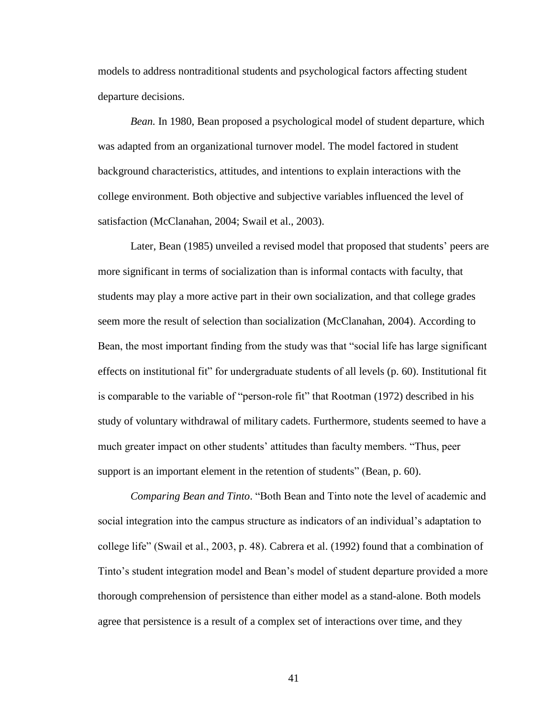models to address nontraditional students and psychological factors affecting student departure decisions.

*Bean.* In 1980, Bean proposed a psychological model of student departure, which was adapted from an organizational turnover model. The model factored in student background characteristics, attitudes, and intentions to explain interactions with the college environment. Both objective and subjective variables influenced the level of satisfaction (McClanahan, 2004; Swail et al., 2003).

Later, Bean (1985) unveiled a revised model that proposed that students' peers are more significant in terms of socialization than is informal contacts with faculty, that students may play a more active part in their own socialization, and that college grades seem more the result of selection than socialization (McClanahan, 2004). According to Bean, the most important finding from the study was that "social life has large significant effects on institutional fit" for undergraduate students of all levels (p. 60). Institutional fit is comparable to the variable of "person-role fit" that Rootman (1972) described in his study of voluntary withdrawal of military cadets. Furthermore, students seemed to have a much greater impact on other students" attitudes than faculty members. "Thus, peer support is an important element in the retention of students" (Bean, p. 60).

*Comparing Bean and Tinto*. "Both Bean and Tinto note the level of academic and social integration into the campus structure as indicators of an individual's adaptation to college life" (Swail et al., 2003, p. 48). Cabrera et al. (1992) found that a combination of Tinto"s student integration model and Bean"s model of student departure provided a more thorough comprehension of persistence than either model as a stand-alone. Both models agree that persistence is a result of a complex set of interactions over time, and they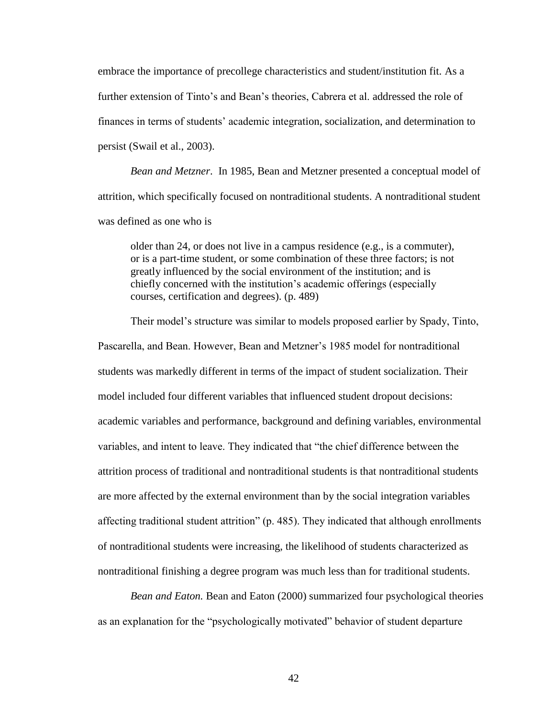embrace the importance of precollege characteristics and student/institution fit. As a further extension of Tinto's and Bean's theories, Cabrera et al. addressed the role of finances in terms of students" academic integration, socialization, and determination to persist (Swail et al., 2003).

*Bean and Metzner*. In 1985, Bean and Metzner presented a conceptual model of attrition, which specifically focused on nontraditional students. A nontraditional student was defined as one who is

older than 24, or does not live in a campus residence (e.g., is a commuter), or is a part-time student, or some combination of these three factors; is not greatly influenced by the social environment of the institution; and is chiefly concerned with the institution"s academic offerings (especially courses, certification and degrees). (p. 489)

Their model's structure was similar to models proposed earlier by Spady, Tinto, Pascarella, and Bean. However, Bean and Metzner"s 1985 model for nontraditional students was markedly different in terms of the impact of student socialization. Their model included four different variables that influenced student dropout decisions: academic variables and performance, background and defining variables, environmental variables, and intent to leave. They indicated that "the chief difference between the attrition process of traditional and nontraditional students is that nontraditional students are more affected by the external environment than by the social integration variables affecting traditional student attrition" (p. 485). They indicated that although enrollments of nontraditional students were increasing, the likelihood of students characterized as nontraditional finishing a degree program was much less than for traditional students.

*Bean and Eaton.* Bean and Eaton (2000) summarized four psychological theories as an explanation for the "psychologically motivated" behavior of student departure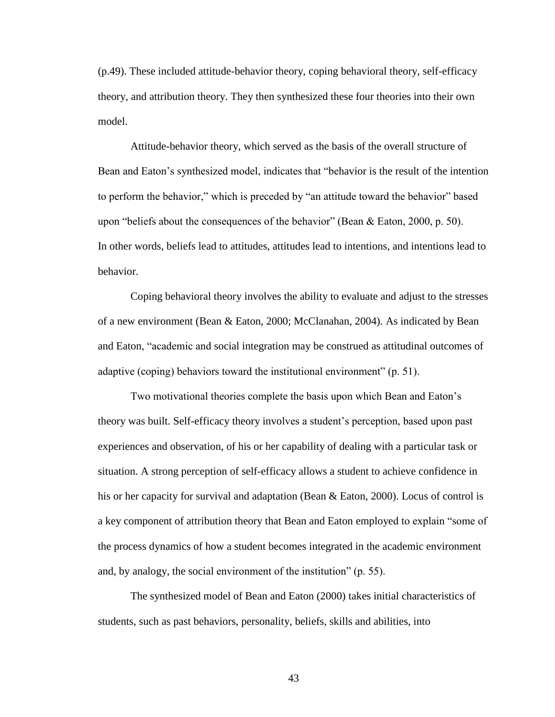(p.49). These included attitude-behavior theory, coping behavioral theory, self-efficacy theory, and attribution theory. They then synthesized these four theories into their own model.

Attitude-behavior theory, which served as the basis of the overall structure of Bean and Eaton"s synthesized model, indicates that "behavior is the result of the intention to perform the behavior," which is preceded by "an attitude toward the behavior" based upon "beliefs about the consequences of the behavior" (Bean & Eaton, 2000, p. 50). In other words, beliefs lead to attitudes, attitudes lead to intentions, and intentions lead to behavior.

Coping behavioral theory involves the ability to evaluate and adjust to the stresses of a new environment (Bean & Eaton, 2000; McClanahan, 2004). As indicated by Bean and Eaton, "academic and social integration may be construed as attitudinal outcomes of adaptive (coping) behaviors toward the institutional environment" (p. 51).

Two motivational theories complete the basis upon which Bean and Eaton"s theory was built. Self-efficacy theory involves a student"s perception, based upon past experiences and observation, of his or her capability of dealing with a particular task or situation. A strong perception of self-efficacy allows a student to achieve confidence in his or her capacity for survival and adaptation (Bean & Eaton, 2000). Locus of control is a key component of attribution theory that Bean and Eaton employed to explain "some of the process dynamics of how a student becomes integrated in the academic environment and, by analogy, the social environment of the institution" (p. 55).

The synthesized model of Bean and Eaton (2000) takes initial characteristics of students, such as past behaviors, personality, beliefs, skills and abilities, into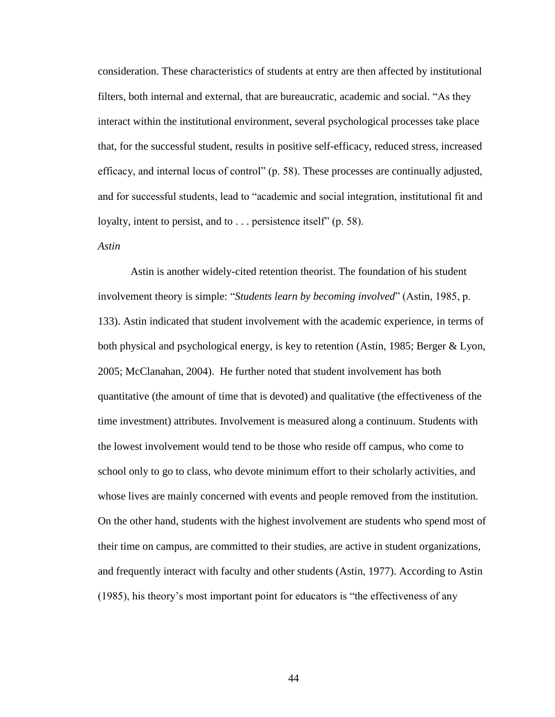consideration. These characteristics of students at entry are then affected by institutional filters, both internal and external, that are bureaucratic, academic and social. "As they interact within the institutional environment, several psychological processes take place that, for the successful student, results in positive self-efficacy, reduced stress, increased efficacy, and internal locus of control" (p. 58). These processes are continually adjusted, and for successful students, lead to "academic and social integration, institutional fit and loyalty, intent to persist, and to . . . persistence itself" (p. 58).

### *Astin*

Astin is another widely-cited retention theorist. The foundation of his student involvement theory is simple: "*Students learn by becoming involved*" (Astin, 1985, p. 133). Astin indicated that student involvement with the academic experience, in terms of both physical and psychological energy, is key to retention (Astin, 1985; Berger & Lyon, 2005; McClanahan, 2004). He further noted that student involvement has both quantitative (the amount of time that is devoted) and qualitative (the effectiveness of the time investment) attributes. Involvement is measured along a continuum. Students with the lowest involvement would tend to be those who reside off campus, who come to school only to go to class, who devote minimum effort to their scholarly activities, and whose lives are mainly concerned with events and people removed from the institution. On the other hand, students with the highest involvement are students who spend most of their time on campus, are committed to their studies, are active in student organizations, and frequently interact with faculty and other students (Astin, 1977). According to Astin (1985), his theory"s most important point for educators is "the effectiveness of any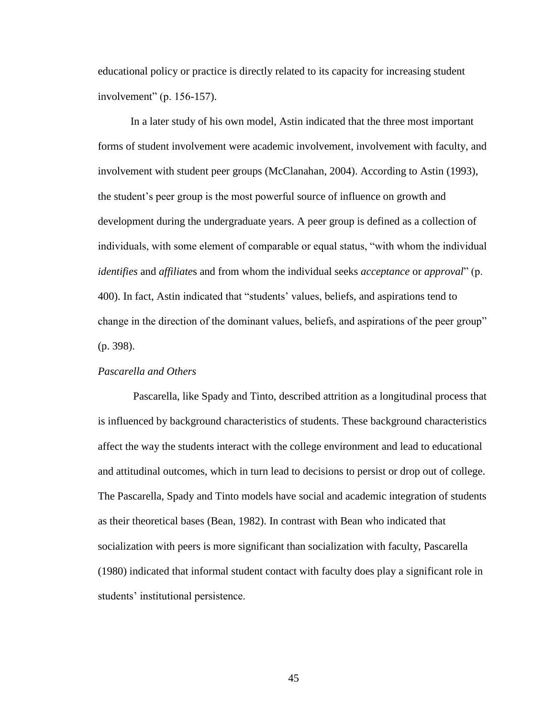educational policy or practice is directly related to its capacity for increasing student involvement" (p. 156-157).

In a later study of his own model, Astin indicated that the three most important forms of student involvement were academic involvement, involvement with faculty, and involvement with student peer groups (McClanahan, 2004). According to Astin (1993), the student"s peer group is the most powerful source of influence on growth and development during the undergraduate years. A peer group is defined as a collection of individuals, with some element of comparable or equal status, "with whom the individual *identifies* and *affiliate*s and from whom the individual seeks *acceptance* or *approval*" (p. 400). In fact, Astin indicated that "students" values, beliefs, and aspirations tend to change in the direction of the dominant values, beliefs, and aspirations of the peer group" (p. 398).

# *Pascarella and Others*

Pascarella, like Spady and Tinto, described attrition as a longitudinal process that is influenced by background characteristics of students. These background characteristics affect the way the students interact with the college environment and lead to educational and attitudinal outcomes, which in turn lead to decisions to persist or drop out of college. The Pascarella, Spady and Tinto models have social and academic integration of students as their theoretical bases (Bean, 1982). In contrast with Bean who indicated that socialization with peers is more significant than socialization with faculty, Pascarella (1980) indicated that informal student contact with faculty does play a significant role in students' institutional persistence.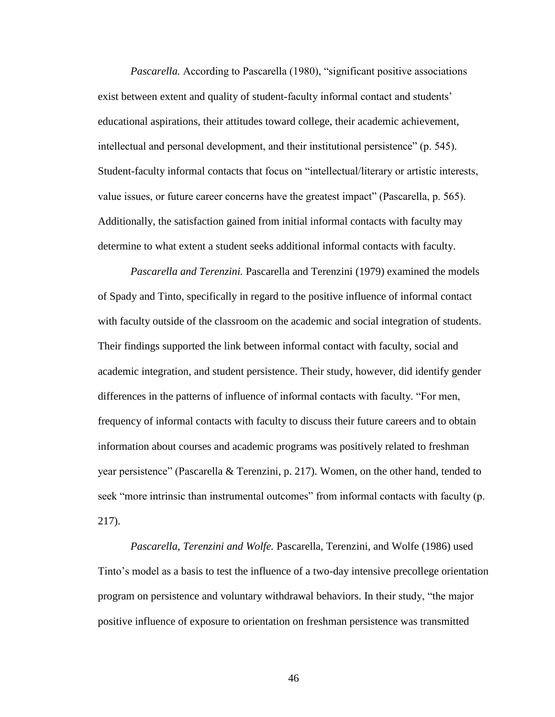*Pascarella.* According to Pascarella (1980), "significant positive associations exist between extent and quality of student-faculty informal contact and students' educational aspirations, their attitudes toward college, their academic achievement, intellectual and personal development, and their institutional persistence" (p. 545). Student-faculty informal contacts that focus on "intellectual/literary or artistic interests, value issues, or future career concerns have the greatest impact" (Pascarella, p. 565). Additionally, the satisfaction gained from initial informal contacts with faculty may determine to what extent a student seeks additional informal contacts with faculty.

*Pascarella and Terenzini.* Pascarella and Terenzini (1979) examined the models of Spady and Tinto, specifically in regard to the positive influence of informal contact with faculty outside of the classroom on the academic and social integration of students. Their findings supported the link between informal contact with faculty, social and academic integration, and student persistence. Their study, however, did identify gender differences in the patterns of influence of informal contacts with faculty. "For men, frequency of informal contacts with faculty to discuss their future careers and to obtain information about courses and academic programs was positively related to freshman year persistence" (Pascarella & Terenzini, p. 217). Women, on the other hand, tended to seek "more intrinsic than instrumental outcomes" from informal contacts with faculty (p. 217).

*Pascarella, Terenzini and Wolfe.* Pascarella, Terenzini, and Wolfe (1986) used Tinto"s model as a basis to test the influence of a two-day intensive precollege orientation program on persistence and voluntary withdrawal behaviors. In their study, "the major positive influence of exposure to orientation on freshman persistence was transmitted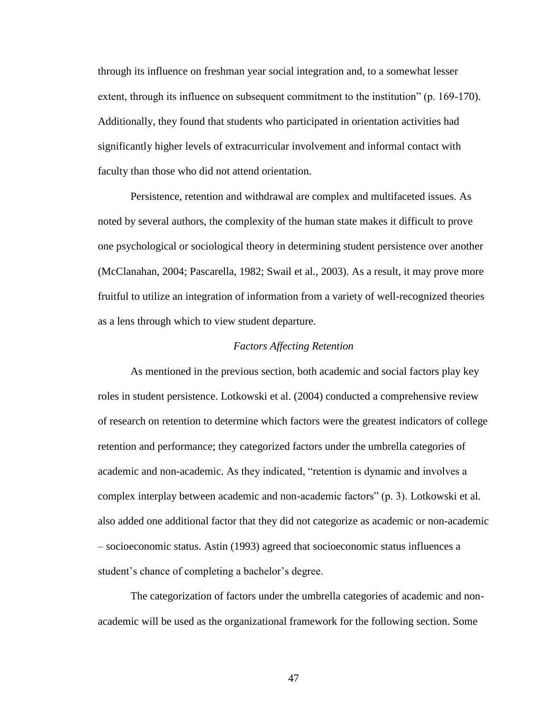through its influence on freshman year social integration and, to a somewhat lesser extent, through its influence on subsequent commitment to the institution" (p. 169-170). Additionally, they found that students who participated in orientation activities had significantly higher levels of extracurricular involvement and informal contact with faculty than those who did not attend orientation.

Persistence, retention and withdrawal are complex and multifaceted issues. As noted by several authors, the complexity of the human state makes it difficult to prove one psychological or sociological theory in determining student persistence over another (McClanahan, 2004; Pascarella, 1982; Swail et al., 2003). As a result, it may prove more fruitful to utilize an integration of information from a variety of well-recognized theories as a lens through which to view student departure.

### *Factors Affecting Retention*

As mentioned in the previous section, both academic and social factors play key roles in student persistence. Lotkowski et al. (2004) conducted a comprehensive review of research on retention to determine which factors were the greatest indicators of college retention and performance; they categorized factors under the umbrella categories of academic and non-academic. As they indicated, "retention is dynamic and involves a complex interplay between academic and non-academic factors" (p. 3). Lotkowski et al. also added one additional factor that they did not categorize as academic or non-academic – socioeconomic status. Astin (1993) agreed that socioeconomic status influences a student's chance of completing a bachelor's degree.

The categorization of factors under the umbrella categories of academic and nonacademic will be used as the organizational framework for the following section. Some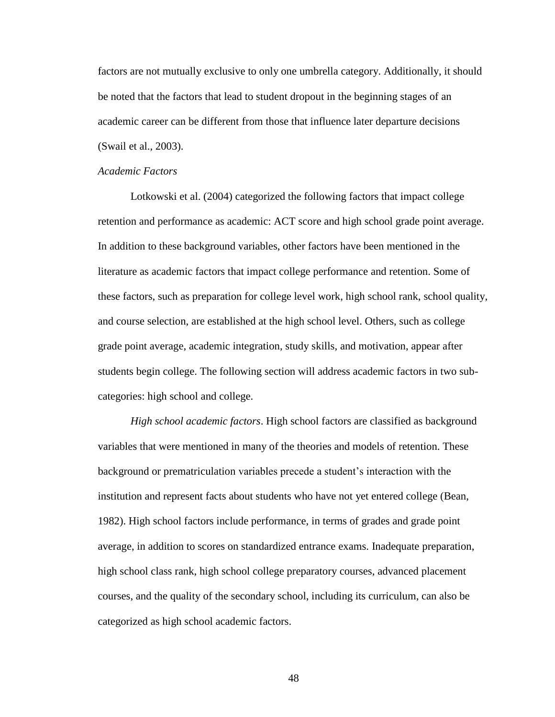factors are not mutually exclusive to only one umbrella category. Additionally, it should be noted that the factors that lead to student dropout in the beginning stages of an academic career can be different from those that influence later departure decisions (Swail et al., 2003).

### *Academic Factors*

Lotkowski et al. (2004) categorized the following factors that impact college retention and performance as academic: ACT score and high school grade point average. In addition to these background variables, other factors have been mentioned in the literature as academic factors that impact college performance and retention. Some of these factors, such as preparation for college level work, high school rank, school quality, and course selection, are established at the high school level. Others, such as college grade point average, academic integration, study skills, and motivation, appear after students begin college. The following section will address academic factors in two subcategories: high school and college.

*High school academic factors*. High school factors are classified as background variables that were mentioned in many of the theories and models of retention. These background or prematriculation variables precede a student"s interaction with the institution and represent facts about students who have not yet entered college (Bean, 1982). High school factors include performance, in terms of grades and grade point average, in addition to scores on standardized entrance exams. Inadequate preparation, high school class rank, high school college preparatory courses, advanced placement courses, and the quality of the secondary school, including its curriculum, can also be categorized as high school academic factors.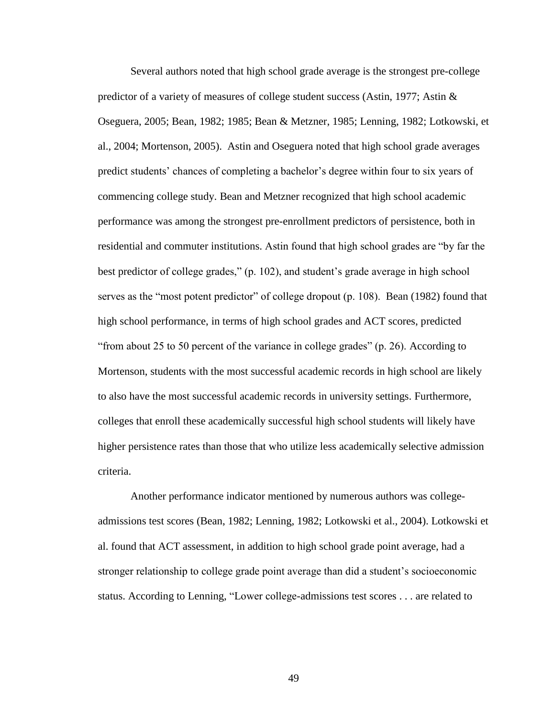Several authors noted that high school grade average is the strongest pre-college predictor of a variety of measures of college student success (Astin, 1977; Astin & Oseguera, 2005; Bean, 1982; 1985; Bean & Metzner, 1985; Lenning, 1982; Lotkowski, et al., 2004; Mortenson, 2005). Astin and Oseguera noted that high school grade averages predict students" chances of completing a bachelor"s degree within four to six years of commencing college study. Bean and Metzner recognized that high school academic performance was among the strongest pre-enrollment predictors of persistence, both in residential and commuter institutions. Astin found that high school grades are "by far the best predictor of college grades," (p. 102), and student"s grade average in high school serves as the "most potent predictor" of college dropout (p. 108). Bean (1982) found that high school performance, in terms of high school grades and ACT scores, predicted "from about 25 to 50 percent of the variance in college grades" (p. 26). According to Mortenson, students with the most successful academic records in high school are likely to also have the most successful academic records in university settings. Furthermore, colleges that enroll these academically successful high school students will likely have higher persistence rates than those that who utilize less academically selective admission criteria.

Another performance indicator mentioned by numerous authors was collegeadmissions test scores (Bean, 1982; Lenning, 1982; Lotkowski et al., 2004). Lotkowski et al. found that ACT assessment, in addition to high school grade point average, had a stronger relationship to college grade point average than did a student"s socioeconomic status. According to Lenning, "Lower college-admissions test scores . . . are related to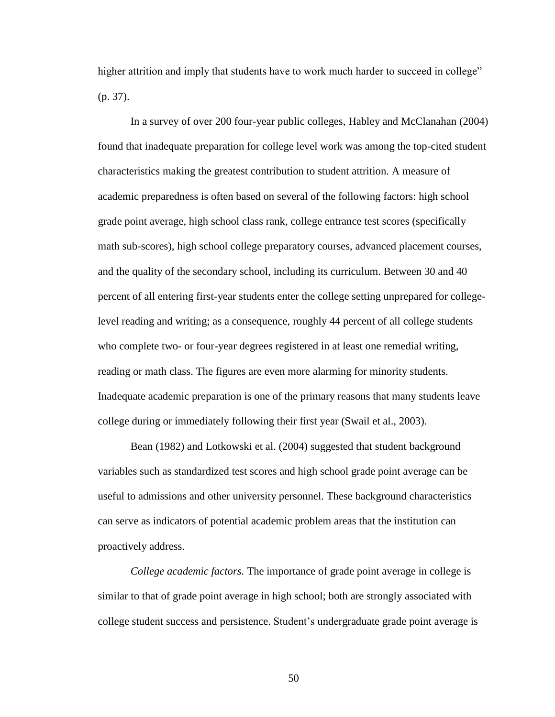higher attrition and imply that students have to work much harder to succeed in college" (p. 37).

In a survey of over 200 four-year public colleges, Habley and McClanahan (2004) found that inadequate preparation for college level work was among the top-cited student characteristics making the greatest contribution to student attrition. A measure of academic preparedness is often based on several of the following factors: high school grade point average, high school class rank, college entrance test scores (specifically math sub-scores), high school college preparatory courses, advanced placement courses, and the quality of the secondary school, including its curriculum. Between 30 and 40 percent of all entering first-year students enter the college setting unprepared for collegelevel reading and writing; as a consequence, roughly 44 percent of all college students who complete two- or four-year degrees registered in at least one remedial writing, reading or math class. The figures are even more alarming for minority students. Inadequate academic preparation is one of the primary reasons that many students leave college during or immediately following their first year (Swail et al., 2003).

Bean (1982) and Lotkowski et al. (2004) suggested that student background variables such as standardized test scores and high school grade point average can be useful to admissions and other university personnel. These background characteristics can serve as indicators of potential academic problem areas that the institution can proactively address.

*College academic factors.* The importance of grade point average in college is similar to that of grade point average in high school; both are strongly associated with college student success and persistence. Student"s undergraduate grade point average is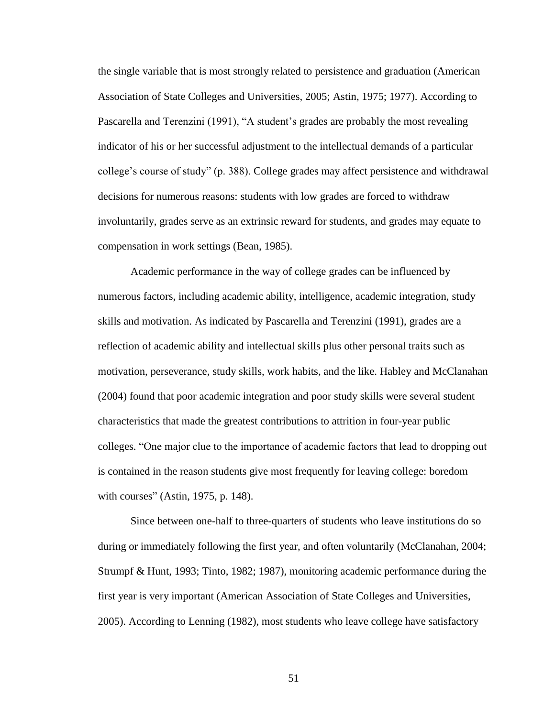the single variable that is most strongly related to persistence and graduation (American Association of State Colleges and Universities, 2005; Astin, 1975; 1977). According to Pascarella and Terenzini (1991), "A student's grades are probably the most revealing indicator of his or her successful adjustment to the intellectual demands of a particular college"s course of study" (p. 388). College grades may affect persistence and withdrawal decisions for numerous reasons: students with low grades are forced to withdraw involuntarily, grades serve as an extrinsic reward for students, and grades may equate to compensation in work settings (Bean, 1985).

Academic performance in the way of college grades can be influenced by numerous factors, including academic ability, intelligence, academic integration, study skills and motivation. As indicated by Pascarella and Terenzini (1991), grades are a reflection of academic ability and intellectual skills plus other personal traits such as motivation, perseverance, study skills, work habits, and the like. Habley and McClanahan (2004) found that poor academic integration and poor study skills were several student characteristics that made the greatest contributions to attrition in four-year public colleges. "One major clue to the importance of academic factors that lead to dropping out is contained in the reason students give most frequently for leaving college: boredom with courses" (Astin, 1975, p. 148).

Since between one-half to three-quarters of students who leave institutions do so during or immediately following the first year, and often voluntarily (McClanahan, 2004; Strumpf & Hunt, 1993; Tinto, 1982; 1987), monitoring academic performance during the first year is very important (American Association of State Colleges and Universities, 2005). According to Lenning (1982), most students who leave college have satisfactory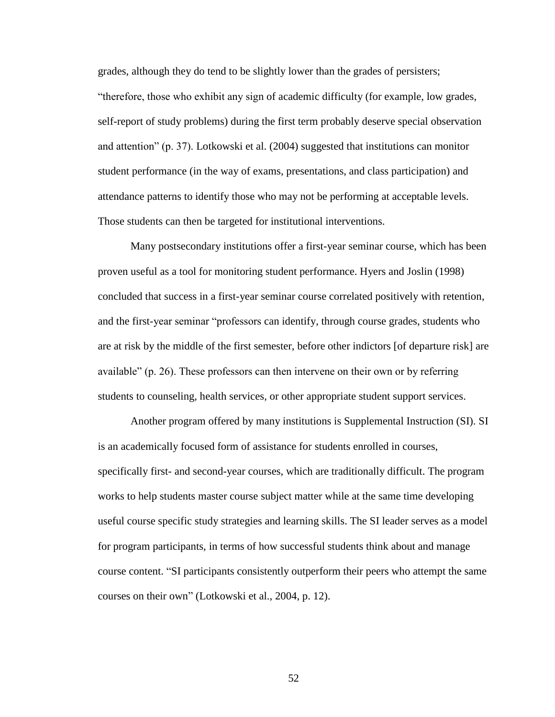grades, although they do tend to be slightly lower than the grades of persisters; "therefore, those who exhibit any sign of academic difficulty (for example, low grades, self-report of study problems) during the first term probably deserve special observation and attention" (p. 37). Lotkowski et al. (2004) suggested that institutions can monitor student performance (in the way of exams, presentations, and class participation) and attendance patterns to identify those who may not be performing at acceptable levels. Those students can then be targeted for institutional interventions.

Many postsecondary institutions offer a first-year seminar course, which has been proven useful as a tool for monitoring student performance. Hyers and Joslin (1998) concluded that success in a first-year seminar course correlated positively with retention, and the first-year seminar "professors can identify, through course grades, students who are at risk by the middle of the first semester, before other indictors [of departure risk] are available" (p. 26). These professors can then intervene on their own or by referring students to counseling, health services, or other appropriate student support services.

Another program offered by many institutions is Supplemental Instruction (SI). SI is an academically focused form of assistance for students enrolled in courses, specifically first- and second-year courses, which are traditionally difficult. The program works to help students master course subject matter while at the same time developing useful course specific study strategies and learning skills. The SI leader serves as a model for program participants, in terms of how successful students think about and manage course content. "SI participants consistently outperform their peers who attempt the same courses on their own" (Lotkowski et al., 2004, p. 12).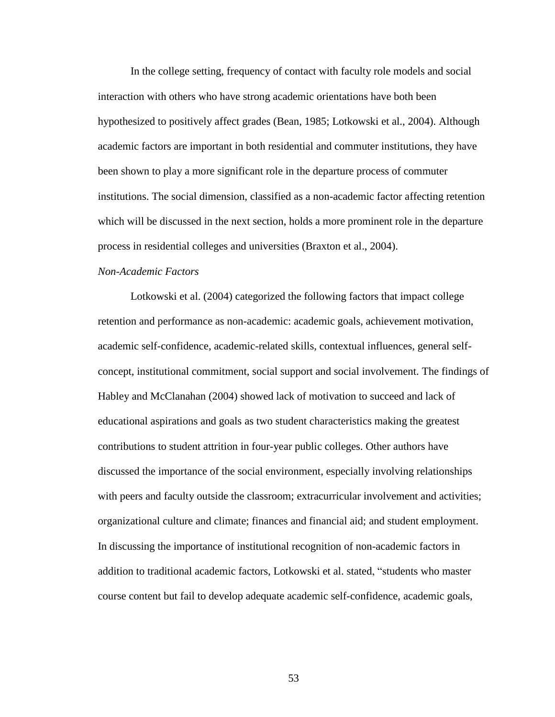In the college setting, frequency of contact with faculty role models and social interaction with others who have strong academic orientations have both been hypothesized to positively affect grades (Bean, 1985; Lotkowski et al., 2004). Although academic factors are important in both residential and commuter institutions, they have been shown to play a more significant role in the departure process of commuter institutions. The social dimension, classified as a non-academic factor affecting retention which will be discussed in the next section, holds a more prominent role in the departure process in residential colleges and universities (Braxton et al., 2004).

# *Non-Academic Factors*

Lotkowski et al. (2004) categorized the following factors that impact college retention and performance as non-academic: academic goals, achievement motivation, academic self-confidence, academic-related skills, contextual influences, general selfconcept, institutional commitment, social support and social involvement. The findings of Habley and McClanahan (2004) showed lack of motivation to succeed and lack of educational aspirations and goals as two student characteristics making the greatest contributions to student attrition in four-year public colleges. Other authors have discussed the importance of the social environment, especially involving relationships with peers and faculty outside the classroom; extracurricular involvement and activities; organizational culture and climate; finances and financial aid; and student employment. In discussing the importance of institutional recognition of non-academic factors in addition to traditional academic factors, Lotkowski et al. stated, "students who master course content but fail to develop adequate academic self-confidence, academic goals,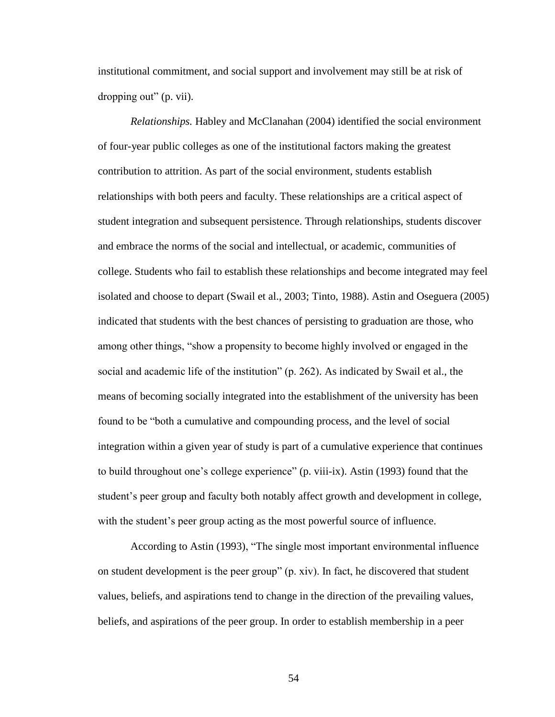institutional commitment, and social support and involvement may still be at risk of dropping out" (p. vii).

*Relationships.* Habley and McClanahan (2004) identified the social environment of four-year public colleges as one of the institutional factors making the greatest contribution to attrition. As part of the social environment, students establish relationships with both peers and faculty. These relationships are a critical aspect of student integration and subsequent persistence. Through relationships, students discover and embrace the norms of the social and intellectual, or academic, communities of college. Students who fail to establish these relationships and become integrated may feel isolated and choose to depart (Swail et al., 2003; Tinto, 1988). Astin and Oseguera (2005) indicated that students with the best chances of persisting to graduation are those, who among other things, "show a propensity to become highly involved or engaged in the social and academic life of the institution" (p. 262). As indicated by Swail et al., the means of becoming socially integrated into the establishment of the university has been found to be "both a cumulative and compounding process, and the level of social integration within a given year of study is part of a cumulative experience that continues to build throughout one"s college experience" (p. viii-ix). Astin (1993) found that the student's peer group and faculty both notably affect growth and development in college, with the student's peer group acting as the most powerful source of influence.

According to Astin (1993), "The single most important environmental influence on student development is the peer group" (p. xiv). In fact, he discovered that student values, beliefs, and aspirations tend to change in the direction of the prevailing values, beliefs, and aspirations of the peer group. In order to establish membership in a peer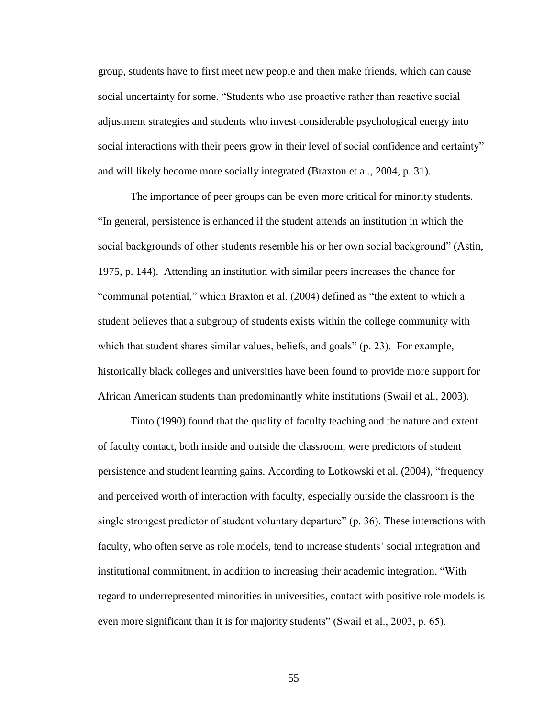group, students have to first meet new people and then make friends, which can cause social uncertainty for some. "Students who use proactive rather than reactive social adjustment strategies and students who invest considerable psychological energy into social interactions with their peers grow in their level of social confidence and certainty" and will likely become more socially integrated (Braxton et al., 2004, p. 31).

The importance of peer groups can be even more critical for minority students. "In general, persistence is enhanced if the student attends an institution in which the social backgrounds of other students resemble his or her own social background" (Astin, 1975, p. 144). Attending an institution with similar peers increases the chance for "communal potential," which Braxton et al. (2004) defined as "the extent to which a student believes that a subgroup of students exists within the college community with which that student shares similar values, beliefs, and goals" (p. 23). For example, historically black colleges and universities have been found to provide more support for African American students than predominantly white institutions (Swail et al., 2003).

Tinto (1990) found that the quality of faculty teaching and the nature and extent of faculty contact, both inside and outside the classroom, were predictors of student persistence and student learning gains. According to Lotkowski et al. (2004), "frequency and perceived worth of interaction with faculty, especially outside the classroom is the single strongest predictor of student voluntary departure" (p. 36). These interactions with faculty, who often serve as role models, tend to increase students' social integration and institutional commitment, in addition to increasing their academic integration. "With regard to underrepresented minorities in universities, contact with positive role models is even more significant than it is for majority students" (Swail et al., 2003, p. 65).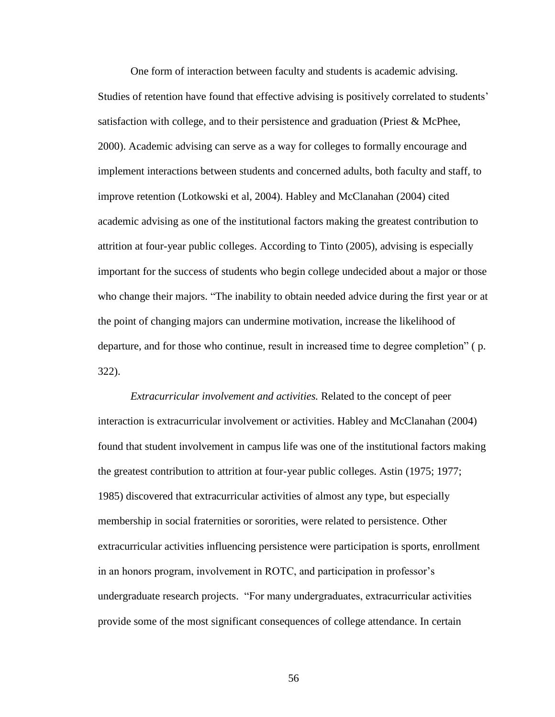One form of interaction between faculty and students is academic advising. Studies of retention have found that effective advising is positively correlated to students' satisfaction with college, and to their persistence and graduation (Priest & McPhee, 2000). Academic advising can serve as a way for colleges to formally encourage and implement interactions between students and concerned adults, both faculty and staff, to improve retention (Lotkowski et al, 2004). Habley and McClanahan (2004) cited academic advising as one of the institutional factors making the greatest contribution to attrition at four-year public colleges. According to Tinto (2005), advising is especially important for the success of students who begin college undecided about a major or those who change their majors. "The inability to obtain needed advice during the first year or at the point of changing majors can undermine motivation, increase the likelihood of departure, and for those who continue, result in increased time to degree completion" ( p. 322).

*Extracurricular involvement and activities.* Related to the concept of peer interaction is extracurricular involvement or activities. Habley and McClanahan (2004) found that student involvement in campus life was one of the institutional factors making the greatest contribution to attrition at four-year public colleges. Astin (1975; 1977; 1985) discovered that extracurricular activities of almost any type, but especially membership in social fraternities or sororities, were related to persistence. Other extracurricular activities influencing persistence were participation is sports, enrollment in an honors program, involvement in ROTC, and participation in professor's undergraduate research projects. "For many undergraduates, extracurricular activities provide some of the most significant consequences of college attendance. In certain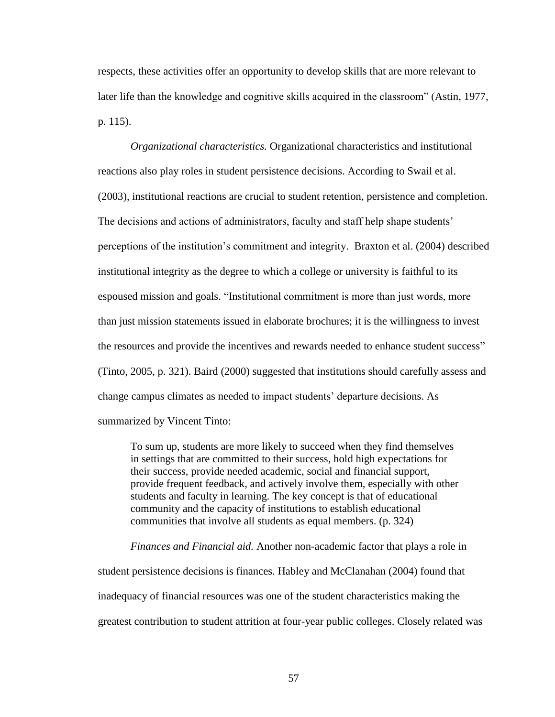respects, these activities offer an opportunity to develop skills that are more relevant to later life than the knowledge and cognitive skills acquired in the classroom" (Astin, 1977, p. 115).

*Organizational characteristics.* Organizational characteristics and institutional reactions also play roles in student persistence decisions. According to Swail et al. (2003), institutional reactions are crucial to student retention, persistence and completion. The decisions and actions of administrators, faculty and staff help shape students" perceptions of the institution"s commitment and integrity. Braxton et al. (2004) described institutional integrity as the degree to which a college or university is faithful to its espoused mission and goals. "Institutional commitment is more than just words, more than just mission statements issued in elaborate brochures; it is the willingness to invest the resources and provide the incentives and rewards needed to enhance student success" (Tinto, 2005, p. 321). Baird (2000) suggested that institutions should carefully assess and change campus climates as needed to impact students" departure decisions. As summarized by Vincent Tinto:

To sum up, students are more likely to succeed when they find themselves in settings that are committed to their success, hold high expectations for their success, provide needed academic, social and financial support, provide frequent feedback, and actively involve them, especially with other students and faculty in learning. The key concept is that of educational community and the capacity of institutions to establish educational communities that involve all students as equal members. (p. 324)

*Finances and Financial aid.* Another non-academic factor that plays a role in student persistence decisions is finances. Habley and McClanahan (2004) found that inadequacy of financial resources was one of the student characteristics making the greatest contribution to student attrition at four-year public colleges. Closely related was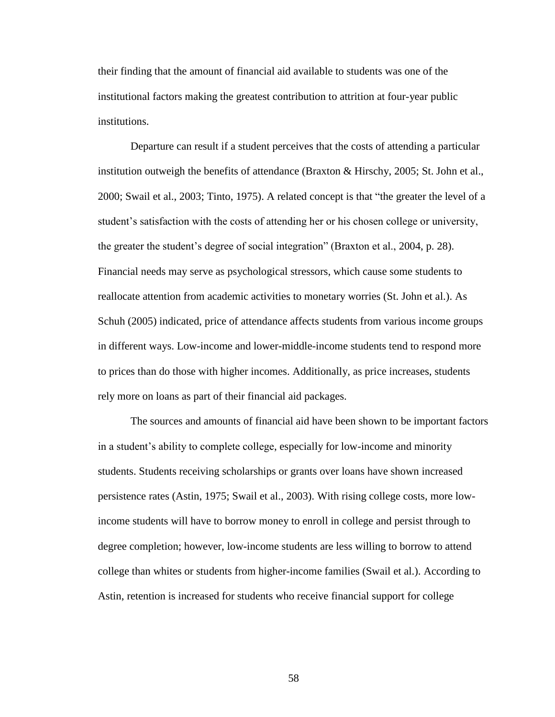their finding that the amount of financial aid available to students was one of the institutional factors making the greatest contribution to attrition at four-year public institutions.

Departure can result if a student perceives that the costs of attending a particular institution outweigh the benefits of attendance (Braxton & Hirschy, 2005; St. John et al., 2000; Swail et al., 2003; Tinto, 1975). A related concept is that "the greater the level of a student's satisfaction with the costs of attending her or his chosen college or university, the greater the student"s degree of social integration" (Braxton et al., 2004, p. 28). Financial needs may serve as psychological stressors, which cause some students to reallocate attention from academic activities to monetary worries (St. John et al.). As Schuh (2005) indicated, price of attendance affects students from various income groups in different ways. Low-income and lower-middle-income students tend to respond more to prices than do those with higher incomes. Additionally, as price increases, students rely more on loans as part of their financial aid packages.

The sources and amounts of financial aid have been shown to be important factors in a student"s ability to complete college, especially for low-income and minority students. Students receiving scholarships or grants over loans have shown increased persistence rates (Astin, 1975; Swail et al., 2003). With rising college costs, more lowincome students will have to borrow money to enroll in college and persist through to degree completion; however, low-income students are less willing to borrow to attend college than whites or students from higher-income families (Swail et al.). According to Astin, retention is increased for students who receive financial support for college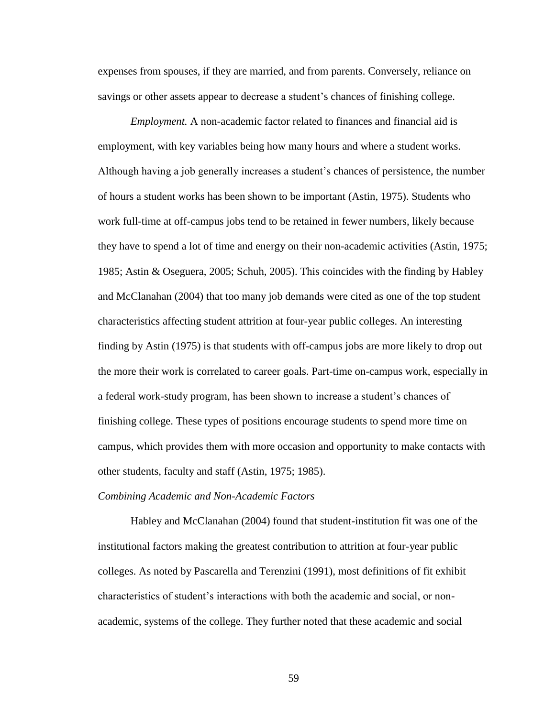expenses from spouses, if they are married, and from parents. Conversely, reliance on savings or other assets appear to decrease a student's chances of finishing college.

*Employment.* A non-academic factor related to finances and financial aid is employment, with key variables being how many hours and where a student works. Although having a job generally increases a student"s chances of persistence, the number of hours a student works has been shown to be important (Astin, 1975). Students who work full-time at off-campus jobs tend to be retained in fewer numbers, likely because they have to spend a lot of time and energy on their non-academic activities (Astin, 1975; 1985; Astin & Oseguera, 2005; Schuh, 2005). This coincides with the finding by Habley and McClanahan (2004) that too many job demands were cited as one of the top student characteristics affecting student attrition at four-year public colleges. An interesting finding by Astin (1975) is that students with off-campus jobs are more likely to drop out the more their work is correlated to career goals. Part-time on-campus work, especially in a federal work-study program, has been shown to increase a student"s chances of finishing college. These types of positions encourage students to spend more time on campus, which provides them with more occasion and opportunity to make contacts with other students, faculty and staff (Astin, 1975; 1985).

### *Combining Academic and Non-Academic Factors*

Habley and McClanahan (2004) found that student-institution fit was one of the institutional factors making the greatest contribution to attrition at four-year public colleges. As noted by Pascarella and Terenzini (1991), most definitions of fit exhibit characteristics of student"s interactions with both the academic and social, or nonacademic, systems of the college. They further noted that these academic and social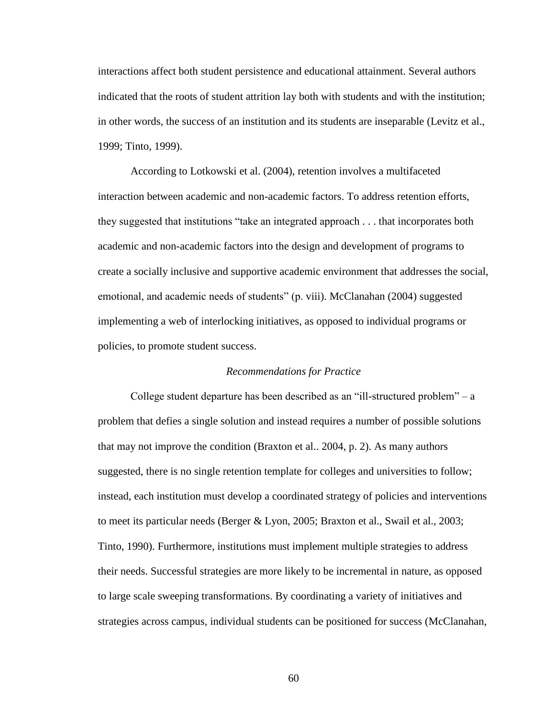interactions affect both student persistence and educational attainment. Several authors indicated that the roots of student attrition lay both with students and with the institution; in other words, the success of an institution and its students are inseparable (Levitz et al., 1999; Tinto, 1999).

According to Lotkowski et al. (2004), retention involves a multifaceted interaction between academic and non-academic factors. To address retention efforts, they suggested that institutions "take an integrated approach . . . that incorporates both academic and non-academic factors into the design and development of programs to create a socially inclusive and supportive academic environment that addresses the social, emotional, and academic needs of students" (p. viii). McClanahan (2004) suggested implementing a web of interlocking initiatives, as opposed to individual programs or policies, to promote student success.

#### *Recommendations for Practice*

College student departure has been described as an "ill-structured problem" – a problem that defies a single solution and instead requires a number of possible solutions that may not improve the condition (Braxton et al.. 2004, p. 2). As many authors suggested, there is no single retention template for colleges and universities to follow; instead, each institution must develop a coordinated strategy of policies and interventions to meet its particular needs (Berger & Lyon, 2005; Braxton et al., Swail et al., 2003; Tinto, 1990). Furthermore, institutions must implement multiple strategies to address their needs. Successful strategies are more likely to be incremental in nature, as opposed to large scale sweeping transformations. By coordinating a variety of initiatives and strategies across campus, individual students can be positioned for success (McClanahan,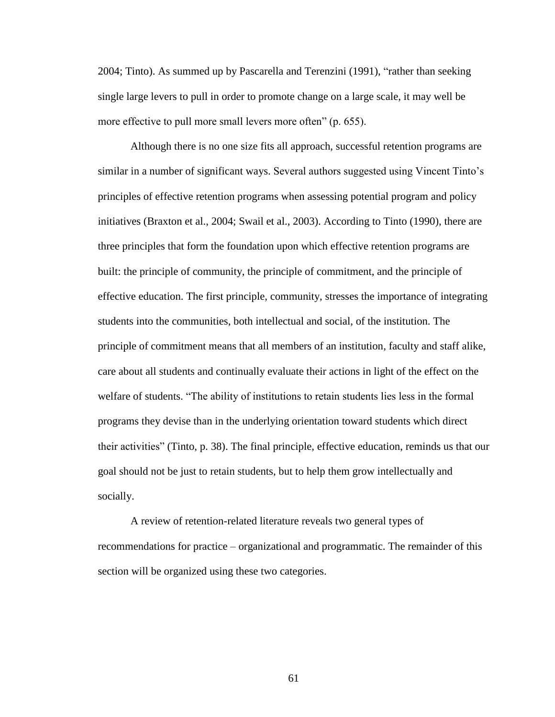2004; Tinto). As summed up by Pascarella and Terenzini (1991), "rather than seeking single large levers to pull in order to promote change on a large scale, it may well be more effective to pull more small levers more often" (p. 655).

Although there is no one size fits all approach, successful retention programs are similar in a number of significant ways. Several authors suggested using Vincent Tinto's principles of effective retention programs when assessing potential program and policy initiatives (Braxton et al., 2004; Swail et al., 2003). According to Tinto (1990), there are three principles that form the foundation upon which effective retention programs are built: the principle of community, the principle of commitment, and the principle of effective education. The first principle, community, stresses the importance of integrating students into the communities, both intellectual and social, of the institution. The principle of commitment means that all members of an institution, faculty and staff alike, care about all students and continually evaluate their actions in light of the effect on the welfare of students. "The ability of institutions to retain students lies less in the formal programs they devise than in the underlying orientation toward students which direct their activities" (Tinto, p. 38). The final principle, effective education, reminds us that our goal should not be just to retain students, but to help them grow intellectually and socially.

A review of retention-related literature reveals two general types of recommendations for practice – organizational and programmatic. The remainder of this section will be organized using these two categories.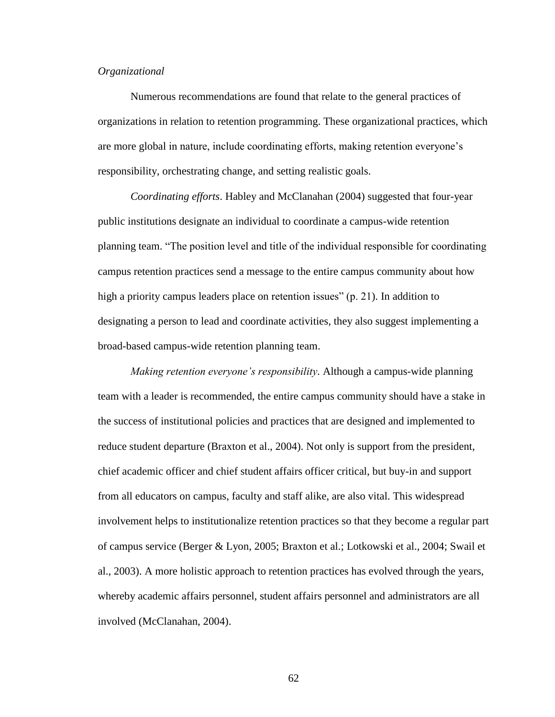# *Organizational*

Numerous recommendations are found that relate to the general practices of organizations in relation to retention programming. These organizational practices, which are more global in nature, include coordinating efforts, making retention everyone"s responsibility, orchestrating change, and setting realistic goals.

*Coordinating efforts*. Habley and McClanahan (2004) suggested that four-year public institutions designate an individual to coordinate a campus-wide retention planning team. "The position level and title of the individual responsible for coordinating campus retention practices send a message to the entire campus community about how high a priority campus leaders place on retention issues" (p. 21). In addition to designating a person to lead and coordinate activities, they also suggest implementing a broad-based campus-wide retention planning team.

*Making retention everyone's responsibility.* Although a campus-wide planning team with a leader is recommended, the entire campus community should have a stake in the success of institutional policies and practices that are designed and implemented to reduce student departure (Braxton et al., 2004). Not only is support from the president, chief academic officer and chief student affairs officer critical, but buy-in and support from all educators on campus, faculty and staff alike, are also vital. This widespread involvement helps to institutionalize retention practices so that they become a regular part of campus service (Berger & Lyon, 2005; Braxton et al.; Lotkowski et al., 2004; Swail et al., 2003). A more holistic approach to retention practices has evolved through the years, whereby academic affairs personnel, student affairs personnel and administrators are all involved (McClanahan, 2004).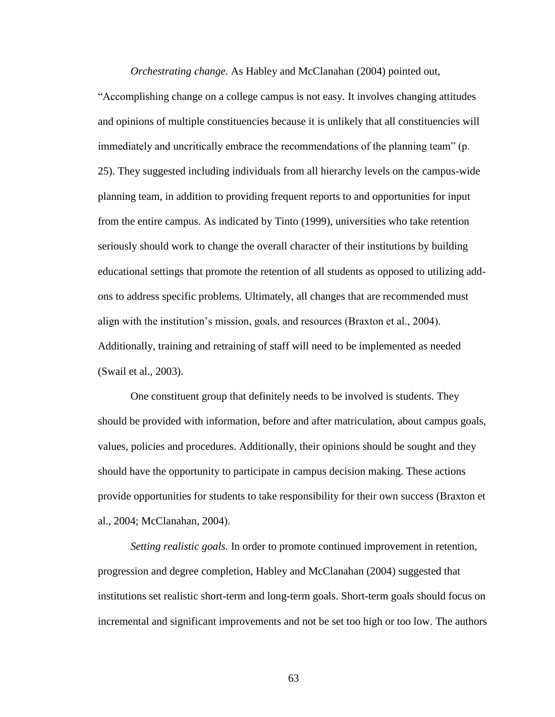*Orchestrating change*. As Habley and McClanahan (2004) pointed out,

"Accomplishing change on a college campus is not easy. It involves changing attitudes and opinions of multiple constituencies because it is unlikely that all constituencies will immediately and uncritically embrace the recommendations of the planning team" (p. 25). They suggested including individuals from all hierarchy levels on the campus-wide planning team, in addition to providing frequent reports to and opportunities for input from the entire campus. As indicated by Tinto (1999), universities who take retention seriously should work to change the overall character of their institutions by building educational settings that promote the retention of all students as opposed to utilizing addons to address specific problems. Ultimately, all changes that are recommended must align with the institution"s mission, goals, and resources (Braxton et al., 2004). Additionally, training and retraining of staff will need to be implemented as needed (Swail et al., 2003).

One constituent group that definitely needs to be involved is students. They should be provided with information, before and after matriculation, about campus goals, values, policies and procedures. Additionally, their opinions should be sought and they should have the opportunity to participate in campus decision making. These actions provide opportunities for students to take responsibility for their own success (Braxton et al., 2004; McClanahan, 2004).

*Setting realistic goals.* In order to promote continued improvement in retention, progression and degree completion, Habley and McClanahan (2004) suggested that institutions set realistic short-term and long-term goals. Short-term goals should focus on incremental and significant improvements and not be set too high or too low. The authors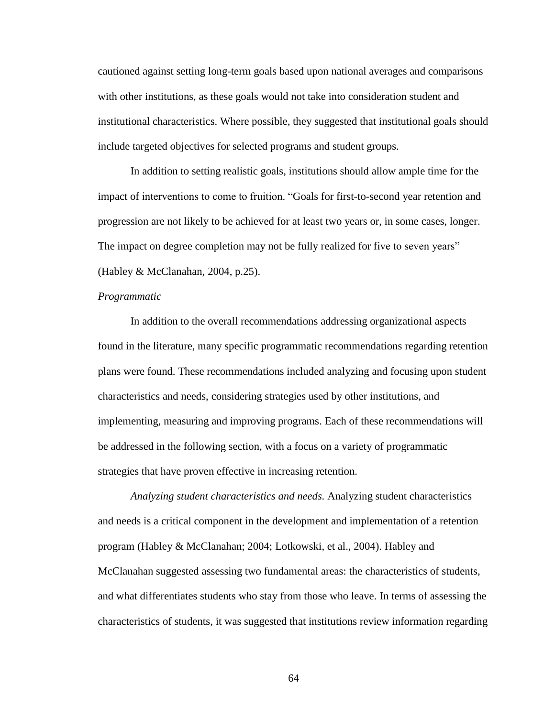cautioned against setting long-term goals based upon national averages and comparisons with other institutions, as these goals would not take into consideration student and institutional characteristics. Where possible, they suggested that institutional goals should include targeted objectives for selected programs and student groups.

In addition to setting realistic goals, institutions should allow ample time for the impact of interventions to come to fruition. "Goals for first-to-second year retention and progression are not likely to be achieved for at least two years or, in some cases, longer. The impact on degree completion may not be fully realized for five to seven years" (Habley & McClanahan, 2004, p.25).

### *Programmatic*

In addition to the overall recommendations addressing organizational aspects found in the literature, many specific programmatic recommendations regarding retention plans were found. These recommendations included analyzing and focusing upon student characteristics and needs, considering strategies used by other institutions, and implementing, measuring and improving programs. Each of these recommendations will be addressed in the following section, with a focus on a variety of programmatic strategies that have proven effective in increasing retention.

*Analyzing student characteristics and needs.* Analyzing student characteristics and needs is a critical component in the development and implementation of a retention program (Habley & McClanahan; 2004; Lotkowski, et al., 2004). Habley and McClanahan suggested assessing two fundamental areas: the characteristics of students, and what differentiates students who stay from those who leave. In terms of assessing the characteristics of students, it was suggested that institutions review information regarding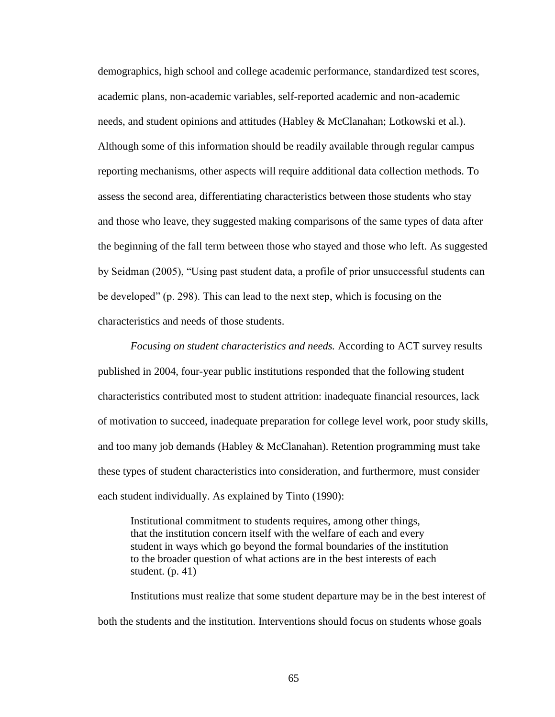demographics, high school and college academic performance, standardized test scores, academic plans, non-academic variables, self-reported academic and non-academic needs, and student opinions and attitudes (Habley & McClanahan; Lotkowski et al.). Although some of this information should be readily available through regular campus reporting mechanisms, other aspects will require additional data collection methods. To assess the second area, differentiating characteristics between those students who stay and those who leave, they suggested making comparisons of the same types of data after the beginning of the fall term between those who stayed and those who left. As suggested by Seidman (2005), "Using past student data, a profile of prior unsuccessful students can be developed" (p. 298). This can lead to the next step, which is focusing on the characteristics and needs of those students.

*Focusing on student characteristics and needs.* According to ACT survey results published in 2004, four-year public institutions responded that the following student characteristics contributed most to student attrition: inadequate financial resources, lack of motivation to succeed, inadequate preparation for college level work, poor study skills, and too many job demands (Habley & McClanahan). Retention programming must take these types of student characteristics into consideration, and furthermore, must consider each student individually. As explained by Tinto (1990):

Institutional commitment to students requires, among other things, that the institution concern itself with the welfare of each and every student in ways which go beyond the formal boundaries of the institution to the broader question of what actions are in the best interests of each student.  $(p. 41)$ 

Institutions must realize that some student departure may be in the best interest of both the students and the institution. Interventions should focus on students whose goals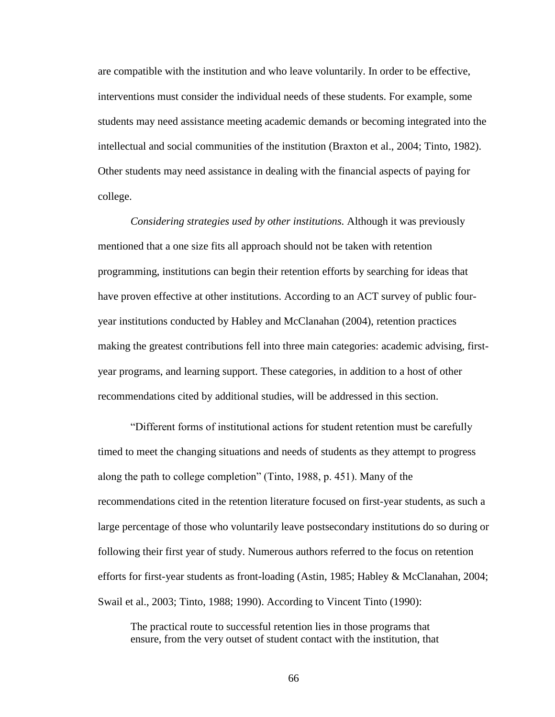are compatible with the institution and who leave voluntarily. In order to be effective, interventions must consider the individual needs of these students. For example, some students may need assistance meeting academic demands or becoming integrated into the intellectual and social communities of the institution (Braxton et al., 2004; Tinto, 1982). Other students may need assistance in dealing with the financial aspects of paying for college.

*Considering strategies used by other institutions.* Although it was previously mentioned that a one size fits all approach should not be taken with retention programming, institutions can begin their retention efforts by searching for ideas that have proven effective at other institutions. According to an ACT survey of public fouryear institutions conducted by Habley and McClanahan (2004), retention practices making the greatest contributions fell into three main categories: academic advising, firstyear programs, and learning support. These categories, in addition to a host of other recommendations cited by additional studies, will be addressed in this section.

"Different forms of institutional actions for student retention must be carefully timed to meet the changing situations and needs of students as they attempt to progress along the path to college completion" (Tinto, 1988, p. 451). Many of the recommendations cited in the retention literature focused on first-year students, as such a large percentage of those who voluntarily leave postsecondary institutions do so during or following their first year of study. Numerous authors referred to the focus on retention efforts for first-year students as front-loading (Astin, 1985; Habley & McClanahan, 2004; Swail et al., 2003; Tinto, 1988; 1990). According to Vincent Tinto (1990):

The practical route to successful retention lies in those programs that ensure, from the very outset of student contact with the institution, that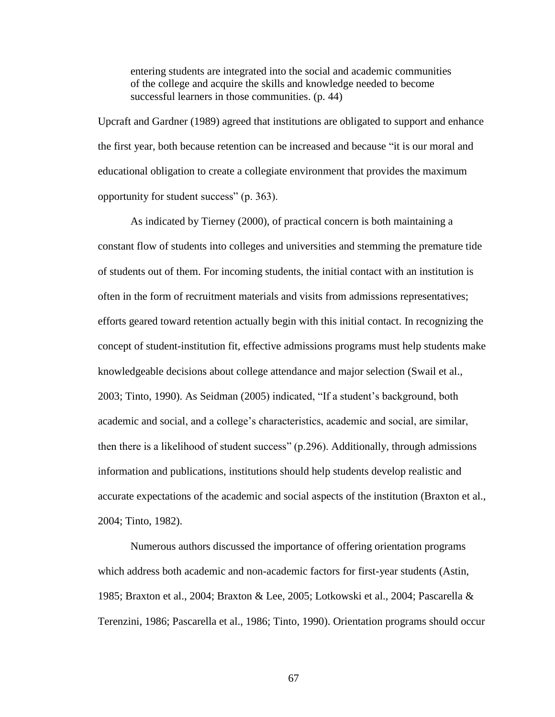entering students are integrated into the social and academic communities of the college and acquire the skills and knowledge needed to become successful learners in those communities. (p. 44)

Upcraft and Gardner (1989) agreed that institutions are obligated to support and enhance the first year, both because retention can be increased and because "it is our moral and educational obligation to create a collegiate environment that provides the maximum opportunity for student success" (p. 363).

As indicated by Tierney (2000), of practical concern is both maintaining a constant flow of students into colleges and universities and stemming the premature tide of students out of them. For incoming students, the initial contact with an institution is often in the form of recruitment materials and visits from admissions representatives; efforts geared toward retention actually begin with this initial contact. In recognizing the concept of student-institution fit, effective admissions programs must help students make knowledgeable decisions about college attendance and major selection (Swail et al., 2003; Tinto, 1990). As Seidman (2005) indicated, "If a student"s background, both academic and social, and a college"s characteristics, academic and social, are similar, then there is a likelihood of student success" (p.296). Additionally, through admissions information and publications, institutions should help students develop realistic and accurate expectations of the academic and social aspects of the institution (Braxton et al., 2004; Tinto, 1982).

Numerous authors discussed the importance of offering orientation programs which address both academic and non-academic factors for first-year students (Astin, 1985; Braxton et al., 2004; Braxton & Lee, 2005; Lotkowski et al., 2004; Pascarella & Terenzini, 1986; Pascarella et al., 1986; Tinto, 1990). Orientation programs should occur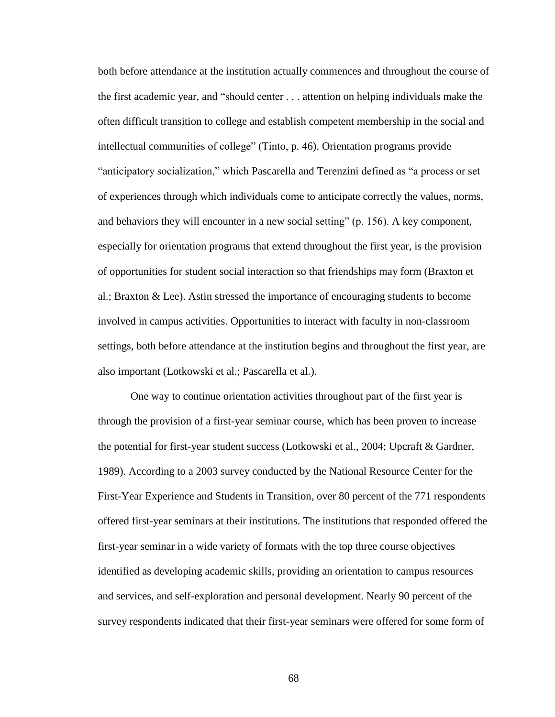both before attendance at the institution actually commences and throughout the course of the first academic year, and "should center . . . attention on helping individuals make the often difficult transition to college and establish competent membership in the social and intellectual communities of college" (Tinto, p. 46). Orientation programs provide "anticipatory socialization," which Pascarella and Terenzini defined as "a process or set of experiences through which individuals come to anticipate correctly the values, norms, and behaviors they will encounter in a new social setting" (p. 156). A key component, especially for orientation programs that extend throughout the first year, is the provision of opportunities for student social interaction so that friendships may form (Braxton et al.; Braxton & Lee). Astin stressed the importance of encouraging students to become involved in campus activities. Opportunities to interact with faculty in non-classroom settings, both before attendance at the institution begins and throughout the first year, are also important (Lotkowski et al.; Pascarella et al.).

One way to continue orientation activities throughout part of the first year is through the provision of a first-year seminar course, which has been proven to increase the potential for first-year student success (Lotkowski et al., 2004; Upcraft & Gardner, 1989). According to a 2003 survey conducted by the National Resource Center for the First-Year Experience and Students in Transition, over 80 percent of the 771 respondents offered first-year seminars at their institutions. The institutions that responded offered the first-year seminar in a wide variety of formats with the top three course objectives identified as developing academic skills, providing an orientation to campus resources and services, and self-exploration and personal development. Nearly 90 percent of the survey respondents indicated that their first-year seminars were offered for some form of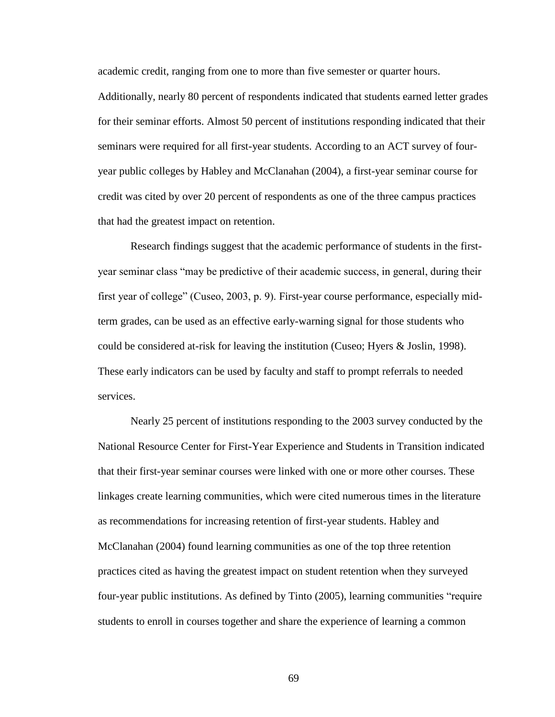academic credit, ranging from one to more than five semester or quarter hours.

Additionally, nearly 80 percent of respondents indicated that students earned letter grades for their seminar efforts. Almost 50 percent of institutions responding indicated that their seminars were required for all first-year students. According to an ACT survey of fouryear public colleges by Habley and McClanahan (2004), a first-year seminar course for credit was cited by over 20 percent of respondents as one of the three campus practices that had the greatest impact on retention.

Research findings suggest that the academic performance of students in the firstyear seminar class "may be predictive of their academic success, in general, during their first year of college" (Cuseo, 2003, p. 9). First-year course performance, especially midterm grades, can be used as an effective early-warning signal for those students who could be considered at-risk for leaving the institution (Cuseo; Hyers & Joslin, 1998). These early indicators can be used by faculty and staff to prompt referrals to needed services.

Nearly 25 percent of institutions responding to the 2003 survey conducted by the National Resource Center for First-Year Experience and Students in Transition indicated that their first-year seminar courses were linked with one or more other courses. These linkages create learning communities, which were cited numerous times in the literature as recommendations for increasing retention of first-year students. Habley and McClanahan (2004) found learning communities as one of the top three retention practices cited as having the greatest impact on student retention when they surveyed four-year public institutions. As defined by Tinto (2005), learning communities "require students to enroll in courses together and share the experience of learning a common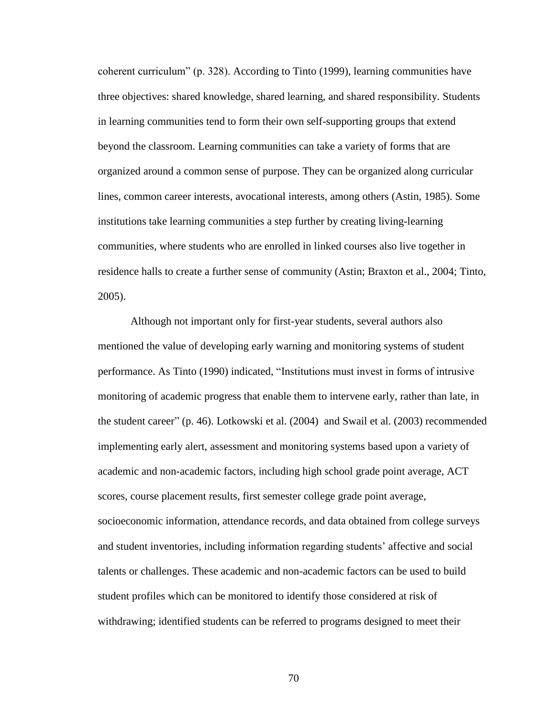coherent curriculum" (p. 328). According to Tinto (1999), learning communities have three objectives: shared knowledge, shared learning, and shared responsibility. Students in learning communities tend to form their own self-supporting groups that extend beyond the classroom. Learning communities can take a variety of forms that are organized around a common sense of purpose. They can be organized along curricular lines, common career interests, avocational interests, among others (Astin, 1985). Some institutions take learning communities a step further by creating living-learning communities, where students who are enrolled in linked courses also live together in residence halls to create a further sense of community (Astin; Braxton et al., 2004; Tinto, 2005).

Although not important only for first-year students, several authors also mentioned the value of developing early warning and monitoring systems of student performance. As Tinto (1990) indicated, "Institutions must invest in forms of intrusive monitoring of academic progress that enable them to intervene early, rather than late, in the student career" (p. 46). Lotkowski et al. (2004) and Swail et al. (2003) recommended implementing early alert, assessment and monitoring systems based upon a variety of academic and non-academic factors, including high school grade point average, ACT scores, course placement results, first semester college grade point average, socioeconomic information, attendance records, and data obtained from college surveys and student inventories, including information regarding students" affective and social talents or challenges. These academic and non-academic factors can be used to build student profiles which can be monitored to identify those considered at risk of withdrawing; identified students can be referred to programs designed to meet their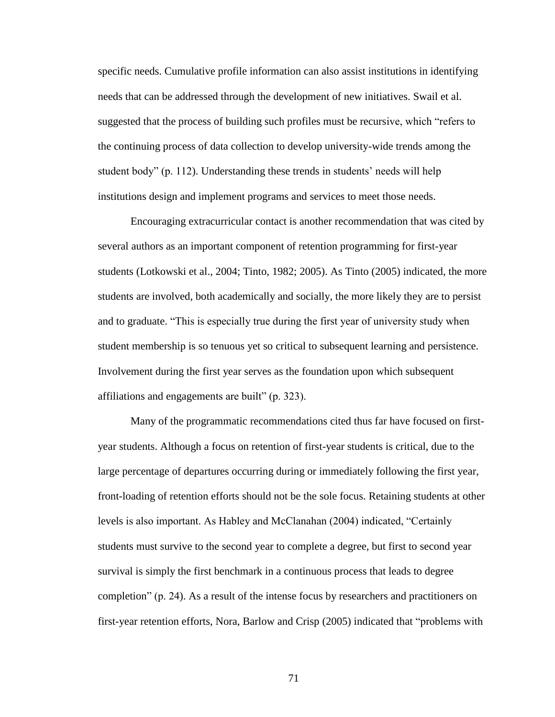specific needs. Cumulative profile information can also assist institutions in identifying needs that can be addressed through the development of new initiatives. Swail et al. suggested that the process of building such profiles must be recursive, which "refers to the continuing process of data collection to develop university-wide trends among the student body" (p. 112). Understanding these trends in students' needs will help institutions design and implement programs and services to meet those needs.

Encouraging extracurricular contact is another recommendation that was cited by several authors as an important component of retention programming for first-year students (Lotkowski et al., 2004; Tinto, 1982; 2005). As Tinto (2005) indicated, the more students are involved, both academically and socially, the more likely they are to persist and to graduate. "This is especially true during the first year of university study when student membership is so tenuous yet so critical to subsequent learning and persistence. Involvement during the first year serves as the foundation upon which subsequent affiliations and engagements are built" (p. 323).

Many of the programmatic recommendations cited thus far have focused on firstyear students. Although a focus on retention of first-year students is critical, due to the large percentage of departures occurring during or immediately following the first year, front-loading of retention efforts should not be the sole focus. Retaining students at other levels is also important. As Habley and McClanahan (2004) indicated, "Certainly students must survive to the second year to complete a degree, but first to second year survival is simply the first benchmark in a continuous process that leads to degree completion" (p. 24). As a result of the intense focus by researchers and practitioners on first-year retention efforts, Nora, Barlow and Crisp (2005) indicated that "problems with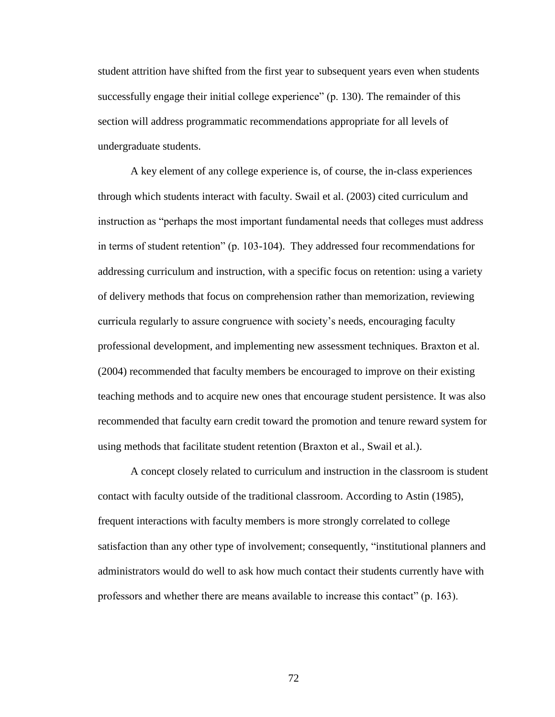student attrition have shifted from the first year to subsequent years even when students successfully engage their initial college experience" (p. 130). The remainder of this section will address programmatic recommendations appropriate for all levels of undergraduate students.

A key element of any college experience is, of course, the in-class experiences through which students interact with faculty. Swail et al. (2003) cited curriculum and instruction as "perhaps the most important fundamental needs that colleges must address in terms of student retention" (p. 103-104). They addressed four recommendations for addressing curriculum and instruction, with a specific focus on retention: using a variety of delivery methods that focus on comprehension rather than memorization, reviewing curricula regularly to assure congruence with society"s needs, encouraging faculty professional development, and implementing new assessment techniques. Braxton et al. (2004) recommended that faculty members be encouraged to improve on their existing teaching methods and to acquire new ones that encourage student persistence. It was also recommended that faculty earn credit toward the promotion and tenure reward system for using methods that facilitate student retention (Braxton et al., Swail et al.).

A concept closely related to curriculum and instruction in the classroom is student contact with faculty outside of the traditional classroom. According to Astin (1985), frequent interactions with faculty members is more strongly correlated to college satisfaction than any other type of involvement; consequently, "institutional planners and administrators would do well to ask how much contact their students currently have with professors and whether there are means available to increase this contact" (p. 163).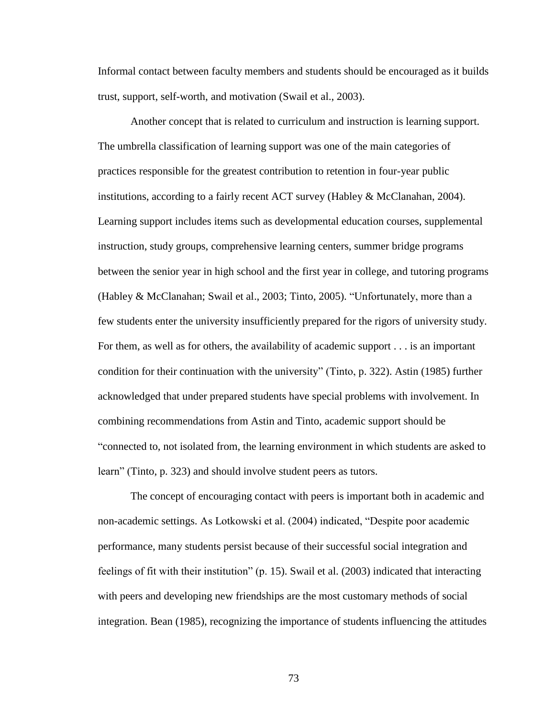Informal contact between faculty members and students should be encouraged as it builds trust, support, self-worth, and motivation (Swail et al., 2003).

Another concept that is related to curriculum and instruction is learning support. The umbrella classification of learning support was one of the main categories of practices responsible for the greatest contribution to retention in four-year public institutions, according to a fairly recent ACT survey (Habley & McClanahan, 2004). Learning support includes items such as developmental education courses, supplemental instruction, study groups, comprehensive learning centers, summer bridge programs between the senior year in high school and the first year in college, and tutoring programs (Habley & McClanahan; Swail et al., 2003; Tinto, 2005). "Unfortunately, more than a few students enter the university insufficiently prepared for the rigors of university study. For them, as well as for others, the availability of academic support . . . is an important condition for their continuation with the university" (Tinto, p. 322). Astin (1985) further acknowledged that under prepared students have special problems with involvement. In combining recommendations from Astin and Tinto, academic support should be "connected to, not isolated from, the learning environment in which students are asked to learn" (Tinto, p. 323) and should involve student peers as tutors.

The concept of encouraging contact with peers is important both in academic and non-academic settings. As Lotkowski et al. (2004) indicated, "Despite poor academic performance, many students persist because of their successful social integration and feelings of fit with their institution" (p. 15). Swail et al. (2003) indicated that interacting with peers and developing new friendships are the most customary methods of social integration. Bean (1985), recognizing the importance of students influencing the attitudes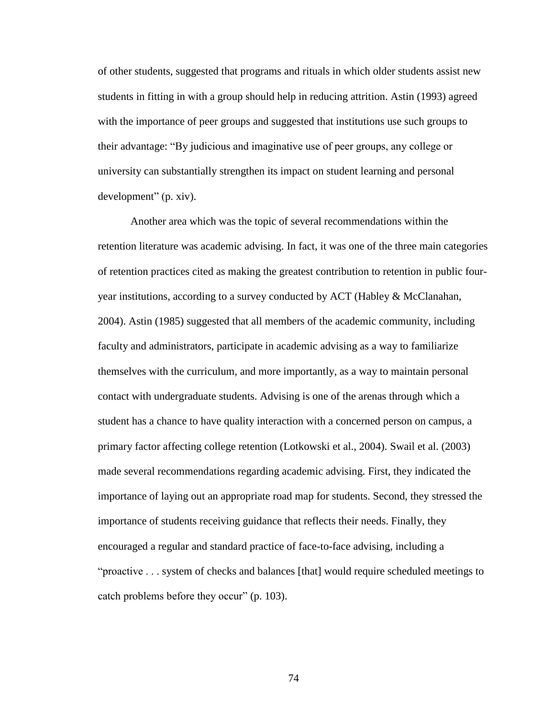of other students, suggested that programs and rituals in which older students assist new students in fitting in with a group should help in reducing attrition. Astin (1993) agreed with the importance of peer groups and suggested that institutions use such groups to their advantage: "By judicious and imaginative use of peer groups, any college or university can substantially strengthen its impact on student learning and personal development" (p. xiv).

Another area which was the topic of several recommendations within the retention literature was academic advising. In fact, it was one of the three main categories of retention practices cited as making the greatest contribution to retention in public fouryear institutions, according to a survey conducted by ACT (Habley & McClanahan, 2004). Astin (1985) suggested that all members of the academic community, including faculty and administrators, participate in academic advising as a way to familiarize themselves with the curriculum, and more importantly, as a way to maintain personal contact with undergraduate students. Advising is one of the arenas through which a student has a chance to have quality interaction with a concerned person on campus, a primary factor affecting college retention (Lotkowski et al., 2004). Swail et al. (2003) made several recommendations regarding academic advising. First, they indicated the importance of laying out an appropriate road map for students. Second, they stressed the importance of students receiving guidance that reflects their needs. Finally, they encouraged a regular and standard practice of face-to-face advising, including a "proactive . . . system of checks and balances [that] would require scheduled meetings to catch problems before they occur" (p. 103).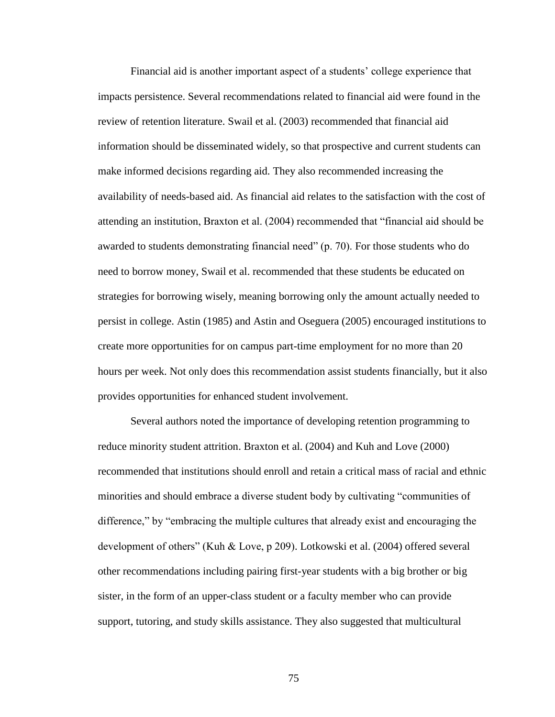Financial aid is another important aspect of a students' college experience that impacts persistence. Several recommendations related to financial aid were found in the review of retention literature. Swail et al. (2003) recommended that financial aid information should be disseminated widely, so that prospective and current students can make informed decisions regarding aid. They also recommended increasing the availability of needs-based aid. As financial aid relates to the satisfaction with the cost of attending an institution, Braxton et al. (2004) recommended that "financial aid should be awarded to students demonstrating financial need" (p. 70). For those students who do need to borrow money, Swail et al. recommended that these students be educated on strategies for borrowing wisely, meaning borrowing only the amount actually needed to persist in college. Astin (1985) and Astin and Oseguera (2005) encouraged institutions to create more opportunities for on campus part-time employment for no more than 20 hours per week. Not only does this recommendation assist students financially, but it also provides opportunities for enhanced student involvement.

Several authors noted the importance of developing retention programming to reduce minority student attrition. Braxton et al. (2004) and Kuh and Love (2000) recommended that institutions should enroll and retain a critical mass of racial and ethnic minorities and should embrace a diverse student body by cultivating "communities of difference," by "embracing the multiple cultures that already exist and encouraging the development of others" (Kuh & Love, p 209). Lotkowski et al. (2004) offered several other recommendations including pairing first-year students with a big brother or big sister, in the form of an upper-class student or a faculty member who can provide support, tutoring, and study skills assistance. They also suggested that multicultural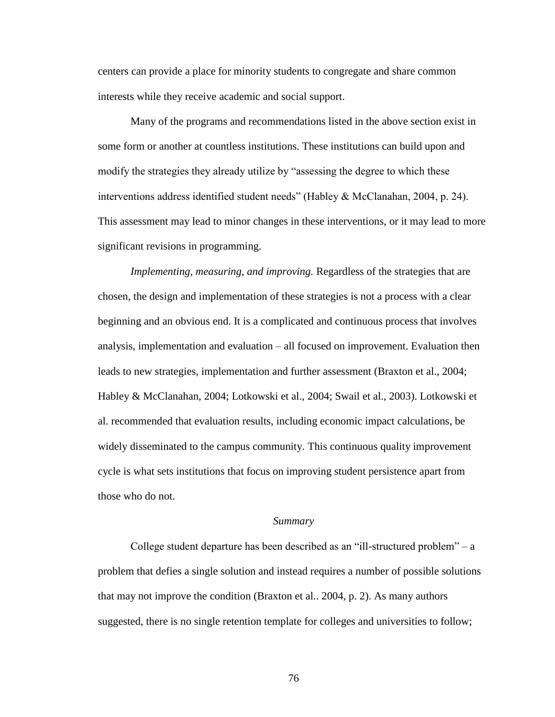centers can provide a place for minority students to congregate and share common interests while they receive academic and social support.

Many of the programs and recommendations listed in the above section exist in some form or another at countless institutions. These institutions can build upon and modify the strategies they already utilize by "assessing the degree to which these interventions address identified student needs" (Habley & McClanahan, 2004, p. 24). This assessment may lead to minor changes in these interventions, or it may lead to more significant revisions in programming.

*Implementing, measuring, and improving.* Regardless of the strategies that are chosen, the design and implementation of these strategies is not a process with a clear beginning and an obvious end. It is a complicated and continuous process that involves analysis, implementation and evaluation – all focused on improvement. Evaluation then leads to new strategies, implementation and further assessment (Braxton et al., 2004; Habley & McClanahan, 2004; Lotkowski et al., 2004; Swail et al., 2003). Lotkowski et al. recommended that evaluation results, including economic impact calculations, be widely disseminated to the campus community. This continuous quality improvement cycle is what sets institutions that focus on improving student persistence apart from those who do not.

### *Summary*

College student departure has been described as an "ill-structured problem" – a problem that defies a single solution and instead requires a number of possible solutions that may not improve the condition (Braxton et al.. 2004, p. 2). As many authors suggested, there is no single retention template for colleges and universities to follow;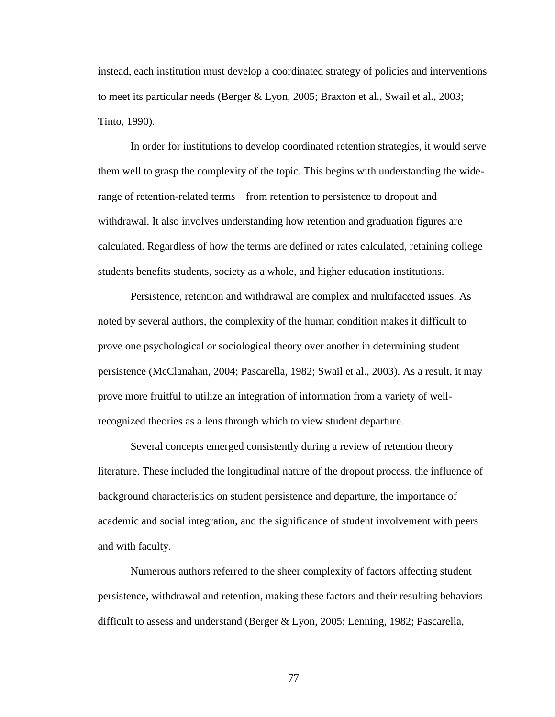instead, each institution must develop a coordinated strategy of policies and interventions to meet its particular needs (Berger & Lyon, 2005; Braxton et al., Swail et al., 2003; Tinto, 1990).

In order for institutions to develop coordinated retention strategies, it would serve them well to grasp the complexity of the topic. This begins with understanding the widerange of retention-related terms – from retention to persistence to dropout and withdrawal. It also involves understanding how retention and graduation figures are calculated. Regardless of how the terms are defined or rates calculated, retaining college students benefits students, society as a whole, and higher education institutions.

Persistence, retention and withdrawal are complex and multifaceted issues. As noted by several authors, the complexity of the human condition makes it difficult to prove one psychological or sociological theory over another in determining student persistence (McClanahan, 2004; Pascarella, 1982; Swail et al., 2003). As a result, it may prove more fruitful to utilize an integration of information from a variety of wellrecognized theories as a lens through which to view student departure.

Several concepts emerged consistently during a review of retention theory literature. These included the longitudinal nature of the dropout process, the influence of background characteristics on student persistence and departure, the importance of academic and social integration, and the significance of student involvement with peers and with faculty.

Numerous authors referred to the sheer complexity of factors affecting student persistence, withdrawal and retention, making these factors and their resulting behaviors difficult to assess and understand (Berger & Lyon, 2005; Lenning, 1982; Pascarella,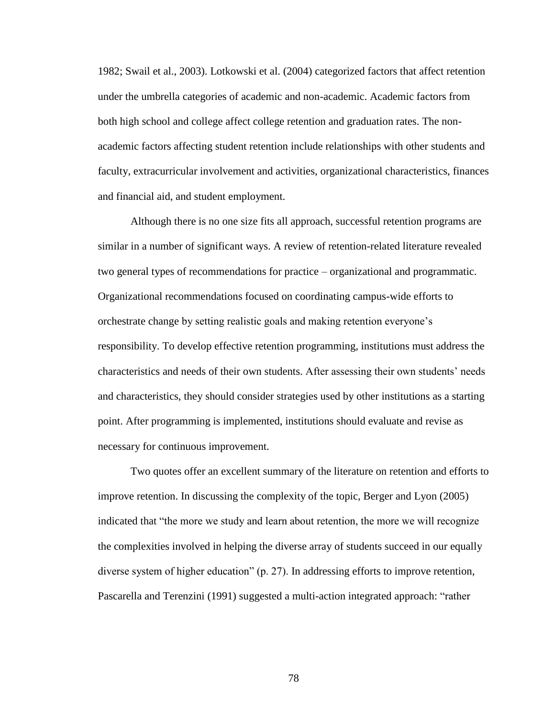1982; Swail et al., 2003). Lotkowski et al. (2004) categorized factors that affect retention under the umbrella categories of academic and non-academic. Academic factors from both high school and college affect college retention and graduation rates. The nonacademic factors affecting student retention include relationships with other students and faculty, extracurricular involvement and activities, organizational characteristics, finances and financial aid, and student employment.

Although there is no one size fits all approach, successful retention programs are similar in a number of significant ways. A review of retention-related literature revealed two general types of recommendations for practice – organizational and programmatic. Organizational recommendations focused on coordinating campus-wide efforts to orchestrate change by setting realistic goals and making retention everyone"s responsibility. To develop effective retention programming, institutions must address the characteristics and needs of their own students. After assessing their own students" needs and characteristics, they should consider strategies used by other institutions as a starting point. After programming is implemented, institutions should evaluate and revise as necessary for continuous improvement.

Two quotes offer an excellent summary of the literature on retention and efforts to improve retention. In discussing the complexity of the topic, Berger and Lyon (2005) indicated that "the more we study and learn about retention, the more we will recognize the complexities involved in helping the diverse array of students succeed in our equally diverse system of higher education" (p. 27). In addressing efforts to improve retention, Pascarella and Terenzini (1991) suggested a multi-action integrated approach: "rather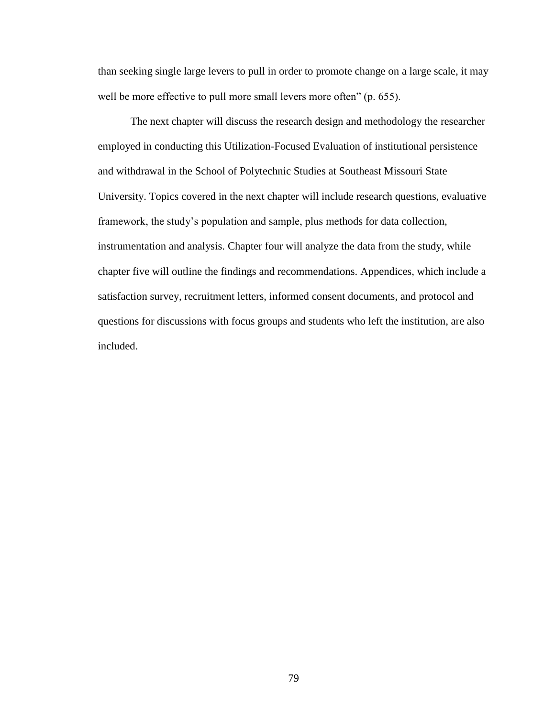than seeking single large levers to pull in order to promote change on a large scale, it may well be more effective to pull more small levers more often" (p. 655).

The next chapter will discuss the research design and methodology the researcher employed in conducting this Utilization-Focused Evaluation of institutional persistence and withdrawal in the School of Polytechnic Studies at Southeast Missouri State University. Topics covered in the next chapter will include research questions, evaluative framework, the study"s population and sample, plus methods for data collection, instrumentation and analysis. Chapter four will analyze the data from the study, while chapter five will outline the findings and recommendations. Appendices, which include a satisfaction survey, recruitment letters, informed consent documents, and protocol and questions for discussions with focus groups and students who left the institution, are also included.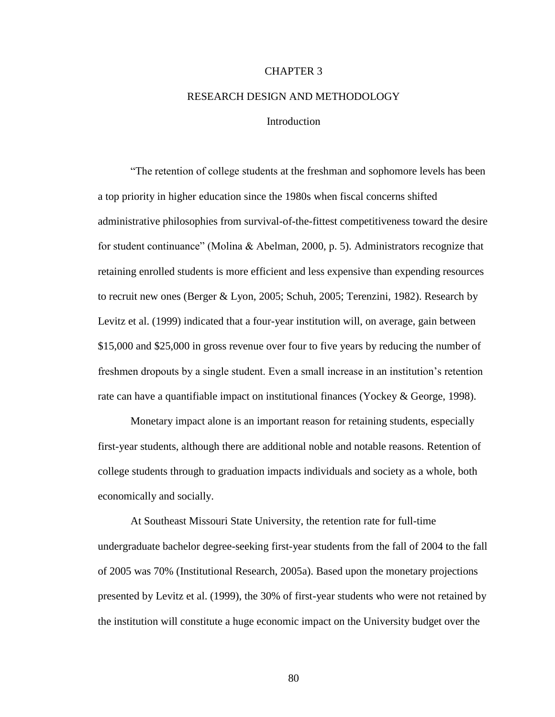# CHAPTER 3

# RESEARCH DESIGN AND METHODOLOGY

### **Introduction**

"The retention of college students at the freshman and sophomore levels has been a top priority in higher education since the 1980s when fiscal concerns shifted administrative philosophies from survival-of-the-fittest competitiveness toward the desire for student continuance" (Molina & Abelman, 2000, p. 5). Administrators recognize that retaining enrolled students is more efficient and less expensive than expending resources to recruit new ones (Berger & Lyon, 2005; Schuh, 2005; Terenzini, 1982). Research by Levitz et al. (1999) indicated that a four-year institution will, on average, gain between \$15,000 and \$25,000 in gross revenue over four to five years by reducing the number of freshmen dropouts by a single student. Even a small increase in an institution"s retention rate can have a quantifiable impact on institutional finances (Yockey & George, 1998).

Monetary impact alone is an important reason for retaining students, especially first-year students, although there are additional noble and notable reasons. Retention of college students through to graduation impacts individuals and society as a whole, both economically and socially.

At Southeast Missouri State University, the retention rate for full-time undergraduate bachelor degree-seeking first-year students from the fall of 2004 to the fall of 2005 was 70% (Institutional Research, 2005a). Based upon the monetary projections presented by Levitz et al. (1999), the 30% of first-year students who were not retained by the institution will constitute a huge economic impact on the University budget over the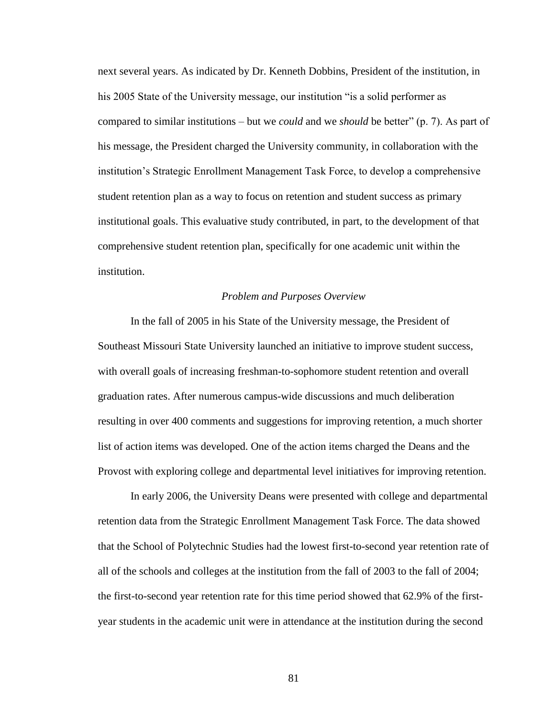next several years. As indicated by Dr. Kenneth Dobbins, President of the institution, in his 2005 State of the University message, our institution "is a solid performer as compared to similar institutions – but we *could* and we *should* be better" (p. 7). As part of his message, the President charged the University community, in collaboration with the institution"s Strategic Enrollment Management Task Force, to develop a comprehensive student retention plan as a way to focus on retention and student success as primary institutional goals. This evaluative study contributed, in part, to the development of that comprehensive student retention plan, specifically for one academic unit within the institution.

### *Problem and Purposes Overview*

In the fall of 2005 in his State of the University message, the President of Southeast Missouri State University launched an initiative to improve student success, with overall goals of increasing freshman-to-sophomore student retention and overall graduation rates. After numerous campus-wide discussions and much deliberation resulting in over 400 comments and suggestions for improving retention, a much shorter list of action items was developed. One of the action items charged the Deans and the Provost with exploring college and departmental level initiatives for improving retention.

In early 2006, the University Deans were presented with college and departmental retention data from the Strategic Enrollment Management Task Force. The data showed that the School of Polytechnic Studies had the lowest first-to-second year retention rate of all of the schools and colleges at the institution from the fall of 2003 to the fall of 2004; the first-to-second year retention rate for this time period showed that 62.9% of the firstyear students in the academic unit were in attendance at the institution during the second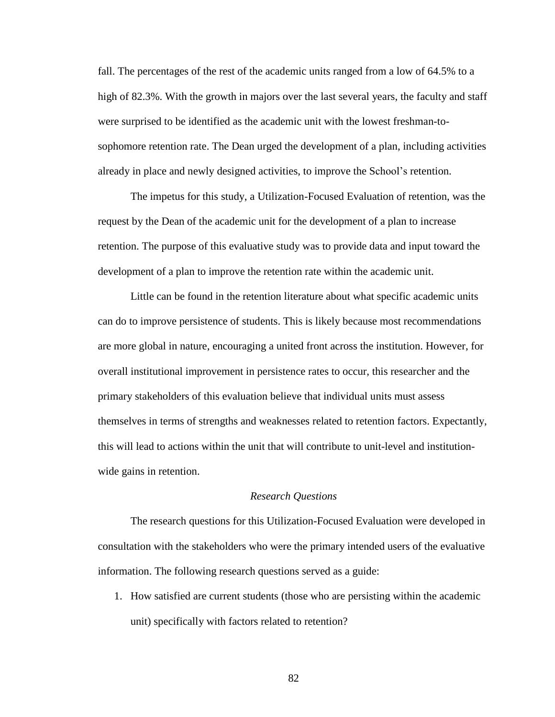fall. The percentages of the rest of the academic units ranged from a low of 64.5% to a high of 82.3%. With the growth in majors over the last several years, the faculty and staff were surprised to be identified as the academic unit with the lowest freshman-tosophomore retention rate. The Dean urged the development of a plan, including activities already in place and newly designed activities, to improve the School"s retention.

The impetus for this study, a Utilization-Focused Evaluation of retention, was the request by the Dean of the academic unit for the development of a plan to increase retention. The purpose of this evaluative study was to provide data and input toward the development of a plan to improve the retention rate within the academic unit.

Little can be found in the retention literature about what specific academic units can do to improve persistence of students. This is likely because most recommendations are more global in nature, encouraging a united front across the institution. However, for overall institutional improvement in persistence rates to occur, this researcher and the primary stakeholders of this evaluation believe that individual units must assess themselves in terms of strengths and weaknesses related to retention factors. Expectantly, this will lead to actions within the unit that will contribute to unit-level and institutionwide gains in retention.

### *Research Questions*

The research questions for this Utilization-Focused Evaluation were developed in consultation with the stakeholders who were the primary intended users of the evaluative information. The following research questions served as a guide:

1. How satisfied are current students (those who are persisting within the academic unit) specifically with factors related to retention?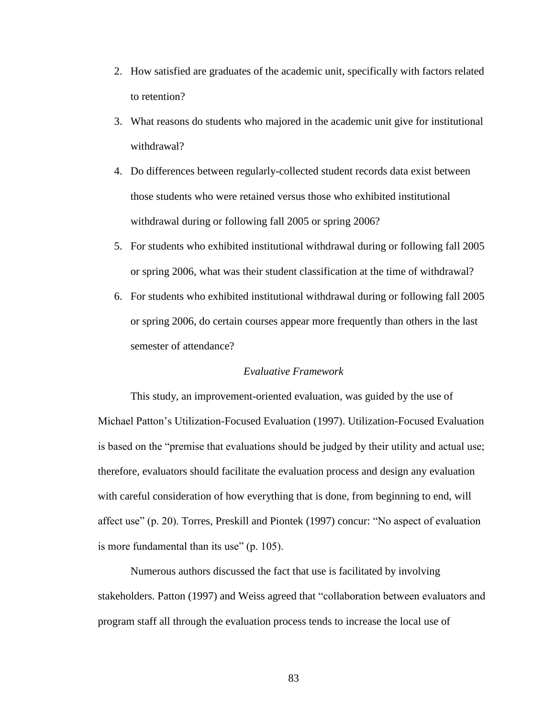- 2. How satisfied are graduates of the academic unit, specifically with factors related to retention?
- 3. What reasons do students who majored in the academic unit give for institutional withdrawal?
- 4. Do differences between regularly-collected student records data exist between those students who were retained versus those who exhibited institutional withdrawal during or following fall 2005 or spring 2006?
- 5. For students who exhibited institutional withdrawal during or following fall 2005 or spring 2006, what was their student classification at the time of withdrawal?
- 6. For students who exhibited institutional withdrawal during or following fall 2005 or spring 2006, do certain courses appear more frequently than others in the last semester of attendance?

## *Evaluative Framework*

This study, an improvement-oriented evaluation, was guided by the use of Michael Patton"s Utilization-Focused Evaluation (1997). Utilization-Focused Evaluation is based on the "premise that evaluations should be judged by their utility and actual use; therefore, evaluators should facilitate the evaluation process and design any evaluation with careful consideration of how everything that is done, from beginning to end, will affect use" (p. 20). Torres, Preskill and Piontek (1997) concur: "No aspect of evaluation is more fundamental than its use" (p. 105).

Numerous authors discussed the fact that use is facilitated by involving stakeholders. Patton (1997) and Weiss agreed that "collaboration between evaluators and program staff all through the evaluation process tends to increase the local use of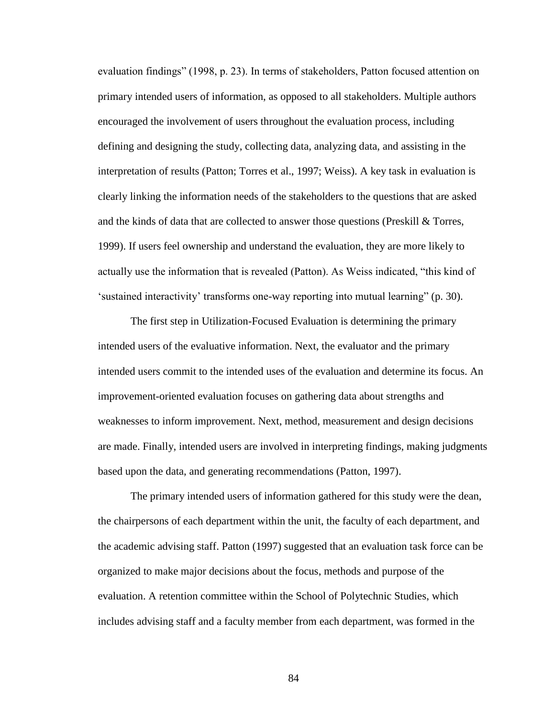evaluation findings" (1998, p. 23). In terms of stakeholders, Patton focused attention on primary intended users of information, as opposed to all stakeholders. Multiple authors encouraged the involvement of users throughout the evaluation process, including defining and designing the study, collecting data, analyzing data, and assisting in the interpretation of results (Patton; Torres et al., 1997; Weiss). A key task in evaluation is clearly linking the information needs of the stakeholders to the questions that are asked and the kinds of data that are collected to answer those questions (Preskill  $\&$  Torres, 1999). If users feel ownership and understand the evaluation, they are more likely to actually use the information that is revealed (Patton). As Weiss indicated, "this kind of "sustained interactivity" transforms one-way reporting into mutual learning" (p. 30).

The first step in Utilization-Focused Evaluation is determining the primary intended users of the evaluative information. Next, the evaluator and the primary intended users commit to the intended uses of the evaluation and determine its focus. An improvement-oriented evaluation focuses on gathering data about strengths and weaknesses to inform improvement. Next, method, measurement and design decisions are made. Finally, intended users are involved in interpreting findings, making judgments based upon the data, and generating recommendations (Patton, 1997).

The primary intended users of information gathered for this study were the dean, the chairpersons of each department within the unit, the faculty of each department, and the academic advising staff. Patton (1997) suggested that an evaluation task force can be organized to make major decisions about the focus, methods and purpose of the evaluation. A retention committee within the School of Polytechnic Studies, which includes advising staff and a faculty member from each department, was formed in the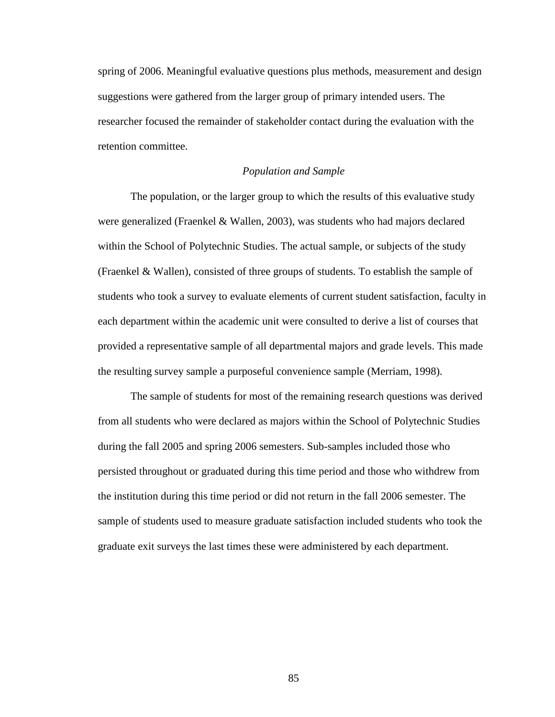spring of 2006. Meaningful evaluative questions plus methods, measurement and design suggestions were gathered from the larger group of primary intended users. The researcher focused the remainder of stakeholder contact during the evaluation with the retention committee.

### *Population and Sample*

The population, or the larger group to which the results of this evaluative study were generalized (Fraenkel & Wallen, 2003), was students who had majors declared within the School of Polytechnic Studies. The actual sample, or subjects of the study (Fraenkel & Wallen), consisted of three groups of students. To establish the sample of students who took a survey to evaluate elements of current student satisfaction, faculty in each department within the academic unit were consulted to derive a list of courses that provided a representative sample of all departmental majors and grade levels. This made the resulting survey sample a purposeful convenience sample (Merriam, 1998).

The sample of students for most of the remaining research questions was derived from all students who were declared as majors within the School of Polytechnic Studies during the fall 2005 and spring 2006 semesters. Sub-samples included those who persisted throughout or graduated during this time period and those who withdrew from the institution during this time period or did not return in the fall 2006 semester. The sample of students used to measure graduate satisfaction included students who took the graduate exit surveys the last times these were administered by each department.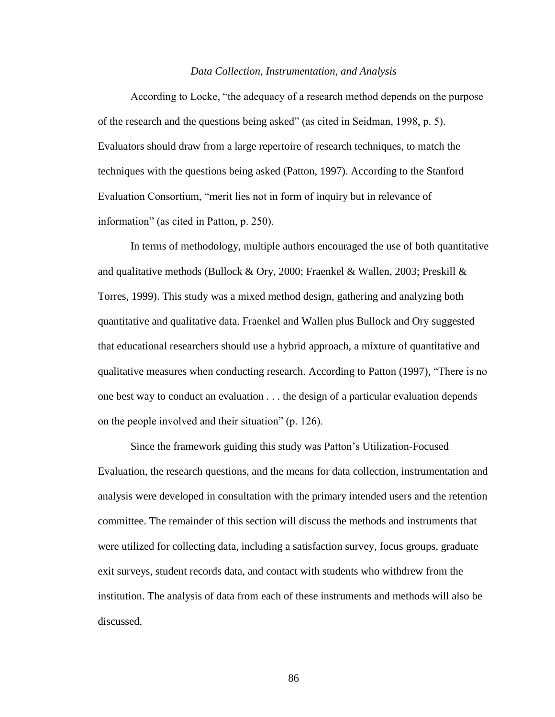#### *Data Collection, Instrumentation, and Analysis*

According to Locke, "the adequacy of a research method depends on the purpose of the research and the questions being asked" (as cited in Seidman, 1998, p. 5). Evaluators should draw from a large repertoire of research techniques, to match the techniques with the questions being asked (Patton, 1997). According to the Stanford Evaluation Consortium, "merit lies not in form of inquiry but in relevance of information" (as cited in Patton, p. 250).

In terms of methodology, multiple authors encouraged the use of both quantitative and qualitative methods (Bullock & Ory, 2000; Fraenkel & Wallen, 2003; Preskill & Torres, 1999). This study was a mixed method design, gathering and analyzing both quantitative and qualitative data. Fraenkel and Wallen plus Bullock and Ory suggested that educational researchers should use a hybrid approach, a mixture of quantitative and qualitative measures when conducting research. According to Patton (1997), "There is no one best way to conduct an evaluation . . . the design of a particular evaluation depends on the people involved and their situation" (p. 126).

Since the framework guiding this study was Patton"s Utilization-Focused Evaluation, the research questions, and the means for data collection, instrumentation and analysis were developed in consultation with the primary intended users and the retention committee. The remainder of this section will discuss the methods and instruments that were utilized for collecting data, including a satisfaction survey, focus groups, graduate exit surveys, student records data, and contact with students who withdrew from the institution. The analysis of data from each of these instruments and methods will also be discussed.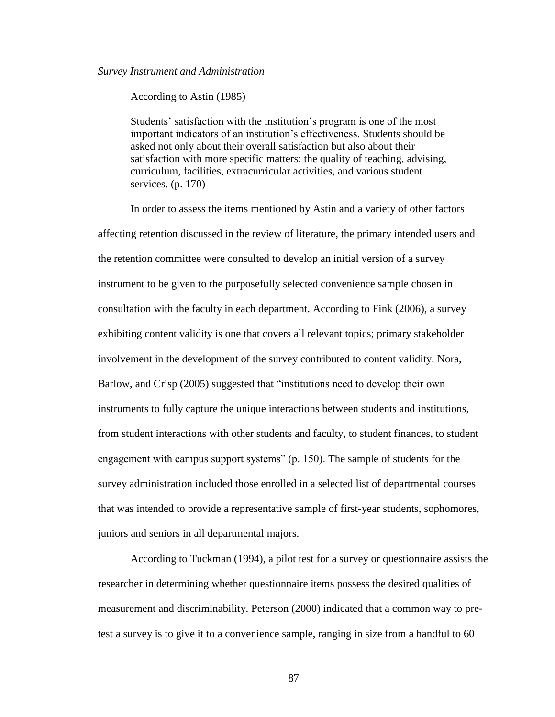### *Survey Instrument and Administration*

According to Astin (1985)

Students' satisfaction with the institution's program is one of the most important indicators of an institution"s effectiveness. Students should be asked not only about their overall satisfaction but also about their satisfaction with more specific matters: the quality of teaching, advising, curriculum, facilities, extracurricular activities, and various student services. (p. 170)

In order to assess the items mentioned by Astin and a variety of other factors affecting retention discussed in the review of literature, the primary intended users and the retention committee were consulted to develop an initial version of a survey instrument to be given to the purposefully selected convenience sample chosen in consultation with the faculty in each department. According to Fink (2006), a survey exhibiting content validity is one that covers all relevant topics; primary stakeholder involvement in the development of the survey contributed to content validity. Nora, Barlow, and Crisp (2005) suggested that "institutions need to develop their own instruments to fully capture the unique interactions between students and institutions, from student interactions with other students and faculty, to student finances, to student engagement with campus support systems" (p. 150). The sample of students for the survey administration included those enrolled in a selected list of departmental courses that was intended to provide a representative sample of first-year students, sophomores, juniors and seniors in all departmental majors.

According to Tuckman (1994), a pilot test for a survey or questionnaire assists the researcher in determining whether questionnaire items possess the desired qualities of measurement and discriminability. Peterson (2000) indicated that a common way to pretest a survey is to give it to a convenience sample, ranging in size from a handful to 60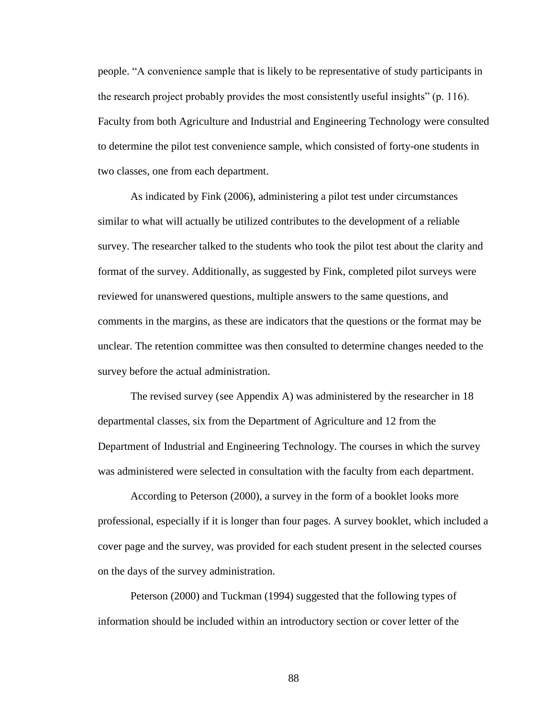people. "A convenience sample that is likely to be representative of study participants in the research project probably provides the most consistently useful insights" (p. 116). Faculty from both Agriculture and Industrial and Engineering Technology were consulted to determine the pilot test convenience sample, which consisted of forty-one students in two classes, one from each department.

As indicated by Fink (2006), administering a pilot test under circumstances similar to what will actually be utilized contributes to the development of a reliable survey. The researcher talked to the students who took the pilot test about the clarity and format of the survey. Additionally, as suggested by Fink, completed pilot surveys were reviewed for unanswered questions, multiple answers to the same questions, and comments in the margins, as these are indicators that the questions or the format may be unclear. The retention committee was then consulted to determine changes needed to the survey before the actual administration.

The revised survey (see Appendix A) was administered by the researcher in 18 departmental classes, six from the Department of Agriculture and 12 from the Department of Industrial and Engineering Technology. The courses in which the survey was administered were selected in consultation with the faculty from each department.

According to Peterson (2000), a survey in the form of a booklet looks more professional, especially if it is longer than four pages. A survey booklet, which included a cover page and the survey, was provided for each student present in the selected courses on the days of the survey administration.

Peterson (2000) and Tuckman (1994) suggested that the following types of information should be included within an introductory section or cover letter of the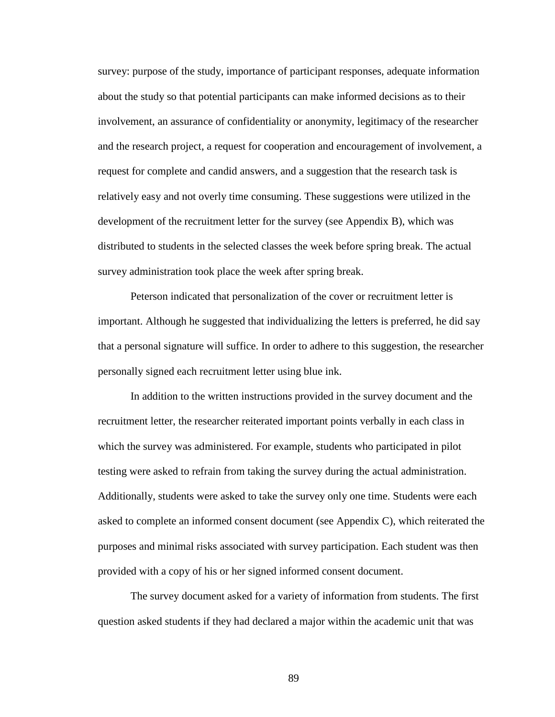survey: purpose of the study, importance of participant responses, adequate information about the study so that potential participants can make informed decisions as to their involvement, an assurance of confidentiality or anonymity, legitimacy of the researcher and the research project, a request for cooperation and encouragement of involvement, a request for complete and candid answers, and a suggestion that the research task is relatively easy and not overly time consuming. These suggestions were utilized in the development of the recruitment letter for the survey (see Appendix B), which was distributed to students in the selected classes the week before spring break. The actual survey administration took place the week after spring break.

Peterson indicated that personalization of the cover or recruitment letter is important. Although he suggested that individualizing the letters is preferred, he did say that a personal signature will suffice. In order to adhere to this suggestion, the researcher personally signed each recruitment letter using blue ink.

In addition to the written instructions provided in the survey document and the recruitment letter, the researcher reiterated important points verbally in each class in which the survey was administered. For example, students who participated in pilot testing were asked to refrain from taking the survey during the actual administration. Additionally, students were asked to take the survey only one time. Students were each asked to complete an informed consent document (see Appendix C), which reiterated the purposes and minimal risks associated with survey participation. Each student was then provided with a copy of his or her signed informed consent document.

The survey document asked for a variety of information from students. The first question asked students if they had declared a major within the academic unit that was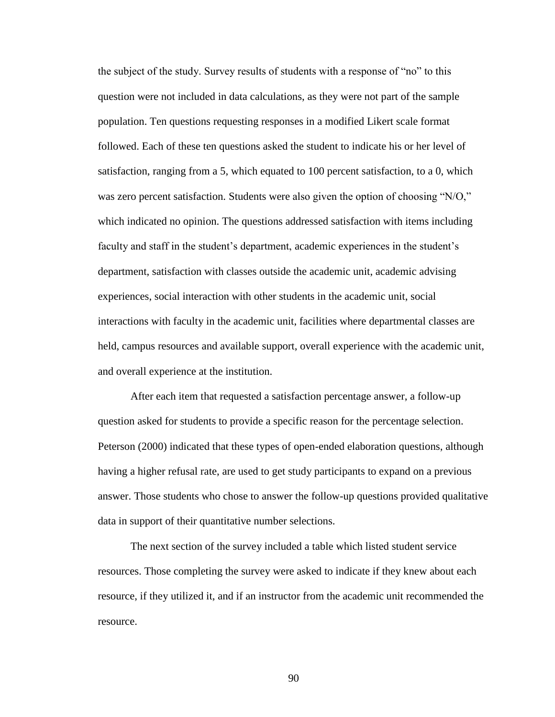the subject of the study. Survey results of students with a response of "no" to this question were not included in data calculations, as they were not part of the sample population. Ten questions requesting responses in a modified Likert scale format followed. Each of these ten questions asked the student to indicate his or her level of satisfaction, ranging from a 5, which equated to 100 percent satisfaction, to a 0, which was zero percent satisfaction. Students were also given the option of choosing "N/O," which indicated no opinion. The questions addressed satisfaction with items including faculty and staff in the student"s department, academic experiences in the student"s department, satisfaction with classes outside the academic unit, academic advising experiences, social interaction with other students in the academic unit, social interactions with faculty in the academic unit, facilities where departmental classes are held, campus resources and available support, overall experience with the academic unit, and overall experience at the institution.

After each item that requested a satisfaction percentage answer, a follow-up question asked for students to provide a specific reason for the percentage selection. Peterson (2000) indicated that these types of open-ended elaboration questions, although having a higher refusal rate, are used to get study participants to expand on a previous answer. Those students who chose to answer the follow-up questions provided qualitative data in support of their quantitative number selections.

The next section of the survey included a table which listed student service resources. Those completing the survey were asked to indicate if they knew about each resource, if they utilized it, and if an instructor from the academic unit recommended the resource.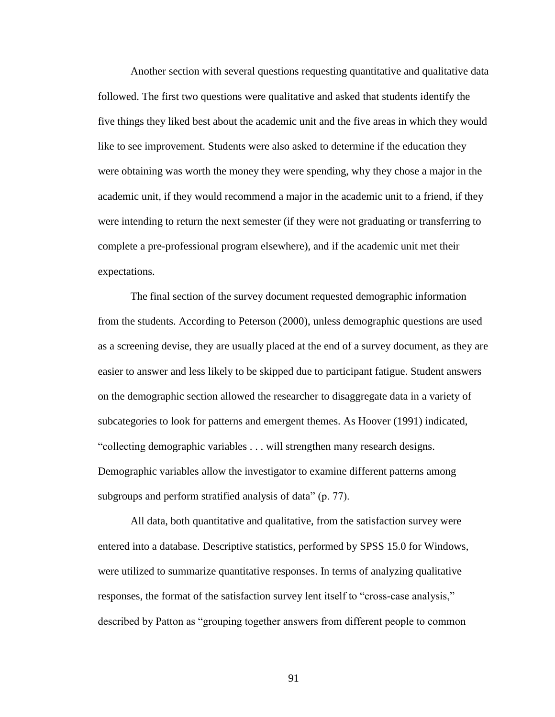Another section with several questions requesting quantitative and qualitative data followed. The first two questions were qualitative and asked that students identify the five things they liked best about the academic unit and the five areas in which they would like to see improvement. Students were also asked to determine if the education they were obtaining was worth the money they were spending, why they chose a major in the academic unit, if they would recommend a major in the academic unit to a friend, if they were intending to return the next semester (if they were not graduating or transferring to complete a pre-professional program elsewhere), and if the academic unit met their expectations.

The final section of the survey document requested demographic information from the students. According to Peterson (2000), unless demographic questions are used as a screening devise, they are usually placed at the end of a survey document, as they are easier to answer and less likely to be skipped due to participant fatigue. Student answers on the demographic section allowed the researcher to disaggregate data in a variety of subcategories to look for patterns and emergent themes. As Hoover (1991) indicated, "collecting demographic variables . . . will strengthen many research designs. Demographic variables allow the investigator to examine different patterns among subgroups and perform stratified analysis of data" (p. 77).

All data, both quantitative and qualitative, from the satisfaction survey were entered into a database. Descriptive statistics, performed by SPSS 15.0 for Windows, were utilized to summarize quantitative responses. In terms of analyzing qualitative responses, the format of the satisfaction survey lent itself to "cross-case analysis," described by Patton as "grouping together answers from different people to common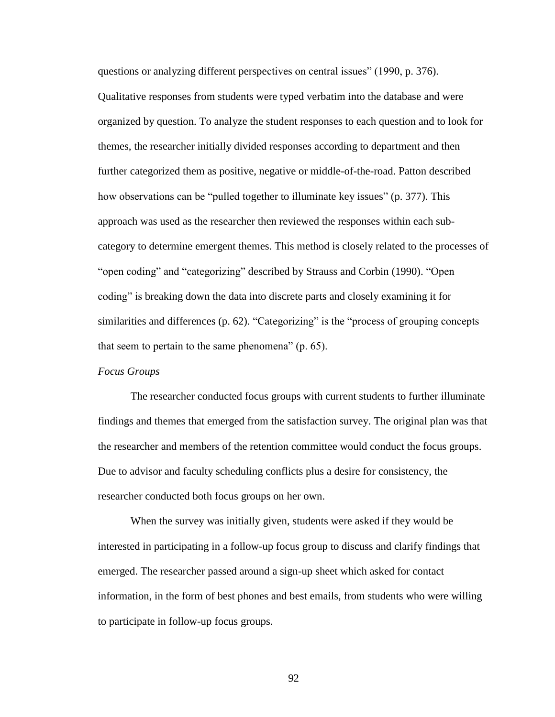questions or analyzing different perspectives on central issues" (1990, p. 376). Qualitative responses from students were typed verbatim into the database and were organized by question. To analyze the student responses to each question and to look for themes, the researcher initially divided responses according to department and then further categorized them as positive, negative or middle-of-the-road. Patton described how observations can be "pulled together to illuminate key issues" (p. 377). This approach was used as the researcher then reviewed the responses within each subcategory to determine emergent themes. This method is closely related to the processes of "open coding" and "categorizing" described by Strauss and Corbin (1990). "Open coding" is breaking down the data into discrete parts and closely examining it for similarities and differences (p. 62). "Categorizing" is the "process of grouping concepts that seem to pertain to the same phenomena" (p. 65).

### *Focus Groups*

The researcher conducted focus groups with current students to further illuminate findings and themes that emerged from the satisfaction survey. The original plan was that the researcher and members of the retention committee would conduct the focus groups. Due to advisor and faculty scheduling conflicts plus a desire for consistency, the researcher conducted both focus groups on her own.

When the survey was initially given, students were asked if they would be interested in participating in a follow-up focus group to discuss and clarify findings that emerged. The researcher passed around a sign-up sheet which asked for contact information, in the form of best phones and best emails, from students who were willing to participate in follow-up focus groups.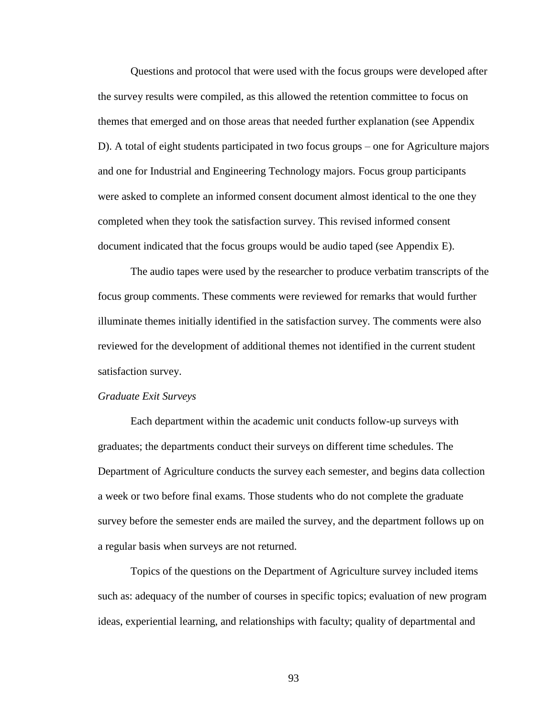Questions and protocol that were used with the focus groups were developed after the survey results were compiled, as this allowed the retention committee to focus on themes that emerged and on those areas that needed further explanation (see Appendix D). A total of eight students participated in two focus groups – one for Agriculture majors and one for Industrial and Engineering Technology majors. Focus group participants were asked to complete an informed consent document almost identical to the one they completed when they took the satisfaction survey. This revised informed consent document indicated that the focus groups would be audio taped (see Appendix E).

The audio tapes were used by the researcher to produce verbatim transcripts of the focus group comments. These comments were reviewed for remarks that would further illuminate themes initially identified in the satisfaction survey. The comments were also reviewed for the development of additional themes not identified in the current student satisfaction survey.

### *Graduate Exit Surveys*

Each department within the academic unit conducts follow-up surveys with graduates; the departments conduct their surveys on different time schedules. The Department of Agriculture conducts the survey each semester, and begins data collection a week or two before final exams. Those students who do not complete the graduate survey before the semester ends are mailed the survey, and the department follows up on a regular basis when surveys are not returned.

Topics of the questions on the Department of Agriculture survey included items such as: adequacy of the number of courses in specific topics; evaluation of new program ideas, experiential learning, and relationships with faculty; quality of departmental and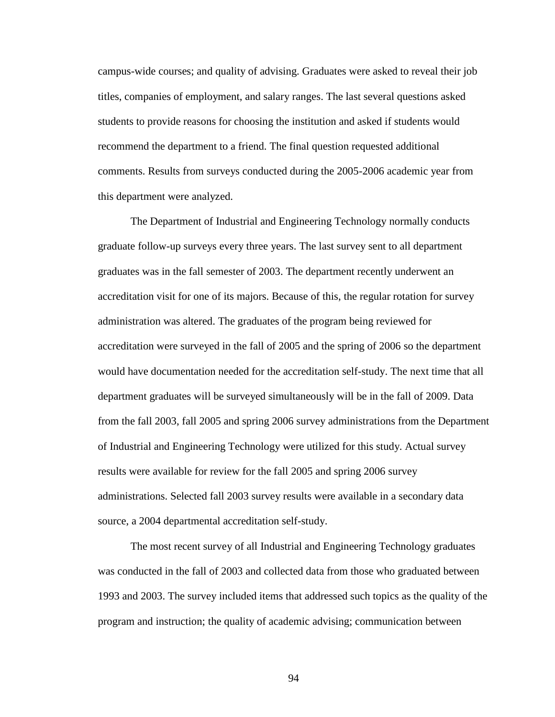campus-wide courses; and quality of advising. Graduates were asked to reveal their job titles, companies of employment, and salary ranges. The last several questions asked students to provide reasons for choosing the institution and asked if students would recommend the department to a friend. The final question requested additional comments. Results from surveys conducted during the 2005-2006 academic year from this department were analyzed.

The Department of Industrial and Engineering Technology normally conducts graduate follow-up surveys every three years. The last survey sent to all department graduates was in the fall semester of 2003. The department recently underwent an accreditation visit for one of its majors. Because of this, the regular rotation for survey administration was altered. The graduates of the program being reviewed for accreditation were surveyed in the fall of 2005 and the spring of 2006 so the department would have documentation needed for the accreditation self-study. The next time that all department graduates will be surveyed simultaneously will be in the fall of 2009. Data from the fall 2003, fall 2005 and spring 2006 survey administrations from the Department of Industrial and Engineering Technology were utilized for this study. Actual survey results were available for review for the fall 2005 and spring 2006 survey administrations. Selected fall 2003 survey results were available in a secondary data source, a 2004 departmental accreditation self-study.

The most recent survey of all Industrial and Engineering Technology graduates was conducted in the fall of 2003 and collected data from those who graduated between 1993 and 2003. The survey included items that addressed such topics as the quality of the program and instruction; the quality of academic advising; communication between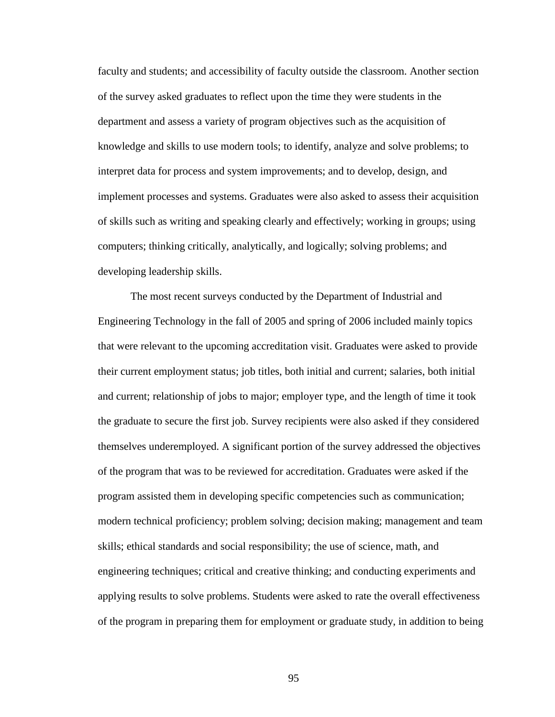faculty and students; and accessibility of faculty outside the classroom. Another section of the survey asked graduates to reflect upon the time they were students in the department and assess a variety of program objectives such as the acquisition of knowledge and skills to use modern tools; to identify, analyze and solve problems; to interpret data for process and system improvements; and to develop, design, and implement processes and systems. Graduates were also asked to assess their acquisition of skills such as writing and speaking clearly and effectively; working in groups; using computers; thinking critically, analytically, and logically; solving problems; and developing leadership skills.

The most recent surveys conducted by the Department of Industrial and Engineering Technology in the fall of 2005 and spring of 2006 included mainly topics that were relevant to the upcoming accreditation visit. Graduates were asked to provide their current employment status; job titles, both initial and current; salaries, both initial and current; relationship of jobs to major; employer type, and the length of time it took the graduate to secure the first job. Survey recipients were also asked if they considered themselves underemployed. A significant portion of the survey addressed the objectives of the program that was to be reviewed for accreditation. Graduates were asked if the program assisted them in developing specific competencies such as communication; modern technical proficiency; problem solving; decision making; management and team skills; ethical standards and social responsibility; the use of science, math, and engineering techniques; critical and creative thinking; and conducting experiments and applying results to solve problems. Students were asked to rate the overall effectiveness of the program in preparing them for employment or graduate study, in addition to being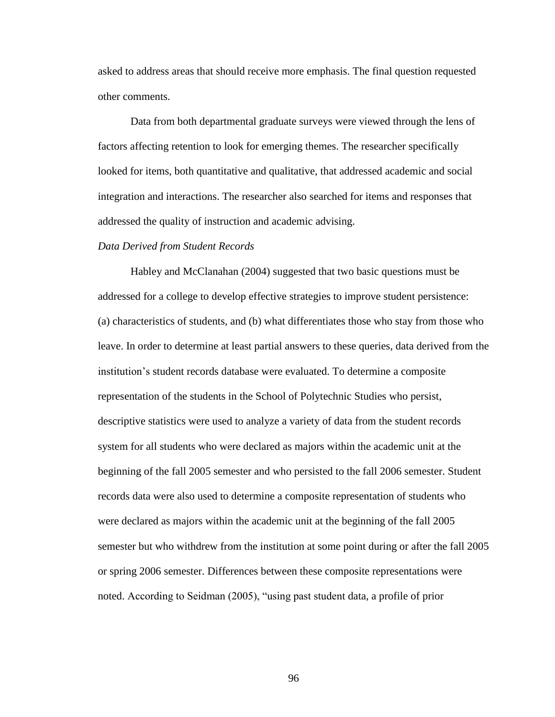asked to address areas that should receive more emphasis. The final question requested other comments.

Data from both departmental graduate surveys were viewed through the lens of factors affecting retention to look for emerging themes. The researcher specifically looked for items, both quantitative and qualitative, that addressed academic and social integration and interactions. The researcher also searched for items and responses that addressed the quality of instruction and academic advising.

#### *Data Derived from Student Records*

Habley and McClanahan (2004) suggested that two basic questions must be addressed for a college to develop effective strategies to improve student persistence: (a) characteristics of students, and (b) what differentiates those who stay from those who leave. In order to determine at least partial answers to these queries, data derived from the institution"s student records database were evaluated. To determine a composite representation of the students in the School of Polytechnic Studies who persist, descriptive statistics were used to analyze a variety of data from the student records system for all students who were declared as majors within the academic unit at the beginning of the fall 2005 semester and who persisted to the fall 2006 semester. Student records data were also used to determine a composite representation of students who were declared as majors within the academic unit at the beginning of the fall 2005 semester but who withdrew from the institution at some point during or after the fall 2005 or spring 2006 semester. Differences between these composite representations were noted. According to Seidman (2005), "using past student data, a profile of prior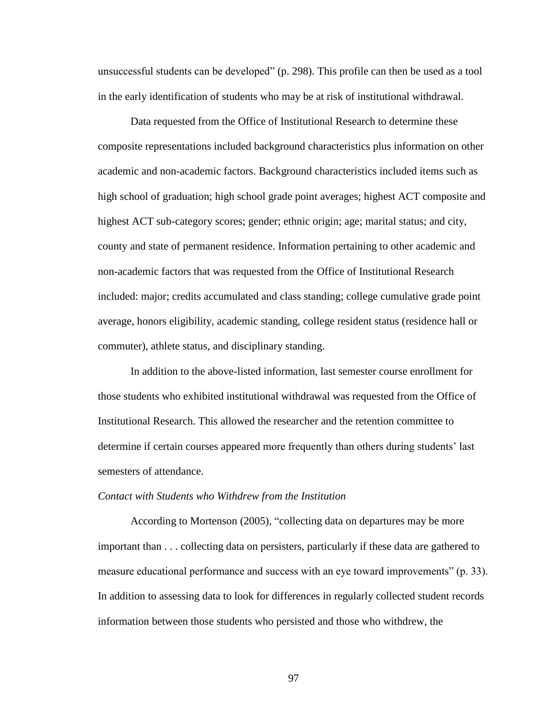unsuccessful students can be developed" (p. 298). This profile can then be used as a tool in the early identification of students who may be at risk of institutional withdrawal.

Data requested from the Office of Institutional Research to determine these composite representations included background characteristics plus information on other academic and non-academic factors. Background characteristics included items such as high school of graduation; high school grade point averages; highest ACT composite and highest ACT sub-category scores; gender; ethnic origin; age; marital status; and city, county and state of permanent residence. Information pertaining to other academic and non-academic factors that was requested from the Office of Institutional Research included: major; credits accumulated and class standing; college cumulative grade point average, honors eligibility, academic standing, college resident status (residence hall or commuter), athlete status, and disciplinary standing.

In addition to the above-listed information, last semester course enrollment for those students who exhibited institutional withdrawal was requested from the Office of Institutional Research. This allowed the researcher and the retention committee to determine if certain courses appeared more frequently than others during students" last semesters of attendance.

### *Contact with Students who Withdrew from the Institution*

According to Mortenson (2005), "collecting data on departures may be more important than . . . collecting data on persisters, particularly if these data are gathered to measure educational performance and success with an eye toward improvements" (p. 33). In addition to assessing data to look for differences in regularly collected student records information between those students who persisted and those who withdrew, the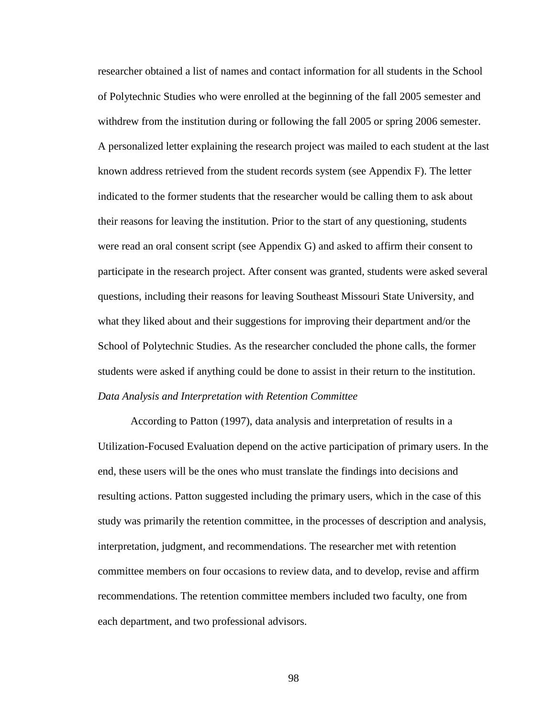researcher obtained a list of names and contact information for all students in the School of Polytechnic Studies who were enrolled at the beginning of the fall 2005 semester and withdrew from the institution during or following the fall 2005 or spring 2006 semester. A personalized letter explaining the research project was mailed to each student at the last known address retrieved from the student records system (see Appendix F). The letter indicated to the former students that the researcher would be calling them to ask about their reasons for leaving the institution. Prior to the start of any questioning, students were read an oral consent script (see Appendix G) and asked to affirm their consent to participate in the research project. After consent was granted, students were asked several questions, including their reasons for leaving Southeast Missouri State University, and what they liked about and their suggestions for improving their department and/or the School of Polytechnic Studies. As the researcher concluded the phone calls, the former students were asked if anything could be done to assist in their return to the institution. *Data Analysis and Interpretation with Retention Committee*

According to Patton (1997), data analysis and interpretation of results in a Utilization-Focused Evaluation depend on the active participation of primary users. In the end, these users will be the ones who must translate the findings into decisions and resulting actions. Patton suggested including the primary users, which in the case of this study was primarily the retention committee, in the processes of description and analysis, interpretation, judgment, and recommendations. The researcher met with retention committee members on four occasions to review data, and to develop, revise and affirm recommendations. The retention committee members included two faculty, one from each department, and two professional advisors.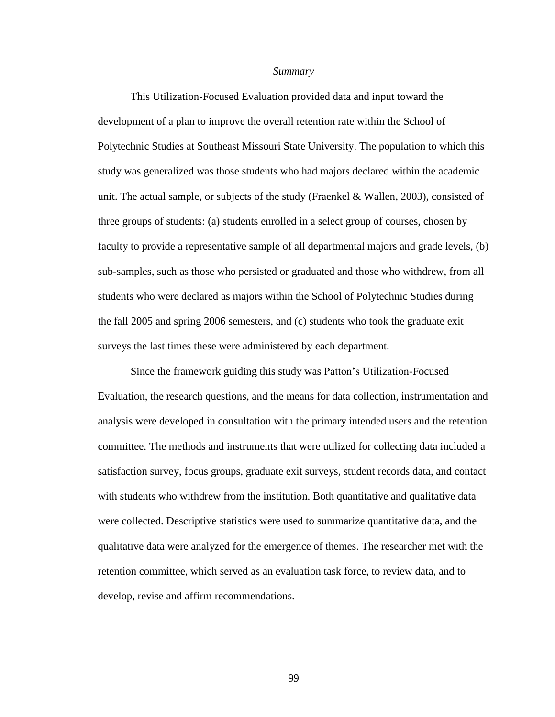#### *Summary*

This Utilization-Focused Evaluation provided data and input toward the development of a plan to improve the overall retention rate within the School of Polytechnic Studies at Southeast Missouri State University. The population to which this study was generalized was those students who had majors declared within the academic unit. The actual sample, or subjects of the study (Fraenkel & Wallen, 2003), consisted of three groups of students: (a) students enrolled in a select group of courses, chosen by faculty to provide a representative sample of all departmental majors and grade levels, (b) sub-samples, such as those who persisted or graduated and those who withdrew, from all students who were declared as majors within the School of Polytechnic Studies during the fall 2005 and spring 2006 semesters, and (c) students who took the graduate exit surveys the last times these were administered by each department.

Since the framework guiding this study was Patton"s Utilization-Focused Evaluation, the research questions, and the means for data collection, instrumentation and analysis were developed in consultation with the primary intended users and the retention committee. The methods and instruments that were utilized for collecting data included a satisfaction survey, focus groups, graduate exit surveys, student records data, and contact with students who withdrew from the institution. Both quantitative and qualitative data were collected. Descriptive statistics were used to summarize quantitative data, and the qualitative data were analyzed for the emergence of themes. The researcher met with the retention committee, which served as an evaluation task force, to review data, and to develop, revise and affirm recommendations.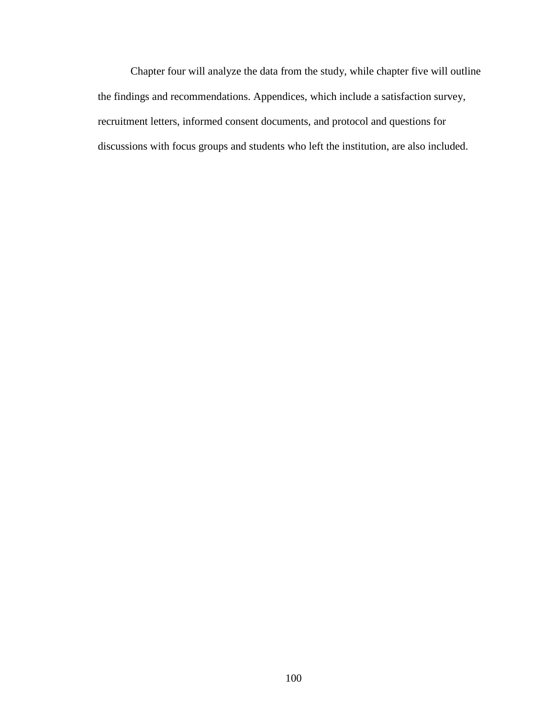Chapter four will analyze the data from the study, while chapter five will outline the findings and recommendations. Appendices, which include a satisfaction survey, recruitment letters, informed consent documents, and protocol and questions for discussions with focus groups and students who left the institution, are also included.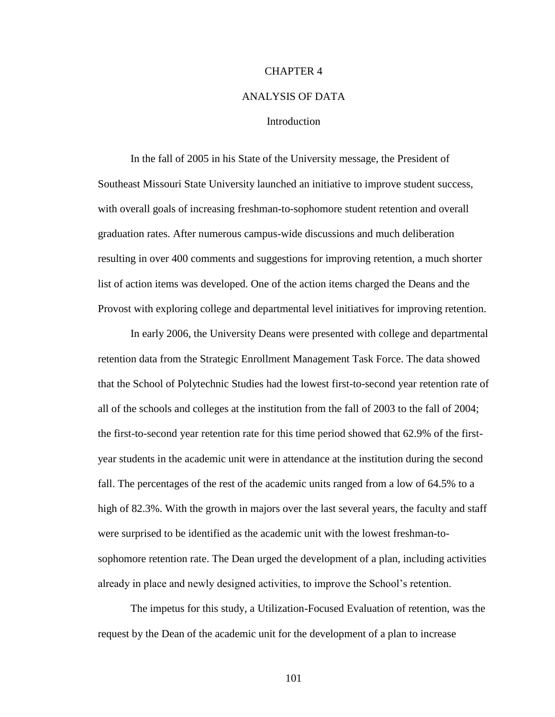#### CHAPTER 4

## ANALYSIS OF DATA

## **Introduction**

In the fall of 2005 in his State of the University message, the President of Southeast Missouri State University launched an initiative to improve student success, with overall goals of increasing freshman-to-sophomore student retention and overall graduation rates. After numerous campus-wide discussions and much deliberation resulting in over 400 comments and suggestions for improving retention, a much shorter list of action items was developed. One of the action items charged the Deans and the Provost with exploring college and departmental level initiatives for improving retention.

In early 2006, the University Deans were presented with college and departmental retention data from the Strategic Enrollment Management Task Force. The data showed that the School of Polytechnic Studies had the lowest first-to-second year retention rate of all of the schools and colleges at the institution from the fall of 2003 to the fall of 2004; the first-to-second year retention rate for this time period showed that 62.9% of the firstyear students in the academic unit were in attendance at the institution during the second fall. The percentages of the rest of the academic units ranged from a low of 64.5% to a high of 82.3%. With the growth in majors over the last several years, the faculty and staff were surprised to be identified as the academic unit with the lowest freshman-tosophomore retention rate. The Dean urged the development of a plan, including activities already in place and newly designed activities, to improve the School"s retention.

The impetus for this study, a Utilization-Focused Evaluation of retention, was the request by the Dean of the academic unit for the development of a plan to increase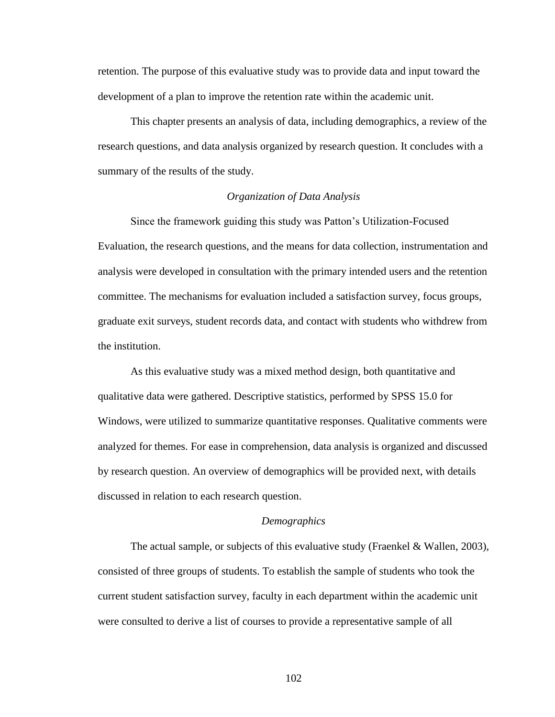retention. The purpose of this evaluative study was to provide data and input toward the development of a plan to improve the retention rate within the academic unit.

This chapter presents an analysis of data, including demographics, a review of the research questions, and data analysis organized by research question. It concludes with a summary of the results of the study.

# *Organization of Data Analysis*

Since the framework guiding this study was Patton"s Utilization-Focused Evaluation, the research questions, and the means for data collection, instrumentation and analysis were developed in consultation with the primary intended users and the retention committee. The mechanisms for evaluation included a satisfaction survey, focus groups, graduate exit surveys, student records data, and contact with students who withdrew from the institution.

As this evaluative study was a mixed method design, both quantitative and qualitative data were gathered. Descriptive statistics, performed by SPSS 15.0 for Windows, were utilized to summarize quantitative responses. Qualitative comments were analyzed for themes. For ease in comprehension, data analysis is organized and discussed by research question. An overview of demographics will be provided next, with details discussed in relation to each research question.

## *Demographics*

The actual sample, or subjects of this evaluative study (Fraenkel & Wallen, 2003), consisted of three groups of students. To establish the sample of students who took the current student satisfaction survey, faculty in each department within the academic unit were consulted to derive a list of courses to provide a representative sample of all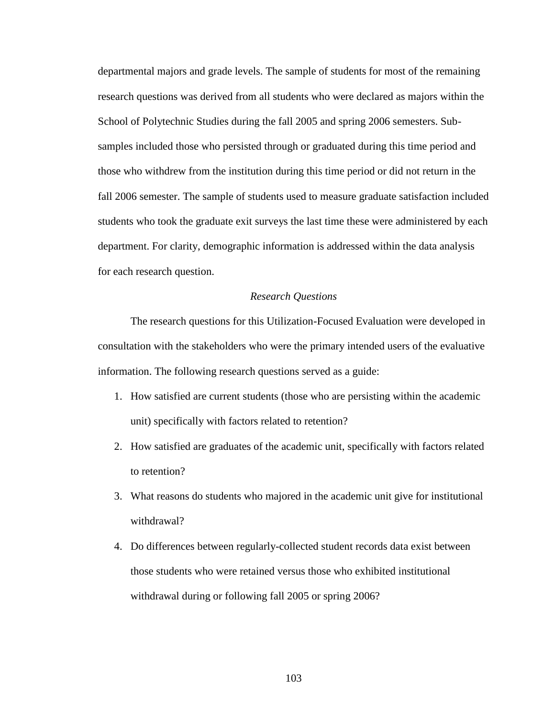departmental majors and grade levels. The sample of students for most of the remaining research questions was derived from all students who were declared as majors within the School of Polytechnic Studies during the fall 2005 and spring 2006 semesters. Subsamples included those who persisted through or graduated during this time period and those who withdrew from the institution during this time period or did not return in the fall 2006 semester. The sample of students used to measure graduate satisfaction included students who took the graduate exit surveys the last time these were administered by each department. For clarity, demographic information is addressed within the data analysis for each research question.

#### *Research Questions*

The research questions for this Utilization-Focused Evaluation were developed in consultation with the stakeholders who were the primary intended users of the evaluative information. The following research questions served as a guide:

- 1. How satisfied are current students (those who are persisting within the academic unit) specifically with factors related to retention?
- 2. How satisfied are graduates of the academic unit, specifically with factors related to retention?
- 3. What reasons do students who majored in the academic unit give for institutional withdrawal?
- 4. Do differences between regularly-collected student records data exist between those students who were retained versus those who exhibited institutional withdrawal during or following fall 2005 or spring 2006?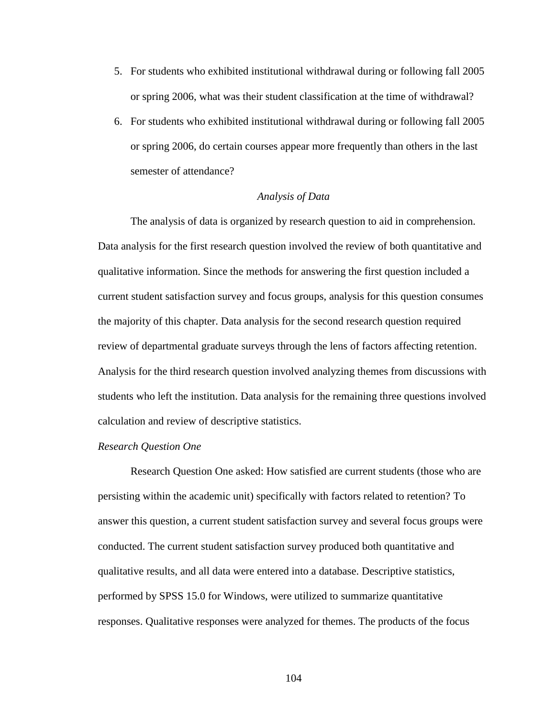- 5. For students who exhibited institutional withdrawal during or following fall 2005 or spring 2006, what was their student classification at the time of withdrawal?
- 6. For students who exhibited institutional withdrawal during or following fall 2005 or spring 2006, do certain courses appear more frequently than others in the last semester of attendance?

## *Analysis of Data*

The analysis of data is organized by research question to aid in comprehension. Data analysis for the first research question involved the review of both quantitative and qualitative information. Since the methods for answering the first question included a current student satisfaction survey and focus groups, analysis for this question consumes the majority of this chapter. Data analysis for the second research question required review of departmental graduate surveys through the lens of factors affecting retention. Analysis for the third research question involved analyzing themes from discussions with students who left the institution. Data analysis for the remaining three questions involved calculation and review of descriptive statistics.

# *Research Question One*

Research Question One asked: How satisfied are current students (those who are persisting within the academic unit) specifically with factors related to retention? To answer this question, a current student satisfaction survey and several focus groups were conducted. The current student satisfaction survey produced both quantitative and qualitative results, and all data were entered into a database. Descriptive statistics, performed by SPSS 15.0 for Windows, were utilized to summarize quantitative responses. Qualitative responses were analyzed for themes. The products of the focus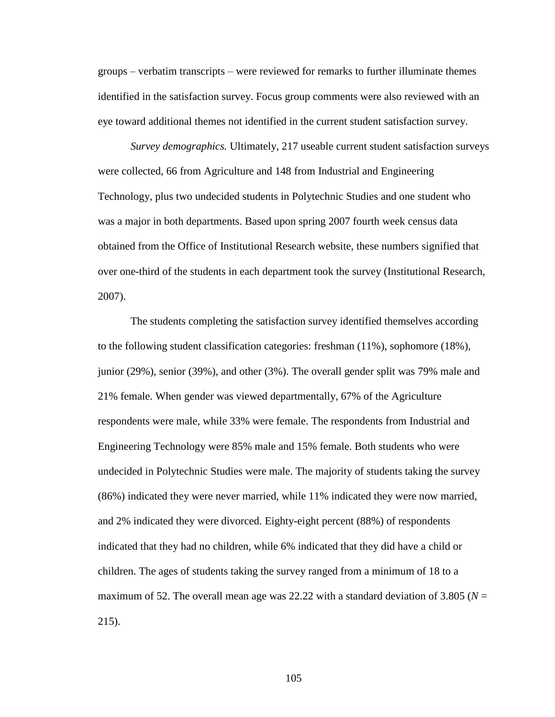groups – verbatim transcripts – were reviewed for remarks to further illuminate themes identified in the satisfaction survey. Focus group comments were also reviewed with an eye toward additional themes not identified in the current student satisfaction survey.

*Survey demographics.* Ultimately, 217 useable current student satisfaction surveys were collected, 66 from Agriculture and 148 from Industrial and Engineering Technology, plus two undecided students in Polytechnic Studies and one student who was a major in both departments. Based upon spring 2007 fourth week census data obtained from the Office of Institutional Research website, these numbers signified that over one-third of the students in each department took the survey (Institutional Research, 2007).

The students completing the satisfaction survey identified themselves according to the following student classification categories: freshman (11%), sophomore (18%), junior (29%), senior (39%), and other (3%). The overall gender split was 79% male and 21% female. When gender was viewed departmentally, 67% of the Agriculture respondents were male, while 33% were female. The respondents from Industrial and Engineering Technology were 85% male and 15% female. Both students who were undecided in Polytechnic Studies were male. The majority of students taking the survey (86%) indicated they were never married, while 11% indicated they were now married, and 2% indicated they were divorced. Eighty-eight percent (88%) of respondents indicated that they had no children, while 6% indicated that they did have a child or children. The ages of students taking the survey ranged from a minimum of 18 to a maximum of 52. The overall mean age was 22.22 with a standard deviation of 3.805 ( $N =$ 215).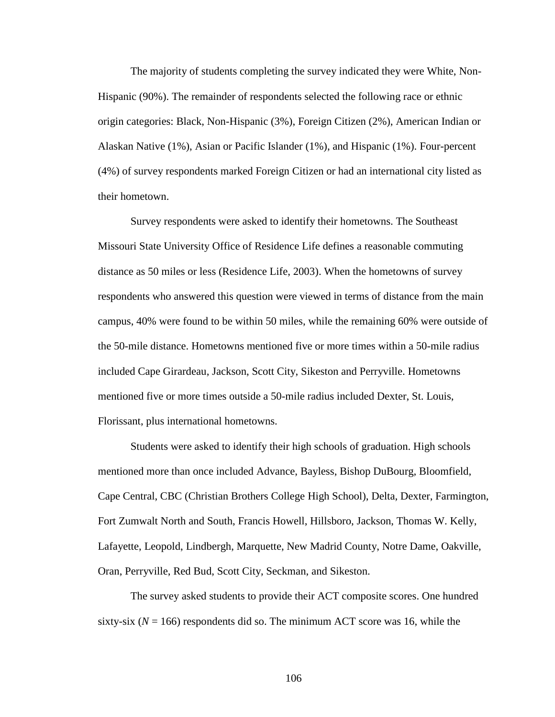The majority of students completing the survey indicated they were White, Non-Hispanic (90%). The remainder of respondents selected the following race or ethnic origin categories: Black, Non-Hispanic (3%), Foreign Citizen (2%), American Indian or Alaskan Native (1%), Asian or Pacific Islander (1%), and Hispanic (1%). Four-percent (4%) of survey respondents marked Foreign Citizen or had an international city listed as their hometown.

Survey respondents were asked to identify their hometowns. The Southeast Missouri State University Office of Residence Life defines a reasonable commuting distance as 50 miles or less (Residence Life, 2003). When the hometowns of survey respondents who answered this question were viewed in terms of distance from the main campus, 40% were found to be within 50 miles, while the remaining 60% were outside of the 50-mile distance. Hometowns mentioned five or more times within a 50-mile radius included Cape Girardeau, Jackson, Scott City, Sikeston and Perryville. Hometowns mentioned five or more times outside a 50-mile radius included Dexter, St. Louis, Florissant, plus international hometowns.

Students were asked to identify their high schools of graduation. High schools mentioned more than once included Advance, Bayless, Bishop DuBourg, Bloomfield, Cape Central, CBC (Christian Brothers College High School), Delta, Dexter, Farmington, Fort Zumwalt North and South, Francis Howell, Hillsboro, Jackson, Thomas W. Kelly, Lafayette, Leopold, Lindbergh, Marquette, New Madrid County, Notre Dame, Oakville, Oran, Perryville, Red Bud, Scott City, Seckman, and Sikeston.

The survey asked students to provide their ACT composite scores. One hundred sixty-six  $(N = 166)$  respondents did so. The minimum ACT score was 16, while the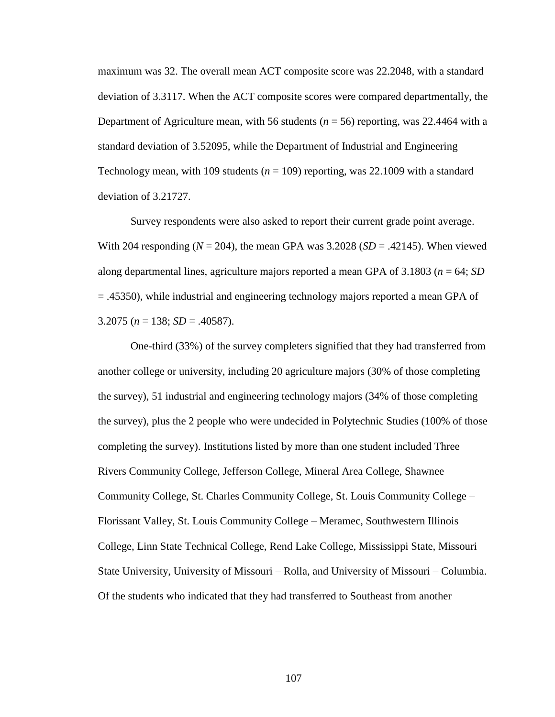maximum was 32. The overall mean ACT composite score was 22.2048, with a standard deviation of 3.3117. When the ACT composite scores were compared departmentally, the Department of Agriculture mean, with 56 students  $(n = 56)$  reporting, was 22.4464 with a standard deviation of 3.52095, while the Department of Industrial and Engineering Technology mean, with 109 students  $(n = 109)$  reporting, was 22.1009 with a standard deviation of 3.21727.

Survey respondents were also asked to report their current grade point average. With 204 responding  $(N = 204)$ , the mean GPA was  $3.2028(SD = .42145)$ . When viewed along departmental lines, agriculture majors reported a mean GPA of 3.1803 (*n* = 64; *SD* = .45350), while industrial and engineering technology majors reported a mean GPA of 3.2075 (*n* = 138; *SD* = .40587).

One-third (33%) of the survey completers signified that they had transferred from another college or university, including 20 agriculture majors (30% of those completing the survey), 51 industrial and engineering technology majors (34% of those completing the survey), plus the 2 people who were undecided in Polytechnic Studies (100% of those completing the survey). Institutions listed by more than one student included Three Rivers Community College, Jefferson College, Mineral Area College, Shawnee Community College, St. Charles Community College, St. Louis Community College – Florissant Valley, St. Louis Community College – Meramec, Southwestern Illinois College, Linn State Technical College, Rend Lake College, Mississippi State, Missouri State University, University of Missouri – Rolla, and University of Missouri – Columbia. Of the students who indicated that they had transferred to Southeast from another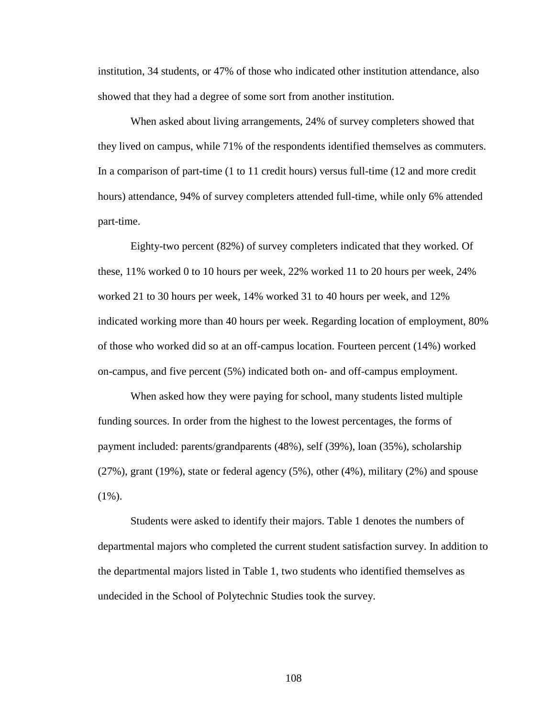institution, 34 students, or 47% of those who indicated other institution attendance, also showed that they had a degree of some sort from another institution.

When asked about living arrangements, 24% of survey completers showed that they lived on campus, while 71% of the respondents identified themselves as commuters. In a comparison of part-time (1 to 11 credit hours) versus full-time (12 and more credit hours) attendance, 94% of survey completers attended full-time, while only 6% attended part-time.

Eighty-two percent (82%) of survey completers indicated that they worked. Of these, 11% worked 0 to 10 hours per week, 22% worked 11 to 20 hours per week, 24% worked 21 to 30 hours per week, 14% worked 31 to 40 hours per week, and 12% indicated working more than 40 hours per week. Regarding location of employment, 80% of those who worked did so at an off-campus location. Fourteen percent (14%) worked on-campus, and five percent (5%) indicated both on- and off-campus employment.

When asked how they were paying for school, many students listed multiple funding sources. In order from the highest to the lowest percentages, the forms of payment included: parents/grandparents (48%), self (39%), loan (35%), scholarship (27%), grant (19%), state or federal agency (5%), other (4%), military (2%) and spouse  $(1\%)$ .

Students were asked to identify their majors. Table 1 denotes the numbers of departmental majors who completed the current student satisfaction survey. In addition to the departmental majors listed in Table 1, two students who identified themselves as undecided in the School of Polytechnic Studies took the survey.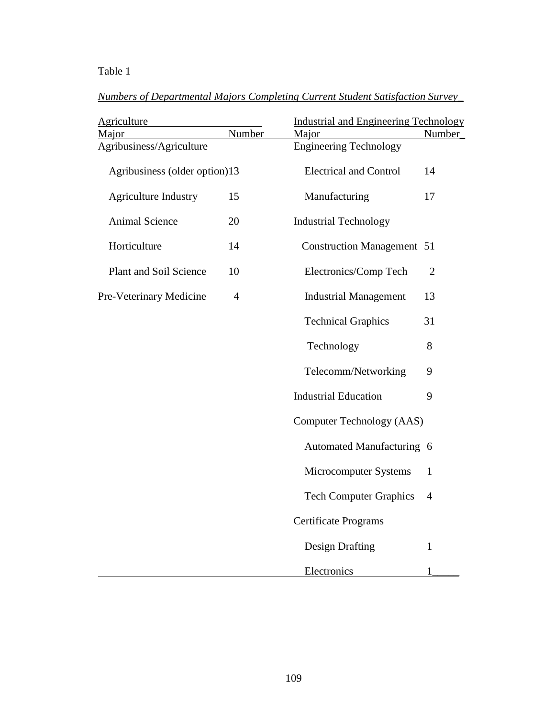# Table 1

|--|

| <b>Agriculture</b>            |                | <b>Industrial and Engineering Technology</b> |                |  |  |
|-------------------------------|----------------|----------------------------------------------|----------------|--|--|
| Major                         | Number         | Major                                        | Number         |  |  |
| Agribusiness/Agriculture      |                | <b>Engineering Technology</b>                |                |  |  |
| Agribusiness (older option)13 |                | <b>Electrical and Control</b><br>14          |                |  |  |
| <b>Agriculture Industry</b>   | 15             | Manufacturing                                | 17             |  |  |
| <b>Animal Science</b>         | 20             | <b>Industrial Technology</b>                 |                |  |  |
| Horticulture                  | 14             | <b>Construction Management 51</b>            |                |  |  |
| <b>Plant and Soil Science</b> | 10             | Electronics/Comp Tech                        | $\overline{2}$ |  |  |
| Pre-Veterinary Medicine       | $\overline{4}$ | <b>Industrial Management</b>                 | 13             |  |  |
|                               |                | <b>Technical Graphics</b>                    | 31             |  |  |
|                               |                | Technology                                   | 8              |  |  |
|                               |                | Telecomm/Networking                          | 9              |  |  |
|                               |                | <b>Industrial Education</b>                  | 9              |  |  |
|                               |                | Computer Technology (AAS)                    |                |  |  |
|                               |                | Automated Manufacturing 6                    |                |  |  |
|                               |                | Microcomputer Systems                        | $\mathbf{1}$   |  |  |
|                               |                | <b>Tech Computer Graphics</b>                | $\overline{4}$ |  |  |
|                               |                | <b>Certificate Programs</b>                  |                |  |  |
|                               |                | <b>Design Drafting</b>                       | $\mathbf{1}$   |  |  |
|                               |                | Electronics                                  | $\mathbf{1}$   |  |  |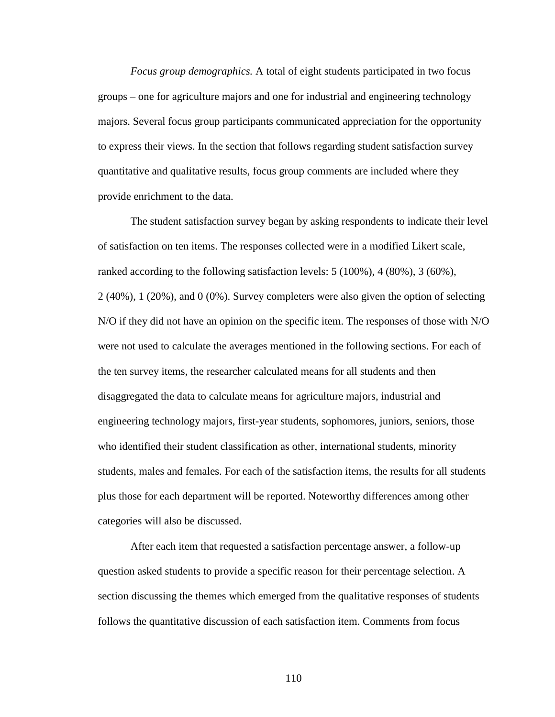*Focus group demographics.* A total of eight students participated in two focus groups – one for agriculture majors and one for industrial and engineering technology majors. Several focus group participants communicated appreciation for the opportunity to express their views. In the section that follows regarding student satisfaction survey quantitative and qualitative results, focus group comments are included where they provide enrichment to the data.

The student satisfaction survey began by asking respondents to indicate their level of satisfaction on ten items. The responses collected were in a modified Likert scale, ranked according to the following satisfaction levels: 5 (100%), 4 (80%), 3 (60%), 2 (40%), 1 (20%), and 0 (0%). Survey completers were also given the option of selecting N/O if they did not have an opinion on the specific item. The responses of those with N/O were not used to calculate the averages mentioned in the following sections. For each of the ten survey items, the researcher calculated means for all students and then disaggregated the data to calculate means for agriculture majors, industrial and engineering technology majors, first-year students, sophomores, juniors, seniors, those who identified their student classification as other, international students, minority students, males and females. For each of the satisfaction items, the results for all students plus those for each department will be reported. Noteworthy differences among other categories will also be discussed.

After each item that requested a satisfaction percentage answer, a follow-up question asked students to provide a specific reason for their percentage selection. A section discussing the themes which emerged from the qualitative responses of students follows the quantitative discussion of each satisfaction item. Comments from focus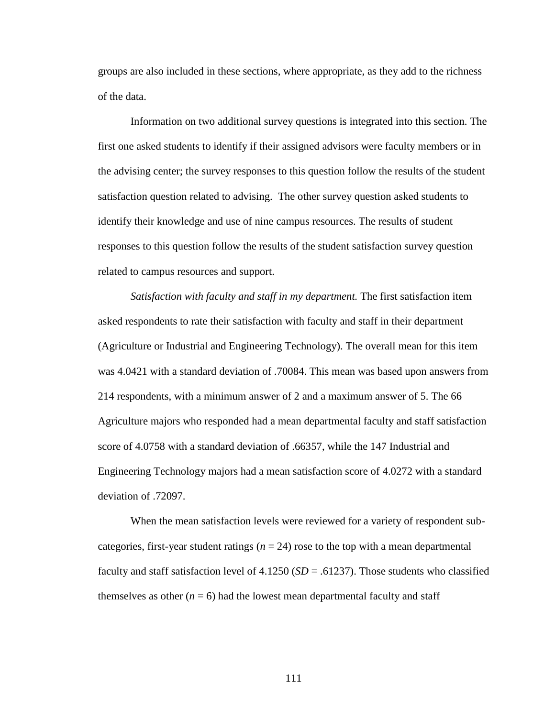groups are also included in these sections, where appropriate, as they add to the richness of the data.

Information on two additional survey questions is integrated into this section. The first one asked students to identify if their assigned advisors were faculty members or in the advising center; the survey responses to this question follow the results of the student satisfaction question related to advising. The other survey question asked students to identify their knowledge and use of nine campus resources. The results of student responses to this question follow the results of the student satisfaction survey question related to campus resources and support.

*Satisfaction with faculty and staff in my department.* The first satisfaction item asked respondents to rate their satisfaction with faculty and staff in their department (Agriculture or Industrial and Engineering Technology). The overall mean for this item was 4.0421 with a standard deviation of .70084. This mean was based upon answers from 214 respondents, with a minimum answer of 2 and a maximum answer of 5. The 66 Agriculture majors who responded had a mean departmental faculty and staff satisfaction score of 4.0758 with a standard deviation of .66357, while the 147 Industrial and Engineering Technology majors had a mean satisfaction score of 4.0272 with a standard deviation of .72097.

When the mean satisfaction levels were reviewed for a variety of respondent subcategories, first-year student ratings ( $n = 24$ ) rose to the top with a mean departmental faculty and staff satisfaction level of 4.1250 (*SD* = .61237). Those students who classified themselves as other  $(n = 6)$  had the lowest mean departmental faculty and staff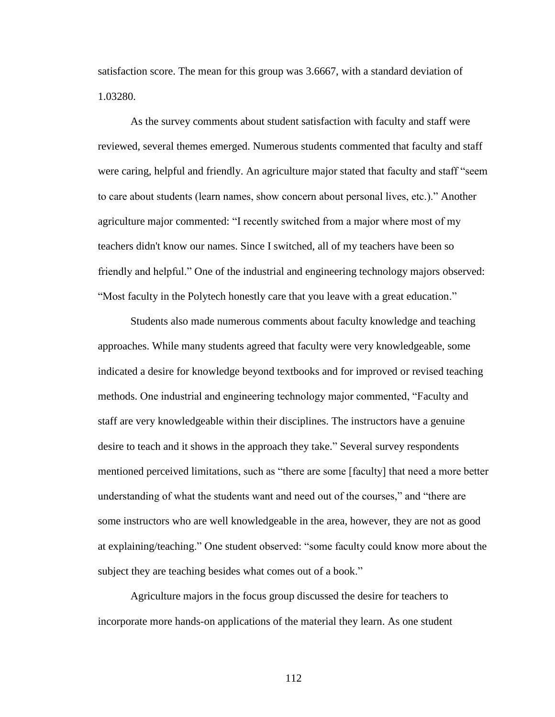satisfaction score. The mean for this group was 3.6667, with a standard deviation of 1.03280.

As the survey comments about student satisfaction with faculty and staff were reviewed, several themes emerged. Numerous students commented that faculty and staff were caring, helpful and friendly. An agriculture major stated that faculty and staff "seem to care about students (learn names, show concern about personal lives, etc.)." Another agriculture major commented: "I recently switched from a major where most of my teachers didn't know our names. Since I switched, all of my teachers have been so friendly and helpful." One of the industrial and engineering technology majors observed: "Most faculty in the Polytech honestly care that you leave with a great education."

Students also made numerous comments about faculty knowledge and teaching approaches. While many students agreed that faculty were very knowledgeable, some indicated a desire for knowledge beyond textbooks and for improved or revised teaching methods. One industrial and engineering technology major commented, "Faculty and staff are very knowledgeable within their disciplines. The instructors have a genuine desire to teach and it shows in the approach they take." Several survey respondents mentioned perceived limitations, such as "there are some [faculty] that need a more better understanding of what the students want and need out of the courses," and "there are some instructors who are well knowledgeable in the area, however, they are not as good at explaining/teaching." One student observed: "some faculty could know more about the subject they are teaching besides what comes out of a book."

Agriculture majors in the focus group discussed the desire for teachers to incorporate more hands-on applications of the material they learn. As one student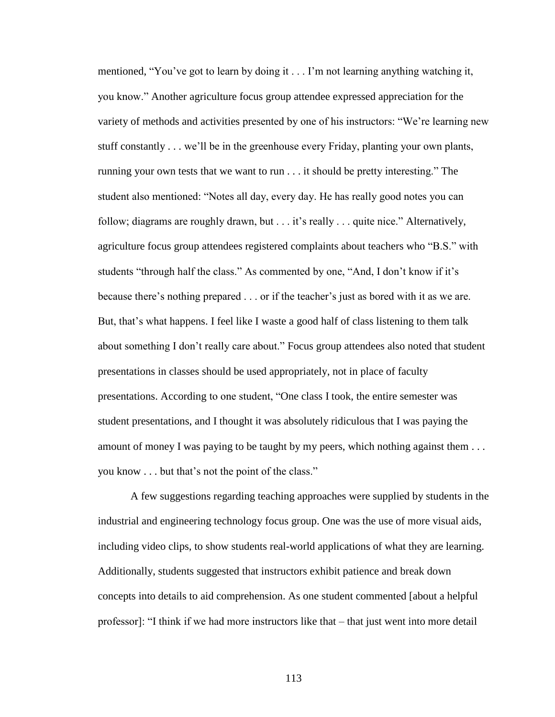mentioned, "You've got to learn by doing it . . . I'm not learning anything watching it, you know." Another agriculture focus group attendee expressed appreciation for the variety of methods and activities presented by one of his instructors: "We"re learning new stuff constantly . . . we"ll be in the greenhouse every Friday, planting your own plants, running your own tests that we want to run . . . it should be pretty interesting." The student also mentioned: "Notes all day, every day. He has really good notes you can follow; diagrams are roughly drawn, but . . . it's really . . . quite nice." Alternatively, agriculture focus group attendees registered complaints about teachers who "B.S." with students "through half the class." As commented by one, "And, I don't know if it's because there"s nothing prepared . . . or if the teacher"s just as bored with it as we are. But, that's what happens. I feel like I waste a good half of class listening to them talk about something I don"t really care about." Focus group attendees also noted that student presentations in classes should be used appropriately, not in place of faculty presentations. According to one student, "One class I took, the entire semester was student presentations, and I thought it was absolutely ridiculous that I was paying the amount of money I was paying to be taught by my peers, which nothing against them . . . you know . . . but that"s not the point of the class."

A few suggestions regarding teaching approaches were supplied by students in the industrial and engineering technology focus group. One was the use of more visual aids, including video clips, to show students real-world applications of what they are learning. Additionally, students suggested that instructors exhibit patience and break down concepts into details to aid comprehension. As one student commented [about a helpful professor]: "I think if we had more instructors like that – that just went into more detail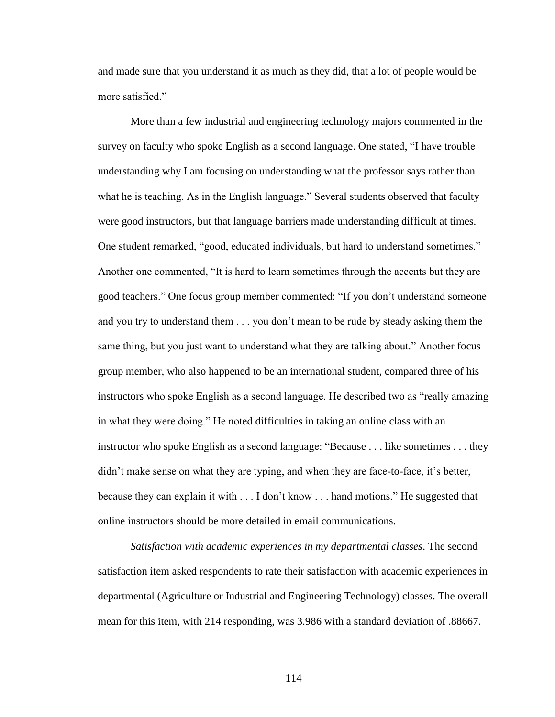and made sure that you understand it as much as they did, that a lot of people would be more satisfied."

More than a few industrial and engineering technology majors commented in the survey on faculty who spoke English as a second language. One stated, "I have trouble understanding why I am focusing on understanding what the professor says rather than what he is teaching. As in the English language." Several students observed that faculty were good instructors, but that language barriers made understanding difficult at times. One student remarked, "good, educated individuals, but hard to understand sometimes." Another one commented, "It is hard to learn sometimes through the accents but they are good teachers." One focus group member commented: "If you don"t understand someone and you try to understand them . . . you don"t mean to be rude by steady asking them the same thing, but you just want to understand what they are talking about." Another focus group member, who also happened to be an international student, compared three of his instructors who spoke English as a second language. He described two as "really amazing in what they were doing." He noted difficulties in taking an online class with an instructor who spoke English as a second language: "Because . . . like sometimes . . . they didn't make sense on what they are typing, and when they are face-to-face, it's better, because they can explain it with . . . I don"t know . . . hand motions." He suggested that online instructors should be more detailed in email communications.

*Satisfaction with academic experiences in my departmental classes*. The second satisfaction item asked respondents to rate their satisfaction with academic experiences in departmental (Agriculture or Industrial and Engineering Technology) classes. The overall mean for this item, with 214 responding, was 3.986 with a standard deviation of .88667.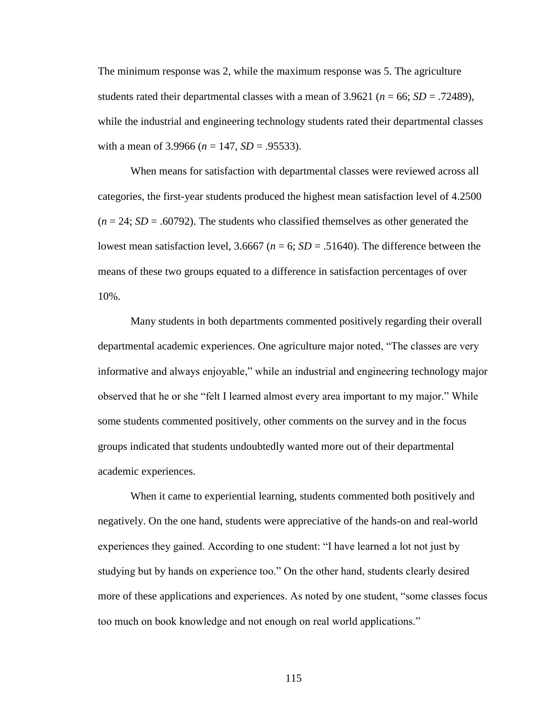The minimum response was 2, while the maximum response was 5. The agriculture students rated their departmental classes with a mean of 3.9621 ( $n = 66$ ; *SD* = .72489), while the industrial and engineering technology students rated their departmental classes with a mean of 3.9966 ( $n = 147$ ,  $SD = .95533$ ).

When means for satisfaction with departmental classes were reviewed across all categories, the first-year students produced the highest mean satisfaction level of 4.2500  $(n = 24; SD = .60792)$ . The students who classified themselves as other generated the lowest mean satisfaction level,  $3.6667$  ( $n = 6$ ;  $SD = .51640$ ). The difference between the means of these two groups equated to a difference in satisfaction percentages of over 10%.

Many students in both departments commented positively regarding their overall departmental academic experiences. One agriculture major noted, "The classes are very informative and always enjoyable," while an industrial and engineering technology major observed that he or she "felt I learned almost every area important to my major." While some students commented positively, other comments on the survey and in the focus groups indicated that students undoubtedly wanted more out of their departmental academic experiences.

When it came to experiential learning, students commented both positively and negatively. On the one hand, students were appreciative of the hands-on and real-world experiences they gained. According to one student: "I have learned a lot not just by studying but by hands on experience too." On the other hand, students clearly desired more of these applications and experiences. As noted by one student, "some classes focus too much on book knowledge and not enough on real world applications."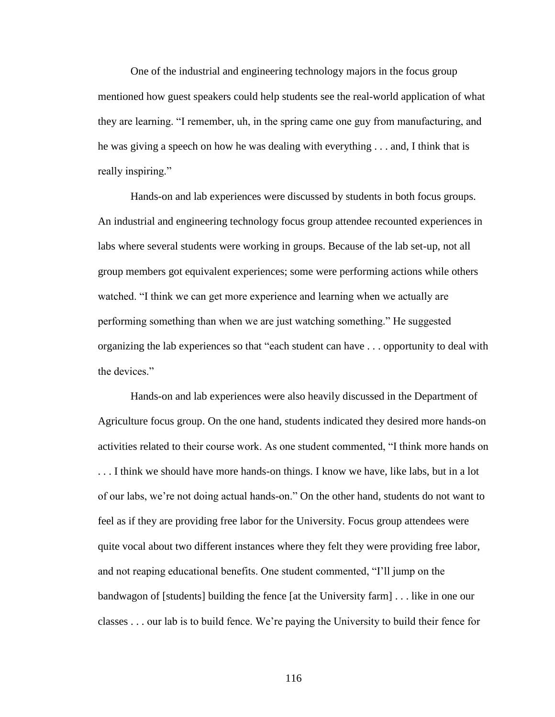One of the industrial and engineering technology majors in the focus group mentioned how guest speakers could help students see the real-world application of what they are learning. "I remember, uh, in the spring came one guy from manufacturing, and he was giving a speech on how he was dealing with everything . . . and, I think that is really inspiring."

Hands-on and lab experiences were discussed by students in both focus groups. An industrial and engineering technology focus group attendee recounted experiences in labs where several students were working in groups. Because of the lab set-up, not all group members got equivalent experiences; some were performing actions while others watched. "I think we can get more experience and learning when we actually are performing something than when we are just watching something." He suggested organizing the lab experiences so that "each student can have . . . opportunity to deal with the devices."

Hands-on and lab experiences were also heavily discussed in the Department of Agriculture focus group. On the one hand, students indicated they desired more hands-on activities related to their course work. As one student commented, "I think more hands on . . . I think we should have more hands-on things. I know we have, like labs, but in a lot of our labs, we"re not doing actual hands-on." On the other hand, students do not want to feel as if they are providing free labor for the University. Focus group attendees were quite vocal about two different instances where they felt they were providing free labor, and not reaping educational benefits. One student commented, "I"ll jump on the bandwagon of [students] building the fence [at the University farm] . . . like in one our classes . . . our lab is to build fence. We"re paying the University to build their fence for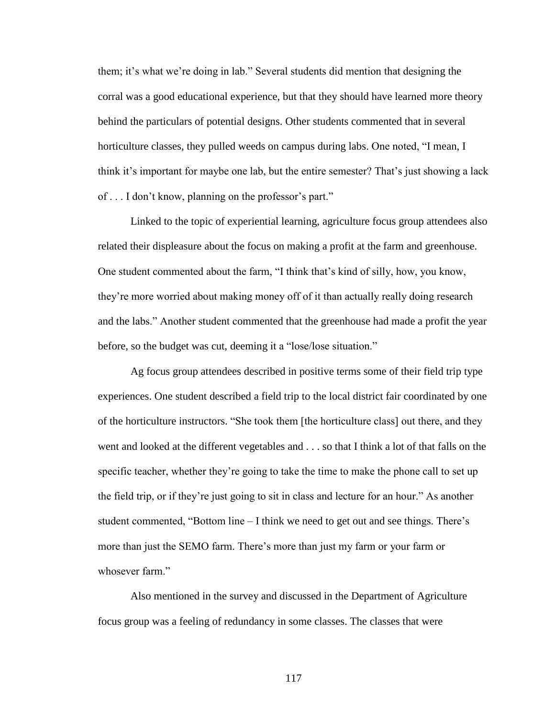them; it"s what we"re doing in lab." Several students did mention that designing the corral was a good educational experience, but that they should have learned more theory behind the particulars of potential designs. Other students commented that in several horticulture classes, they pulled weeds on campus during labs. One noted, "I mean, I think it"s important for maybe one lab, but the entire semester? That"s just showing a lack of . . . I don't know, planning on the professor's part."

Linked to the topic of experiential learning, agriculture focus group attendees also related their displeasure about the focus on making a profit at the farm and greenhouse. One student commented about the farm, "I think that's kind of silly, how, you know, they"re more worried about making money off of it than actually really doing research and the labs." Another student commented that the greenhouse had made a profit the year before, so the budget was cut, deeming it a "lose/lose situation."

Ag focus group attendees described in positive terms some of their field trip type experiences. One student described a field trip to the local district fair coordinated by one of the horticulture instructors. "She took them [the horticulture class] out there, and they went and looked at the different vegetables and . . . so that I think a lot of that falls on the specific teacher, whether they"re going to take the time to make the phone call to set up the field trip, or if they"re just going to sit in class and lecture for an hour." As another student commented, "Bottom line – I think we need to get out and see things. There"s more than just the SEMO farm. There"s more than just my farm or your farm or whosever farm."

Also mentioned in the survey and discussed in the Department of Agriculture focus group was a feeling of redundancy in some classes. The classes that were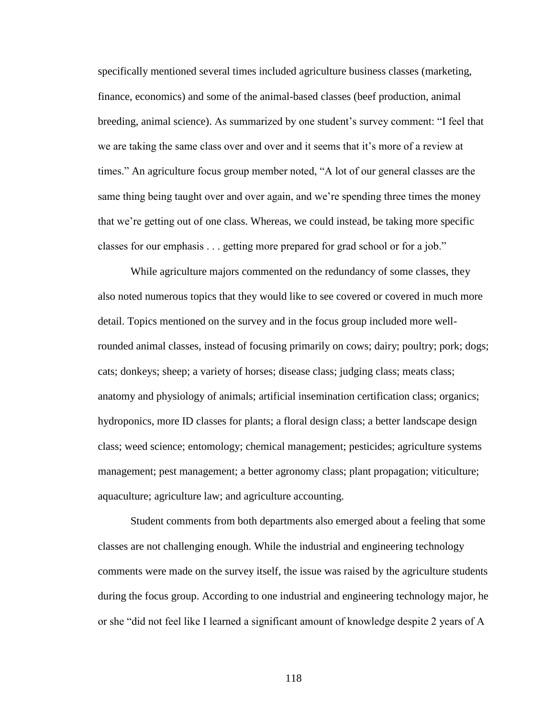specifically mentioned several times included agriculture business classes (marketing, finance, economics) and some of the animal-based classes (beef production, animal breeding, animal science). As summarized by one student's survey comment: "I feel that we are taking the same class over and over and it seems that it"s more of a review at times." An agriculture focus group member noted, "A lot of our general classes are the same thing being taught over and over again, and we"re spending three times the money that we"re getting out of one class. Whereas, we could instead, be taking more specific classes for our emphasis . . . getting more prepared for grad school or for a job."

While agriculture majors commented on the redundancy of some classes, they also noted numerous topics that they would like to see covered or covered in much more detail. Topics mentioned on the survey and in the focus group included more wellrounded animal classes, instead of focusing primarily on cows; dairy; poultry; pork; dogs; cats; donkeys; sheep; a variety of horses; disease class; judging class; meats class; anatomy and physiology of animals; artificial insemination certification class; organics; hydroponics, more ID classes for plants; a floral design class; a better landscape design class; weed science; entomology; chemical management; pesticides; agriculture systems management; pest management; a better agronomy class; plant propagation; viticulture; aquaculture; agriculture law; and agriculture accounting.

Student comments from both departments also emerged about a feeling that some classes are not challenging enough. While the industrial and engineering technology comments were made on the survey itself, the issue was raised by the agriculture students during the focus group. According to one industrial and engineering technology major, he or she "did not feel like I learned a significant amount of knowledge despite 2 years of A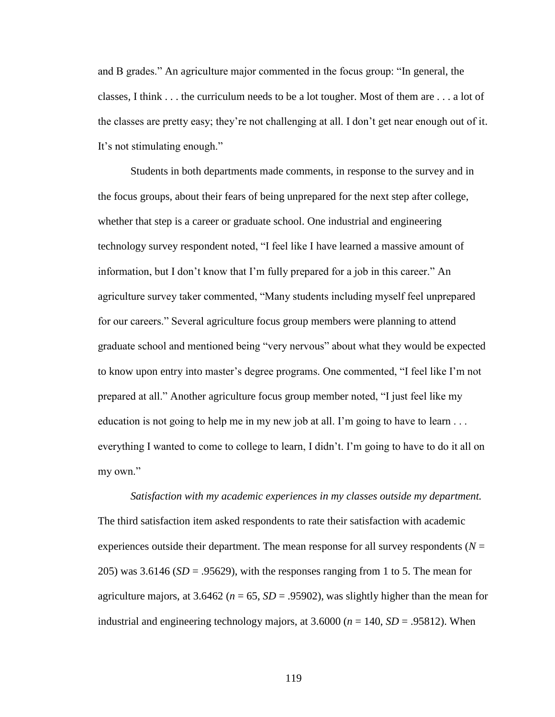and B grades." An agriculture major commented in the focus group: "In general, the classes, I think . . . the curriculum needs to be a lot tougher. Most of them are . . . a lot of the classes are pretty easy; they"re not challenging at all. I don"t get near enough out of it. It's not stimulating enough."

Students in both departments made comments, in response to the survey and in the focus groups, about their fears of being unprepared for the next step after college, whether that step is a career or graduate school. One industrial and engineering technology survey respondent noted, "I feel like I have learned a massive amount of information, but I don"t know that I"m fully prepared for a job in this career." An agriculture survey taker commented, "Many students including myself feel unprepared for our careers." Several agriculture focus group members were planning to attend graduate school and mentioned being "very nervous" about what they would be expected to know upon entry into master's degree programs. One commented, "I feel like I'm not prepared at all." Another agriculture focus group member noted, "I just feel like my education is not going to help me in my new job at all. I'm going to have to learn ... everything I wanted to come to college to learn, I didn't. I'm going to have to do it all on my own."

*Satisfaction with my academic experiences in my classes outside my department.*  The third satisfaction item asked respondents to rate their satisfaction with academic experiences outside their department. The mean response for all survey respondents  $(N =$ 205) was  $3.6146$  (*SD* = .95629), with the responses ranging from 1 to 5. The mean for agriculture majors, at  $3.6462$  ( $n = 65$ ,  $SD = .95902$ ), was slightly higher than the mean for industrial and engineering technology majors, at  $3.6000 (n = 140, SD = .95812)$ . When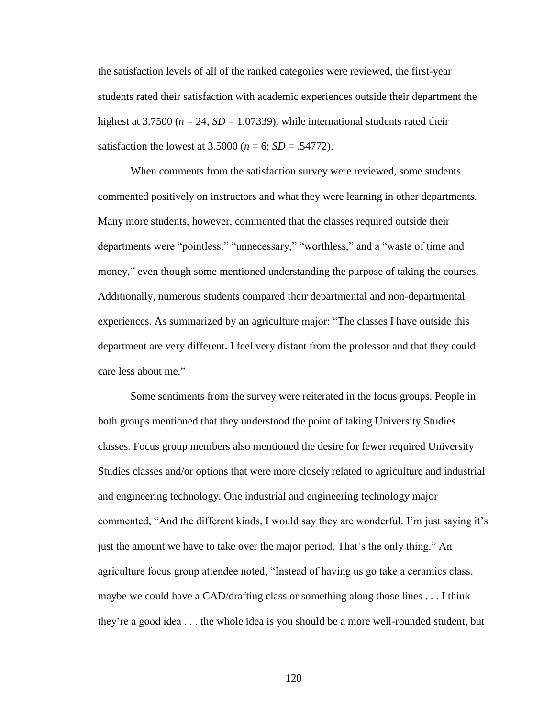the satisfaction levels of all of the ranked categories were reviewed, the first-year students rated their satisfaction with academic experiences outside their department the highest at 3.7500 ( $n = 24$ ,  $SD = 1.07339$ ), while international students rated their satisfaction the lowest at  $3.5000 (n = 6; SD = .54772)$ .

When comments from the satisfaction survey were reviewed, some students commented positively on instructors and what they were learning in other departments. Many more students, however, commented that the classes required outside their departments were "pointless," "unnecessary," "worthless," and a "waste of time and money," even though some mentioned understanding the purpose of taking the courses. Additionally, numerous students compared their departmental and non-departmental experiences. As summarized by an agriculture major: "The classes I have outside this department are very different. I feel very distant from the professor and that they could care less about me."

Some sentiments from the survey were reiterated in the focus groups. People in both groups mentioned that they understood the point of taking University Studies classes. Focus group members also mentioned the desire for fewer required University Studies classes and/or options that were more closely related to agriculture and industrial and engineering technology. One industrial and engineering technology major commented, "And the different kinds, I would say they are wonderful. I'm just saying it's just the amount we have to take over the major period. That"s the only thing." An agriculture focus group attendee noted, "Instead of having us go take a ceramics class, maybe we could have a CAD/drafting class or something along those lines . . . I think they"re a good idea . . . the whole idea is you should be a more well-rounded student, but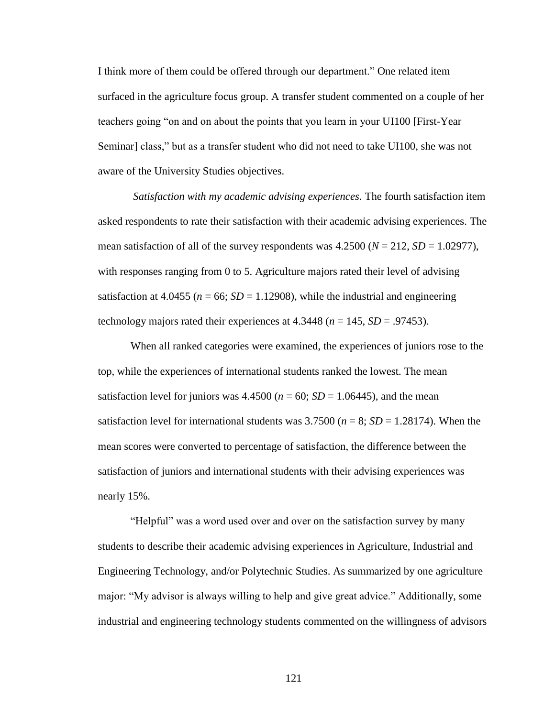I think more of them could be offered through our department." One related item surfaced in the agriculture focus group. A transfer student commented on a couple of her teachers going "on and on about the points that you learn in your UI100 [First-Year Seminar] class," but as a transfer student who did not need to take UI100, she was not aware of the University Studies objectives.

*Satisfaction with my academic advising experiences.* The fourth satisfaction item asked respondents to rate their satisfaction with their academic advising experiences. The mean satisfaction of all of the survey respondents was  $4.2500 (N = 212, SD = 1.02977)$ , with responses ranging from 0 to 5. Agriculture majors rated their level of advising satisfaction at  $4.0455$  ( $n = 66$ ;  $SD = 1.12908$ ), while the industrial and engineering technology majors rated their experiences at  $4.3448$  ( $n = 145$ ,  $SD = .97453$ ).

When all ranked categories were examined, the experiences of juniors rose to the top, while the experiences of international students ranked the lowest. The mean satisfaction level for juniors was  $4.4500 (n = 60; SD = 1.06445)$ , and the mean satisfaction level for international students was  $3.7500$  ( $n = 8$ ;  $SD = 1.28174$ ). When the mean scores were converted to percentage of satisfaction, the difference between the satisfaction of juniors and international students with their advising experiences was nearly 15%.

"Helpful" was a word used over and over on the satisfaction survey by many students to describe their academic advising experiences in Agriculture, Industrial and Engineering Technology, and/or Polytechnic Studies. As summarized by one agriculture major: "My advisor is always willing to help and give great advice." Additionally, some industrial and engineering technology students commented on the willingness of advisors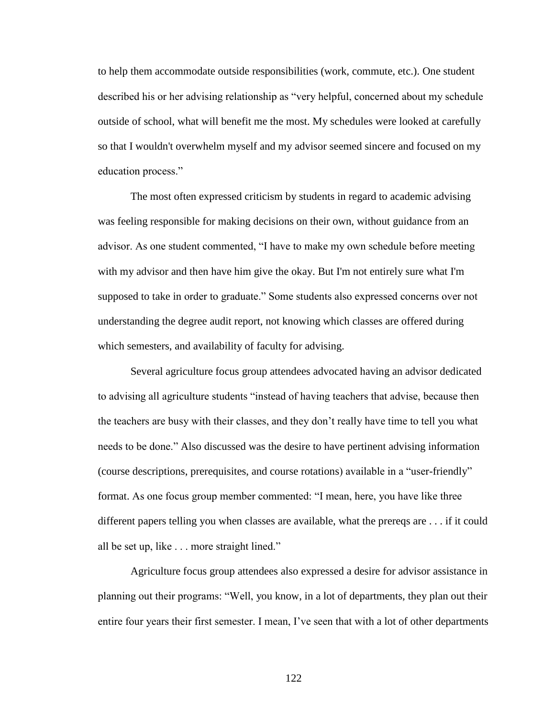to help them accommodate outside responsibilities (work, commute, etc.). One student described his or her advising relationship as "very helpful, concerned about my schedule outside of school, what will benefit me the most. My schedules were looked at carefully so that I wouldn't overwhelm myself and my advisor seemed sincere and focused on my education process."

The most often expressed criticism by students in regard to academic advising was feeling responsible for making decisions on their own, without guidance from an advisor. As one student commented, "I have to make my own schedule before meeting with my advisor and then have him give the okay. But I'm not entirely sure what I'm supposed to take in order to graduate." Some students also expressed concerns over not understanding the degree audit report, not knowing which classes are offered during which semesters, and availability of faculty for advising.

Several agriculture focus group attendees advocated having an advisor dedicated to advising all agriculture students "instead of having teachers that advise, because then the teachers are busy with their classes, and they don"t really have time to tell you what needs to be done." Also discussed was the desire to have pertinent advising information (course descriptions, prerequisites, and course rotations) available in a "user-friendly" format. As one focus group member commented: "I mean, here, you have like three different papers telling you when classes are available, what the prereqs are . . . if it could all be set up, like . . . more straight lined."

Agriculture focus group attendees also expressed a desire for advisor assistance in planning out their programs: "Well, you know, in a lot of departments, they plan out their entire four years their first semester. I mean, I"ve seen that with a lot of other departments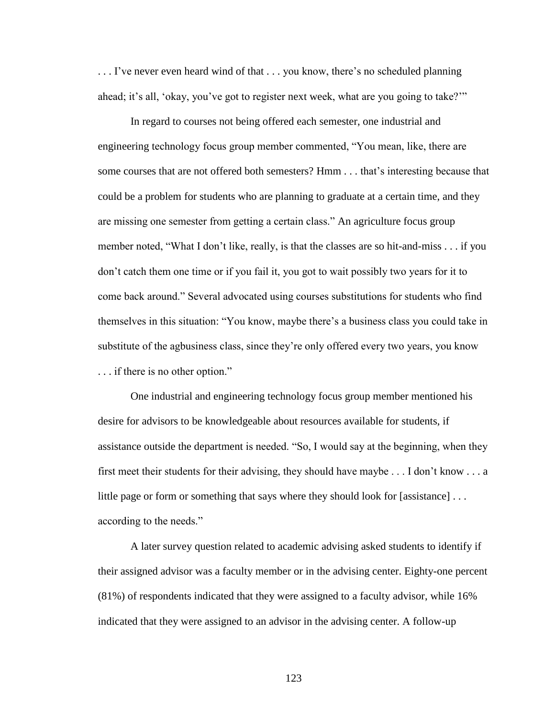... I've never even heard wind of that ... you know, there's no scheduled planning ahead; it's all, 'okay, you've got to register next week, what are you going to take?"

In regard to courses not being offered each semester, one industrial and engineering technology focus group member commented, "You mean, like, there are some courses that are not offered both semesters? Hmm . . . that"s interesting because that could be a problem for students who are planning to graduate at a certain time, and they are missing one semester from getting a certain class." An agriculture focus group member noted, "What I don"t like, really, is that the classes are so hit-and-miss . . . if you don"t catch them one time or if you fail it, you got to wait possibly two years for it to come back around." Several advocated using courses substitutions for students who find themselves in this situation: "You know, maybe there"s a business class you could take in substitute of the agbusiness class, since they"re only offered every two years, you know . . . if there is no other option."

One industrial and engineering technology focus group member mentioned his desire for advisors to be knowledgeable about resources available for students, if assistance outside the department is needed. "So, I would say at the beginning, when they first meet their students for their advising, they should have maybe  $\dots$  I don't know  $\dots$  a little page or form or something that says where they should look for [assistance] ... according to the needs."

A later survey question related to academic advising asked students to identify if their assigned advisor was a faculty member or in the advising center. Eighty-one percent (81%) of respondents indicated that they were assigned to a faculty advisor, while 16% indicated that they were assigned to an advisor in the advising center. A follow-up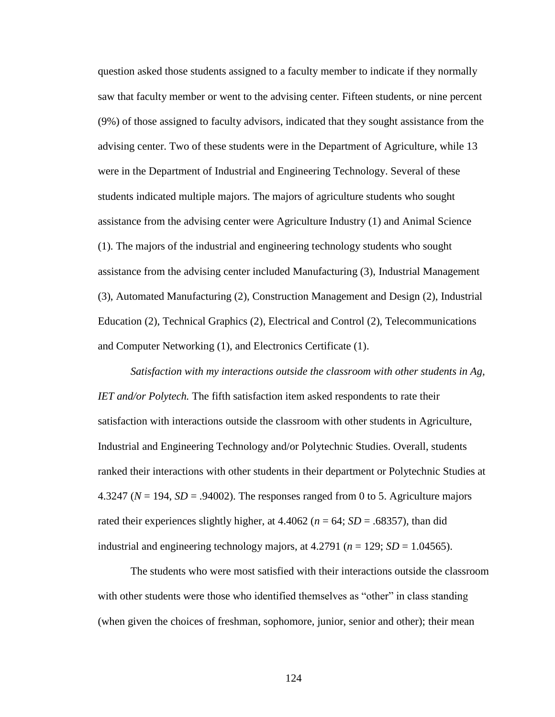question asked those students assigned to a faculty member to indicate if they normally saw that faculty member or went to the advising center. Fifteen students, or nine percent (9%) of those assigned to faculty advisors, indicated that they sought assistance from the advising center. Two of these students were in the Department of Agriculture, while 13 were in the Department of Industrial and Engineering Technology. Several of these students indicated multiple majors. The majors of agriculture students who sought assistance from the advising center were Agriculture Industry (1) and Animal Science (1). The majors of the industrial and engineering technology students who sought assistance from the advising center included Manufacturing (3), Industrial Management (3), Automated Manufacturing (2), Construction Management and Design (2), Industrial Education (2), Technical Graphics (2), Electrical and Control (2), Telecommunications and Computer Networking (1), and Electronics Certificate (1).

*Satisfaction with my interactions outside the classroom with other students in Ag, IET and/or Polytech.* The fifth satisfaction item asked respondents to rate their satisfaction with interactions outside the classroom with other students in Agriculture, Industrial and Engineering Technology and/or Polytechnic Studies. Overall, students ranked their interactions with other students in their department or Polytechnic Studies at 4.3247 ( $N = 194$ ,  $SD = .94002$ ). The responses ranged from 0 to 5. Agriculture majors rated their experiences slightly higher, at  $4.4062$  ( $n = 64$ ;  $SD = .68357$ ), than did industrial and engineering technology majors, at  $4.2791$  ( $n = 129$ ;  $SD = 1.04565$ ).

The students who were most satisfied with their interactions outside the classroom with other students were those who identified themselves as "other" in class standing (when given the choices of freshman, sophomore, junior, senior and other); their mean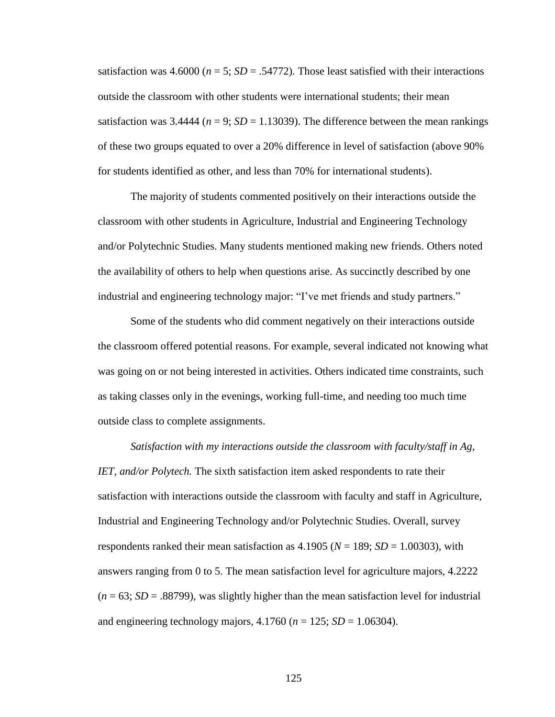satisfaction was  $4.6000$  ( $n = 5$ ;  $SD = .54772$ ). Those least satisfied with their interactions outside the classroom with other students were international students; their mean satisfaction was  $3.4444$  ( $n = 9$ ;  $SD = 1.13039$ ). The difference between the mean rankings of these two groups equated to over a 20% difference in level of satisfaction (above 90% for students identified as other, and less than 70% for international students).

The majority of students commented positively on their interactions outside the classroom with other students in Agriculture, Industrial and Engineering Technology and/or Polytechnic Studies. Many students mentioned making new friends. Others noted the availability of others to help when questions arise. As succinctly described by one industrial and engineering technology major: "I"ve met friends and study partners."

Some of the students who did comment negatively on their interactions outside the classroom offered potential reasons. For example, several indicated not knowing what was going on or not being interested in activities. Others indicated time constraints, such as taking classes only in the evenings, working full-time, and needing too much time outside class to complete assignments.

*Satisfaction with my interactions outside the classroom with faculty/staff in Ag, IET, and/or Polytech.* The sixth satisfaction item asked respondents to rate their satisfaction with interactions outside the classroom with faculty and staff in Agriculture, Industrial and Engineering Technology and/or Polytechnic Studies. Overall, survey respondents ranked their mean satisfaction as  $4.1905 (N = 189; SD = 1.00303)$ , with answers ranging from 0 to 5. The mean satisfaction level for agriculture majors, 4.2222  $(n = 63; SD = .88799)$ , was slightly higher than the mean satisfaction level for industrial and engineering technology majors,  $4.1760$  ( $n = 125$ ;  $SD = 1.06304$ ).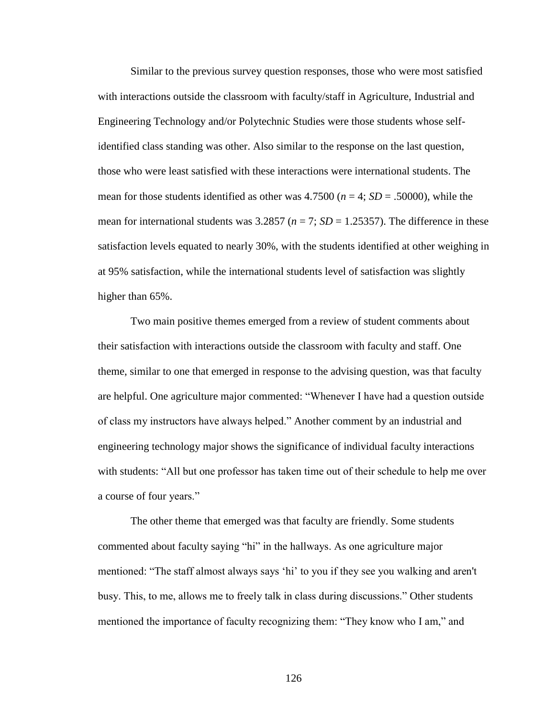Similar to the previous survey question responses, those who were most satisfied with interactions outside the classroom with faculty/staff in Agriculture, Industrial and Engineering Technology and/or Polytechnic Studies were those students whose selfidentified class standing was other. Also similar to the response on the last question, those who were least satisfied with these interactions were international students. The mean for those students identified as other was  $4.7500(n = 4; SD = .50000)$ , while the mean for international students was  $3.2857$  ( $n = 7$ ;  $SD = 1.25357$ ). The difference in these satisfaction levels equated to nearly 30%, with the students identified at other weighing in at 95% satisfaction, while the international students level of satisfaction was slightly higher than 65%.

Two main positive themes emerged from a review of student comments about their satisfaction with interactions outside the classroom with faculty and staff. One theme, similar to one that emerged in response to the advising question, was that faculty are helpful. One agriculture major commented: "Whenever I have had a question outside of class my instructors have always helped." Another comment by an industrial and engineering technology major shows the significance of individual faculty interactions with students: "All but one professor has taken time out of their schedule to help me over a course of four years."

The other theme that emerged was that faculty are friendly. Some students commented about faculty saying "hi" in the hallways. As one agriculture major mentioned: "The staff almost always says "hi" to you if they see you walking and aren't busy. This, to me, allows me to freely talk in class during discussions." Other students mentioned the importance of faculty recognizing them: "They know who I am," and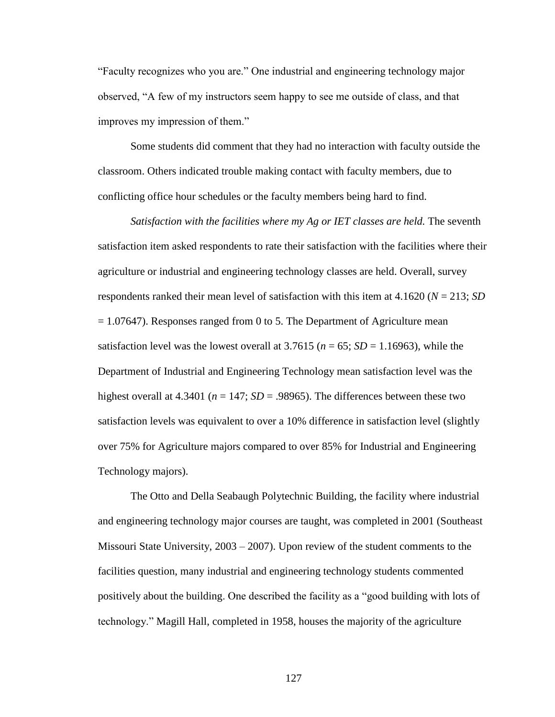"Faculty recognizes who you are." One industrial and engineering technology major observed, "A few of my instructors seem happy to see me outside of class, and that improves my impression of them."

Some students did comment that they had no interaction with faculty outside the classroom. Others indicated trouble making contact with faculty members, due to conflicting office hour schedules or the faculty members being hard to find.

*Satisfaction with the facilities where my Ag or IET classes are held.* The seventh satisfaction item asked respondents to rate their satisfaction with the facilities where their agriculture or industrial and engineering technology classes are held. Overall, survey respondents ranked their mean level of satisfaction with this item at 4.1620 (*N* = 213; *SD*  $= 1.07647$ ). Responses ranged from 0 to 5. The Department of Agriculture mean satisfaction level was the lowest overall at  $3.7615$  ( $n = 65$ ;  $SD = 1.16963$ ), while the Department of Industrial and Engineering Technology mean satisfaction level was the highest overall at 4.3401 ( $n = 147$ ;  $SD = .98965$ ). The differences between these two satisfaction levels was equivalent to over a 10% difference in satisfaction level (slightly over 75% for Agriculture majors compared to over 85% for Industrial and Engineering Technology majors).

The Otto and Della Seabaugh Polytechnic Building, the facility where industrial and engineering technology major courses are taught, was completed in 2001 (Southeast Missouri State University, 2003 – 2007). Upon review of the student comments to the facilities question, many industrial and engineering technology students commented positively about the building. One described the facility as a "good building with lots of technology." Magill Hall, completed in 1958, houses the majority of the agriculture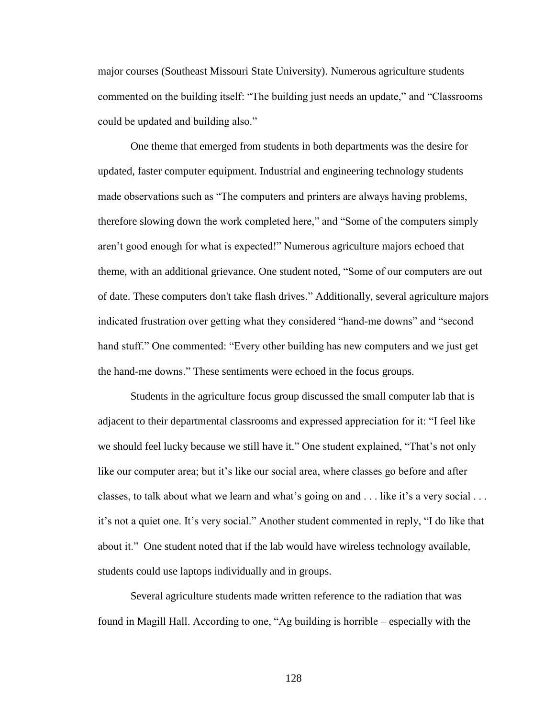major courses (Southeast Missouri State University). Numerous agriculture students commented on the building itself: "The building just needs an update," and "Classrooms could be updated and building also."

One theme that emerged from students in both departments was the desire for updated, faster computer equipment. Industrial and engineering technology students made observations such as "The computers and printers are always having problems, therefore slowing down the work completed here," and "Some of the computers simply aren"t good enough for what is expected!" Numerous agriculture majors echoed that theme, with an additional grievance. One student noted, "Some of our computers are out of date. These computers don't take flash drives." Additionally, several agriculture majors indicated frustration over getting what they considered "hand-me downs" and "second hand stuff." One commented: "Every other building has new computers and we just get the hand-me downs." These sentiments were echoed in the focus groups.

Students in the agriculture focus group discussed the small computer lab that is adjacent to their departmental classrooms and expressed appreciation for it: "I feel like we should feel lucky because we still have it." One student explained, "That's not only like our computer area; but it's like our social area, where classes go before and after classes, to talk about what we learn and what's going on and . . . like it's a very social . . . it's not a quiet one. It's very social." Another student commented in reply, "I do like that about it." One student noted that if the lab would have wireless technology available, students could use laptops individually and in groups.

Several agriculture students made written reference to the radiation that was found in Magill Hall. According to one, "Ag building is horrible – especially with the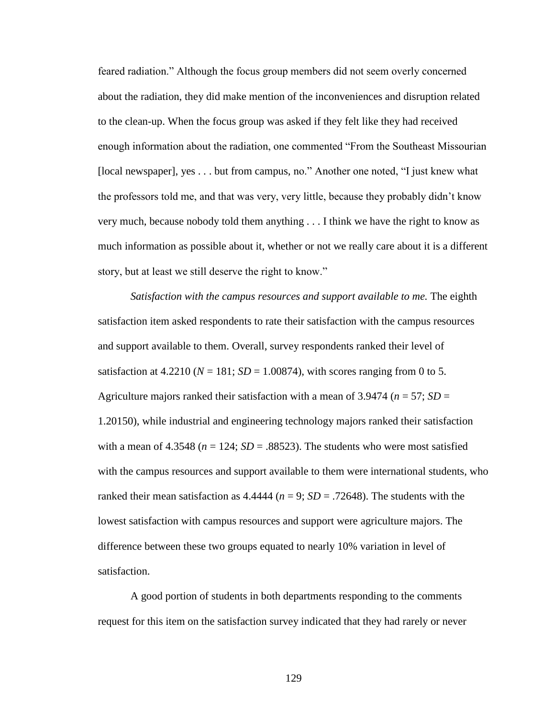feared radiation." Although the focus group members did not seem overly concerned about the radiation, they did make mention of the inconveniences and disruption related to the clean-up. When the focus group was asked if they felt like they had received enough information about the radiation, one commented "From the Southeast Missourian [local newspaper], yes . . . but from campus, no." Another one noted, "I just knew what the professors told me, and that was very, very little, because they probably didn"t know very much, because nobody told them anything . . . I think we have the right to know as much information as possible about it, whether or not we really care about it is a different story, but at least we still deserve the right to know."

*Satisfaction with the campus resources and support available to me. The eighth* satisfaction item asked respondents to rate their satisfaction with the campus resources and support available to them. Overall, survey respondents ranked their level of satisfaction at  $4.2210$  ( $N = 181$ ;  $SD = 1.00874$ ), with scores ranging from 0 to 5. Agriculture majors ranked their satisfaction with a mean of  $3.9474$  ( $n = 57$ ; *SD* = 1.20150), while industrial and engineering technology majors ranked their satisfaction with a mean of  $4.3548$  ( $n = 124$ ;  $SD = .88523$ ). The students who were most satisfied with the campus resources and support available to them were international students, who ranked their mean satisfaction as  $4.4444$  ( $n = 9$ ;  $SD = .72648$ ). The students with the lowest satisfaction with campus resources and support were agriculture majors. The difference between these two groups equated to nearly 10% variation in level of satisfaction.

A good portion of students in both departments responding to the comments request for this item on the satisfaction survey indicated that they had rarely or never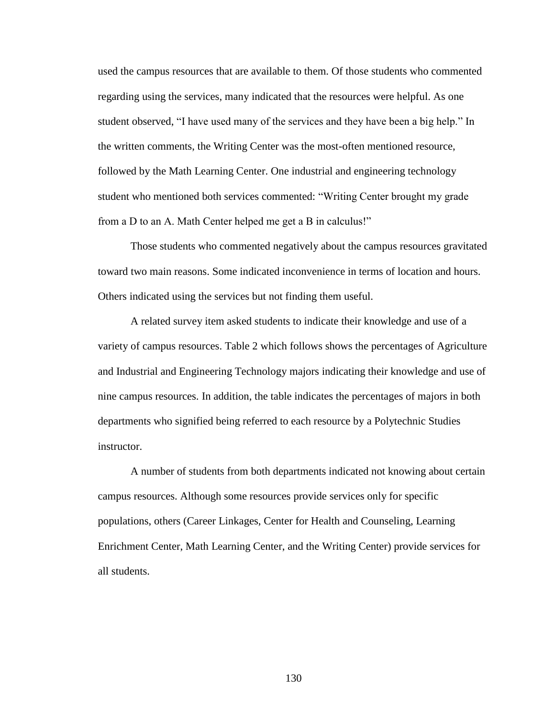used the campus resources that are available to them. Of those students who commented regarding using the services, many indicated that the resources were helpful. As one student observed, "I have used many of the services and they have been a big help." In the written comments, the Writing Center was the most-often mentioned resource, followed by the Math Learning Center. One industrial and engineering technology student who mentioned both services commented: "Writing Center brought my grade from a D to an A. Math Center helped me get a B in calculus!"

Those students who commented negatively about the campus resources gravitated toward two main reasons. Some indicated inconvenience in terms of location and hours. Others indicated using the services but not finding them useful.

A related survey item asked students to indicate their knowledge and use of a variety of campus resources. Table 2 which follows shows the percentages of Agriculture and Industrial and Engineering Technology majors indicating their knowledge and use of nine campus resources. In addition, the table indicates the percentages of majors in both departments who signified being referred to each resource by a Polytechnic Studies instructor.

A number of students from both departments indicated not knowing about certain campus resources. Although some resources provide services only for specific populations, others (Career Linkages, Center for Health and Counseling, Learning Enrichment Center, Math Learning Center, and the Writing Center) provide services for all students.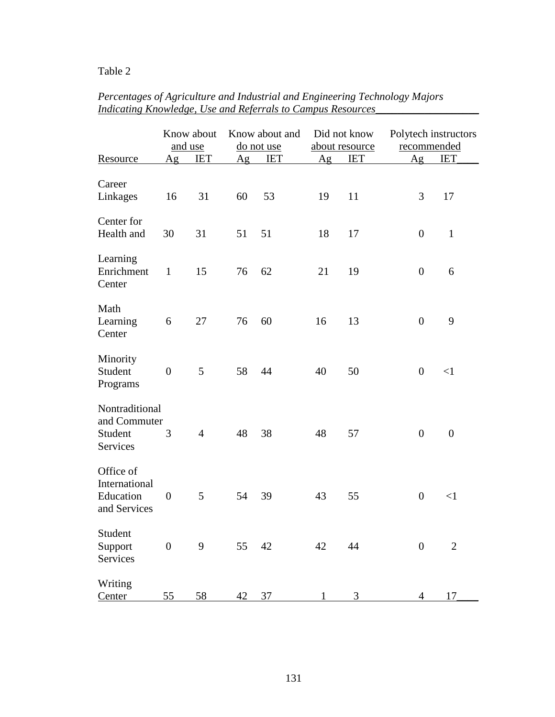# Table 2

|                                                         |                  | Know about     | Know about and |               | Did not know   |            | Polytech instructors |                |
|---------------------------------------------------------|------------------|----------------|----------------|---------------|----------------|------------|----------------------|----------------|
|                                                         | and use          |                | do not use     |               | about resource |            | recommended          |                |
| Resource                                                | Ag               | <b>IET</b>     | Ag             | <b>IET</b>    | Ag             | <b>IET</b> | Ag                   | <b>IET</b>     |
| Career<br>Linkages                                      | 16               | 31             | 60             | 53            | 19             | 11         | 3                    | 17             |
| Center for<br>Health and                                | 30               | 31             | 51             | 51            | 18             | 17         | $\boldsymbol{0}$     | $\mathbf{1}$   |
| Learning<br>Enrichment<br>Center                        | $\mathbf{1}$     | 15             | 76             | 62            | 21             | 19         | $\boldsymbol{0}$     | 6              |
| Math<br>Learning<br>Center                              | 6                | 27             | 76             | 60            | 16             | 13         | $\overline{0}$       | 9              |
| Minority<br>Student<br>Programs                         | $\overline{0}$   | 5              | 58             | 44            | 40             | 50         | $\boldsymbol{0}$     | <1             |
| Nontraditional<br>and Commuter<br>Student<br>Services   | 3                | $\overline{4}$ | 48             | 38            | 48             | 57         | $\boldsymbol{0}$     | $\overline{0}$ |
| Office of<br>International<br>Education<br>and Services | $\boldsymbol{0}$ | 5              | 54             | 39            | 43             | 55         | $\boldsymbol{0}$     | $<$ 1          |
| Student<br>Support<br>Services                          | $\boldsymbol{0}$ | 9              | 55             | 42 and $\sim$ | 42             | 44         | $\boldsymbol{0}$     | $\mathbf{2}$   |
| Writing<br>Center                                       | 55               | 58             | 42 37          |               | $\mathbf{1}$   | 3          | $4 \quad$            | 17             |

# *Percentages of Agriculture and Industrial and Engineering Technology Majors Indicating Knowledge, Use and Referrals to Campus Resources\_\_\_\_\_\_\_\_\_\_\_\_\_\_\_\_\_\_\_*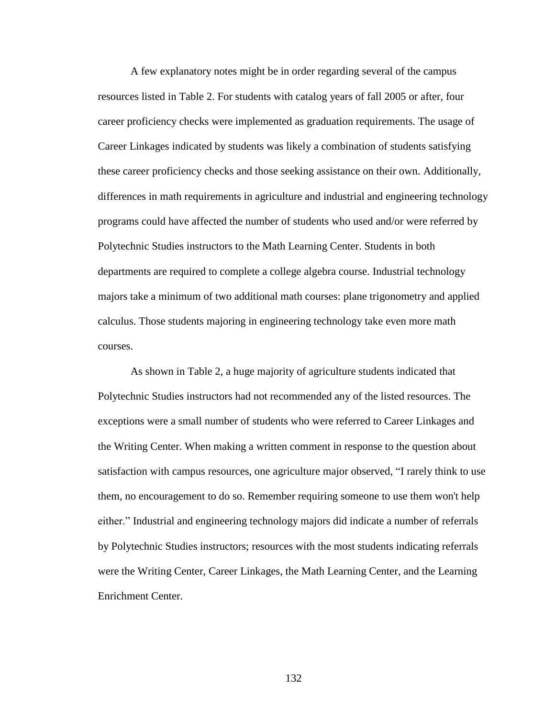A few explanatory notes might be in order regarding several of the campus resources listed in Table 2. For students with catalog years of fall 2005 or after, four career proficiency checks were implemented as graduation requirements. The usage of Career Linkages indicated by students was likely a combination of students satisfying these career proficiency checks and those seeking assistance on their own. Additionally, differences in math requirements in agriculture and industrial and engineering technology programs could have affected the number of students who used and/or were referred by Polytechnic Studies instructors to the Math Learning Center. Students in both departments are required to complete a college algebra course. Industrial technology majors take a minimum of two additional math courses: plane trigonometry and applied calculus. Those students majoring in engineering technology take even more math courses.

As shown in Table 2, a huge majority of agriculture students indicated that Polytechnic Studies instructors had not recommended any of the listed resources. The exceptions were a small number of students who were referred to Career Linkages and the Writing Center. When making a written comment in response to the question about satisfaction with campus resources, one agriculture major observed, "I rarely think to use them, no encouragement to do so. Remember requiring someone to use them won't help either." Industrial and engineering technology majors did indicate a number of referrals by Polytechnic Studies instructors; resources with the most students indicating referrals were the Writing Center, Career Linkages, the Math Learning Center, and the Learning Enrichment Center.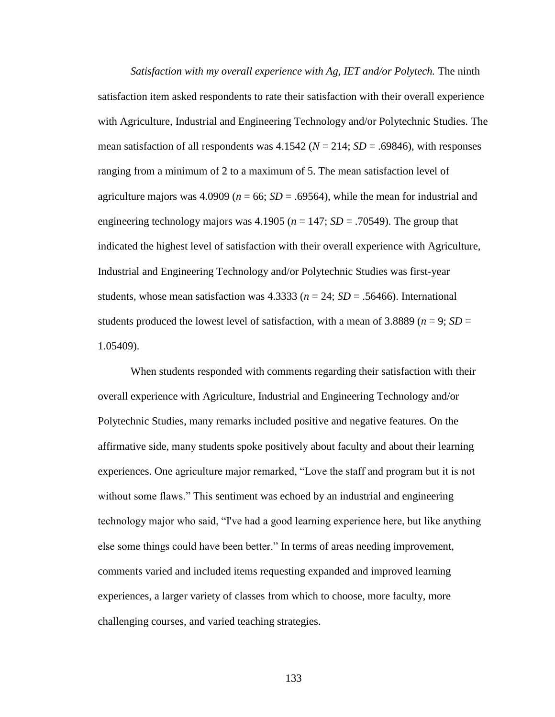*Satisfaction with my overall experience with Ag, IET and/or Polytech.* The ninth satisfaction item asked respondents to rate their satisfaction with their overall experience with Agriculture, Industrial and Engineering Technology and/or Polytechnic Studies. The mean satisfaction of all respondents was  $4.1542$  ( $N = 214$ ;  $SD = .69846$ ), with responses ranging from a minimum of 2 to a maximum of 5. The mean satisfaction level of agriculture majors was 4.0909 ( $n = 66$ ;  $SD = .69564$ ), while the mean for industrial and engineering technology majors was 4.1905 ( $n = 147$ ; *SD* = .70549). The group that indicated the highest level of satisfaction with their overall experience with Agriculture, Industrial and Engineering Technology and/or Polytechnic Studies was first-year students, whose mean satisfaction was  $4.3333$  ( $n = 24$ ;  $SD = .56466$ ). International students produced the lowest level of satisfaction, with a mean of 3.8889 ( $n = 9$ ; *SD* = 1.05409).

When students responded with comments regarding their satisfaction with their overall experience with Agriculture, Industrial and Engineering Technology and/or Polytechnic Studies, many remarks included positive and negative features. On the affirmative side, many students spoke positively about faculty and about their learning experiences. One agriculture major remarked, "Love the staff and program but it is not without some flaws." This sentiment was echoed by an industrial and engineering technology major who said, "I've had a good learning experience here, but like anything else some things could have been better." In terms of areas needing improvement, comments varied and included items requesting expanded and improved learning experiences, a larger variety of classes from which to choose, more faculty, more challenging courses, and varied teaching strategies.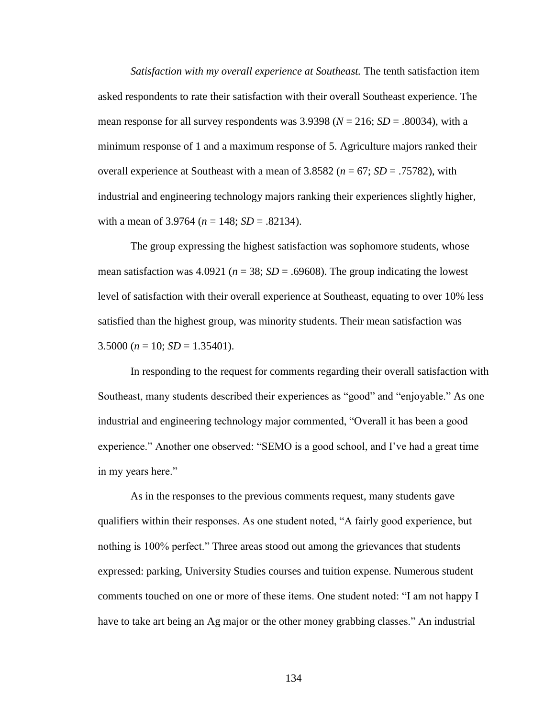*Satisfaction with my overall experience at Southeast.* The tenth satisfaction item asked respondents to rate their satisfaction with their overall Southeast experience. The mean response for all survey respondents was  $3.9398$  ( $N = 216$ ;  $SD = .80034$ ), with a minimum response of 1 and a maximum response of 5. Agriculture majors ranked their overall experience at Southeast with a mean of 3.8582 (*n* = 67; *SD* = .75782), with industrial and engineering technology majors ranking their experiences slightly higher, with a mean of  $3.9764$  ( $n = 148$ ;  $SD = .82134$ ).

The group expressing the highest satisfaction was sophomore students, whose mean satisfaction was  $4.0921$  ( $n = 38$ ;  $SD = .69608$ ). The group indicating the lowest level of satisfaction with their overall experience at Southeast, equating to over 10% less satisfied than the highest group, was minority students. Their mean satisfaction was 3.5000 ( $n = 10$ ; *SD* = 1.35401).

In responding to the request for comments regarding their overall satisfaction with Southeast, many students described their experiences as "good" and "enjoyable." As one industrial and engineering technology major commented, "Overall it has been a good experience." Another one observed: "SEMO is a good school, and I"ve had a great time in my years here."

As in the responses to the previous comments request, many students gave qualifiers within their responses. As one student noted, "A fairly good experience, but nothing is 100% perfect." Three areas stood out among the grievances that students expressed: parking, University Studies courses and tuition expense. Numerous student comments touched on one or more of these items. One student noted: "I am not happy I have to take art being an Ag major or the other money grabbing classes." An industrial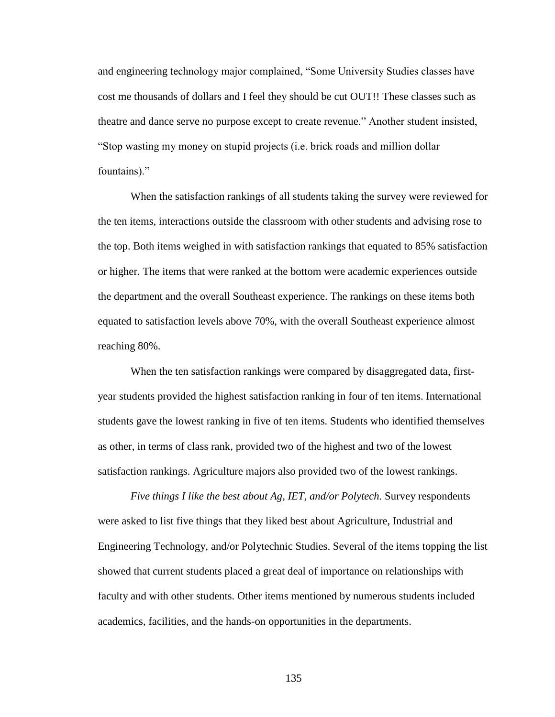and engineering technology major complained, "Some University Studies classes have cost me thousands of dollars and I feel they should be cut OUT!! These classes such as theatre and dance serve no purpose except to create revenue." Another student insisted, "Stop wasting my money on stupid projects (i.e. brick roads and million dollar fountains)."

When the satisfaction rankings of all students taking the survey were reviewed for the ten items, interactions outside the classroom with other students and advising rose to the top. Both items weighed in with satisfaction rankings that equated to 85% satisfaction or higher. The items that were ranked at the bottom were academic experiences outside the department and the overall Southeast experience. The rankings on these items both equated to satisfaction levels above 70%, with the overall Southeast experience almost reaching 80%.

When the ten satisfaction rankings were compared by disaggregated data, firstyear students provided the highest satisfaction ranking in four of ten items. International students gave the lowest ranking in five of ten items. Students who identified themselves as other, in terms of class rank, provided two of the highest and two of the lowest satisfaction rankings. Agriculture majors also provided two of the lowest rankings.

*Five things I like the best about Ag, IET, and/or Polytech.* Survey respondents were asked to list five things that they liked best about Agriculture, Industrial and Engineering Technology, and/or Polytechnic Studies. Several of the items topping the list showed that current students placed a great deal of importance on relationships with faculty and with other students. Other items mentioned by numerous students included academics, facilities, and the hands-on opportunities in the departments.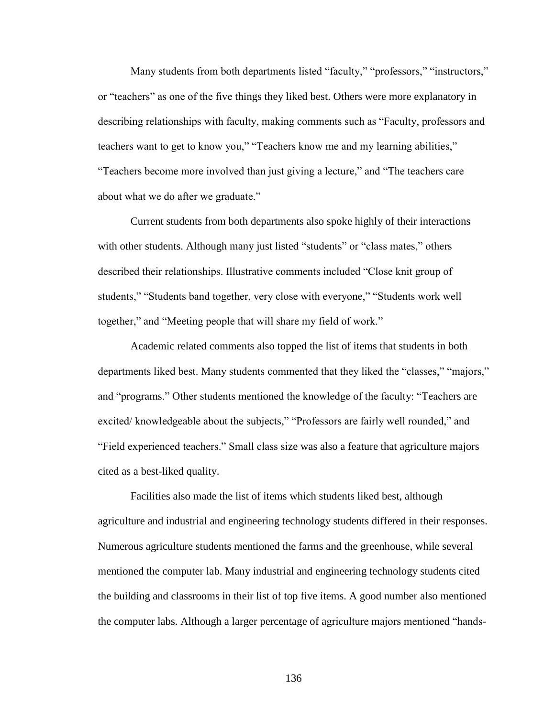Many students from both departments listed "faculty," "professors," "instructors," or "teachers" as one of the five things they liked best. Others were more explanatory in describing relationships with faculty, making comments such as "Faculty, professors and teachers want to get to know you," "Teachers know me and my learning abilities," "Teachers become more involved than just giving a lecture," and "The teachers care about what we do after we graduate."

Current students from both departments also spoke highly of their interactions with other students. Although many just listed "students" or "class mates," others described their relationships. Illustrative comments included "Close knit group of students," "Students band together, very close with everyone," "Students work well together," and "Meeting people that will share my field of work."

Academic related comments also topped the list of items that students in both departments liked best. Many students commented that they liked the "classes," "majors," and "programs." Other students mentioned the knowledge of the faculty: "Teachers are excited/ knowledgeable about the subjects," "Professors are fairly well rounded," and "Field experienced teachers." Small class size was also a feature that agriculture majors cited as a best-liked quality.

Facilities also made the list of items which students liked best, although agriculture and industrial and engineering technology students differed in their responses. Numerous agriculture students mentioned the farms and the greenhouse, while several mentioned the computer lab. Many industrial and engineering technology students cited the building and classrooms in their list of top five items. A good number also mentioned the computer labs. Although a larger percentage of agriculture majors mentioned "hands-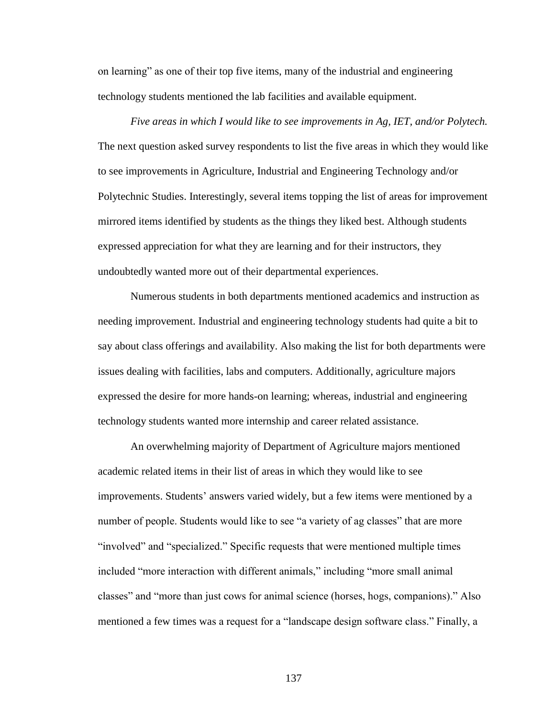on learning" as one of their top five items, many of the industrial and engineering technology students mentioned the lab facilities and available equipment.

*Five areas in which I would like to see improvements in Ag, IET, and/or Polytech.* The next question asked survey respondents to list the five areas in which they would like to see improvements in Agriculture, Industrial and Engineering Technology and/or Polytechnic Studies. Interestingly, several items topping the list of areas for improvement mirrored items identified by students as the things they liked best. Although students expressed appreciation for what they are learning and for their instructors, they undoubtedly wanted more out of their departmental experiences.

Numerous students in both departments mentioned academics and instruction as needing improvement. Industrial and engineering technology students had quite a bit to say about class offerings and availability. Also making the list for both departments were issues dealing with facilities, labs and computers. Additionally, agriculture majors expressed the desire for more hands-on learning; whereas, industrial and engineering technology students wanted more internship and career related assistance.

An overwhelming majority of Department of Agriculture majors mentioned academic related items in their list of areas in which they would like to see improvements. Students" answers varied widely, but a few items were mentioned by a number of people. Students would like to see "a variety of ag classes" that are more "involved" and "specialized." Specific requests that were mentioned multiple times included "more interaction with different animals," including "more small animal classes" and "more than just cows for animal science (horses, hogs, companions)." Also mentioned a few times was a request for a "landscape design software class." Finally, a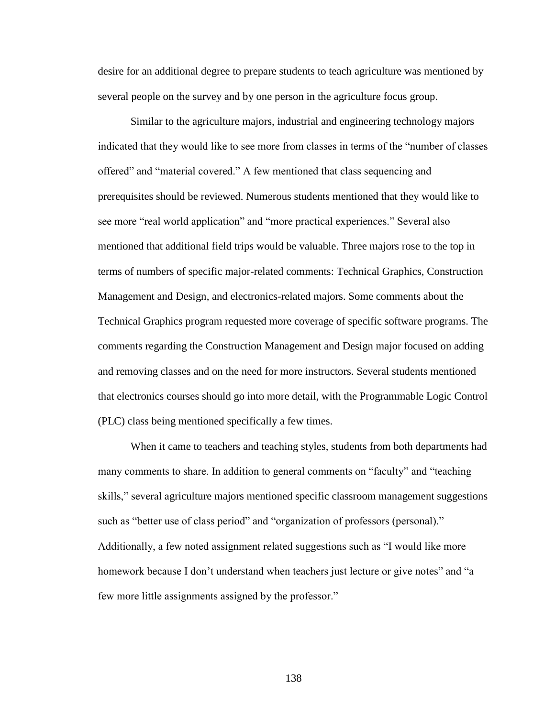desire for an additional degree to prepare students to teach agriculture was mentioned by several people on the survey and by one person in the agriculture focus group.

Similar to the agriculture majors, industrial and engineering technology majors indicated that they would like to see more from classes in terms of the "number of classes offered" and "material covered." A few mentioned that class sequencing and prerequisites should be reviewed. Numerous students mentioned that they would like to see more "real world application" and "more practical experiences." Several also mentioned that additional field trips would be valuable. Three majors rose to the top in terms of numbers of specific major-related comments: Technical Graphics, Construction Management and Design, and electronics-related majors. Some comments about the Technical Graphics program requested more coverage of specific software programs. The comments regarding the Construction Management and Design major focused on adding and removing classes and on the need for more instructors. Several students mentioned that electronics courses should go into more detail, with the Programmable Logic Control (PLC) class being mentioned specifically a few times.

When it came to teachers and teaching styles, students from both departments had many comments to share. In addition to general comments on "faculty" and "teaching skills," several agriculture majors mentioned specific classroom management suggestions such as "better use of class period" and "organization of professors (personal)." Additionally, a few noted assignment related suggestions such as "I would like more homework because I don"t understand when teachers just lecture or give notes" and "a few more little assignments assigned by the professor."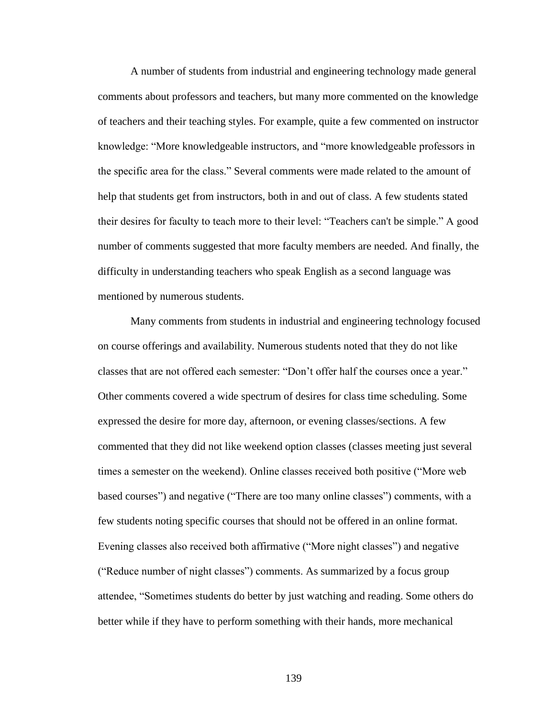A number of students from industrial and engineering technology made general comments about professors and teachers, but many more commented on the knowledge of teachers and their teaching styles. For example, quite a few commented on instructor knowledge: "More knowledgeable instructors, and "more knowledgeable professors in the specific area for the class." Several comments were made related to the amount of help that students get from instructors, both in and out of class. A few students stated their desires for faculty to teach more to their level: "Teachers can't be simple." A good number of comments suggested that more faculty members are needed. And finally, the difficulty in understanding teachers who speak English as a second language was mentioned by numerous students.

Many comments from students in industrial and engineering technology focused on course offerings and availability. Numerous students noted that they do not like classes that are not offered each semester: "Don"t offer half the courses once a year." Other comments covered a wide spectrum of desires for class time scheduling. Some expressed the desire for more day, afternoon, or evening classes/sections. A few commented that they did not like weekend option classes (classes meeting just several times a semester on the weekend). Online classes received both positive ("More web based courses") and negative ("There are too many online classes") comments, with a few students noting specific courses that should not be offered in an online format. Evening classes also received both affirmative ("More night classes") and negative ("Reduce number of night classes") comments. As summarized by a focus group attendee, "Sometimes students do better by just watching and reading. Some others do better while if they have to perform something with their hands, more mechanical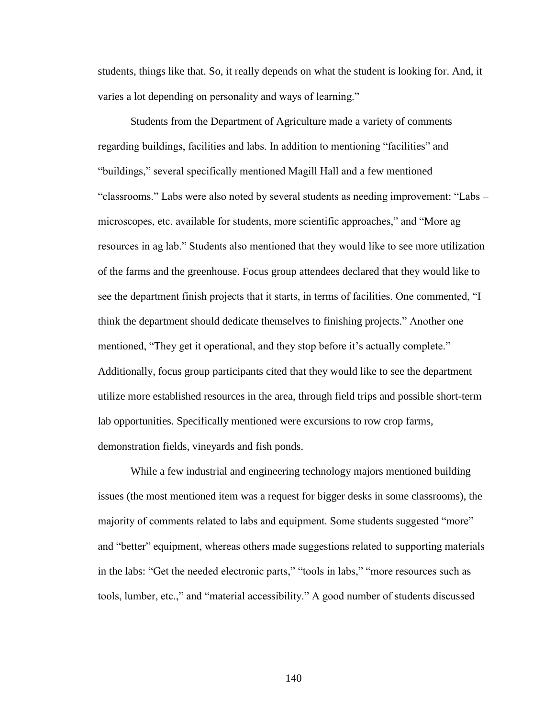students, things like that. So, it really depends on what the student is looking for. And, it varies a lot depending on personality and ways of learning."

Students from the Department of Agriculture made a variety of comments regarding buildings, facilities and labs. In addition to mentioning "facilities" and "buildings," several specifically mentioned Magill Hall and a few mentioned "classrooms." Labs were also noted by several students as needing improvement: "Labs – microscopes, etc. available for students, more scientific approaches," and "More ag resources in ag lab." Students also mentioned that they would like to see more utilization of the farms and the greenhouse. Focus group attendees declared that they would like to see the department finish projects that it starts, in terms of facilities. One commented, "I think the department should dedicate themselves to finishing projects." Another one mentioned, "They get it operational, and they stop before it's actually complete." Additionally, focus group participants cited that they would like to see the department utilize more established resources in the area, through field trips and possible short-term lab opportunities. Specifically mentioned were excursions to row crop farms, demonstration fields, vineyards and fish ponds.

While a few industrial and engineering technology majors mentioned building issues (the most mentioned item was a request for bigger desks in some classrooms), the majority of comments related to labs and equipment. Some students suggested "more" and "better" equipment, whereas others made suggestions related to supporting materials in the labs: "Get the needed electronic parts," "tools in labs," "more resources such as tools, lumber, etc.," and "material accessibility." A good number of students discussed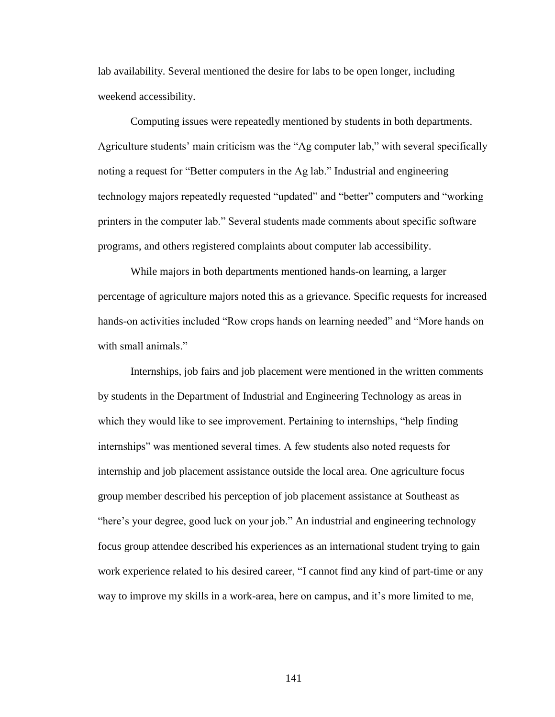lab availability. Several mentioned the desire for labs to be open longer, including weekend accessibility.

Computing issues were repeatedly mentioned by students in both departments. Agriculture students' main criticism was the "Ag computer lab," with several specifically noting a request for "Better computers in the Ag lab." Industrial and engineering technology majors repeatedly requested "updated" and "better" computers and "working printers in the computer lab." Several students made comments about specific software programs, and others registered complaints about computer lab accessibility.

While majors in both departments mentioned hands-on learning, a larger percentage of agriculture majors noted this as a grievance. Specific requests for increased hands-on activities included "Row crops hands on learning needed" and "More hands on with small animals."

Internships, job fairs and job placement were mentioned in the written comments by students in the Department of Industrial and Engineering Technology as areas in which they would like to see improvement. Pertaining to internships, "help finding internships" was mentioned several times. A few students also noted requests for internship and job placement assistance outside the local area. One agriculture focus group member described his perception of job placement assistance at Southeast as "here"s your degree, good luck on your job." An industrial and engineering technology focus group attendee described his experiences as an international student trying to gain work experience related to his desired career, "I cannot find any kind of part-time or any way to improve my skills in a work-area, here on campus, and it"s more limited to me,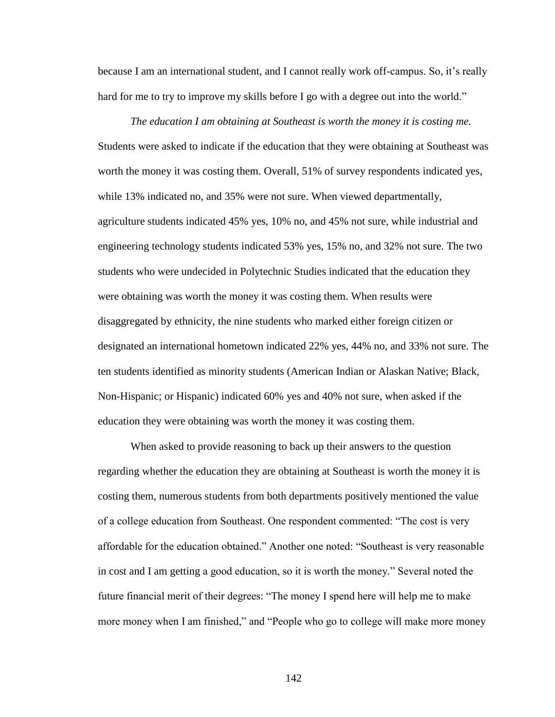because I am an international student, and I cannot really work off-campus. So, it"s really hard for me to try to improve my skills before I go with a degree out into the world."

*The education I am obtaining at Southeast is worth the money it is costing me.* Students were asked to indicate if the education that they were obtaining at Southeast was worth the money it was costing them. Overall, 51% of survey respondents indicated yes, while 13% indicated no, and 35% were not sure. When viewed departmentally, agriculture students indicated 45% yes, 10% no, and 45% not sure, while industrial and engineering technology students indicated 53% yes, 15% no, and 32% not sure. The two students who were undecided in Polytechnic Studies indicated that the education they were obtaining was worth the money it was costing them. When results were disaggregated by ethnicity, the nine students who marked either foreign citizen or designated an international hometown indicated 22% yes, 44% no, and 33% not sure. The ten students identified as minority students (American Indian or Alaskan Native; Black, Non-Hispanic; or Hispanic) indicated 60% yes and 40% not sure, when asked if the education they were obtaining was worth the money it was costing them.

When asked to provide reasoning to back up their answers to the question regarding whether the education they are obtaining at Southeast is worth the money it is costing them, numerous students from both departments positively mentioned the value of a college education from Southeast. One respondent commented: "The cost is very affordable for the education obtained." Another one noted: "Southeast is very reasonable in cost and I am getting a good education, so it is worth the money." Several noted the future financial merit of their degrees: "The money I spend here will help me to make more money when I am finished," and "People who go to college will make more money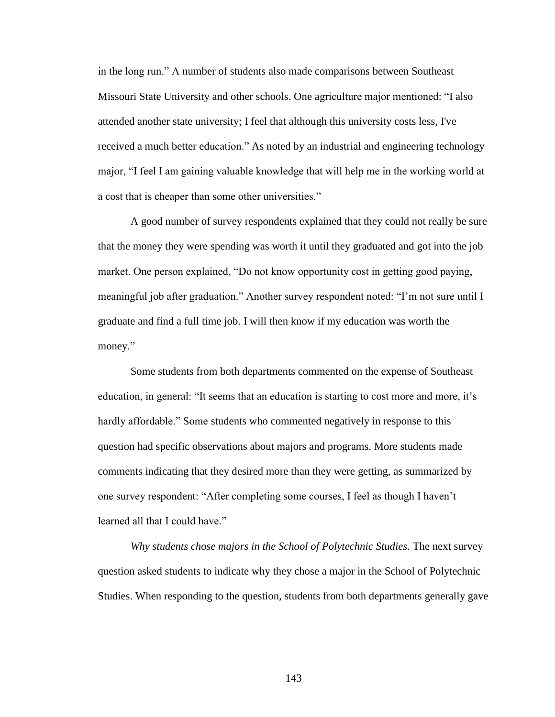in the long run." A number of students also made comparisons between Southeast Missouri State University and other schools. One agriculture major mentioned: "I also attended another state university; I feel that although this university costs less, I've received a much better education." As noted by an industrial and engineering technology major, "I feel I am gaining valuable knowledge that will help me in the working world at a cost that is cheaper than some other universities."

A good number of survey respondents explained that they could not really be sure that the money they were spending was worth it until they graduated and got into the job market. One person explained, "Do not know opportunity cost in getting good paying, meaningful job after graduation." Another survey respondent noted: "I"m not sure until I graduate and find a full time job. I will then know if my education was worth the money."

Some students from both departments commented on the expense of Southeast education, in general: "It seems that an education is starting to cost more and more, it"s hardly affordable." Some students who commented negatively in response to this question had specific observations about majors and programs. More students made comments indicating that they desired more than they were getting, as summarized by one survey respondent: "After completing some courses, I feel as though I haven"t learned all that I could have."

*Why students chose majors in the School of Polytechnic Studies.* The next survey question asked students to indicate why they chose a major in the School of Polytechnic Studies. When responding to the question, students from both departments generally gave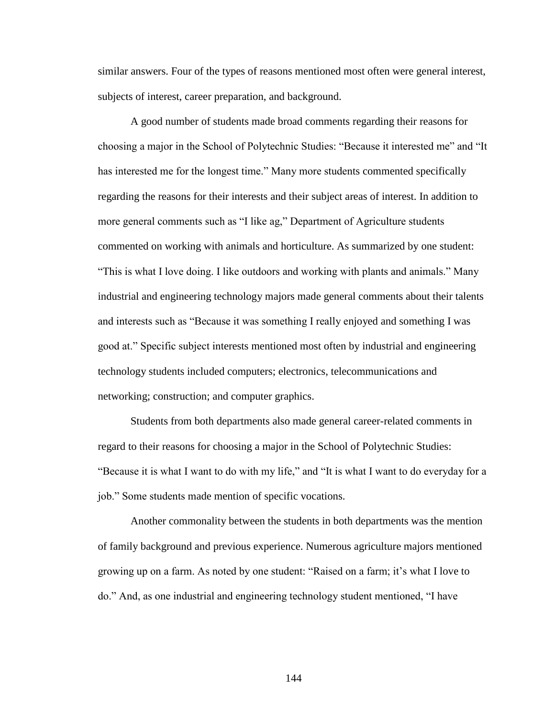similar answers. Four of the types of reasons mentioned most often were general interest, subjects of interest, career preparation, and background.

A good number of students made broad comments regarding their reasons for choosing a major in the School of Polytechnic Studies: "Because it interested me" and "It has interested me for the longest time." Many more students commented specifically regarding the reasons for their interests and their subject areas of interest. In addition to more general comments such as "I like ag," Department of Agriculture students commented on working with animals and horticulture. As summarized by one student: "This is what I love doing. I like outdoors and working with plants and animals." Many industrial and engineering technology majors made general comments about their talents and interests such as "Because it was something I really enjoyed and something I was good at." Specific subject interests mentioned most often by industrial and engineering technology students included computers; electronics, telecommunications and networking; construction; and computer graphics.

Students from both departments also made general career-related comments in regard to their reasons for choosing a major in the School of Polytechnic Studies: "Because it is what I want to do with my life," and "It is what I want to do everyday for a job." Some students made mention of specific vocations.

Another commonality between the students in both departments was the mention of family background and previous experience. Numerous agriculture majors mentioned growing up on a farm. As noted by one student: "Raised on a farm; it"s what I love to do." And, as one industrial and engineering technology student mentioned, "I have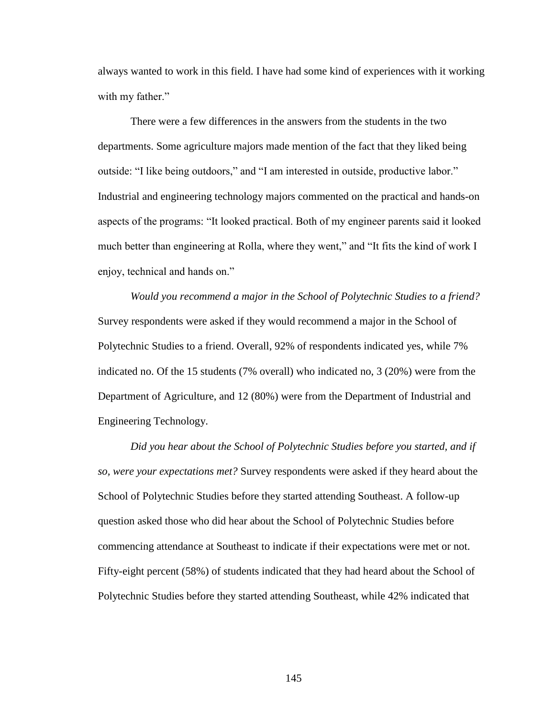always wanted to work in this field. I have had some kind of experiences with it working with my father."

There were a few differences in the answers from the students in the two departments. Some agriculture majors made mention of the fact that they liked being outside: "I like being outdoors," and "I am interested in outside, productive labor." Industrial and engineering technology majors commented on the practical and hands-on aspects of the programs: "It looked practical. Both of my engineer parents said it looked much better than engineering at Rolla, where they went," and "It fits the kind of work I enjoy, technical and hands on."

*Would you recommend a major in the School of Polytechnic Studies to a friend?*  Survey respondents were asked if they would recommend a major in the School of Polytechnic Studies to a friend. Overall, 92% of respondents indicated yes, while 7% indicated no. Of the 15 students (7% overall) who indicated no, 3 (20%) were from the Department of Agriculture, and 12 (80%) were from the Department of Industrial and Engineering Technology.

*Did you hear about the School of Polytechnic Studies before you started, and if so, were your expectations met?* Survey respondents were asked if they heard about the School of Polytechnic Studies before they started attending Southeast. A follow-up question asked those who did hear about the School of Polytechnic Studies before commencing attendance at Southeast to indicate if their expectations were met or not. Fifty-eight percent (58%) of students indicated that they had heard about the School of Polytechnic Studies before they started attending Southeast, while 42% indicated that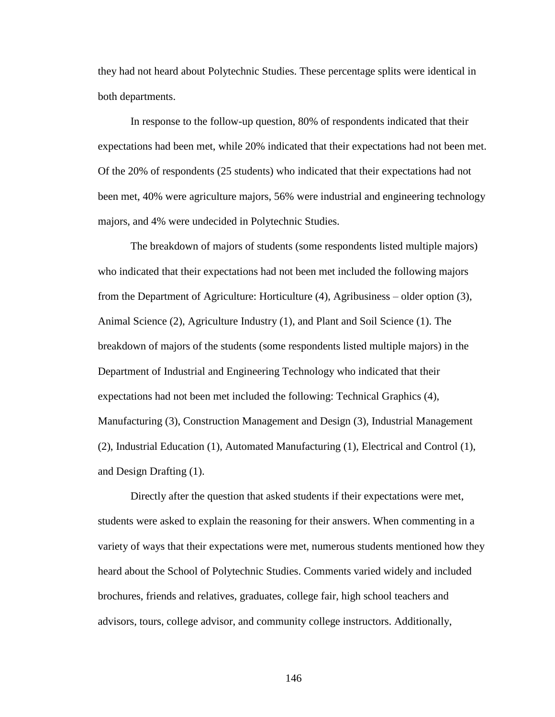they had not heard about Polytechnic Studies. These percentage splits were identical in both departments.

In response to the follow-up question, 80% of respondents indicated that their expectations had been met, while 20% indicated that their expectations had not been met. Of the 20% of respondents (25 students) who indicated that their expectations had not been met, 40% were agriculture majors, 56% were industrial and engineering technology majors, and 4% were undecided in Polytechnic Studies.

The breakdown of majors of students (some respondents listed multiple majors) who indicated that their expectations had not been met included the following majors from the Department of Agriculture: Horticulture (4), Agribusiness – older option (3), Animal Science (2), Agriculture Industry (1), and Plant and Soil Science (1). The breakdown of majors of the students (some respondents listed multiple majors) in the Department of Industrial and Engineering Technology who indicated that their expectations had not been met included the following: Technical Graphics (4), Manufacturing (3), Construction Management and Design (3), Industrial Management (2), Industrial Education (1), Automated Manufacturing (1), Electrical and Control (1), and Design Drafting (1).

Directly after the question that asked students if their expectations were met, students were asked to explain the reasoning for their answers. When commenting in a variety of ways that their expectations were met, numerous students mentioned how they heard about the School of Polytechnic Studies. Comments varied widely and included brochures, friends and relatives, graduates, college fair, high school teachers and advisors, tours, college advisor, and community college instructors. Additionally,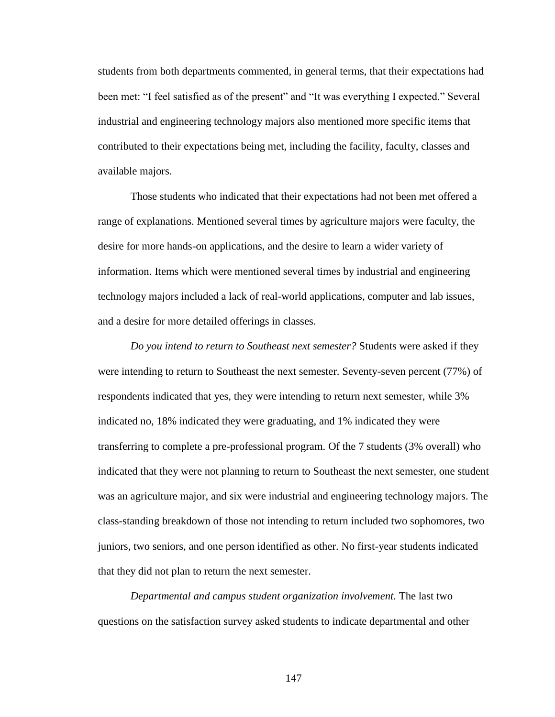students from both departments commented, in general terms, that their expectations had been met: "I feel satisfied as of the present" and "It was everything I expected." Several industrial and engineering technology majors also mentioned more specific items that contributed to their expectations being met, including the facility, faculty, classes and available majors.

Those students who indicated that their expectations had not been met offered a range of explanations. Mentioned several times by agriculture majors were faculty, the desire for more hands-on applications, and the desire to learn a wider variety of information. Items which were mentioned several times by industrial and engineering technology majors included a lack of real-world applications, computer and lab issues, and a desire for more detailed offerings in classes.

*Do you intend to return to Southeast next semester?* Students were asked if they were intending to return to Southeast the next semester. Seventy-seven percent (77%) of respondents indicated that yes, they were intending to return next semester, while 3% indicated no, 18% indicated they were graduating, and 1% indicated they were transferring to complete a pre-professional program. Of the 7 students (3% overall) who indicated that they were not planning to return to Southeast the next semester, one student was an agriculture major, and six were industrial and engineering technology majors. The class-standing breakdown of those not intending to return included two sophomores, two juniors, two seniors, and one person identified as other. No first-year students indicated that they did not plan to return the next semester.

*Departmental and campus student organization involvement.* The last two questions on the satisfaction survey asked students to indicate departmental and other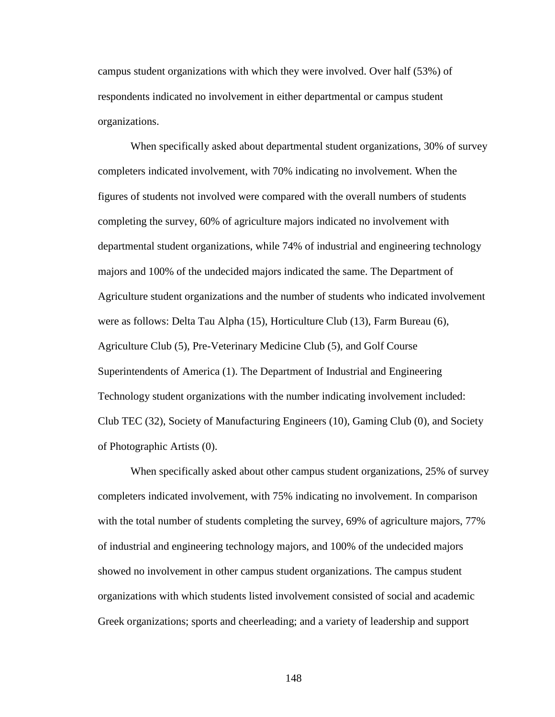campus student organizations with which they were involved. Over half (53%) of respondents indicated no involvement in either departmental or campus student organizations.

When specifically asked about departmental student organizations, 30% of survey completers indicated involvement, with 70% indicating no involvement. When the figures of students not involved were compared with the overall numbers of students completing the survey, 60% of agriculture majors indicated no involvement with departmental student organizations, while 74% of industrial and engineering technology majors and 100% of the undecided majors indicated the same. The Department of Agriculture student organizations and the number of students who indicated involvement were as follows: Delta Tau Alpha (15), Horticulture Club (13), Farm Bureau (6), Agriculture Club (5), Pre-Veterinary Medicine Club (5), and Golf Course Superintendents of America (1). The Department of Industrial and Engineering Technology student organizations with the number indicating involvement included: Club TEC (32), Society of Manufacturing Engineers (10), Gaming Club (0), and Society of Photographic Artists (0).

When specifically asked about other campus student organizations, 25% of survey completers indicated involvement, with 75% indicating no involvement. In comparison with the total number of students completing the survey, 69% of agriculture majors, 77% of industrial and engineering technology majors, and 100% of the undecided majors showed no involvement in other campus student organizations. The campus student organizations with which students listed involvement consisted of social and academic Greek organizations; sports and cheerleading; and a variety of leadership and support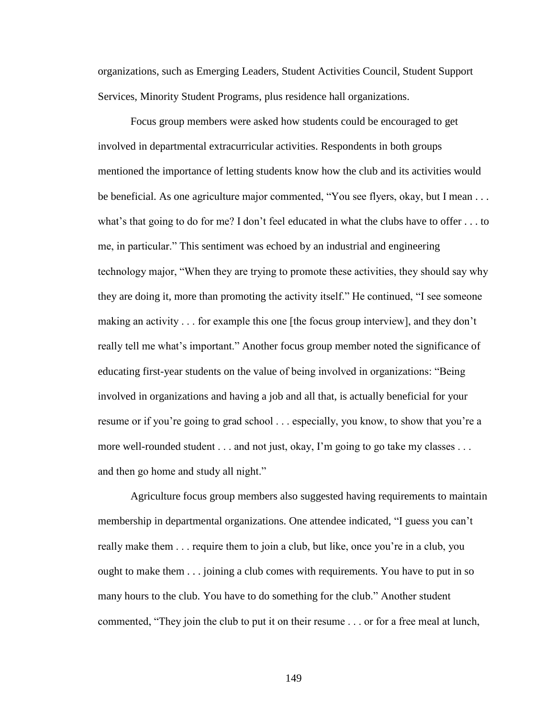organizations, such as Emerging Leaders, Student Activities Council, Student Support Services, Minority Student Programs, plus residence hall organizations.

Focus group members were asked how students could be encouraged to get involved in departmental extracurricular activities. Respondents in both groups mentioned the importance of letting students know how the club and its activities would be beneficial. As one agriculture major commented, "You see flyers, okay, but I mean . . . what's that going to do for me? I don't feel educated in what the clubs have to offer  $\dots$  to me, in particular." This sentiment was echoed by an industrial and engineering technology major, "When they are trying to promote these activities, they should say why they are doing it, more than promoting the activity itself." He continued, "I see someone making an activity . . . for example this one [the focus group interview], and they don't really tell me what"s important." Another focus group member noted the significance of educating first-year students on the value of being involved in organizations: "Being involved in organizations and having a job and all that, is actually beneficial for your resume or if you"re going to grad school . . . especially, you know, to show that you"re a more well-rounded student . . . and not just, okay, I'm going to go take my classes . . . and then go home and study all night."

Agriculture focus group members also suggested having requirements to maintain membership in departmental organizations. One attendee indicated, "I guess you can"t really make them . . . require them to join a club, but like, once you"re in a club, you ought to make them . . . joining a club comes with requirements. You have to put in so many hours to the club. You have to do something for the club." Another student commented, "They join the club to put it on their resume . . . or for a free meal at lunch,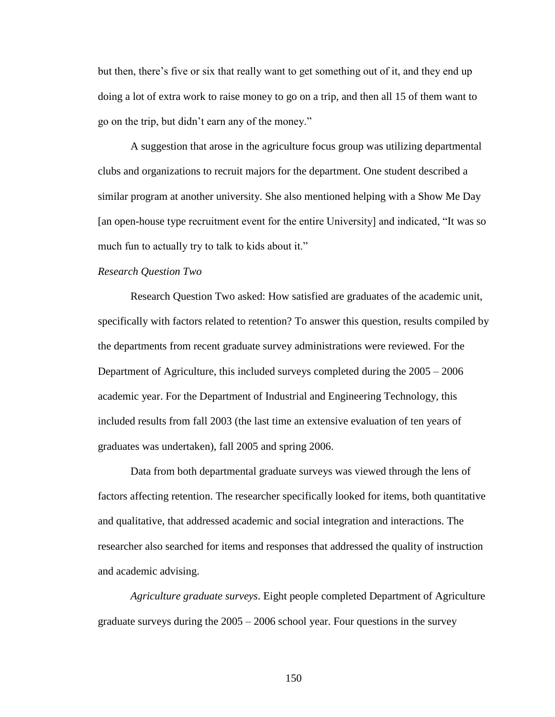but then, there"s five or six that really want to get something out of it, and they end up doing a lot of extra work to raise money to go on a trip, and then all 15 of them want to go on the trip, but didn"t earn any of the money."

A suggestion that arose in the agriculture focus group was utilizing departmental clubs and organizations to recruit majors for the department. One student described a similar program at another university. She also mentioned helping with a Show Me Day [an open-house type recruitment event for the entire University] and indicated, "It was so much fun to actually try to talk to kids about it."

## *Research Question Two*

Research Question Two asked: How satisfied are graduates of the academic unit, specifically with factors related to retention? To answer this question, results compiled by the departments from recent graduate survey administrations were reviewed. For the Department of Agriculture, this included surveys completed during the 2005 – 2006 academic year. For the Department of Industrial and Engineering Technology, this included results from fall 2003 (the last time an extensive evaluation of ten years of graduates was undertaken), fall 2005 and spring 2006.

Data from both departmental graduate surveys was viewed through the lens of factors affecting retention. The researcher specifically looked for items, both quantitative and qualitative, that addressed academic and social integration and interactions. The researcher also searched for items and responses that addressed the quality of instruction and academic advising.

*Agriculture graduate surveys*. Eight people completed Department of Agriculture graduate surveys during the 2005 – 2006 school year. Four questions in the survey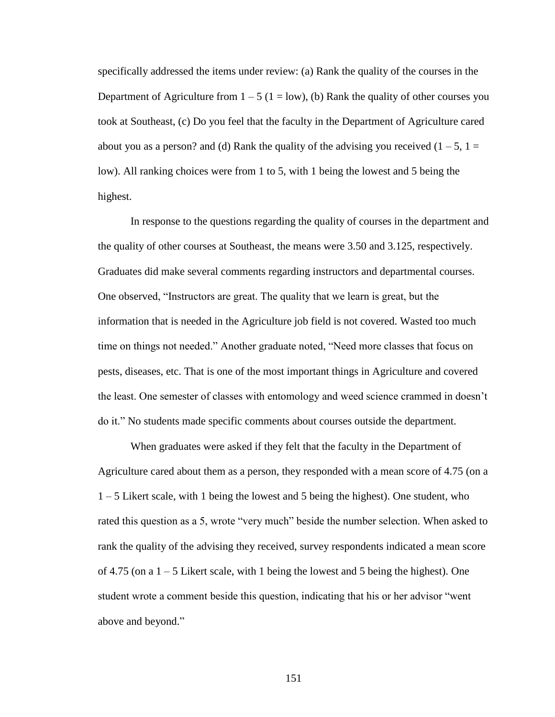specifically addressed the items under review: (a) Rank the quality of the courses in the Department of Agriculture from  $1 - 5$  ( $1 = low$ ), (b) Rank the quality of other courses you took at Southeast, (c) Do you feel that the faculty in the Department of Agriculture cared about you as a person? and (d) Rank the quality of the advising you received  $(1 – 5, 1 =$ low). All ranking choices were from 1 to 5, with 1 being the lowest and 5 being the highest.

In response to the questions regarding the quality of courses in the department and the quality of other courses at Southeast, the means were 3.50 and 3.125, respectively. Graduates did make several comments regarding instructors and departmental courses. One observed, "Instructors are great. The quality that we learn is great, but the information that is needed in the Agriculture job field is not covered. Wasted too much time on things not needed." Another graduate noted, "Need more classes that focus on pests, diseases, etc. That is one of the most important things in Agriculture and covered the least. One semester of classes with entomology and weed science crammed in doesn"t do it." No students made specific comments about courses outside the department.

When graduates were asked if they felt that the faculty in the Department of Agriculture cared about them as a person, they responded with a mean score of 4.75 (on a 1 – 5 Likert scale, with 1 being the lowest and 5 being the highest). One student, who rated this question as a 5, wrote "very much" beside the number selection. When asked to rank the quality of the advising they received, survey respondents indicated a mean score of 4.75 (on a  $1 - 5$  Likert scale, with 1 being the lowest and 5 being the highest). One student wrote a comment beside this question, indicating that his or her advisor "went above and beyond."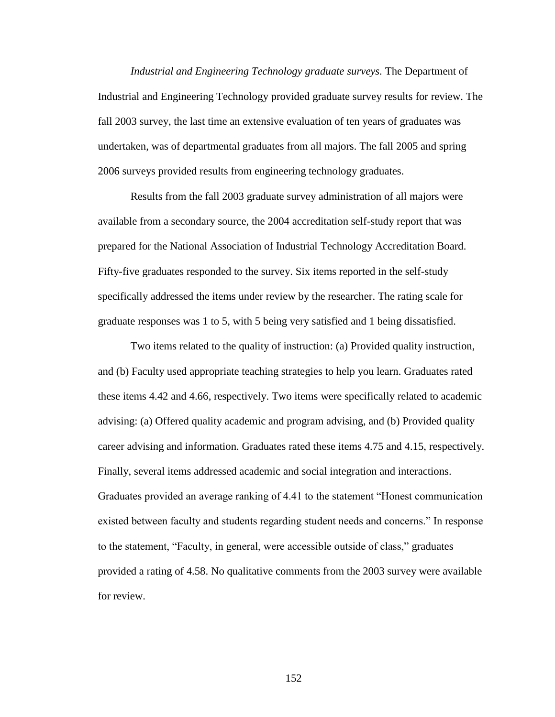*Industrial and Engineering Technology graduate surveys.* The Department of Industrial and Engineering Technology provided graduate survey results for review. The fall 2003 survey, the last time an extensive evaluation of ten years of graduates was undertaken, was of departmental graduates from all majors. The fall 2005 and spring 2006 surveys provided results from engineering technology graduates.

Results from the fall 2003 graduate survey administration of all majors were available from a secondary source, the 2004 accreditation self-study report that was prepared for the National Association of Industrial Technology Accreditation Board. Fifty-five graduates responded to the survey. Six items reported in the self-study specifically addressed the items under review by the researcher. The rating scale for graduate responses was 1 to 5, with 5 being very satisfied and 1 being dissatisfied.

Two items related to the quality of instruction: (a) Provided quality instruction, and (b) Faculty used appropriate teaching strategies to help you learn. Graduates rated these items 4.42 and 4.66, respectively. Two items were specifically related to academic advising: (a) Offered quality academic and program advising, and (b) Provided quality career advising and information. Graduates rated these items 4.75 and 4.15, respectively. Finally, several items addressed academic and social integration and interactions. Graduates provided an average ranking of 4.41 to the statement "Honest communication existed between faculty and students regarding student needs and concerns." In response to the statement, "Faculty, in general, were accessible outside of class," graduates provided a rating of 4.58. No qualitative comments from the 2003 survey were available for review.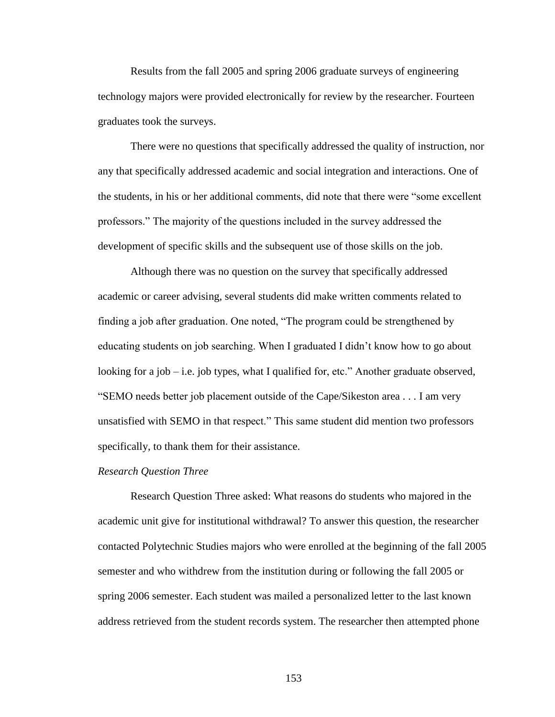Results from the fall 2005 and spring 2006 graduate surveys of engineering technology majors were provided electronically for review by the researcher. Fourteen graduates took the surveys.

There were no questions that specifically addressed the quality of instruction, nor any that specifically addressed academic and social integration and interactions. One of the students, in his or her additional comments, did note that there were "some excellent professors." The majority of the questions included in the survey addressed the development of specific skills and the subsequent use of those skills on the job.

Although there was no question on the survey that specifically addressed academic or career advising, several students did make written comments related to finding a job after graduation. One noted, "The program could be strengthened by educating students on job searching. When I graduated I didn"t know how to go about looking for a job – i.e. job types, what I qualified for, etc." Another graduate observed, "SEMO needs better job placement outside of the Cape/Sikeston area . . . I am very unsatisfied with SEMO in that respect." This same student did mention two professors specifically, to thank them for their assistance.

#### *Research Question Three*

Research Question Three asked: What reasons do students who majored in the academic unit give for institutional withdrawal? To answer this question, the researcher contacted Polytechnic Studies majors who were enrolled at the beginning of the fall 2005 semester and who withdrew from the institution during or following the fall 2005 or spring 2006 semester. Each student was mailed a personalized letter to the last known address retrieved from the student records system. The researcher then attempted phone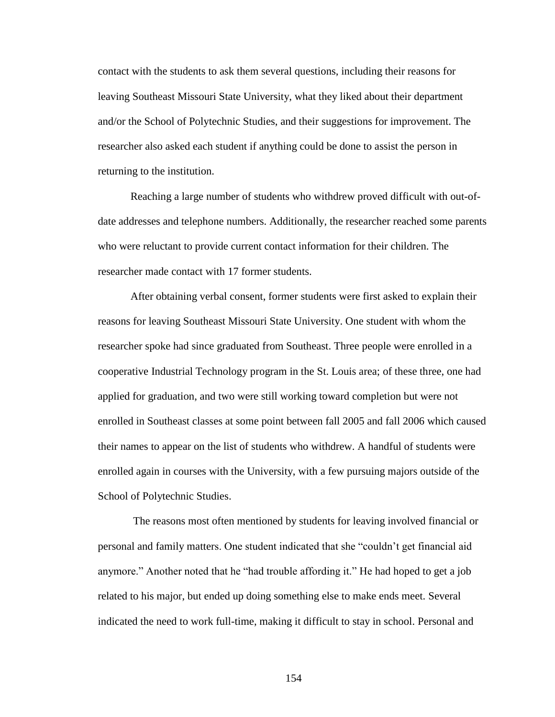contact with the students to ask them several questions, including their reasons for leaving Southeast Missouri State University, what they liked about their department and/or the School of Polytechnic Studies, and their suggestions for improvement. The researcher also asked each student if anything could be done to assist the person in returning to the institution.

Reaching a large number of students who withdrew proved difficult with out-ofdate addresses and telephone numbers. Additionally, the researcher reached some parents who were reluctant to provide current contact information for their children. The researcher made contact with 17 former students.

After obtaining verbal consent, former students were first asked to explain their reasons for leaving Southeast Missouri State University. One student with whom the researcher spoke had since graduated from Southeast. Three people were enrolled in a cooperative Industrial Technology program in the St. Louis area; of these three, one had applied for graduation, and two were still working toward completion but were not enrolled in Southeast classes at some point between fall 2005 and fall 2006 which caused their names to appear on the list of students who withdrew. A handful of students were enrolled again in courses with the University, with a few pursuing majors outside of the School of Polytechnic Studies.

The reasons most often mentioned by students for leaving involved financial or personal and family matters. One student indicated that she "couldn"t get financial aid anymore." Another noted that he "had trouble affording it." He had hoped to get a job related to his major, but ended up doing something else to make ends meet. Several indicated the need to work full-time, making it difficult to stay in school. Personal and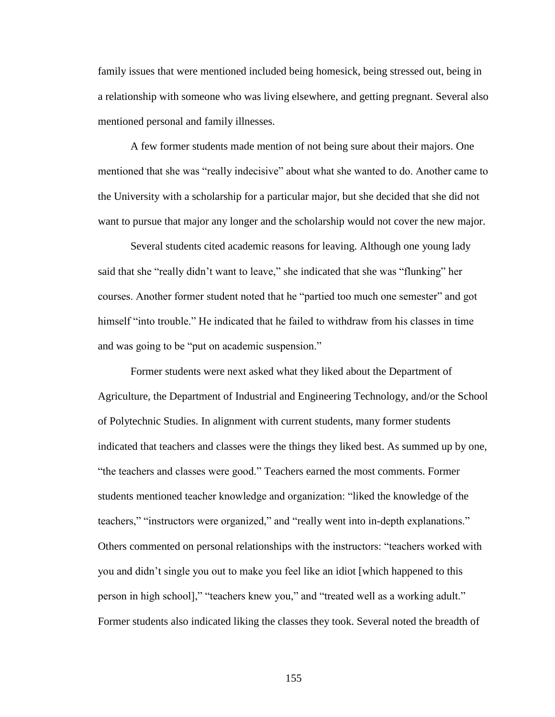family issues that were mentioned included being homesick, being stressed out, being in a relationship with someone who was living elsewhere, and getting pregnant. Several also mentioned personal and family illnesses.

A few former students made mention of not being sure about their majors. One mentioned that she was "really indecisive" about what she wanted to do. Another came to the University with a scholarship for a particular major, but she decided that she did not want to pursue that major any longer and the scholarship would not cover the new major.

Several students cited academic reasons for leaving. Although one young lady said that she "really didn"t want to leave," she indicated that she was "flunking" her courses. Another former student noted that he "partied too much one semester" and got himself "into trouble." He indicated that he failed to withdraw from his classes in time and was going to be "put on academic suspension."

Former students were next asked what they liked about the Department of Agriculture, the Department of Industrial and Engineering Technology, and/or the School of Polytechnic Studies. In alignment with current students, many former students indicated that teachers and classes were the things they liked best. As summed up by one, "the teachers and classes were good." Teachers earned the most comments. Former students mentioned teacher knowledge and organization: "liked the knowledge of the teachers," "instructors were organized," and "really went into in-depth explanations." Others commented on personal relationships with the instructors: "teachers worked with you and didn"t single you out to make you feel like an idiot [which happened to this person in high school]," "teachers knew you," and "treated well as a working adult." Former students also indicated liking the classes they took. Several noted the breadth of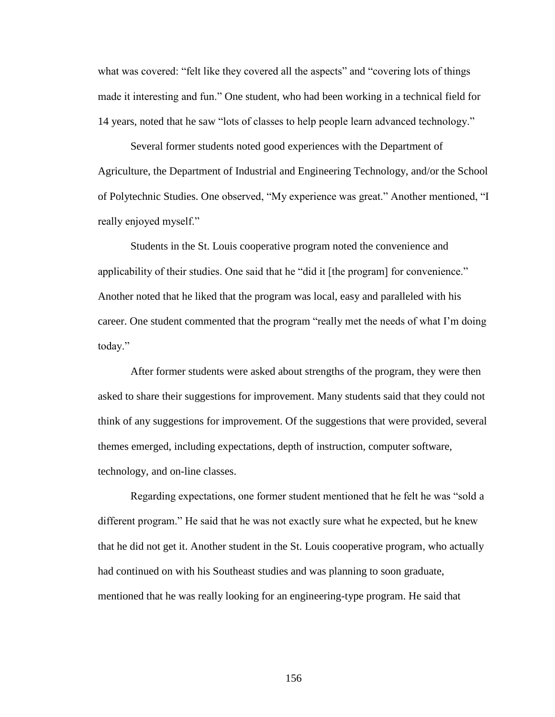what was covered: "felt like they covered all the aspects" and "covering lots of things made it interesting and fun." One student, who had been working in a technical field for 14 years, noted that he saw "lots of classes to help people learn advanced technology."

Several former students noted good experiences with the Department of Agriculture, the Department of Industrial and Engineering Technology, and/or the School of Polytechnic Studies. One observed, "My experience was great." Another mentioned, "I really enjoyed myself."

Students in the St. Louis cooperative program noted the convenience and applicability of their studies. One said that he "did it [the program] for convenience." Another noted that he liked that the program was local, easy and paralleled with his career. One student commented that the program "really met the needs of what I"m doing today."

After former students were asked about strengths of the program, they were then asked to share their suggestions for improvement. Many students said that they could not think of any suggestions for improvement. Of the suggestions that were provided, several themes emerged, including expectations, depth of instruction, computer software, technology, and on-line classes.

Regarding expectations, one former student mentioned that he felt he was "sold a different program." He said that he was not exactly sure what he expected, but he knew that he did not get it. Another student in the St. Louis cooperative program, who actually had continued on with his Southeast studies and was planning to soon graduate, mentioned that he was really looking for an engineering-type program. He said that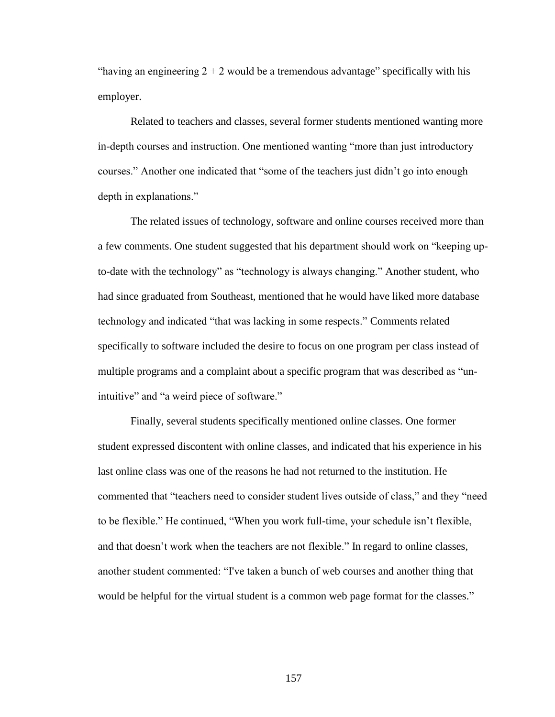"having an engineering  $2 + 2$  would be a tremendous advantage" specifically with his employer.

Related to teachers and classes, several former students mentioned wanting more in-depth courses and instruction. One mentioned wanting "more than just introductory courses." Another one indicated that "some of the teachers just didn"t go into enough depth in explanations."

The related issues of technology, software and online courses received more than a few comments. One student suggested that his department should work on "keeping upto-date with the technology" as "technology is always changing." Another student, who had since graduated from Southeast, mentioned that he would have liked more database technology and indicated "that was lacking in some respects." Comments related specifically to software included the desire to focus on one program per class instead of multiple programs and a complaint about a specific program that was described as "unintuitive" and "a weird piece of software."

Finally, several students specifically mentioned online classes. One former student expressed discontent with online classes, and indicated that his experience in his last online class was one of the reasons he had not returned to the institution. He commented that "teachers need to consider student lives outside of class," and they "need to be flexible." He continued, "When you work full-time, your schedule isn"t flexible, and that doesn't work when the teachers are not flexible." In regard to online classes, another student commented: "I've taken a bunch of web courses and another thing that would be helpful for the virtual student is a common web page format for the classes."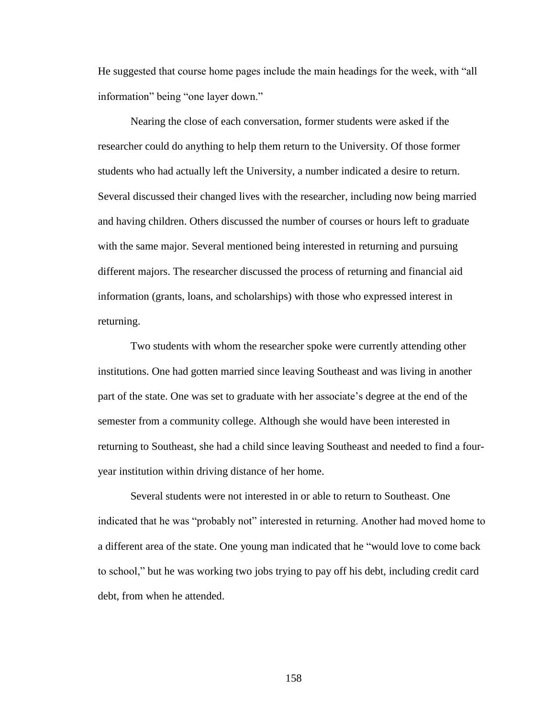He suggested that course home pages include the main headings for the week, with "all information" being "one layer down."

Nearing the close of each conversation, former students were asked if the researcher could do anything to help them return to the University. Of those former students who had actually left the University, a number indicated a desire to return. Several discussed their changed lives with the researcher, including now being married and having children. Others discussed the number of courses or hours left to graduate with the same major. Several mentioned being interested in returning and pursuing different majors. The researcher discussed the process of returning and financial aid information (grants, loans, and scholarships) with those who expressed interest in returning.

Two students with whom the researcher spoke were currently attending other institutions. One had gotten married since leaving Southeast and was living in another part of the state. One was set to graduate with her associate"s degree at the end of the semester from a community college. Although she would have been interested in returning to Southeast, she had a child since leaving Southeast and needed to find a fouryear institution within driving distance of her home.

Several students were not interested in or able to return to Southeast. One indicated that he was "probably not" interested in returning. Another had moved home to a different area of the state. One young man indicated that he "would love to come back to school," but he was working two jobs trying to pay off his debt, including credit card debt, from when he attended.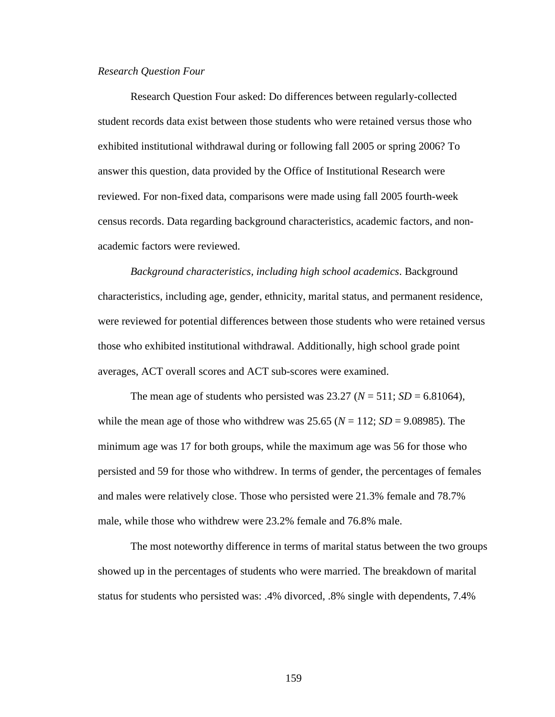### *Research Question Four*

Research Question Four asked: Do differences between regularly-collected student records data exist between those students who were retained versus those who exhibited institutional withdrawal during or following fall 2005 or spring 2006? To answer this question, data provided by the Office of Institutional Research were reviewed. For non-fixed data, comparisons were made using fall 2005 fourth-week census records. Data regarding background characteristics, academic factors, and nonacademic factors were reviewed.

*Background characteristics, including high school academics*. Background characteristics, including age, gender, ethnicity, marital status, and permanent residence, were reviewed for potential differences between those students who were retained versus those who exhibited institutional withdrawal. Additionally, high school grade point averages, ACT overall scores and ACT sub-scores were examined.

The mean age of students who persisted was 23.27 ( $N = 511$ ;  $SD = 6.81064$ ), while the mean age of those who withdrew was  $25.65$  ( $N = 112$ ;  $SD = 9.08985$ ). The minimum age was 17 for both groups, while the maximum age was 56 for those who persisted and 59 for those who withdrew. In terms of gender, the percentages of females and males were relatively close. Those who persisted were 21.3% female and 78.7% male, while those who withdrew were 23.2% female and 76.8% male.

The most noteworthy difference in terms of marital status between the two groups showed up in the percentages of students who were married. The breakdown of marital status for students who persisted was: .4% divorced, .8% single with dependents, 7.4%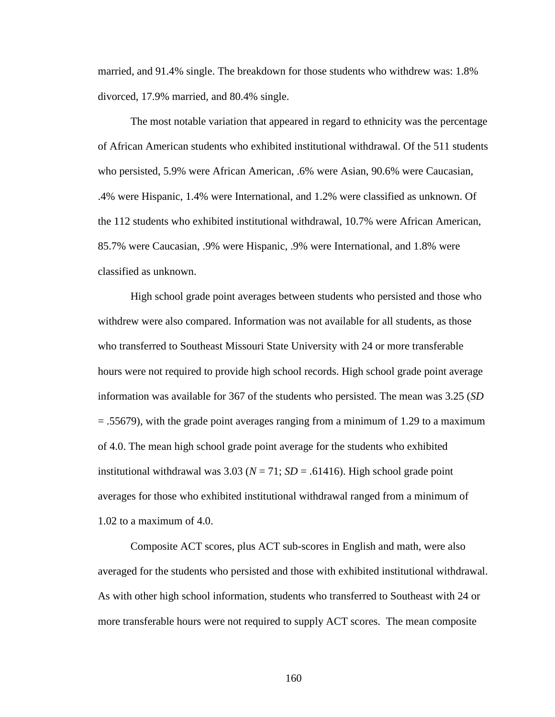married, and 91.4% single. The breakdown for those students who withdrew was: 1.8% divorced, 17.9% married, and 80.4% single.

The most notable variation that appeared in regard to ethnicity was the percentage of African American students who exhibited institutional withdrawal. Of the 511 students who persisted, 5.9% were African American, .6% were Asian, 90.6% were Caucasian, .4% were Hispanic, 1.4% were International, and 1.2% were classified as unknown. Of the 112 students who exhibited institutional withdrawal, 10.7% were African American, 85.7% were Caucasian, .9% were Hispanic, .9% were International, and 1.8% were classified as unknown.

High school grade point averages between students who persisted and those who withdrew were also compared. Information was not available for all students, as those who transferred to Southeast Missouri State University with 24 or more transferable hours were not required to provide high school records. High school grade point average information was available for 367 of the students who persisted. The mean was 3.25 (*SD*  = .55679), with the grade point averages ranging from a minimum of 1.29 to a maximum of 4.0. The mean high school grade point average for the students who exhibited institutional withdrawal was  $3.03$  ( $N = 71$ ;  $SD = .61416$ ). High school grade point averages for those who exhibited institutional withdrawal ranged from a minimum of 1.02 to a maximum of 4.0.

Composite ACT scores, plus ACT sub-scores in English and math, were also averaged for the students who persisted and those with exhibited institutional withdrawal. As with other high school information, students who transferred to Southeast with 24 or more transferable hours were not required to supply ACT scores. The mean composite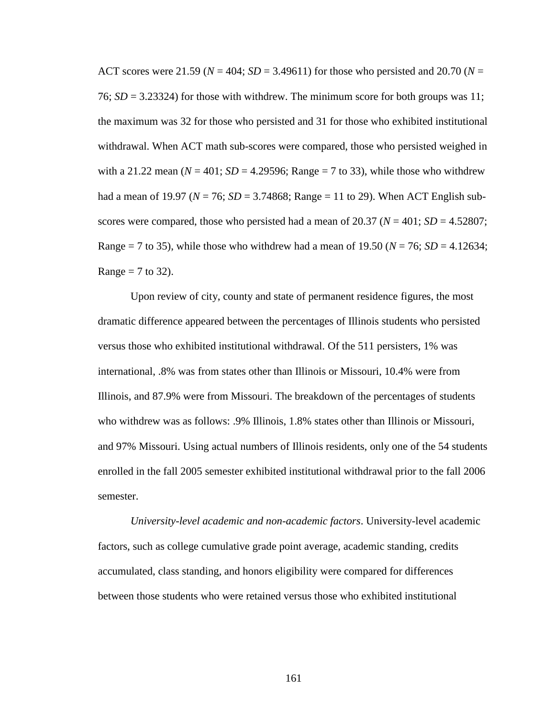ACT scores were 21.59 ( $N = 404$ ;  $SD = 3.49611$ ) for those who persisted and 20.70 ( $N =$ 76;  $SD = 3.23324$ ) for those with withdrew. The minimum score for both groups was 11; the maximum was 32 for those who persisted and 31 for those who exhibited institutional withdrawal. When ACT math sub-scores were compared, those who persisted weighed in with a 21.22 mean  $(N = 401; SD = 4.29596; Range = 7$  to 33), while those who withdrew had a mean of 19.97 ( $N = 76$ ;  $SD = 3.74868$ ; Range = 11 to 29). When ACT English subscores were compared, those who persisted had a mean of  $20.37 (N = 401; SD = 4.52807;$ Range = 7 to 35), while those who withdrew had a mean of 19.50 ( $N = 76$ ; *SD* = 4.12634; Range  $= 7$  to 32).

Upon review of city, county and state of permanent residence figures, the most dramatic difference appeared between the percentages of Illinois students who persisted versus those who exhibited institutional withdrawal. Of the 511 persisters, 1% was international, .8% was from states other than Illinois or Missouri, 10.4% were from Illinois, and 87.9% were from Missouri. The breakdown of the percentages of students who withdrew was as follows: .9% Illinois, 1.8% states other than Illinois or Missouri, and 97% Missouri. Using actual numbers of Illinois residents, only one of the 54 students enrolled in the fall 2005 semester exhibited institutional withdrawal prior to the fall 2006 semester.

*University-level academic and non-academic factors*. University-level academic factors, such as college cumulative grade point average, academic standing, credits accumulated, class standing, and honors eligibility were compared for differences between those students who were retained versus those who exhibited institutional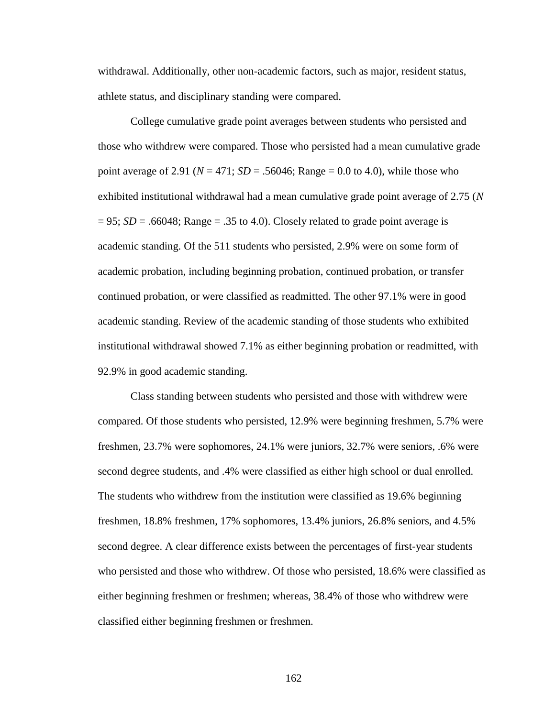withdrawal. Additionally, other non-academic factors, such as major, resident status, athlete status, and disciplinary standing were compared.

College cumulative grade point averages between students who persisted and those who withdrew were compared. Those who persisted had a mean cumulative grade point average of 2.91 ( $N = 471$ ;  $SD = .56046$ ; Range = 0.0 to 4.0), while those who exhibited institutional withdrawal had a mean cumulative grade point average of 2.75 (*N*  $= 95$ ; *SD* = .66048; Range = .35 to 4.0). Closely related to grade point average is academic standing. Of the 511 students who persisted, 2.9% were on some form of academic probation, including beginning probation, continued probation, or transfer continued probation, or were classified as readmitted. The other 97.1% were in good academic standing. Review of the academic standing of those students who exhibited institutional withdrawal showed 7.1% as either beginning probation or readmitted, with 92.9% in good academic standing.

Class standing between students who persisted and those with withdrew were compared. Of those students who persisted, 12.9% were beginning freshmen, 5.7% were freshmen, 23.7% were sophomores, 24.1% were juniors, 32.7% were seniors, .6% were second degree students, and .4% were classified as either high school or dual enrolled. The students who withdrew from the institution were classified as 19.6% beginning freshmen, 18.8% freshmen, 17% sophomores, 13.4% juniors, 26.8% seniors, and 4.5% second degree. A clear difference exists between the percentages of first-year students who persisted and those who withdrew. Of those who persisted, 18.6% were classified as either beginning freshmen or freshmen; whereas, 38.4% of those who withdrew were classified either beginning freshmen or freshmen.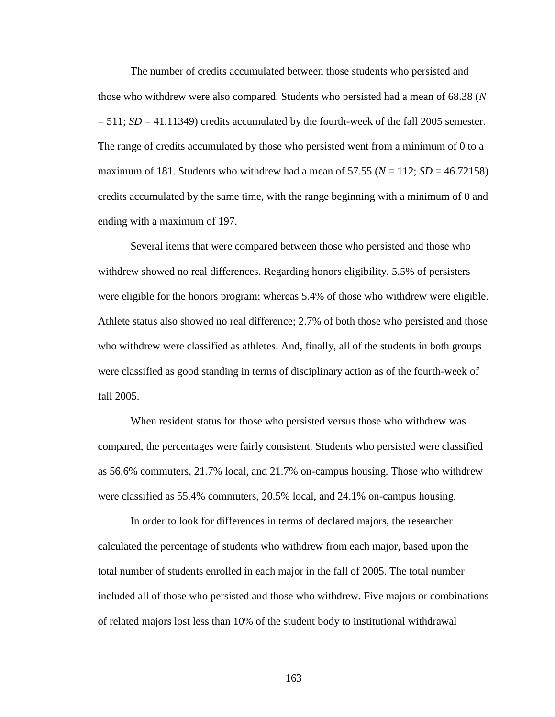The number of credits accumulated between those students who persisted and those who withdrew were also compared. Students who persisted had a mean of 68.38 (*N*   $= 511$ ; *SD*  $= 41.11349$ ) credits accumulated by the fourth-week of the fall 2005 semester. The range of credits accumulated by those who persisted went from a minimum of 0 to a maximum of 181. Students who withdrew had a mean of 57.55 ( $N = 112$ ;  $SD = 46.72158$ ) credits accumulated by the same time, with the range beginning with a minimum of 0 and ending with a maximum of 197.

Several items that were compared between those who persisted and those who withdrew showed no real differences. Regarding honors eligibility, 5.5% of persisters were eligible for the honors program; whereas 5.4% of those who withdrew were eligible. Athlete status also showed no real difference; 2.7% of both those who persisted and those who withdrew were classified as athletes. And, finally, all of the students in both groups were classified as good standing in terms of disciplinary action as of the fourth-week of fall 2005.

When resident status for those who persisted versus those who withdrew was compared, the percentages were fairly consistent. Students who persisted were classified as 56.6% commuters, 21.7% local, and 21.7% on-campus housing. Those who withdrew were classified as 55.4% commuters, 20.5% local, and 24.1% on-campus housing.

In order to look for differences in terms of declared majors, the researcher calculated the percentage of students who withdrew from each major, based upon the total number of students enrolled in each major in the fall of 2005. The total number included all of those who persisted and those who withdrew. Five majors or combinations of related majors lost less than 10% of the student body to institutional withdrawal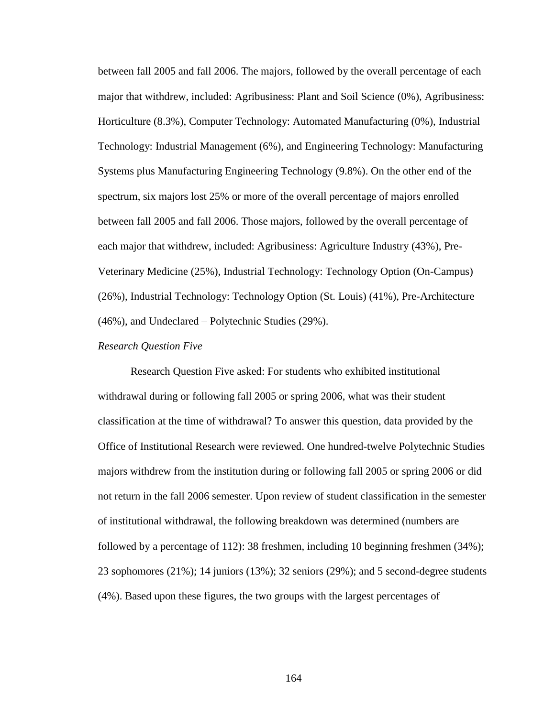between fall 2005 and fall 2006. The majors, followed by the overall percentage of each major that withdrew, included: Agribusiness: Plant and Soil Science (0%), Agribusiness: Horticulture (8.3%), Computer Technology: Automated Manufacturing (0%), Industrial Technology: Industrial Management (6%), and Engineering Technology: Manufacturing Systems plus Manufacturing Engineering Technology (9.8%). On the other end of the spectrum, six majors lost 25% or more of the overall percentage of majors enrolled between fall 2005 and fall 2006. Those majors, followed by the overall percentage of each major that withdrew, included: Agribusiness: Agriculture Industry (43%), Pre-Veterinary Medicine (25%), Industrial Technology: Technology Option (On-Campus) (26%), Industrial Technology: Technology Option (St. Louis) (41%), Pre-Architecture (46%), and Undeclared – Polytechnic Studies (29%).

### *Research Question Five*

Research Question Five asked: For students who exhibited institutional withdrawal during or following fall 2005 or spring 2006, what was their student classification at the time of withdrawal? To answer this question, data provided by the Office of Institutional Research were reviewed. One hundred-twelve Polytechnic Studies majors withdrew from the institution during or following fall 2005 or spring 2006 or did not return in the fall 2006 semester. Upon review of student classification in the semester of institutional withdrawal, the following breakdown was determined (numbers are followed by a percentage of 112): 38 freshmen, including 10 beginning freshmen (34%); 23 sophomores (21%); 14 juniors (13%); 32 seniors (29%); and 5 second-degree students (4%). Based upon these figures, the two groups with the largest percentages of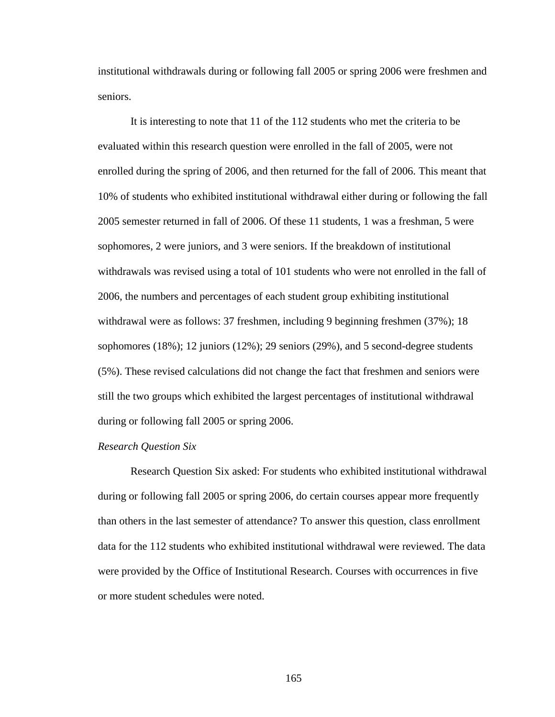institutional withdrawals during or following fall 2005 or spring 2006 were freshmen and seniors.

It is interesting to note that 11 of the 112 students who met the criteria to be evaluated within this research question were enrolled in the fall of 2005, were not enrolled during the spring of 2006, and then returned for the fall of 2006. This meant that 10% of students who exhibited institutional withdrawal either during or following the fall 2005 semester returned in fall of 2006. Of these 11 students, 1 was a freshman, 5 were sophomores, 2 were juniors, and 3 were seniors. If the breakdown of institutional withdrawals was revised using a total of 101 students who were not enrolled in the fall of 2006, the numbers and percentages of each student group exhibiting institutional withdrawal were as follows: 37 freshmen, including 9 beginning freshmen (37%); 18 sophomores (18%); 12 juniors (12%); 29 seniors (29%), and 5 second-degree students (5%). These revised calculations did not change the fact that freshmen and seniors were still the two groups which exhibited the largest percentages of institutional withdrawal during or following fall 2005 or spring 2006.

## *Research Question Six*

Research Question Six asked: For students who exhibited institutional withdrawal during or following fall 2005 or spring 2006, do certain courses appear more frequently than others in the last semester of attendance? To answer this question, class enrollment data for the 112 students who exhibited institutional withdrawal were reviewed. The data were provided by the Office of Institutional Research. Courses with occurrences in five or more student schedules were noted.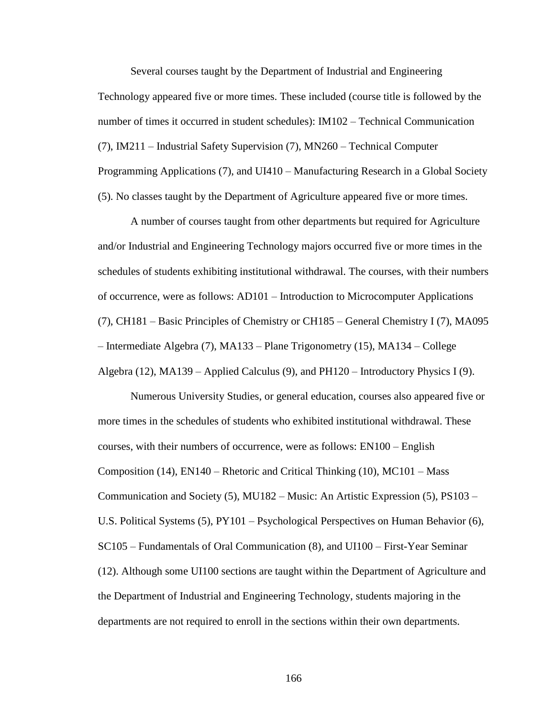Several courses taught by the Department of Industrial and Engineering Technology appeared five or more times. These included (course title is followed by the number of times it occurred in student schedules): IM102 – Technical Communication (7), IM211 – Industrial Safety Supervision (7), MN260 – Technical Computer Programming Applications (7), and UI410 – Manufacturing Research in a Global Society (5). No classes taught by the Department of Agriculture appeared five or more times.

A number of courses taught from other departments but required for Agriculture and/or Industrial and Engineering Technology majors occurred five or more times in the schedules of students exhibiting institutional withdrawal. The courses, with their numbers of occurrence, were as follows: AD101 – Introduction to Microcomputer Applications (7), CH181 – Basic Principles of Chemistry or CH185 – General Chemistry I (7), MA095 – Intermediate Algebra (7), MA133 – Plane Trigonometry (15), MA134 – College Algebra (12), MA139 – Applied Calculus (9), and PH120 – Introductory Physics I (9).

Numerous University Studies, or general education, courses also appeared five or more times in the schedules of students who exhibited institutional withdrawal. These courses, with their numbers of occurrence, were as follows: EN100 – English Composition (14),  $EN140 - R$  hetoric and Critical Thinking (10),  $MC101 - Mass$ Communication and Society (5), MU182 – Music: An Artistic Expression (5), PS103 – U.S. Political Systems (5), PY101 – Psychological Perspectives on Human Behavior (6), SC105 – Fundamentals of Oral Communication (8), and UI100 – First-Year Seminar (12). Although some UI100 sections are taught within the Department of Agriculture and the Department of Industrial and Engineering Technology, students majoring in the departments are not required to enroll in the sections within their own departments.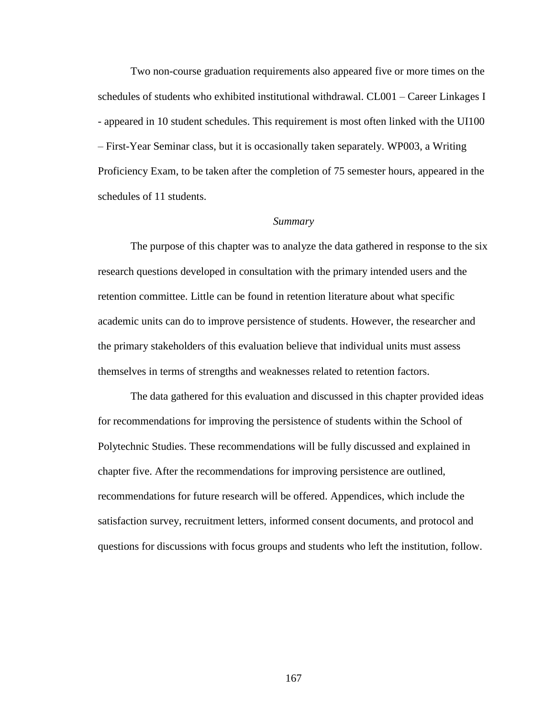Two non-course graduation requirements also appeared five or more times on the schedules of students who exhibited institutional withdrawal. CL001 – Career Linkages I - appeared in 10 student schedules. This requirement is most often linked with the UI100 – First-Year Seminar class, but it is occasionally taken separately. WP003, a Writing Proficiency Exam, to be taken after the completion of 75 semester hours, appeared in the schedules of 11 students.

#### *Summary*

The purpose of this chapter was to analyze the data gathered in response to the six research questions developed in consultation with the primary intended users and the retention committee. Little can be found in retention literature about what specific academic units can do to improve persistence of students. However, the researcher and the primary stakeholders of this evaluation believe that individual units must assess themselves in terms of strengths and weaknesses related to retention factors.

The data gathered for this evaluation and discussed in this chapter provided ideas for recommendations for improving the persistence of students within the School of Polytechnic Studies. These recommendations will be fully discussed and explained in chapter five. After the recommendations for improving persistence are outlined, recommendations for future research will be offered. Appendices, which include the satisfaction survey, recruitment letters, informed consent documents, and protocol and questions for discussions with focus groups and students who left the institution, follow.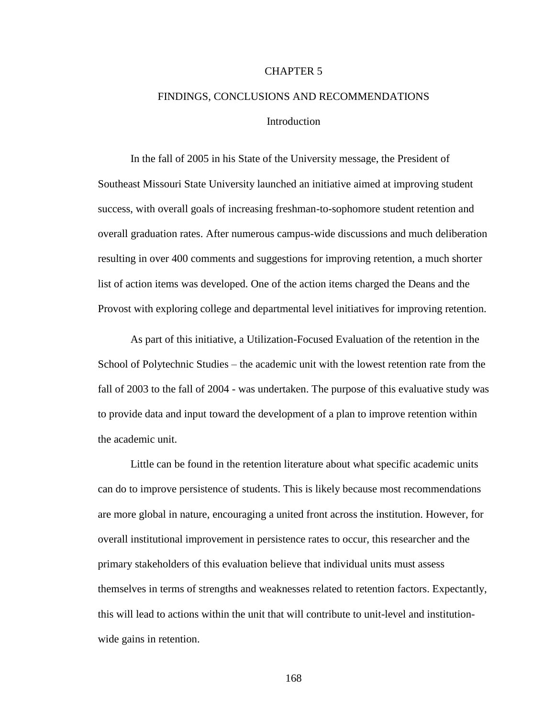## CHAPTER 5

# FINDINGS, CONCLUSIONS AND RECOMMENDATIONS Introduction

In the fall of 2005 in his State of the University message, the President of Southeast Missouri State University launched an initiative aimed at improving student success, with overall goals of increasing freshman-to-sophomore student retention and overall graduation rates. After numerous campus-wide discussions and much deliberation resulting in over 400 comments and suggestions for improving retention, a much shorter list of action items was developed. One of the action items charged the Deans and the Provost with exploring college and departmental level initiatives for improving retention.

As part of this initiative, a Utilization-Focused Evaluation of the retention in the School of Polytechnic Studies – the academic unit with the lowest retention rate from the fall of 2003 to the fall of 2004 - was undertaken. The purpose of this evaluative study was to provide data and input toward the development of a plan to improve retention within the academic unit.

Little can be found in the retention literature about what specific academic units can do to improve persistence of students. This is likely because most recommendations are more global in nature, encouraging a united front across the institution. However, for overall institutional improvement in persistence rates to occur, this researcher and the primary stakeholders of this evaluation believe that individual units must assess themselves in terms of strengths and weaknesses related to retention factors. Expectantly, this will lead to actions within the unit that will contribute to unit-level and institutionwide gains in retention.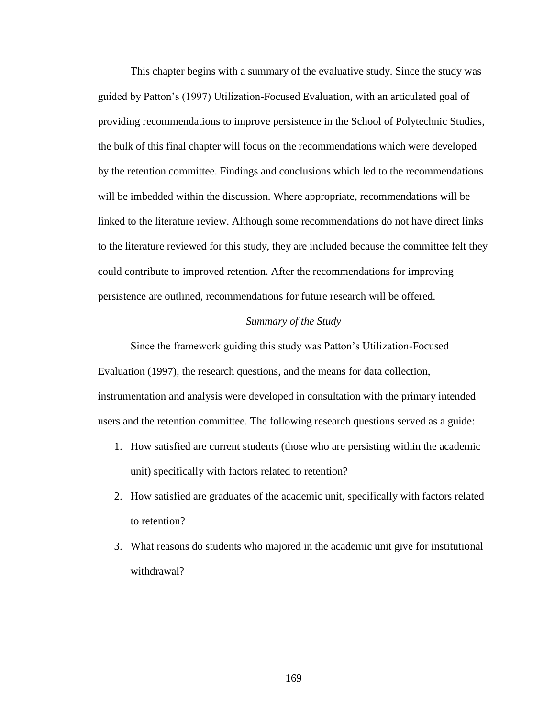This chapter begins with a summary of the evaluative study. Since the study was guided by Patton"s (1997) Utilization-Focused Evaluation, with an articulated goal of providing recommendations to improve persistence in the School of Polytechnic Studies, the bulk of this final chapter will focus on the recommendations which were developed by the retention committee. Findings and conclusions which led to the recommendations will be imbedded within the discussion. Where appropriate, recommendations will be linked to the literature review. Although some recommendations do not have direct links to the literature reviewed for this study, they are included because the committee felt they could contribute to improved retention. After the recommendations for improving persistence are outlined, recommendations for future research will be offered.

## *Summary of the Study*

Since the framework guiding this study was Patton"s Utilization-Focused Evaluation (1997), the research questions, and the means for data collection, instrumentation and analysis were developed in consultation with the primary intended users and the retention committee. The following research questions served as a guide:

- 1. How satisfied are current students (those who are persisting within the academic unit) specifically with factors related to retention?
- 2. How satisfied are graduates of the academic unit, specifically with factors related to retention?
- 3. What reasons do students who majored in the academic unit give for institutional withdrawal?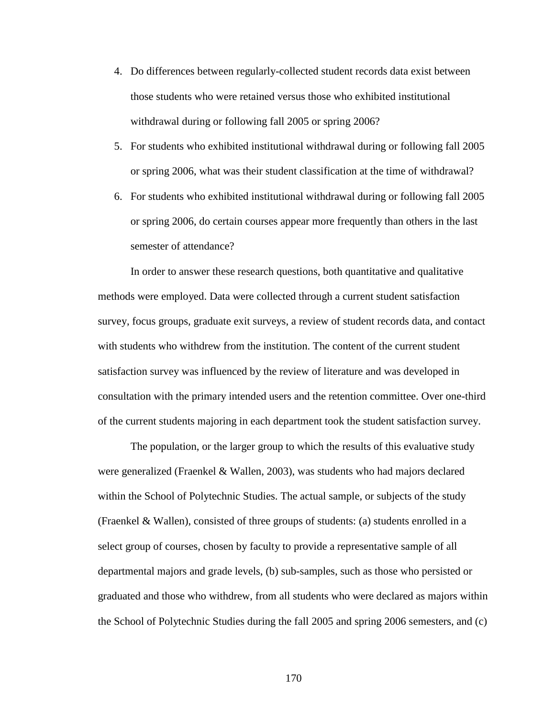- 4. Do differences between regularly-collected student records data exist between those students who were retained versus those who exhibited institutional withdrawal during or following fall 2005 or spring 2006?
- 5. For students who exhibited institutional withdrawal during or following fall 2005 or spring 2006, what was their student classification at the time of withdrawal?
- 6. For students who exhibited institutional withdrawal during or following fall 2005 or spring 2006, do certain courses appear more frequently than others in the last semester of attendance?

In order to answer these research questions, both quantitative and qualitative methods were employed. Data were collected through a current student satisfaction survey, focus groups, graduate exit surveys, a review of student records data, and contact with students who withdrew from the institution. The content of the current student satisfaction survey was influenced by the review of literature and was developed in consultation with the primary intended users and the retention committee. Over one-third of the current students majoring in each department took the student satisfaction survey.

The population, or the larger group to which the results of this evaluative study were generalized (Fraenkel & Wallen, 2003), was students who had majors declared within the School of Polytechnic Studies. The actual sample, or subjects of the study (Fraenkel & Wallen), consisted of three groups of students: (a) students enrolled in a select group of courses, chosen by faculty to provide a representative sample of all departmental majors and grade levels, (b) sub-samples, such as those who persisted or graduated and those who withdrew, from all students who were declared as majors within the School of Polytechnic Studies during the fall 2005 and spring 2006 semesters, and (c)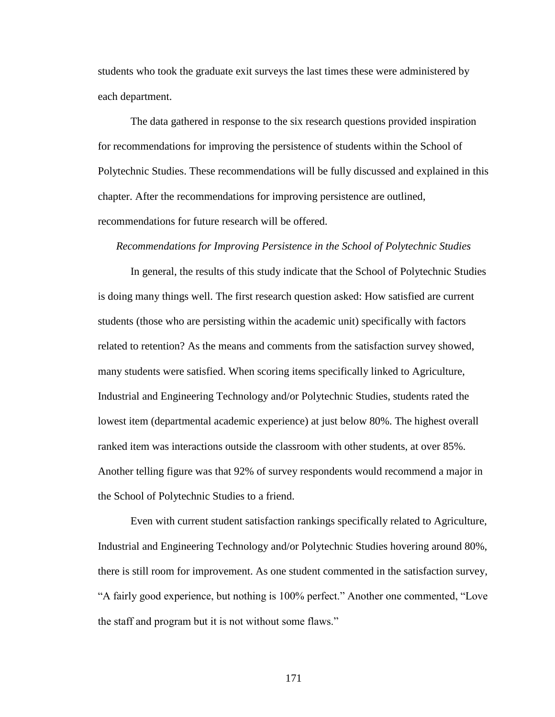students who took the graduate exit surveys the last times these were administered by each department.

The data gathered in response to the six research questions provided inspiration for recommendations for improving the persistence of students within the School of Polytechnic Studies. These recommendations will be fully discussed and explained in this chapter. After the recommendations for improving persistence are outlined, recommendations for future research will be offered.

#### *Recommendations for Improving Persistence in the School of Polytechnic Studies*

In general, the results of this study indicate that the School of Polytechnic Studies is doing many things well. The first research question asked: How satisfied are current students (those who are persisting within the academic unit) specifically with factors related to retention? As the means and comments from the satisfaction survey showed, many students were satisfied. When scoring items specifically linked to Agriculture, Industrial and Engineering Technology and/or Polytechnic Studies, students rated the lowest item (departmental academic experience) at just below 80%. The highest overall ranked item was interactions outside the classroom with other students, at over 85%. Another telling figure was that 92% of survey respondents would recommend a major in the School of Polytechnic Studies to a friend.

Even with current student satisfaction rankings specifically related to Agriculture, Industrial and Engineering Technology and/or Polytechnic Studies hovering around 80%, there is still room for improvement. As one student commented in the satisfaction survey, "A fairly good experience, but nothing is 100% perfect." Another one commented, "Love the staff and program but it is not without some flaws."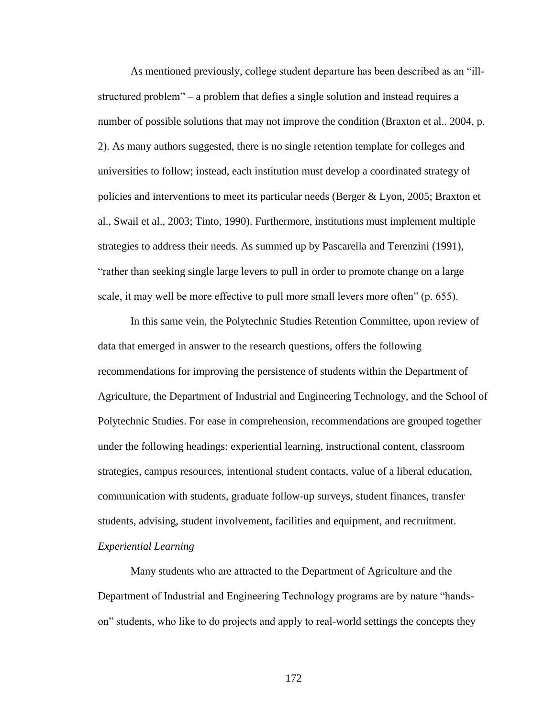As mentioned previously, college student departure has been described as an "illstructured problem" – a problem that defies a single solution and instead requires a number of possible solutions that may not improve the condition (Braxton et al.. 2004, p. 2). As many authors suggested, there is no single retention template for colleges and universities to follow; instead, each institution must develop a coordinated strategy of policies and interventions to meet its particular needs (Berger & Lyon, 2005; Braxton et al., Swail et al., 2003; Tinto, 1990). Furthermore, institutions must implement multiple strategies to address their needs. As summed up by Pascarella and Terenzini (1991), "rather than seeking single large levers to pull in order to promote change on a large scale, it may well be more effective to pull more small levers more often" (p. 655).

In this same vein, the Polytechnic Studies Retention Committee, upon review of data that emerged in answer to the research questions, offers the following recommendations for improving the persistence of students within the Department of Agriculture, the Department of Industrial and Engineering Technology, and the School of Polytechnic Studies. For ease in comprehension, recommendations are grouped together under the following headings: experiential learning, instructional content, classroom strategies, campus resources, intentional student contacts, value of a liberal education, communication with students, graduate follow-up surveys, student finances, transfer students, advising, student involvement, facilities and equipment, and recruitment. *Experiential Learning*

Many students who are attracted to the Department of Agriculture and the Department of Industrial and Engineering Technology programs are by nature "handson" students, who like to do projects and apply to real-world settings the concepts they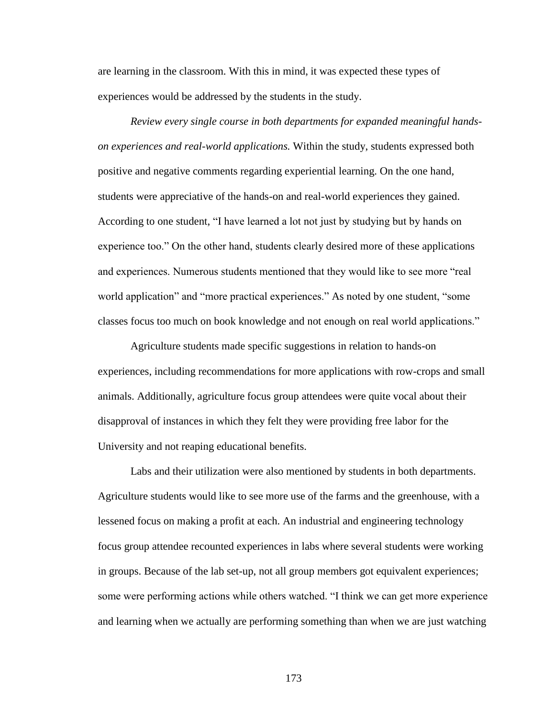are learning in the classroom. With this in mind, it was expected these types of experiences would be addressed by the students in the study.

*Review every single course in both departments for expanded meaningful handson experiences and real-world applications.* Within the study, students expressed both positive and negative comments regarding experiential learning. On the one hand, students were appreciative of the hands-on and real-world experiences they gained. According to one student, "I have learned a lot not just by studying but by hands on experience too." On the other hand, students clearly desired more of these applications and experiences. Numerous students mentioned that they would like to see more "real world application" and "more practical experiences." As noted by one student, "some classes focus too much on book knowledge and not enough on real world applications."

Agriculture students made specific suggestions in relation to hands-on experiences, including recommendations for more applications with row-crops and small animals. Additionally, agriculture focus group attendees were quite vocal about their disapproval of instances in which they felt they were providing free labor for the University and not reaping educational benefits.

Labs and their utilization were also mentioned by students in both departments. Agriculture students would like to see more use of the farms and the greenhouse, with a lessened focus on making a profit at each. An industrial and engineering technology focus group attendee recounted experiences in labs where several students were working in groups. Because of the lab set-up, not all group members got equivalent experiences; some were performing actions while others watched. "I think we can get more experience and learning when we actually are performing something than when we are just watching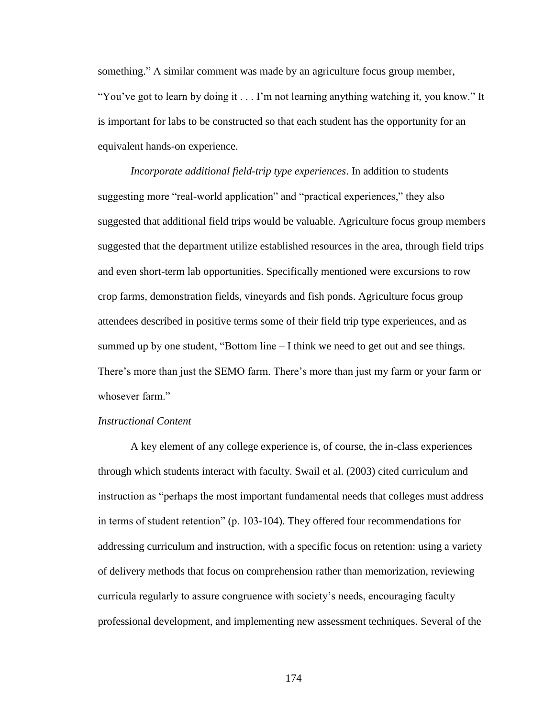something." A similar comment was made by an agriculture focus group member, "You"ve got to learn by doing it . . . I"m not learning anything watching it, you know." It is important for labs to be constructed so that each student has the opportunity for an equivalent hands-on experience.

*Incorporate additional field-trip type experiences*. In addition to students suggesting more "real-world application" and "practical experiences," they also suggested that additional field trips would be valuable. Agriculture focus group members suggested that the department utilize established resources in the area, through field trips and even short-term lab opportunities. Specifically mentioned were excursions to row crop farms, demonstration fields, vineyards and fish ponds. Agriculture focus group attendees described in positive terms some of their field trip type experiences, and as summed up by one student, "Bottom line  $-$  I think we need to get out and see things. There's more than just the SEMO farm. There's more than just my farm or your farm or whosever farm."

### *Instructional Content*

A key element of any college experience is, of course, the in-class experiences through which students interact with faculty. Swail et al. (2003) cited curriculum and instruction as "perhaps the most important fundamental needs that colleges must address in terms of student retention" (p. 103-104). They offered four recommendations for addressing curriculum and instruction, with a specific focus on retention: using a variety of delivery methods that focus on comprehension rather than memorization, reviewing curricula regularly to assure congruence with society"s needs, encouraging faculty professional development, and implementing new assessment techniques. Several of the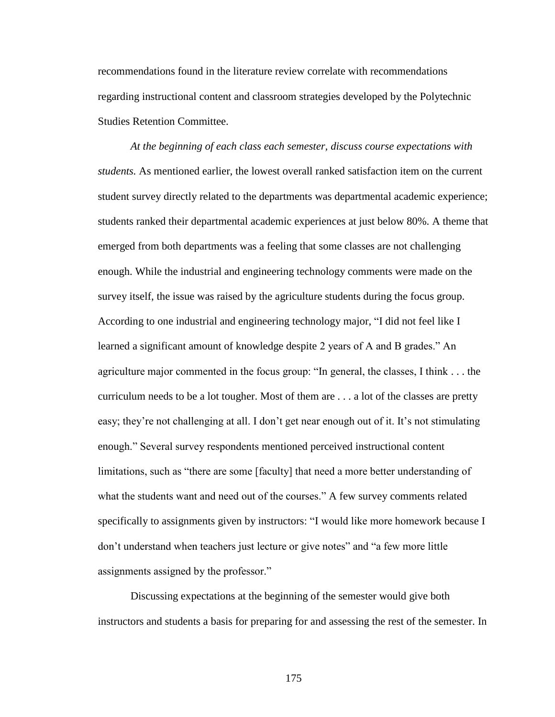recommendations found in the literature review correlate with recommendations regarding instructional content and classroom strategies developed by the Polytechnic Studies Retention Committee.

*At the beginning of each class each semester, discuss course expectations with students.* As mentioned earlier, the lowest overall ranked satisfaction item on the current student survey directly related to the departments was departmental academic experience; students ranked their departmental academic experiences at just below 80%. A theme that emerged from both departments was a feeling that some classes are not challenging enough. While the industrial and engineering technology comments were made on the survey itself, the issue was raised by the agriculture students during the focus group. According to one industrial and engineering technology major, "I did not feel like I learned a significant amount of knowledge despite 2 years of A and B grades." An agriculture major commented in the focus group: "In general, the classes, I think . . . the curriculum needs to be a lot tougher. Most of them are . . . a lot of the classes are pretty easy; they're not challenging at all. I don't get near enough out of it. It's not stimulating enough." Several survey respondents mentioned perceived instructional content limitations, such as "there are some [faculty] that need a more better understanding of what the students want and need out of the courses." A few survey comments related specifically to assignments given by instructors: "I would like more homework because I don"t understand when teachers just lecture or give notes" and "a few more little assignments assigned by the professor."

Discussing expectations at the beginning of the semester would give both instructors and students a basis for preparing for and assessing the rest of the semester. In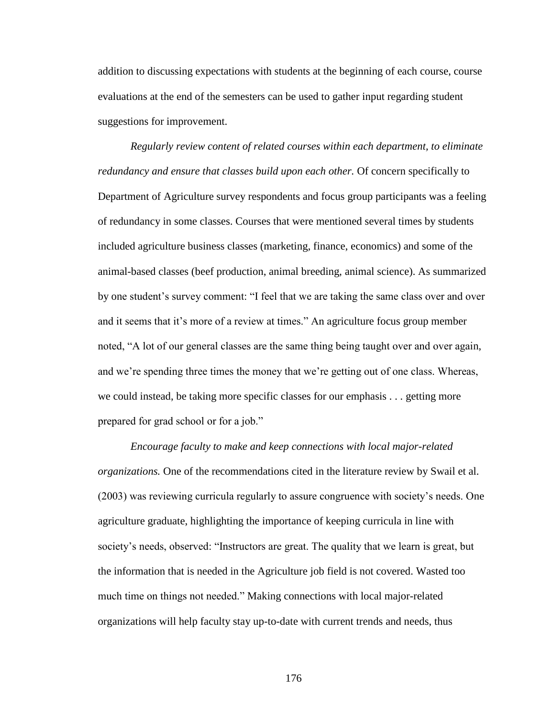addition to discussing expectations with students at the beginning of each course, course evaluations at the end of the semesters can be used to gather input regarding student suggestions for improvement.

*Regularly review content of related courses within each department, to eliminate redundancy and ensure that classes build upon each other.* Of concern specifically to Department of Agriculture survey respondents and focus group participants was a feeling of redundancy in some classes. Courses that were mentioned several times by students included agriculture business classes (marketing, finance, economics) and some of the animal-based classes (beef production, animal breeding, animal science). As summarized by one student's survey comment: "I feel that we are taking the same class over and over and it seems that it's more of a review at times." An agriculture focus group member noted, "A lot of our general classes are the same thing being taught over and over again, and we're spending three times the money that we're getting out of one class. Whereas, we could instead, be taking more specific classes for our emphasis . . . getting more prepared for grad school or for a job."

*Encourage faculty to make and keep connections with local major-related organizations.* One of the recommendations cited in the literature review by Swail et al. (2003) was reviewing curricula regularly to assure congruence with society"s needs. One agriculture graduate, highlighting the importance of keeping curricula in line with society's needs, observed: "Instructors are great. The quality that we learn is great, but the information that is needed in the Agriculture job field is not covered. Wasted too much time on things not needed." Making connections with local major-related organizations will help faculty stay up-to-date with current trends and needs, thus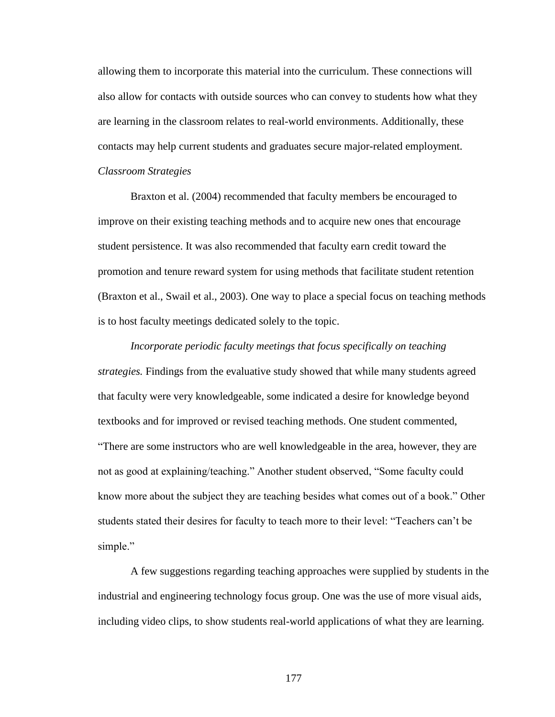allowing them to incorporate this material into the curriculum. These connections will also allow for contacts with outside sources who can convey to students how what they are learning in the classroom relates to real-world environments. Additionally, these contacts may help current students and graduates secure major-related employment. *Classroom Strategies*

Braxton et al. (2004) recommended that faculty members be encouraged to improve on their existing teaching methods and to acquire new ones that encourage student persistence. It was also recommended that faculty earn credit toward the promotion and tenure reward system for using methods that facilitate student retention (Braxton et al., Swail et al., 2003). One way to place a special focus on teaching methods is to host faculty meetings dedicated solely to the topic.

*Incorporate periodic faculty meetings that focus specifically on teaching strategies.* Findings from the evaluative study showed that while many students agreed that faculty were very knowledgeable, some indicated a desire for knowledge beyond textbooks and for improved or revised teaching methods. One student commented, "There are some instructors who are well knowledgeable in the area, however, they are not as good at explaining/teaching." Another student observed, "Some faculty could know more about the subject they are teaching besides what comes out of a book." Other students stated their desires for faculty to teach more to their level: "Teachers can"t be simple."

A few suggestions regarding teaching approaches were supplied by students in the industrial and engineering technology focus group. One was the use of more visual aids, including video clips, to show students real-world applications of what they are learning.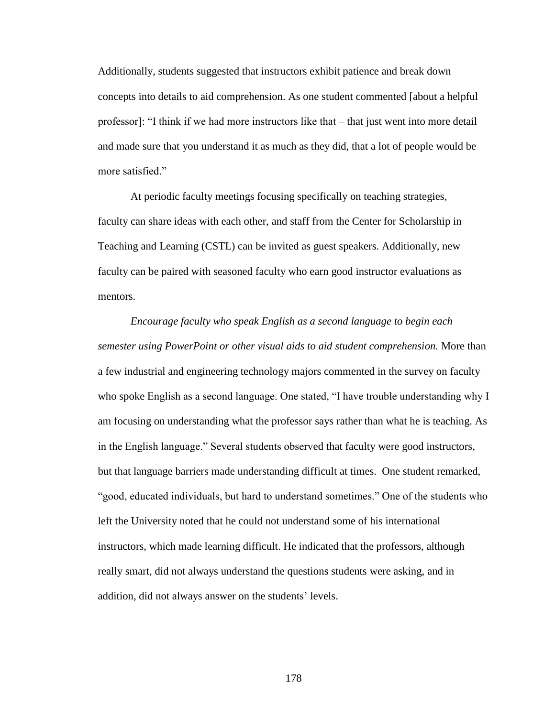Additionally, students suggested that instructors exhibit patience and break down concepts into details to aid comprehension. As one student commented [about a helpful professor]: "I think if we had more instructors like that – that just went into more detail and made sure that you understand it as much as they did, that a lot of people would be more satisfied."

At periodic faculty meetings focusing specifically on teaching strategies, faculty can share ideas with each other, and staff from the Center for Scholarship in Teaching and Learning (CSTL) can be invited as guest speakers. Additionally, new faculty can be paired with seasoned faculty who earn good instructor evaluations as mentors.

*Encourage faculty who speak English as a second language to begin each semester using PowerPoint or other visual aids to aid student comprehension.* More than a few industrial and engineering technology majors commented in the survey on faculty who spoke English as a second language. One stated, "I have trouble understanding why I am focusing on understanding what the professor says rather than what he is teaching. As in the English language." Several students observed that faculty were good instructors, but that language barriers made understanding difficult at times. One student remarked, "good, educated individuals, but hard to understand sometimes." One of the students who left the University noted that he could not understand some of his international instructors, which made learning difficult. He indicated that the professors, although really smart, did not always understand the questions students were asking, and in addition, did not always answer on the students' levels.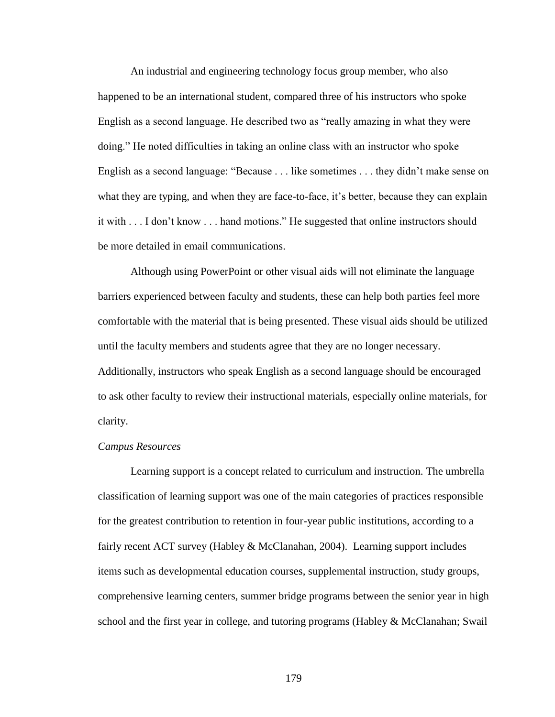An industrial and engineering technology focus group member, who also happened to be an international student, compared three of his instructors who spoke English as a second language. He described two as "really amazing in what they were doing." He noted difficulties in taking an online class with an instructor who spoke English as a second language: "Because . . . like sometimes . . . they didn"t make sense on what they are typing, and when they are face-to-face, it's better, because they can explain it with . . . I don"t know . . . hand motions." He suggested that online instructors should be more detailed in email communications.

Although using PowerPoint or other visual aids will not eliminate the language barriers experienced between faculty and students, these can help both parties feel more comfortable with the material that is being presented. These visual aids should be utilized until the faculty members and students agree that they are no longer necessary. Additionally, instructors who speak English as a second language should be encouraged to ask other faculty to review their instructional materials, especially online materials, for clarity.

## *Campus Resources*

Learning support is a concept related to curriculum and instruction. The umbrella classification of learning support was one of the main categories of practices responsible for the greatest contribution to retention in four-year public institutions, according to a fairly recent ACT survey (Habley & McClanahan, 2004). Learning support includes items such as developmental education courses, supplemental instruction, study groups, comprehensive learning centers, summer bridge programs between the senior year in high school and the first year in college, and tutoring programs (Habley  $\&$  McClanahan; Swail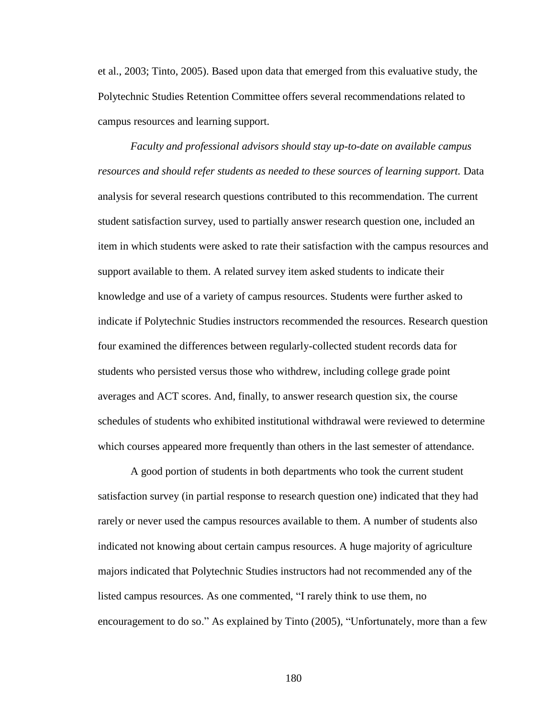et al., 2003; Tinto, 2005). Based upon data that emerged from this evaluative study, the Polytechnic Studies Retention Committee offers several recommendations related to campus resources and learning support.

*Faculty and professional advisors should stay up-to-date on available campus resources and should refer students as needed to these sources of learning support.* Data analysis for several research questions contributed to this recommendation. The current student satisfaction survey, used to partially answer research question one, included an item in which students were asked to rate their satisfaction with the campus resources and support available to them. A related survey item asked students to indicate their knowledge and use of a variety of campus resources. Students were further asked to indicate if Polytechnic Studies instructors recommended the resources. Research question four examined the differences between regularly-collected student records data for students who persisted versus those who withdrew, including college grade point averages and ACT scores. And, finally, to answer research question six, the course schedules of students who exhibited institutional withdrawal were reviewed to determine which courses appeared more frequently than others in the last semester of attendance.

A good portion of students in both departments who took the current student satisfaction survey (in partial response to research question one) indicated that they had rarely or never used the campus resources available to them. A number of students also indicated not knowing about certain campus resources. A huge majority of agriculture majors indicated that Polytechnic Studies instructors had not recommended any of the listed campus resources. As one commented, "I rarely think to use them, no encouragement to do so." As explained by Tinto (2005), "Unfortunately, more than a few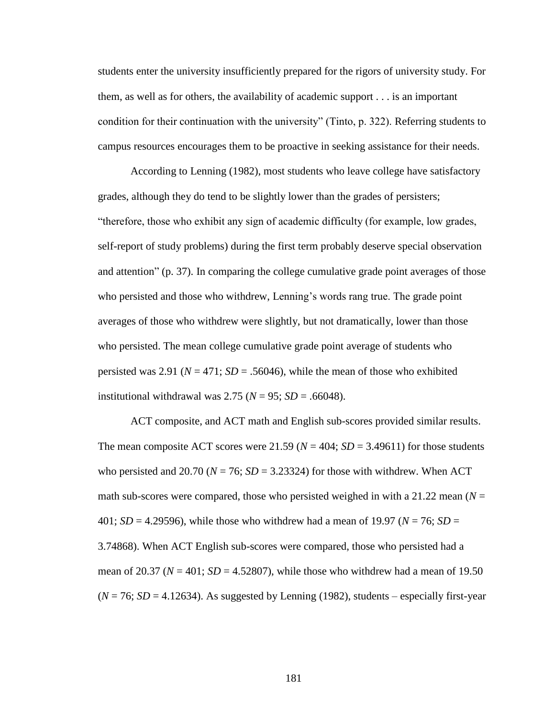students enter the university insufficiently prepared for the rigors of university study. For them, as well as for others, the availability of academic support . . . is an important condition for their continuation with the university" (Tinto, p. 322). Referring students to campus resources encourages them to be proactive in seeking assistance for their needs.

According to Lenning (1982), most students who leave college have satisfactory grades, although they do tend to be slightly lower than the grades of persisters; "therefore, those who exhibit any sign of academic difficulty (for example, low grades, self-report of study problems) during the first term probably deserve special observation and attention" (p. 37). In comparing the college cumulative grade point averages of those who persisted and those who withdrew, Lenning's words rang true. The grade point averages of those who withdrew were slightly, but not dramatically, lower than those who persisted. The mean college cumulative grade point average of students who persisted was 2.91 ( $N = 471$ ;  $SD = .56046$ ), while the mean of those who exhibited institutional withdrawal was  $2.75$  ( $N = 95$ ;  $SD = .66048$ ).

ACT composite, and ACT math and English sub-scores provided similar results. The mean composite ACT scores were 21.59 ( $N = 404$ ;  $SD = 3.49611$ ) for those students who persisted and 20.70 ( $N = 76$ ;  $SD = 3.23324$ ) for those with withdrew. When ACT math sub-scores were compared, those who persisted weighed in with a 21.22 mean  $(N =$ 401; *SD* = 4.29596), while those who withdrew had a mean of 19.97 (*N* = 76; *SD* = 3.74868). When ACT English sub-scores were compared, those who persisted had a mean of 20.37 ( $N = 401$ ;  $SD = 4.52807$ ), while those who withdrew had a mean of 19.50  $(N = 76; SD = 4.12634)$ . As suggested by Lenning (1982), students – especially first-year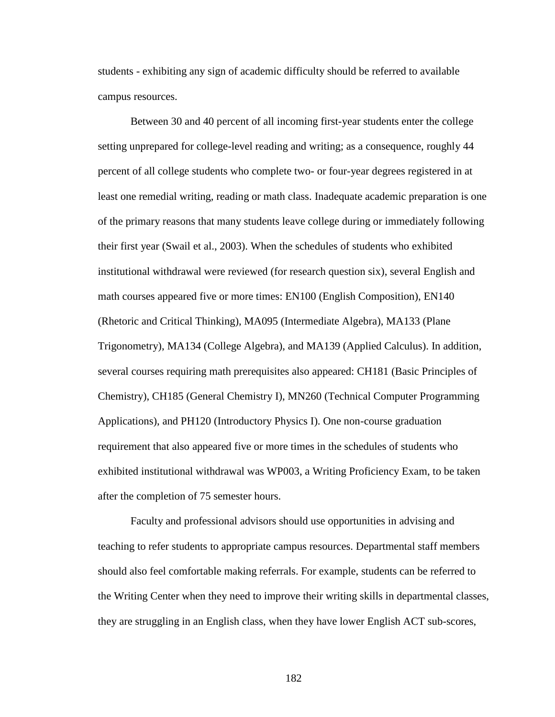students - exhibiting any sign of academic difficulty should be referred to available campus resources.

Between 30 and 40 percent of all incoming first-year students enter the college setting unprepared for college-level reading and writing; as a consequence, roughly 44 percent of all college students who complete two- or four-year degrees registered in at least one remedial writing, reading or math class. Inadequate academic preparation is one of the primary reasons that many students leave college during or immediately following their first year (Swail et al., 2003). When the schedules of students who exhibited institutional withdrawal were reviewed (for research question six), several English and math courses appeared five or more times: EN100 (English Composition), EN140 (Rhetoric and Critical Thinking), MA095 (Intermediate Algebra), MA133 (Plane Trigonometry), MA134 (College Algebra), and MA139 (Applied Calculus). In addition, several courses requiring math prerequisites also appeared: CH181 (Basic Principles of Chemistry), CH185 (General Chemistry I), MN260 (Technical Computer Programming Applications), and PH120 (Introductory Physics I). One non-course graduation requirement that also appeared five or more times in the schedules of students who exhibited institutional withdrawal was WP003, a Writing Proficiency Exam, to be taken after the completion of 75 semester hours.

Faculty and professional advisors should use opportunities in advising and teaching to refer students to appropriate campus resources. Departmental staff members should also feel comfortable making referrals. For example, students can be referred to the Writing Center when they need to improve their writing skills in departmental classes, they are struggling in an English class, when they have lower English ACT sub-scores,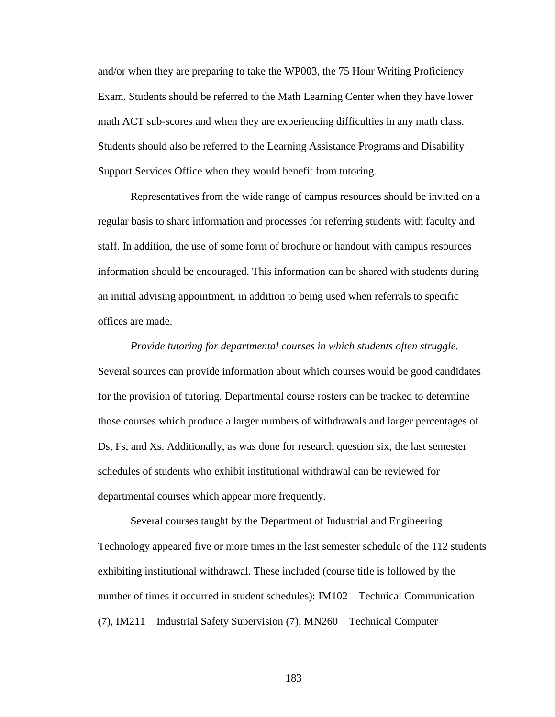and/or when they are preparing to take the WP003, the 75 Hour Writing Proficiency Exam. Students should be referred to the Math Learning Center when they have lower math ACT sub-scores and when they are experiencing difficulties in any math class. Students should also be referred to the Learning Assistance Programs and Disability Support Services Office when they would benefit from tutoring.

Representatives from the wide range of campus resources should be invited on a regular basis to share information and processes for referring students with faculty and staff. In addition, the use of some form of brochure or handout with campus resources information should be encouraged. This information can be shared with students during an initial advising appointment, in addition to being used when referrals to specific offices are made.

*Provide tutoring for departmental courses in which students often struggle.* Several sources can provide information about which courses would be good candidates for the provision of tutoring. Departmental course rosters can be tracked to determine those courses which produce a larger numbers of withdrawals and larger percentages of Ds, Fs, and Xs. Additionally, as was done for research question six, the last semester schedules of students who exhibit institutional withdrawal can be reviewed for departmental courses which appear more frequently.

Several courses taught by the Department of Industrial and Engineering Technology appeared five or more times in the last semester schedule of the 112 students exhibiting institutional withdrawal. These included (course title is followed by the number of times it occurred in student schedules): IM102 – Technical Communication (7), IM211 – Industrial Safety Supervision (7), MN260 – Technical Computer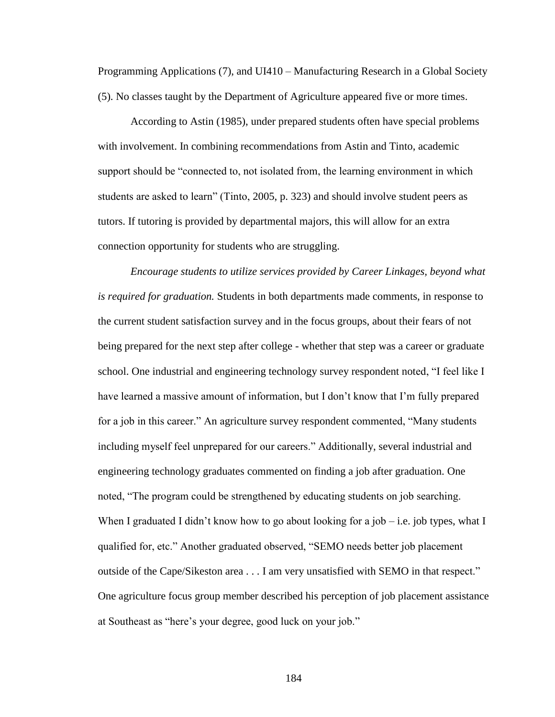Programming Applications (7), and UI410 – Manufacturing Research in a Global Society (5). No classes taught by the Department of Agriculture appeared five or more times.

According to Astin (1985), under prepared students often have special problems with involvement. In combining recommendations from Astin and Tinto, academic support should be "connected to, not isolated from, the learning environment in which students are asked to learn" (Tinto, 2005, p. 323) and should involve student peers as tutors. If tutoring is provided by departmental majors, this will allow for an extra connection opportunity for students who are struggling.

*Encourage students to utilize services provided by Career Linkages, beyond what is required for graduation.* Students in both departments made comments, in response to the current student satisfaction survey and in the focus groups, about their fears of not being prepared for the next step after college - whether that step was a career or graduate school. One industrial and engineering technology survey respondent noted, "I feel like I have learned a massive amount of information, but I don't know that I'm fully prepared for a job in this career." An agriculture survey respondent commented, "Many students including myself feel unprepared for our careers." Additionally, several industrial and engineering technology graduates commented on finding a job after graduation. One noted, "The program could be strengthened by educating students on job searching. When I graduated I didn't know how to go about looking for a job – i.e. job types, what I qualified for, etc." Another graduated observed, "SEMO needs better job placement outside of the Cape/Sikeston area . . . I am very unsatisfied with SEMO in that respect." One agriculture focus group member described his perception of job placement assistance at Southeast as "here"s your degree, good luck on your job."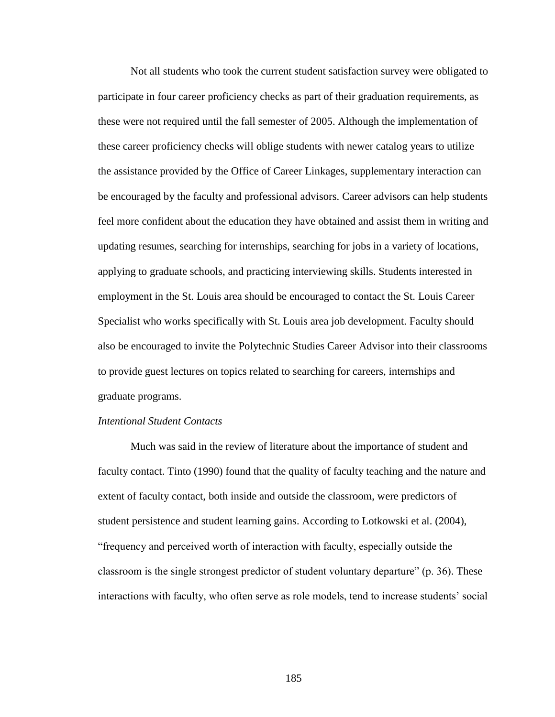Not all students who took the current student satisfaction survey were obligated to participate in four career proficiency checks as part of their graduation requirements, as these were not required until the fall semester of 2005. Although the implementation of these career proficiency checks will oblige students with newer catalog years to utilize the assistance provided by the Office of Career Linkages, supplementary interaction can be encouraged by the faculty and professional advisors. Career advisors can help students feel more confident about the education they have obtained and assist them in writing and updating resumes, searching for internships, searching for jobs in a variety of locations, applying to graduate schools, and practicing interviewing skills. Students interested in employment in the St. Louis area should be encouraged to contact the St. Louis Career Specialist who works specifically with St. Louis area job development. Faculty should also be encouraged to invite the Polytechnic Studies Career Advisor into their classrooms to provide guest lectures on topics related to searching for careers, internships and graduate programs.

### *Intentional Student Contacts*

Much was said in the review of literature about the importance of student and faculty contact. Tinto (1990) found that the quality of faculty teaching and the nature and extent of faculty contact, both inside and outside the classroom, were predictors of student persistence and student learning gains. According to Lotkowski et al. (2004), "frequency and perceived worth of interaction with faculty, especially outside the classroom is the single strongest predictor of student voluntary departure" (p. 36). These interactions with faculty, who often serve as role models, tend to increase students" social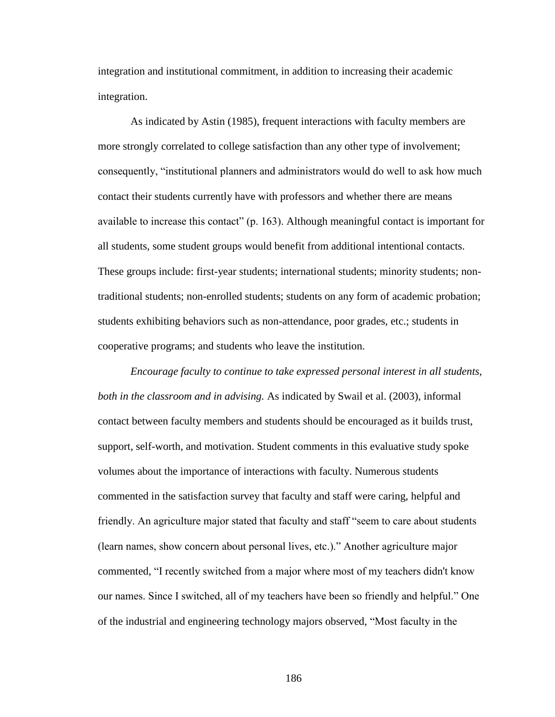integration and institutional commitment, in addition to increasing their academic integration.

As indicated by Astin (1985), frequent interactions with faculty members are more strongly correlated to college satisfaction than any other type of involvement; consequently, "institutional planners and administrators would do well to ask how much contact their students currently have with professors and whether there are means available to increase this contact" (p. 163). Although meaningful contact is important for all students, some student groups would benefit from additional intentional contacts. These groups include: first-year students; international students; minority students; nontraditional students; non-enrolled students; students on any form of academic probation; students exhibiting behaviors such as non-attendance, poor grades, etc.; students in cooperative programs; and students who leave the institution.

*Encourage faculty to continue to take expressed personal interest in all students, both in the classroom and in advising.* As indicated by Swail et al. (2003), informal contact between faculty members and students should be encouraged as it builds trust, support, self-worth, and motivation. Student comments in this evaluative study spoke volumes about the importance of interactions with faculty. Numerous students commented in the satisfaction survey that faculty and staff were caring, helpful and friendly. An agriculture major stated that faculty and staff "seem to care about students (learn names, show concern about personal lives, etc.)." Another agriculture major commented, "I recently switched from a major where most of my teachers didn't know our names. Since I switched, all of my teachers have been so friendly and helpful." One of the industrial and engineering technology majors observed, "Most faculty in the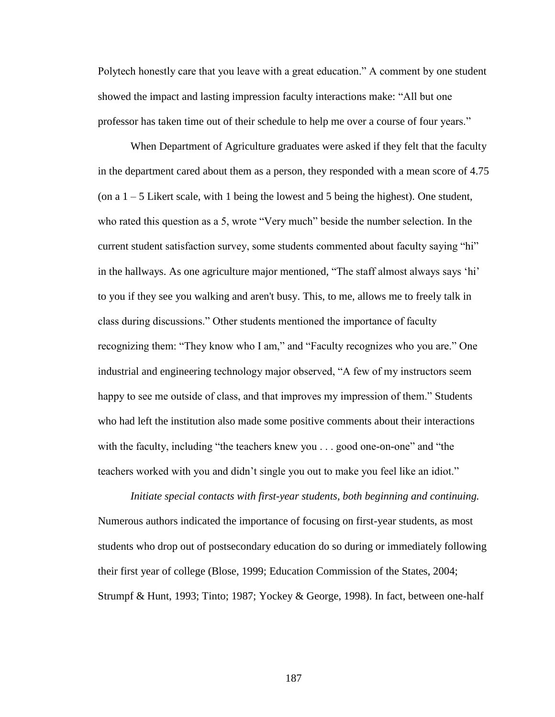Polytech honestly care that you leave with a great education." A comment by one student showed the impact and lasting impression faculty interactions make: "All but one professor has taken time out of their schedule to help me over a course of four years."

When Department of Agriculture graduates were asked if they felt that the faculty in the department cared about them as a person, they responded with a mean score of 4.75 (on a 1 – 5 Likert scale, with 1 being the lowest and 5 being the highest). One student, who rated this question as a 5, wrote "Very much" beside the number selection. In the current student satisfaction survey, some students commented about faculty saying "hi" in the hallways. As one agriculture major mentioned, "The staff almost always says "hi" to you if they see you walking and aren't busy. This, to me, allows me to freely talk in class during discussions." Other students mentioned the importance of faculty recognizing them: "They know who I am," and "Faculty recognizes who you are." One industrial and engineering technology major observed, "A few of my instructors seem happy to see me outside of class, and that improves my impression of them." Students who had left the institution also made some positive comments about their interactions with the faculty, including "the teachers knew you . . . good one-on-one" and "the teachers worked with you and didn"t single you out to make you feel like an idiot."

*Initiate special contacts with first-year students, both beginning and continuing.*  Numerous authors indicated the importance of focusing on first-year students, as most students who drop out of postsecondary education do so during or immediately following their first year of college (Blose, 1999; Education Commission of the States, 2004; Strumpf & Hunt, 1993; Tinto; 1987; Yockey & George, 1998). In fact, between one-half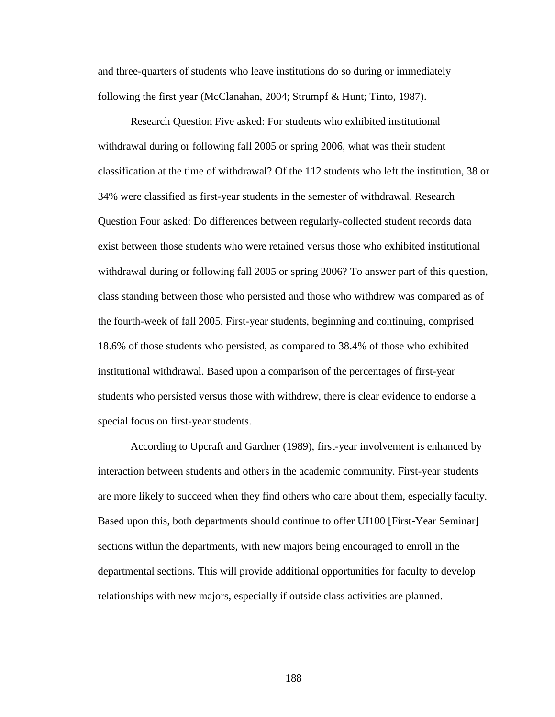and three-quarters of students who leave institutions do so during or immediately following the first year (McClanahan, 2004; Strumpf & Hunt; Tinto, 1987).

Research Question Five asked: For students who exhibited institutional withdrawal during or following fall 2005 or spring 2006, what was their student classification at the time of withdrawal? Of the 112 students who left the institution, 38 or 34% were classified as first-year students in the semester of withdrawal. Research Question Four asked: Do differences between regularly-collected student records data exist between those students who were retained versus those who exhibited institutional withdrawal during or following fall 2005 or spring 2006? To answer part of this question, class standing between those who persisted and those who withdrew was compared as of the fourth-week of fall 2005. First-year students, beginning and continuing, comprised 18.6% of those students who persisted, as compared to 38.4% of those who exhibited institutional withdrawal. Based upon a comparison of the percentages of first-year students who persisted versus those with withdrew, there is clear evidence to endorse a special focus on first-year students.

According to Upcraft and Gardner (1989), first-year involvement is enhanced by interaction between students and others in the academic community. First-year students are more likely to succeed when they find others who care about them, especially faculty. Based upon this, both departments should continue to offer UI100 [First-Year Seminar] sections within the departments, with new majors being encouraged to enroll in the departmental sections. This will provide additional opportunities for faculty to develop relationships with new majors, especially if outside class activities are planned.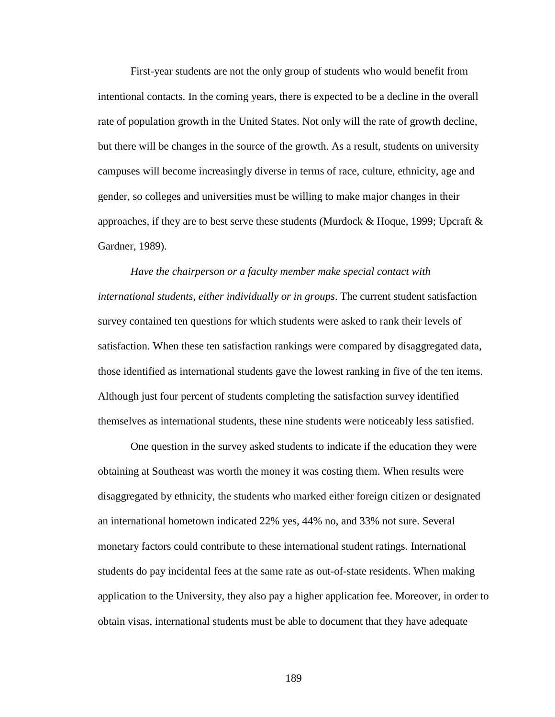First-year students are not the only group of students who would benefit from intentional contacts. In the coming years, there is expected to be a decline in the overall rate of population growth in the United States. Not only will the rate of growth decline, but there will be changes in the source of the growth. As a result, students on university campuses will become increasingly diverse in terms of race, culture, ethnicity, age and gender, so colleges and universities must be willing to make major changes in their approaches, if they are to best serve these students (Murdock  $&$  Hoque, 1999; Upcraft  $&$ Gardner, 1989).

*Have the chairperson or a faculty member make special contact with international students, either individually or in groups*. The current student satisfaction survey contained ten questions for which students were asked to rank their levels of satisfaction. When these ten satisfaction rankings were compared by disaggregated data, those identified as international students gave the lowest ranking in five of the ten items. Although just four percent of students completing the satisfaction survey identified themselves as international students, these nine students were noticeably less satisfied.

One question in the survey asked students to indicate if the education they were obtaining at Southeast was worth the money it was costing them. When results were disaggregated by ethnicity, the students who marked either foreign citizen or designated an international hometown indicated 22% yes, 44% no, and 33% not sure. Several monetary factors could contribute to these international student ratings. International students do pay incidental fees at the same rate as out-of-state residents. When making application to the University, they also pay a higher application fee. Moreover, in order to obtain visas, international students must be able to document that they have adequate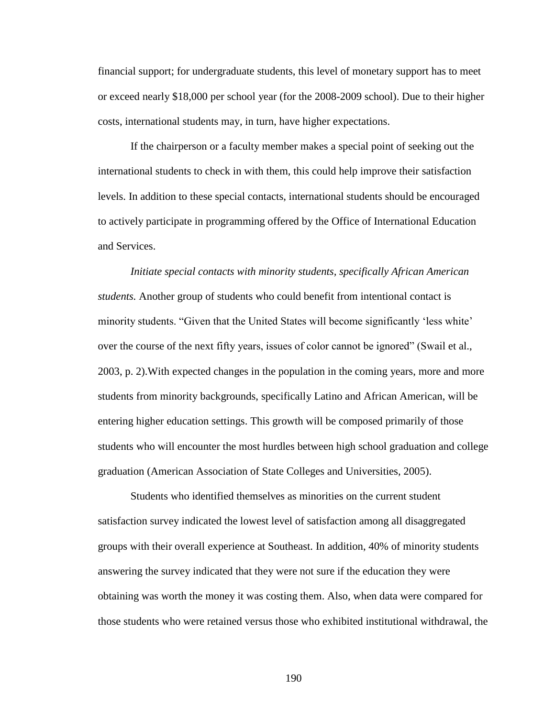financial support; for undergraduate students, this level of monetary support has to meet or exceed nearly \$18,000 per school year (for the 2008-2009 school). Due to their higher costs, international students may, in turn, have higher expectations.

If the chairperson or a faculty member makes a special point of seeking out the international students to check in with them, this could help improve their satisfaction levels. In addition to these special contacts, international students should be encouraged to actively participate in programming offered by the Office of International Education and Services.

*Initiate special contacts with minority students, specifically African American students.* Another group of students who could benefit from intentional contact is minority students. "Given that the United States will become significantly 'less white' over the course of the next fifty years, issues of color cannot be ignored" (Swail et al., 2003, p. 2).With expected changes in the population in the coming years, more and more students from minority backgrounds, specifically Latino and African American, will be entering higher education settings. This growth will be composed primarily of those students who will encounter the most hurdles between high school graduation and college graduation (American Association of State Colleges and Universities, 2005).

Students who identified themselves as minorities on the current student satisfaction survey indicated the lowest level of satisfaction among all disaggregated groups with their overall experience at Southeast. In addition, 40% of minority students answering the survey indicated that they were not sure if the education they were obtaining was worth the money it was costing them. Also, when data were compared for those students who were retained versus those who exhibited institutional withdrawal, the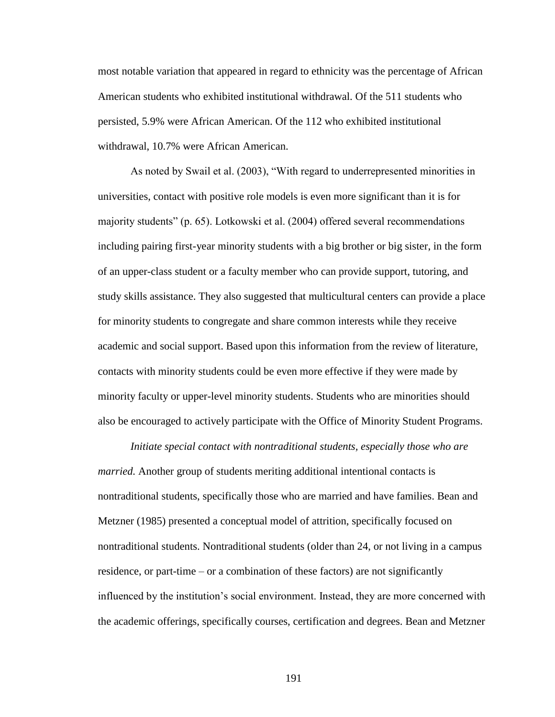most notable variation that appeared in regard to ethnicity was the percentage of African American students who exhibited institutional withdrawal. Of the 511 students who persisted, 5.9% were African American. Of the 112 who exhibited institutional withdrawal, 10.7% were African American.

As noted by Swail et al. (2003), "With regard to underrepresented minorities in universities, contact with positive role models is even more significant than it is for majority students" (p. 65). Lotkowski et al. (2004) offered several recommendations including pairing first-year minority students with a big brother or big sister, in the form of an upper-class student or a faculty member who can provide support, tutoring, and study skills assistance. They also suggested that multicultural centers can provide a place for minority students to congregate and share common interests while they receive academic and social support. Based upon this information from the review of literature, contacts with minority students could be even more effective if they were made by minority faculty or upper-level minority students. Students who are minorities should also be encouraged to actively participate with the Office of Minority Student Programs.

*Initiate special contact with nontraditional students, especially those who are married.* Another group of students meriting additional intentional contacts is nontraditional students, specifically those who are married and have families. Bean and Metzner (1985) presented a conceptual model of attrition, specifically focused on nontraditional students. Nontraditional students (older than 24, or not living in a campus residence, or part-time – or a combination of these factors) are not significantly influenced by the institution"s social environment. Instead, they are more concerned with the academic offerings, specifically courses, certification and degrees. Bean and Metzner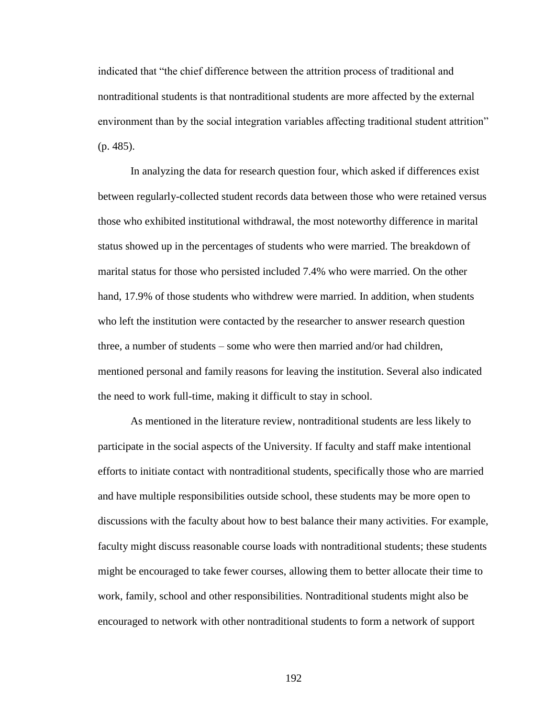indicated that "the chief difference between the attrition process of traditional and nontraditional students is that nontraditional students are more affected by the external environment than by the social integration variables affecting traditional student attrition" (p. 485).

In analyzing the data for research question four, which asked if differences exist between regularly-collected student records data between those who were retained versus those who exhibited institutional withdrawal, the most noteworthy difference in marital status showed up in the percentages of students who were married. The breakdown of marital status for those who persisted included 7.4% who were married. On the other hand, 17.9% of those students who withdrew were married. In addition, when students who left the institution were contacted by the researcher to answer research question three, a number of students – some who were then married and/or had children, mentioned personal and family reasons for leaving the institution. Several also indicated the need to work full-time, making it difficult to stay in school.

As mentioned in the literature review, nontraditional students are less likely to participate in the social aspects of the University. If faculty and staff make intentional efforts to initiate contact with nontraditional students, specifically those who are married and have multiple responsibilities outside school, these students may be more open to discussions with the faculty about how to best balance their many activities. For example, faculty might discuss reasonable course loads with nontraditional students; these students might be encouraged to take fewer courses, allowing them to better allocate their time to work, family, school and other responsibilities. Nontraditional students might also be encouraged to network with other nontraditional students to form a network of support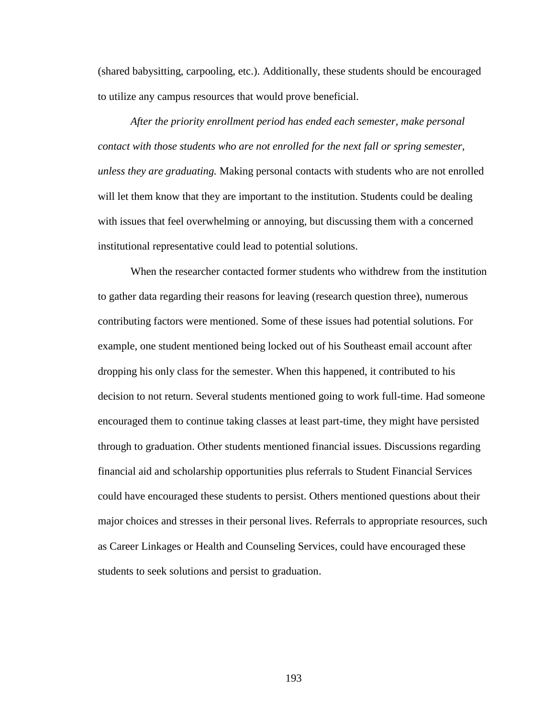(shared babysitting, carpooling, etc.). Additionally, these students should be encouraged to utilize any campus resources that would prove beneficial.

*After the priority enrollment period has ended each semester, make personal contact with those students who are not enrolled for the next fall or spring semester, unless they are graduating.* Making personal contacts with students who are not enrolled will let them know that they are important to the institution. Students could be dealing with issues that feel overwhelming or annoying, but discussing them with a concerned institutional representative could lead to potential solutions.

When the researcher contacted former students who withdrew from the institution to gather data regarding their reasons for leaving (research question three), numerous contributing factors were mentioned. Some of these issues had potential solutions. For example, one student mentioned being locked out of his Southeast email account after dropping his only class for the semester. When this happened, it contributed to his decision to not return. Several students mentioned going to work full-time. Had someone encouraged them to continue taking classes at least part-time, they might have persisted through to graduation. Other students mentioned financial issues. Discussions regarding financial aid and scholarship opportunities plus referrals to Student Financial Services could have encouraged these students to persist. Others mentioned questions about their major choices and stresses in their personal lives. Referrals to appropriate resources, such as Career Linkages or Health and Counseling Services, could have encouraged these students to seek solutions and persist to graduation.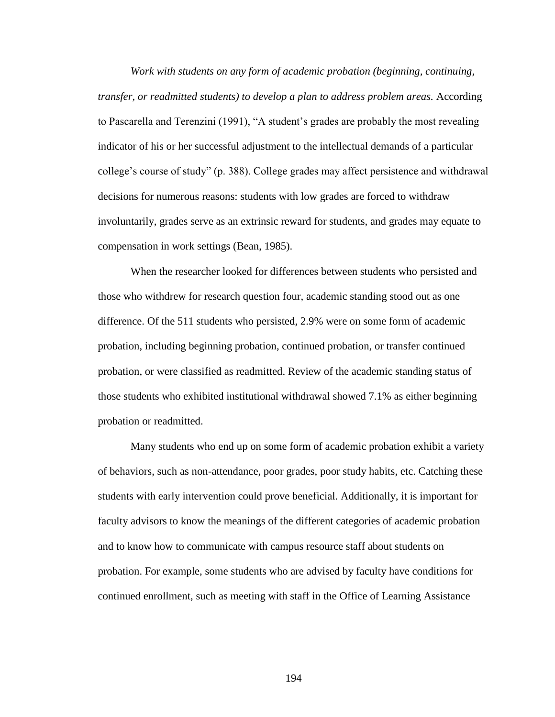*Work with students on any form of academic probation (beginning, continuing, transfer, or readmitted students) to develop a plan to address problem areas.* According to Pascarella and Terenzini (1991), "A student's grades are probably the most revealing indicator of his or her successful adjustment to the intellectual demands of a particular college"s course of study" (p. 388). College grades may affect persistence and withdrawal decisions for numerous reasons: students with low grades are forced to withdraw involuntarily, grades serve as an extrinsic reward for students, and grades may equate to compensation in work settings (Bean, 1985).

When the researcher looked for differences between students who persisted and those who withdrew for research question four, academic standing stood out as one difference. Of the 511 students who persisted, 2.9% were on some form of academic probation, including beginning probation, continued probation, or transfer continued probation, or were classified as readmitted. Review of the academic standing status of those students who exhibited institutional withdrawal showed 7.1% as either beginning probation or readmitted.

Many students who end up on some form of academic probation exhibit a variety of behaviors, such as non-attendance, poor grades, poor study habits, etc. Catching these students with early intervention could prove beneficial. Additionally, it is important for faculty advisors to know the meanings of the different categories of academic probation and to know how to communicate with campus resource staff about students on probation. For example, some students who are advised by faculty have conditions for continued enrollment, such as meeting with staff in the Office of Learning Assistance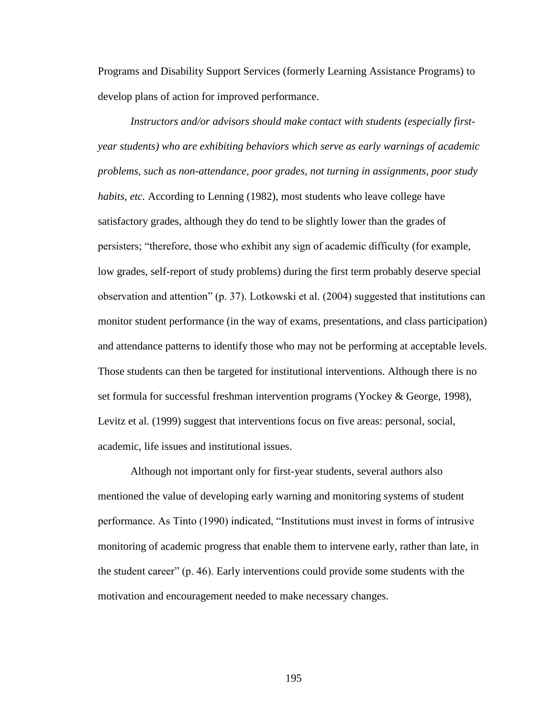Programs and Disability Support Services (formerly Learning Assistance Programs) to develop plans of action for improved performance.

*Instructors and/or advisors should make contact with students (especially firstyear students) who are exhibiting behaviors which serve as early warnings of academic problems, such as non-attendance, poor grades, not turning in assignments, poor study habits, etc.* According to Lenning (1982), most students who leave college have satisfactory grades, although they do tend to be slightly lower than the grades of persisters; "therefore, those who exhibit any sign of academic difficulty (for example, low grades, self-report of study problems) during the first term probably deserve special observation and attention" (p. 37). Lotkowski et al. (2004) suggested that institutions can monitor student performance (in the way of exams, presentations, and class participation) and attendance patterns to identify those who may not be performing at acceptable levels. Those students can then be targeted for institutional interventions. Although there is no set formula for successful freshman intervention programs (Yockey & George, 1998), Levitz et al. (1999) suggest that interventions focus on five areas: personal, social, academic, life issues and institutional issues.

Although not important only for first-year students, several authors also mentioned the value of developing early warning and monitoring systems of student performance. As Tinto (1990) indicated, "Institutions must invest in forms of intrusive monitoring of academic progress that enable them to intervene early, rather than late, in the student career" (p. 46). Early interventions could provide some students with the motivation and encouragement needed to make necessary changes.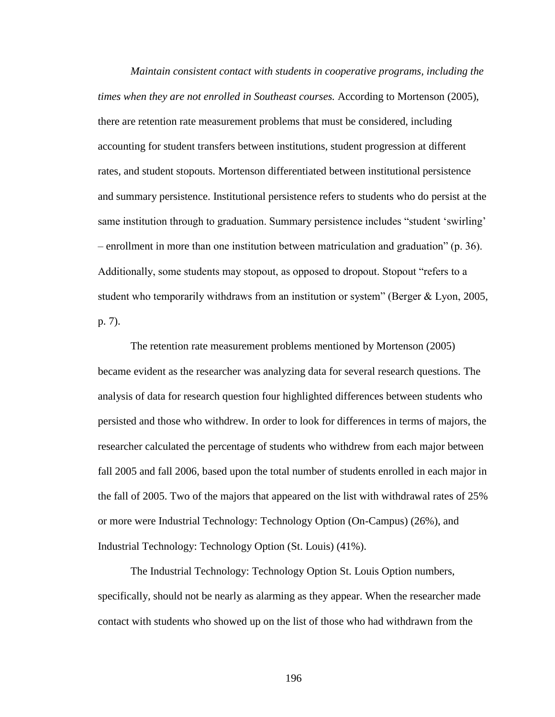*Maintain consistent contact with students in cooperative programs, including the times when they are not enrolled in Southeast courses.* According to Mortenson (2005), there are retention rate measurement problems that must be considered, including accounting for student transfers between institutions, student progression at different rates, and student stopouts. Mortenson differentiated between institutional persistence and summary persistence. Institutional persistence refers to students who do persist at the same institution through to graduation. Summary persistence includes "student 'swirling' – enrollment in more than one institution between matriculation and graduation" (p. 36). Additionally, some students may stopout, as opposed to dropout. Stopout "refers to a student who temporarily withdraws from an institution or system" (Berger & Lyon, 2005, p. 7).

The retention rate measurement problems mentioned by Mortenson (2005) became evident as the researcher was analyzing data for several research questions. The analysis of data for research question four highlighted differences between students who persisted and those who withdrew. In order to look for differences in terms of majors, the researcher calculated the percentage of students who withdrew from each major between fall 2005 and fall 2006, based upon the total number of students enrolled in each major in the fall of 2005. Two of the majors that appeared on the list with withdrawal rates of 25% or more were Industrial Technology: Technology Option (On-Campus) (26%), and Industrial Technology: Technology Option (St. Louis) (41%).

The Industrial Technology: Technology Option St. Louis Option numbers, specifically, should not be nearly as alarming as they appear. When the researcher made contact with students who showed up on the list of those who had withdrawn from the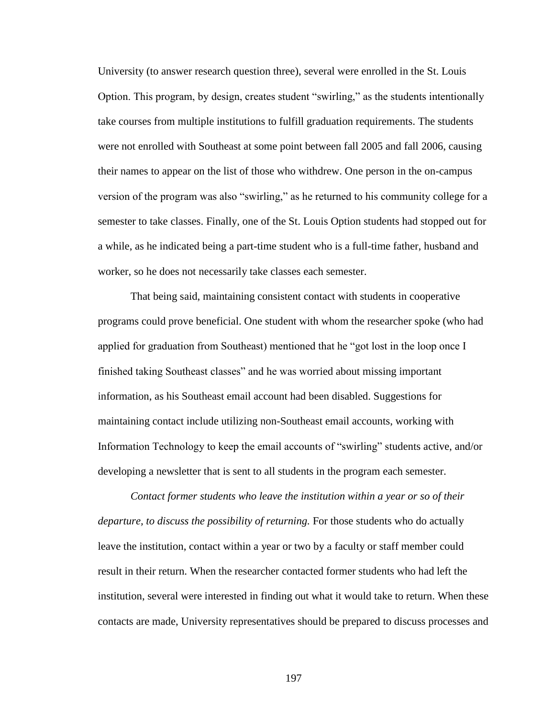University (to answer research question three), several were enrolled in the St. Louis Option. This program, by design, creates student "swirling," as the students intentionally take courses from multiple institutions to fulfill graduation requirements. The students were not enrolled with Southeast at some point between fall 2005 and fall 2006, causing their names to appear on the list of those who withdrew. One person in the on-campus version of the program was also "swirling," as he returned to his community college for a semester to take classes. Finally, one of the St. Louis Option students had stopped out for a while, as he indicated being a part-time student who is a full-time father, husband and worker, so he does not necessarily take classes each semester.

That being said, maintaining consistent contact with students in cooperative programs could prove beneficial. One student with whom the researcher spoke (who had applied for graduation from Southeast) mentioned that he "got lost in the loop once I finished taking Southeast classes" and he was worried about missing important information, as his Southeast email account had been disabled. Suggestions for maintaining contact include utilizing non-Southeast email accounts, working with Information Technology to keep the email accounts of "swirling" students active, and/or developing a newsletter that is sent to all students in the program each semester.

*Contact former students who leave the institution within a year or so of their departure, to discuss the possibility of returning.* For those students who do actually leave the institution, contact within a year or two by a faculty or staff member could result in their return. When the researcher contacted former students who had left the institution, several were interested in finding out what it would take to return. When these contacts are made, University representatives should be prepared to discuss processes and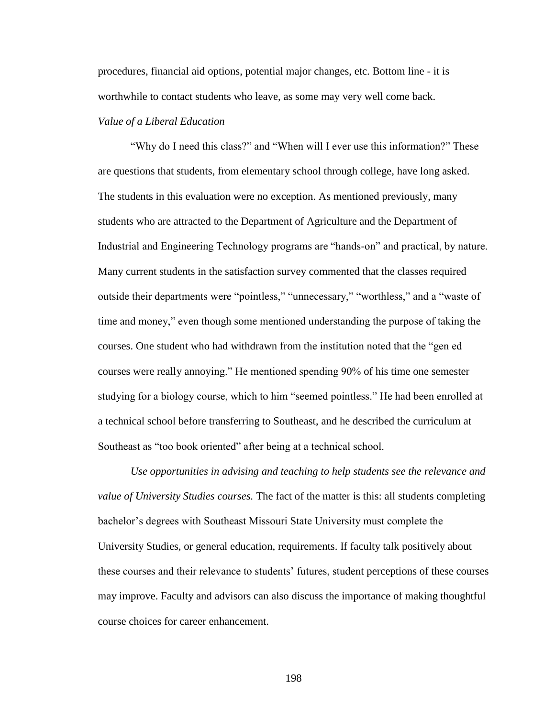procedures, financial aid options, potential major changes, etc. Bottom line - it is worthwhile to contact students who leave, as some may very well come back.

# *Value of a Liberal Education*

"Why do I need this class?" and "When will I ever use this information?" These are questions that students, from elementary school through college, have long asked. The students in this evaluation were no exception. As mentioned previously, many students who are attracted to the Department of Agriculture and the Department of Industrial and Engineering Technology programs are "hands-on" and practical, by nature. Many current students in the satisfaction survey commented that the classes required outside their departments were "pointless," "unnecessary," "worthless," and a "waste of time and money," even though some mentioned understanding the purpose of taking the courses. One student who had withdrawn from the institution noted that the "gen ed courses were really annoying." He mentioned spending 90% of his time one semester studying for a biology course, which to him "seemed pointless." He had been enrolled at a technical school before transferring to Southeast, and he described the curriculum at Southeast as "too book oriented" after being at a technical school.

*Use opportunities in advising and teaching to help students see the relevance and value of University Studies courses.* The fact of the matter is this: all students completing bachelor"s degrees with Southeast Missouri State University must complete the University Studies, or general education, requirements. If faculty talk positively about these courses and their relevance to students" futures, student perceptions of these courses may improve. Faculty and advisors can also discuss the importance of making thoughtful course choices for career enhancement.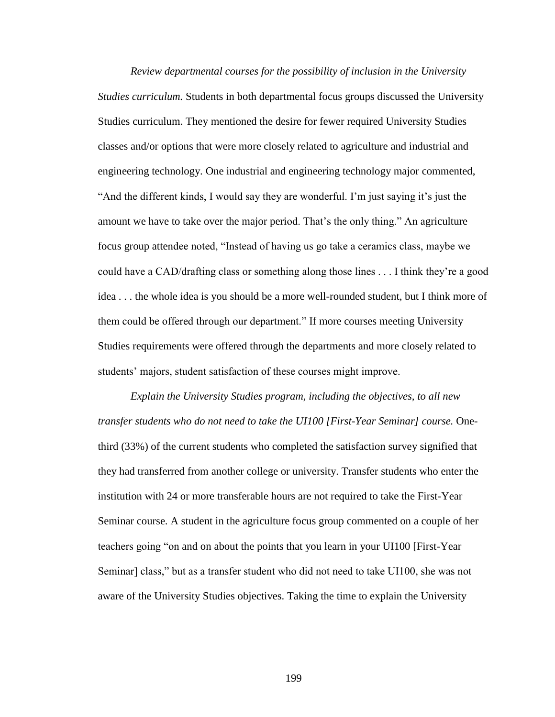*Review departmental courses for the possibility of inclusion in the University Studies curriculum.* Students in both departmental focus groups discussed the University Studies curriculum. They mentioned the desire for fewer required University Studies classes and/or options that were more closely related to agriculture and industrial and engineering technology. One industrial and engineering technology major commented, "And the different kinds, I would say they are wonderful. I'm just saying it's just the amount we have to take over the major period. That's the only thing." An agriculture focus group attendee noted, "Instead of having us go take a ceramics class, maybe we could have a CAD/drafting class or something along those lines . . . I think they"re a good idea . . . the whole idea is you should be a more well-rounded student, but I think more of them could be offered through our department." If more courses meeting University Studies requirements were offered through the departments and more closely related to students' majors, student satisfaction of these courses might improve.

*Explain the University Studies program, including the objectives, to all new transfer students who do not need to take the UI100 [First-Year Seminar] course.* Onethird (33%) of the current students who completed the satisfaction survey signified that they had transferred from another college or university. Transfer students who enter the institution with 24 or more transferable hours are not required to take the First-Year Seminar course. A student in the agriculture focus group commented on a couple of her teachers going "on and on about the points that you learn in your UI100 [First-Year Seminar] class," but as a transfer student who did not need to take UI100, she was not aware of the University Studies objectives. Taking the time to explain the University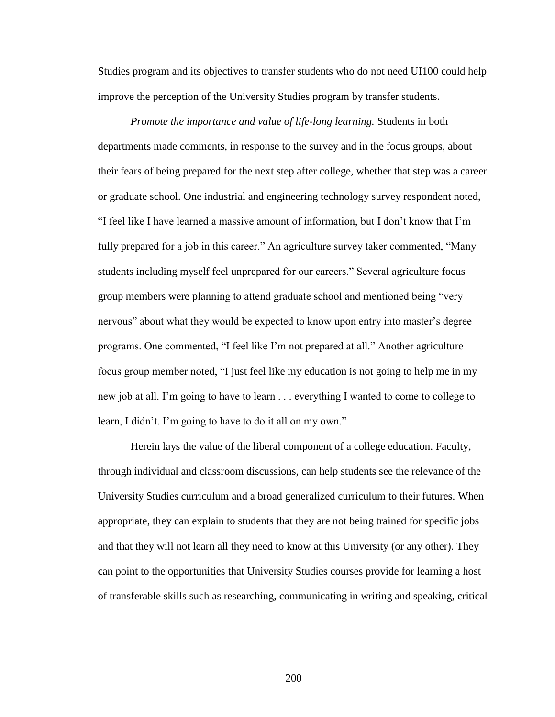Studies program and its objectives to transfer students who do not need UI100 could help improve the perception of the University Studies program by transfer students.

*Promote the importance and value of life-long learning.* Students in both departments made comments, in response to the survey and in the focus groups, about their fears of being prepared for the next step after college, whether that step was a career or graduate school. One industrial and engineering technology survey respondent noted, "I feel like I have learned a massive amount of information, but I don"t know that I"m fully prepared for a job in this career." An agriculture survey taker commented, "Many students including myself feel unprepared for our careers." Several agriculture focus group members were planning to attend graduate school and mentioned being "very nervous" about what they would be expected to know upon entry into master's degree programs. One commented, "I feel like I"m not prepared at all." Another agriculture focus group member noted, "I just feel like my education is not going to help me in my new job at all. I"m going to have to learn . . . everything I wanted to come to college to learn, I didn't. I'm going to have to do it all on my own."

Herein lays the value of the liberal component of a college education. Faculty, through individual and classroom discussions, can help students see the relevance of the University Studies curriculum and a broad generalized curriculum to their futures. When appropriate, they can explain to students that they are not being trained for specific jobs and that they will not learn all they need to know at this University (or any other). They can point to the opportunities that University Studies courses provide for learning a host of transferable skills such as researching, communicating in writing and speaking, critical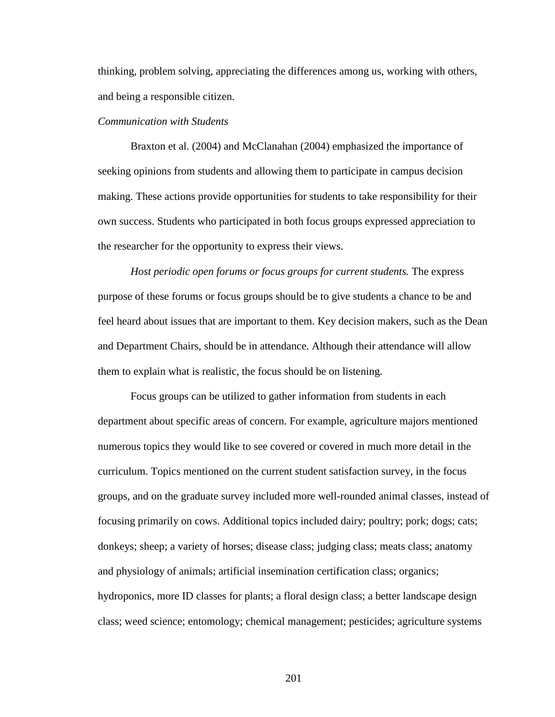thinking, problem solving, appreciating the differences among us, working with others, and being a responsible citizen.

## *Communication with Students*

Braxton et al. (2004) and McClanahan (2004) emphasized the importance of seeking opinions from students and allowing them to participate in campus decision making. These actions provide opportunities for students to take responsibility for their own success. Students who participated in both focus groups expressed appreciation to the researcher for the opportunity to express their views.

*Host periodic open forums or focus groups for current students.* The express purpose of these forums or focus groups should be to give students a chance to be and feel heard about issues that are important to them. Key decision makers, such as the Dean and Department Chairs, should be in attendance. Although their attendance will allow them to explain what is realistic, the focus should be on listening.

Focus groups can be utilized to gather information from students in each department about specific areas of concern. For example, agriculture majors mentioned numerous topics they would like to see covered or covered in much more detail in the curriculum. Topics mentioned on the current student satisfaction survey, in the focus groups, and on the graduate survey included more well-rounded animal classes, instead of focusing primarily on cows. Additional topics included dairy; poultry; pork; dogs; cats; donkeys; sheep; a variety of horses; disease class; judging class; meats class; anatomy and physiology of animals; artificial insemination certification class; organics; hydroponics, more ID classes for plants; a floral design class; a better landscape design class; weed science; entomology; chemical management; pesticides; agriculture systems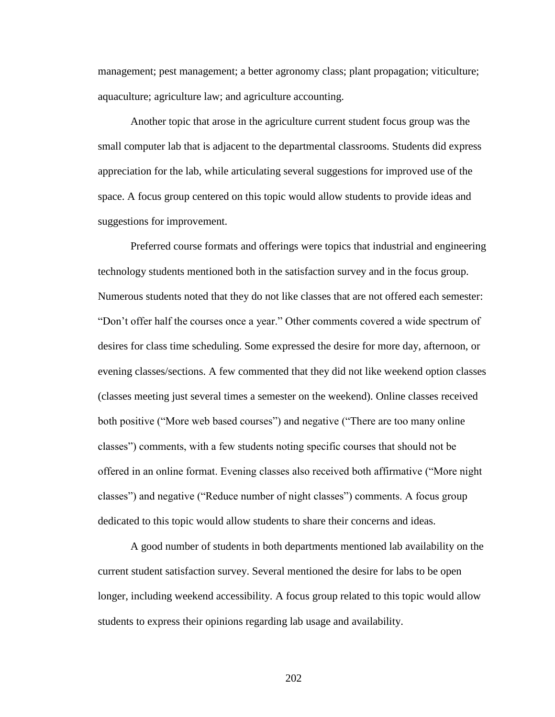management; pest management; a better agronomy class; plant propagation; viticulture; aquaculture; agriculture law; and agriculture accounting.

Another topic that arose in the agriculture current student focus group was the small computer lab that is adjacent to the departmental classrooms. Students did express appreciation for the lab, while articulating several suggestions for improved use of the space. A focus group centered on this topic would allow students to provide ideas and suggestions for improvement.

Preferred course formats and offerings were topics that industrial and engineering technology students mentioned both in the satisfaction survey and in the focus group. Numerous students noted that they do not like classes that are not offered each semester: "Don"t offer half the courses once a year." Other comments covered a wide spectrum of desires for class time scheduling. Some expressed the desire for more day, afternoon, or evening classes/sections. A few commented that they did not like weekend option classes (classes meeting just several times a semester on the weekend). Online classes received both positive ("More web based courses") and negative ("There are too many online classes") comments, with a few students noting specific courses that should not be offered in an online format. Evening classes also received both affirmative ("More night classes") and negative ("Reduce number of night classes") comments. A focus group dedicated to this topic would allow students to share their concerns and ideas.

A good number of students in both departments mentioned lab availability on the current student satisfaction survey. Several mentioned the desire for labs to be open longer, including weekend accessibility. A focus group related to this topic would allow students to express their opinions regarding lab usage and availability.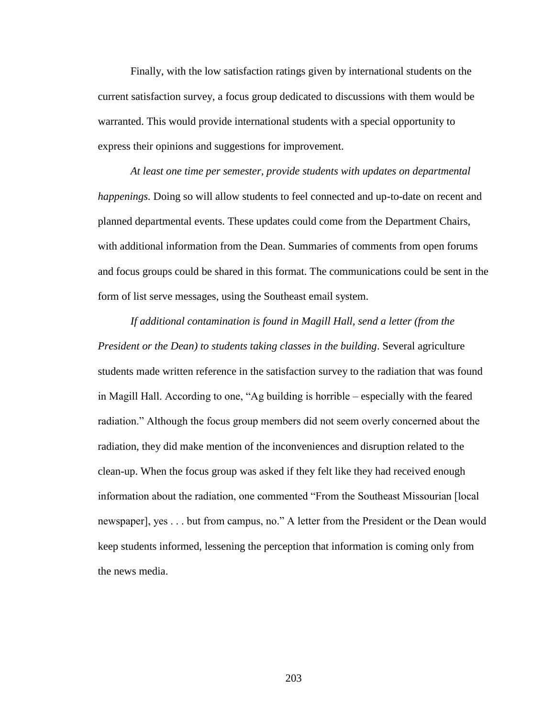Finally, with the low satisfaction ratings given by international students on the current satisfaction survey, a focus group dedicated to discussions with them would be warranted. This would provide international students with a special opportunity to express their opinions and suggestions for improvement.

*At least one time per semester, provide students with updates on departmental happenings.* Doing so will allow students to feel connected and up-to-date on recent and planned departmental events. These updates could come from the Department Chairs, with additional information from the Dean. Summaries of comments from open forums and focus groups could be shared in this format. The communications could be sent in the form of list serve messages, using the Southeast email system.

*If additional contamination is found in Magill Hall, send a letter (from the President or the Dean) to students taking classes in the building*. Several agriculture students made written reference in the satisfaction survey to the radiation that was found in Magill Hall. According to one, "Ag building is horrible – especially with the feared radiation." Although the focus group members did not seem overly concerned about the radiation, they did make mention of the inconveniences and disruption related to the clean-up. When the focus group was asked if they felt like they had received enough information about the radiation, one commented "From the Southeast Missourian [local newspaper], yes . . . but from campus, no." A letter from the President or the Dean would keep students informed, lessening the perception that information is coming only from the news media.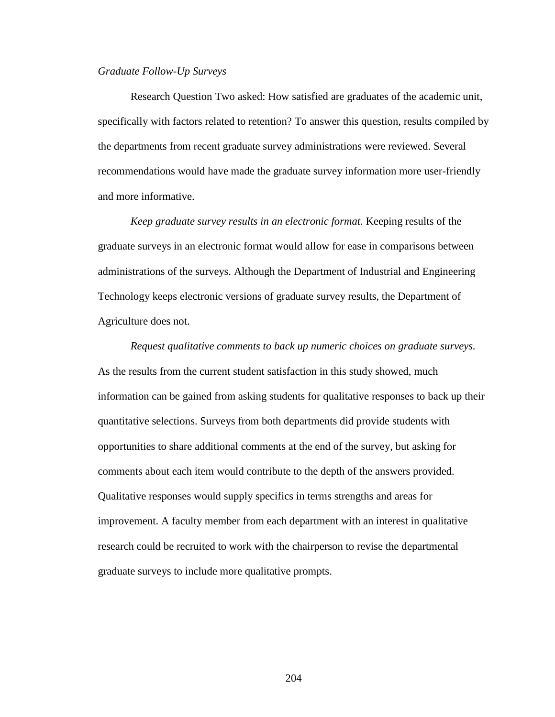#### *Graduate Follow-Up Surveys*

Research Question Two asked: How satisfied are graduates of the academic unit, specifically with factors related to retention? To answer this question, results compiled by the departments from recent graduate survey administrations were reviewed. Several recommendations would have made the graduate survey information more user-friendly and more informative.

*Keep graduate survey results in an electronic format.* Keeping results of the graduate surveys in an electronic format would allow for ease in comparisons between administrations of the surveys. Although the Department of Industrial and Engineering Technology keeps electronic versions of graduate survey results, the Department of Agriculture does not.

*Request qualitative comments to back up numeric choices on graduate surveys.* As the results from the current student satisfaction in this study showed, much information can be gained from asking students for qualitative responses to back up their quantitative selections. Surveys from both departments did provide students with opportunities to share additional comments at the end of the survey, but asking for comments about each item would contribute to the depth of the answers provided. Qualitative responses would supply specifics in terms strengths and areas for improvement. A faculty member from each department with an interest in qualitative research could be recruited to work with the chairperson to revise the departmental graduate surveys to include more qualitative prompts.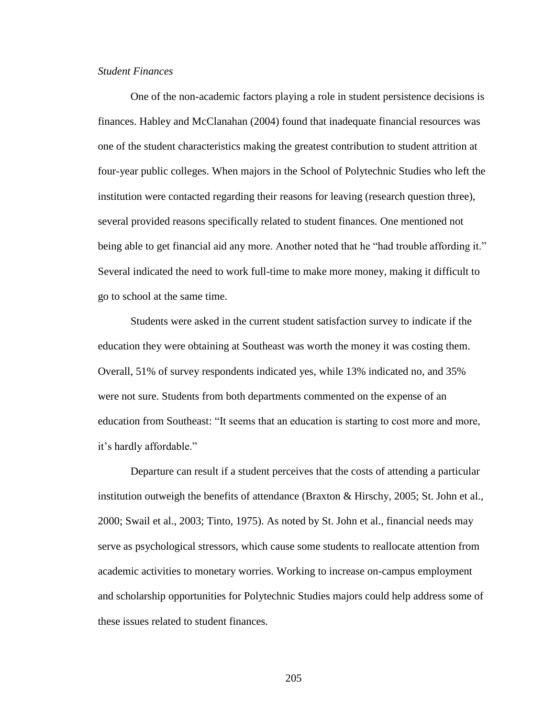# *Student Finances*

One of the non-academic factors playing a role in student persistence decisions is finances. Habley and McClanahan (2004) found that inadequate financial resources was one of the student characteristics making the greatest contribution to student attrition at four-year public colleges. When majors in the School of Polytechnic Studies who left the institution were contacted regarding their reasons for leaving (research question three), several provided reasons specifically related to student finances. One mentioned not being able to get financial aid any more. Another noted that he "had trouble affording it." Several indicated the need to work full-time to make more money, making it difficult to go to school at the same time.

Students were asked in the current student satisfaction survey to indicate if the education they were obtaining at Southeast was worth the money it was costing them. Overall, 51% of survey respondents indicated yes, while 13% indicated no, and 35% were not sure. Students from both departments commented on the expense of an education from Southeast: "It seems that an education is starting to cost more and more, it"s hardly affordable."

Departure can result if a student perceives that the costs of attending a particular institution outweigh the benefits of attendance (Braxton & Hirschy, 2005; St. John et al., 2000; Swail et al., 2003; Tinto, 1975). As noted by St. John et al., financial needs may serve as psychological stressors, which cause some students to reallocate attention from academic activities to monetary worries. Working to increase on-campus employment and scholarship opportunities for Polytechnic Studies majors could help address some of these issues related to student finances.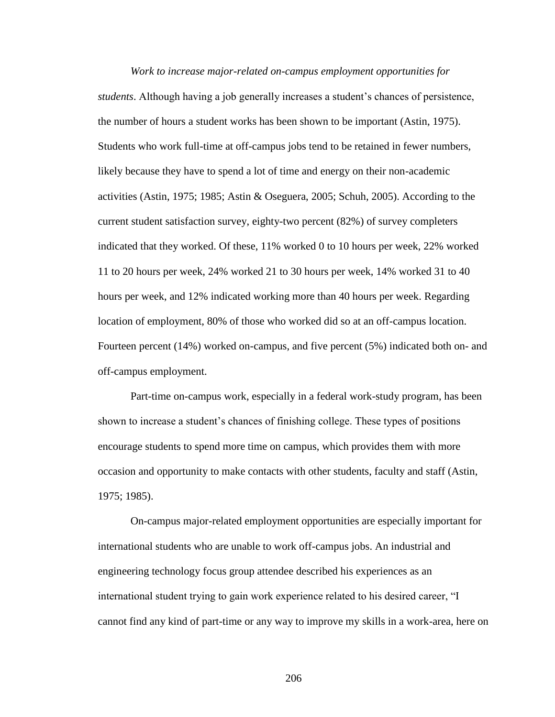*Work to increase major-related on-campus employment opportunities for students*. Although having a job generally increases a student"s chances of persistence, the number of hours a student works has been shown to be important (Astin, 1975). Students who work full-time at off-campus jobs tend to be retained in fewer numbers, likely because they have to spend a lot of time and energy on their non-academic activities (Astin, 1975; 1985; Astin & Oseguera, 2005; Schuh, 2005). According to the current student satisfaction survey, eighty-two percent (82%) of survey completers indicated that they worked. Of these, 11% worked 0 to 10 hours per week, 22% worked 11 to 20 hours per week, 24% worked 21 to 30 hours per week, 14% worked 31 to 40 hours per week, and 12% indicated working more than 40 hours per week. Regarding location of employment, 80% of those who worked did so at an off-campus location. Fourteen percent (14%) worked on-campus, and five percent (5%) indicated both on- and off-campus employment.

Part-time on-campus work, especially in a federal work-study program, has been shown to increase a student's chances of finishing college. These types of positions encourage students to spend more time on campus, which provides them with more occasion and opportunity to make contacts with other students, faculty and staff (Astin, 1975; 1985).

On-campus major-related employment opportunities are especially important for international students who are unable to work off-campus jobs. An industrial and engineering technology focus group attendee described his experiences as an international student trying to gain work experience related to his desired career, "I cannot find any kind of part-time or any way to improve my skills in a work-area, here on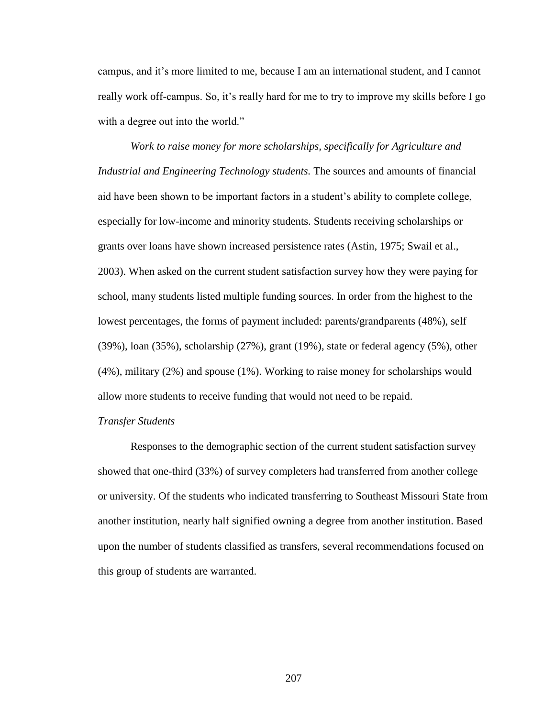campus, and it"s more limited to me, because I am an international student, and I cannot really work off-campus. So, it's really hard for me to try to improve my skills before I go with a degree out into the world."

*Work to raise money for more scholarships, specifically for Agriculture and Industrial and Engineering Technology students.* The sources and amounts of financial aid have been shown to be important factors in a student"s ability to complete college, especially for low-income and minority students. Students receiving scholarships or grants over loans have shown increased persistence rates (Astin, 1975; Swail et al., 2003). When asked on the current student satisfaction survey how they were paying for school, many students listed multiple funding sources. In order from the highest to the lowest percentages, the forms of payment included: parents/grandparents (48%), self (39%), loan (35%), scholarship (27%), grant (19%), state or federal agency (5%), other (4%), military (2%) and spouse (1%). Working to raise money for scholarships would allow more students to receive funding that would not need to be repaid.

### *Transfer Students*

Responses to the demographic section of the current student satisfaction survey showed that one-third (33%) of survey completers had transferred from another college or university. Of the students who indicated transferring to Southeast Missouri State from another institution, nearly half signified owning a degree from another institution. Based upon the number of students classified as transfers, several recommendations focused on this group of students are warranted.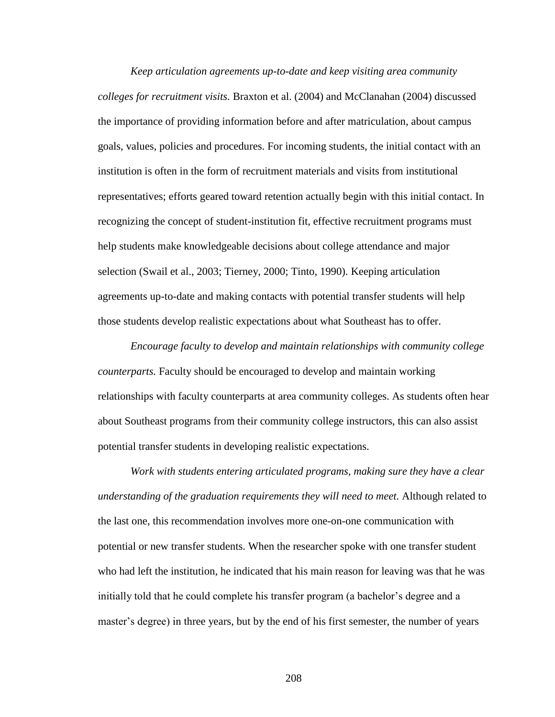*Keep articulation agreements up-to-date and keep visiting area community colleges for recruitment visits.* Braxton et al. (2004) and McClanahan (2004) discussed the importance of providing information before and after matriculation, about campus goals, values, policies and procedures. For incoming students, the initial contact with an institution is often in the form of recruitment materials and visits from institutional representatives; efforts geared toward retention actually begin with this initial contact. In recognizing the concept of student-institution fit, effective recruitment programs must help students make knowledgeable decisions about college attendance and major selection (Swail et al., 2003; Tierney, 2000; Tinto, 1990). Keeping articulation agreements up-to-date and making contacts with potential transfer students will help those students develop realistic expectations about what Southeast has to offer.

*Encourage faculty to develop and maintain relationships with community college counterparts.* Faculty should be encouraged to develop and maintain working relationships with faculty counterparts at area community colleges. As students often hear about Southeast programs from their community college instructors, this can also assist potential transfer students in developing realistic expectations.

*Work with students entering articulated programs, making sure they have a clear understanding of the graduation requirements they will need to meet.* Although related to the last one, this recommendation involves more one-on-one communication with potential or new transfer students. When the researcher spoke with one transfer student who had left the institution, he indicated that his main reason for leaving was that he was initially told that he could complete his transfer program (a bachelor"s degree and a master"s degree) in three years, but by the end of his first semester, the number of years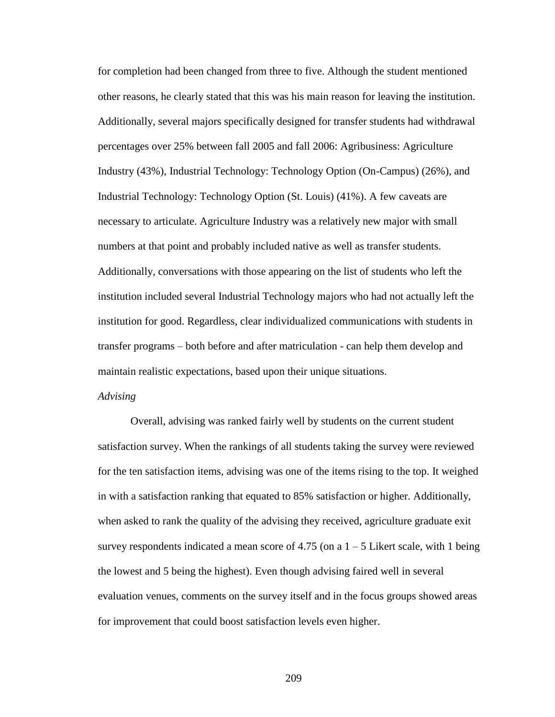for completion had been changed from three to five. Although the student mentioned other reasons, he clearly stated that this was his main reason for leaving the institution. Additionally, several majors specifically designed for transfer students had withdrawal percentages over 25% between fall 2005 and fall 2006: Agribusiness: Agriculture Industry (43%), Industrial Technology: Technology Option (On-Campus) (26%), and Industrial Technology: Technology Option (St. Louis) (41%). A few caveats are necessary to articulate. Agriculture Industry was a relatively new major with small numbers at that point and probably included native as well as transfer students. Additionally, conversations with those appearing on the list of students who left the institution included several Industrial Technology majors who had not actually left the institution for good. Regardless, clear individualized communications with students in transfer programs – both before and after matriculation - can help them develop and maintain realistic expectations, based upon their unique situations.

### *Advising*

Overall, advising was ranked fairly well by students on the current student satisfaction survey. When the rankings of all students taking the survey were reviewed for the ten satisfaction items, advising was one of the items rising to the top. It weighed in with a satisfaction ranking that equated to 85% satisfaction or higher. Additionally, when asked to rank the quality of the advising they received, agriculture graduate exit survey respondents indicated a mean score of 4.75 (on a  $1 - 5$  Likert scale, with 1 being the lowest and 5 being the highest). Even though advising faired well in several evaluation venues, comments on the survey itself and in the focus groups showed areas for improvement that could boost satisfaction levels even higher.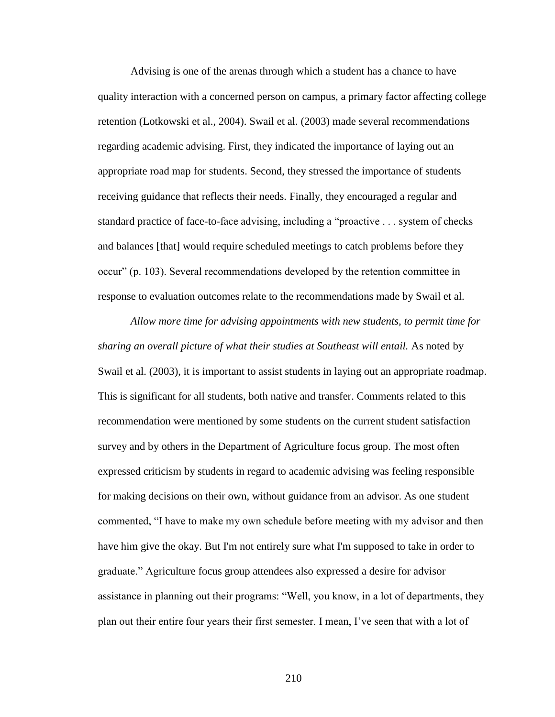Advising is one of the arenas through which a student has a chance to have quality interaction with a concerned person on campus, a primary factor affecting college retention (Lotkowski et al., 2004). Swail et al. (2003) made several recommendations regarding academic advising. First, they indicated the importance of laying out an appropriate road map for students. Second, they stressed the importance of students receiving guidance that reflects their needs. Finally, they encouraged a regular and standard practice of face-to-face advising, including a "proactive . . . system of checks and balances [that] would require scheduled meetings to catch problems before they occur" (p. 103). Several recommendations developed by the retention committee in response to evaluation outcomes relate to the recommendations made by Swail et al.

*Allow more time for advising appointments with new students, to permit time for sharing an overall picture of what their studies at Southeast will entail.* As noted by Swail et al. (2003), it is important to assist students in laying out an appropriate roadmap. This is significant for all students, both native and transfer. Comments related to this recommendation were mentioned by some students on the current student satisfaction survey and by others in the Department of Agriculture focus group. The most often expressed criticism by students in regard to academic advising was feeling responsible for making decisions on their own, without guidance from an advisor. As one student commented, "I have to make my own schedule before meeting with my advisor and then have him give the okay. But I'm not entirely sure what I'm supposed to take in order to graduate." Agriculture focus group attendees also expressed a desire for advisor assistance in planning out their programs: "Well, you know, in a lot of departments, they plan out their entire four years their first semester. I mean, I"ve seen that with a lot of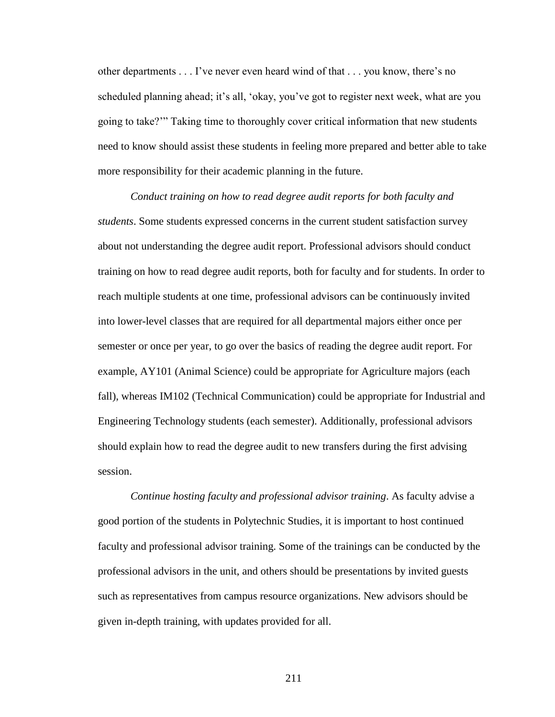other departments . . . I"ve never even heard wind of that . . . you know, there"s no scheduled planning ahead; it's all, 'okay, you've got to register next week, what are you going to take?"" Taking time to thoroughly cover critical information that new students need to know should assist these students in feeling more prepared and better able to take more responsibility for their academic planning in the future.

*Conduct training on how to read degree audit reports for both faculty and students*. Some students expressed concerns in the current student satisfaction survey about not understanding the degree audit report. Professional advisors should conduct training on how to read degree audit reports, both for faculty and for students. In order to reach multiple students at one time, professional advisors can be continuously invited into lower-level classes that are required for all departmental majors either once per semester or once per year, to go over the basics of reading the degree audit report. For example, AY101 (Animal Science) could be appropriate for Agriculture majors (each fall), whereas IM102 (Technical Communication) could be appropriate for Industrial and Engineering Technology students (each semester). Additionally, professional advisors should explain how to read the degree audit to new transfers during the first advising session.

*Continue hosting faculty and professional advisor training*. As faculty advise a good portion of the students in Polytechnic Studies, it is important to host continued faculty and professional advisor training. Some of the trainings can be conducted by the professional advisors in the unit, and others should be presentations by invited guests such as representatives from campus resource organizations. New advisors should be given in-depth training, with updates provided for all.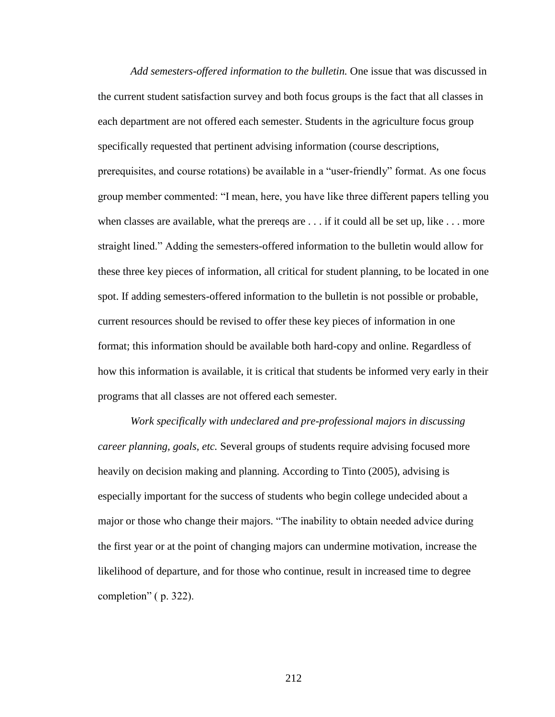*Add semesters-offered information to the bulletin.* One issue that was discussed in the current student satisfaction survey and both focus groups is the fact that all classes in each department are not offered each semester. Students in the agriculture focus group specifically requested that pertinent advising information (course descriptions, prerequisites, and course rotations) be available in a "user-friendly" format. As one focus group member commented: "I mean, here, you have like three different papers telling you when classes are available, what the prereqs are  $\dots$  if it could all be set up, like  $\dots$  more straight lined." Adding the semesters-offered information to the bulletin would allow for these three key pieces of information, all critical for student planning, to be located in one spot. If adding semesters-offered information to the bulletin is not possible or probable, current resources should be revised to offer these key pieces of information in one format; this information should be available both hard-copy and online. Regardless of how this information is available, it is critical that students be informed very early in their programs that all classes are not offered each semester.

*Work specifically with undeclared and pre-professional majors in discussing career planning, goals, etc.* Several groups of students require advising focused more heavily on decision making and planning. According to Tinto (2005), advising is especially important for the success of students who begin college undecided about a major or those who change their majors. "The inability to obtain needed advice during the first year or at the point of changing majors can undermine motivation, increase the likelihood of departure, and for those who continue, result in increased time to degree completion" ( p. 322).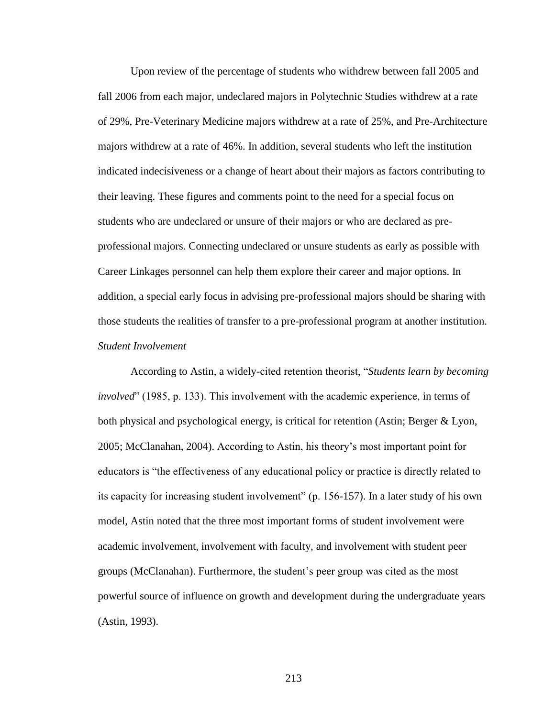Upon review of the percentage of students who withdrew between fall 2005 and fall 2006 from each major, undeclared majors in Polytechnic Studies withdrew at a rate of 29%, Pre-Veterinary Medicine majors withdrew at a rate of 25%, and Pre-Architecture majors withdrew at a rate of 46%. In addition, several students who left the institution indicated indecisiveness or a change of heart about their majors as factors contributing to their leaving. These figures and comments point to the need for a special focus on students who are undeclared or unsure of their majors or who are declared as preprofessional majors. Connecting undeclared or unsure students as early as possible with Career Linkages personnel can help them explore their career and major options. In addition, a special early focus in advising pre-professional majors should be sharing with those students the realities of transfer to a pre-professional program at another institution. *Student Involvement*

According to Astin, a widely-cited retention theorist, "*Students learn by becoming involved*" (1985, p. 133). This involvement with the academic experience, in terms of both physical and psychological energy, is critical for retention (Astin; Berger & Lyon, 2005; McClanahan, 2004). According to Astin, his theory"s most important point for educators is "the effectiveness of any educational policy or practice is directly related to its capacity for increasing student involvement" (p. 156-157). In a later study of his own model, Astin noted that the three most important forms of student involvement were academic involvement, involvement with faculty, and involvement with student peer groups (McClanahan). Furthermore, the student"s peer group was cited as the most powerful source of influence on growth and development during the undergraduate years (Astin, 1993).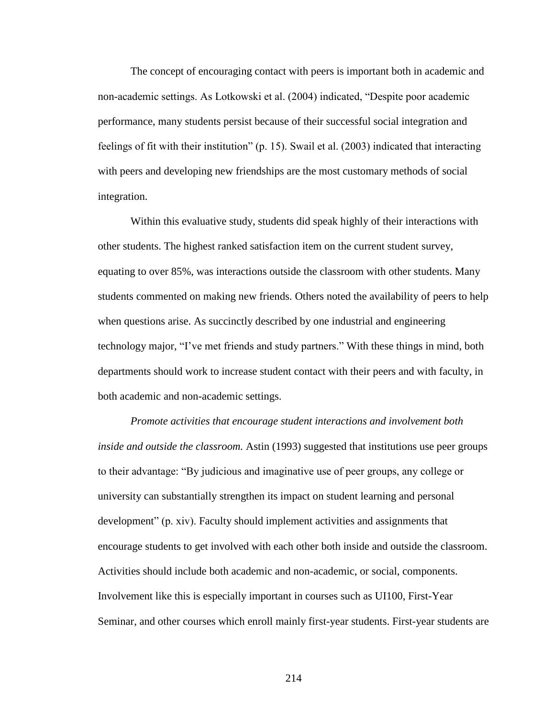The concept of encouraging contact with peers is important both in academic and non-academic settings. As Lotkowski et al. (2004) indicated, "Despite poor academic performance, many students persist because of their successful social integration and feelings of fit with their institution" (p. 15). Swail et al. (2003) indicated that interacting with peers and developing new friendships are the most customary methods of social integration.

Within this evaluative study, students did speak highly of their interactions with other students. The highest ranked satisfaction item on the current student survey, equating to over 85%, was interactions outside the classroom with other students. Many students commented on making new friends. Others noted the availability of peers to help when questions arise. As succinctly described by one industrial and engineering technology major, "I"ve met friends and study partners." With these things in mind, both departments should work to increase student contact with their peers and with faculty, in both academic and non-academic settings.

*Promote activities that encourage student interactions and involvement both inside and outside the classroom.* Astin (1993) suggested that institutions use peer groups to their advantage: "By judicious and imaginative use of peer groups, any college or university can substantially strengthen its impact on student learning and personal development" (p. xiv). Faculty should implement activities and assignments that encourage students to get involved with each other both inside and outside the classroom. Activities should include both academic and non-academic, or social, components. Involvement like this is especially important in courses such as UI100, First-Year Seminar, and other courses which enroll mainly first-year students. First-year students are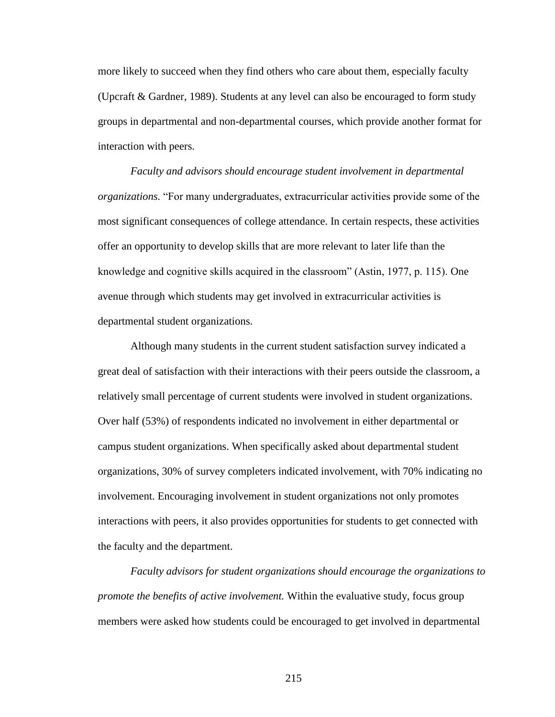more likely to succeed when they find others who care about them, especially faculty (Upcraft & Gardner, 1989). Students at any level can also be encouraged to form study groups in departmental and non-departmental courses, which provide another format for interaction with peers.

*Faculty and advisors should encourage student involvement in departmental organizations.* "For many undergraduates, extracurricular activities provide some of the most significant consequences of college attendance. In certain respects, these activities offer an opportunity to develop skills that are more relevant to later life than the knowledge and cognitive skills acquired in the classroom" (Astin, 1977, p. 115). One avenue through which students may get involved in extracurricular activities is departmental student organizations.

Although many students in the current student satisfaction survey indicated a great deal of satisfaction with their interactions with their peers outside the classroom, a relatively small percentage of current students were involved in student organizations. Over half (53%) of respondents indicated no involvement in either departmental or campus student organizations. When specifically asked about departmental student organizations, 30% of survey completers indicated involvement, with 70% indicating no involvement. Encouraging involvement in student organizations not only promotes interactions with peers, it also provides opportunities for students to get connected with the faculty and the department.

*Faculty advisors for student organizations should encourage the organizations to promote the benefits of active involvement.* Within the evaluative study, focus group members were asked how students could be encouraged to get involved in departmental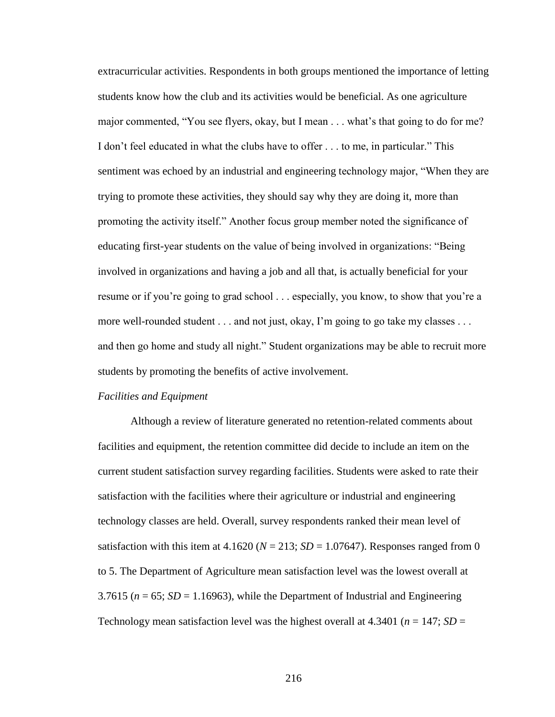extracurricular activities. Respondents in both groups mentioned the importance of letting students know how the club and its activities would be beneficial. As one agriculture major commented, "You see flyers, okay, but I mean . . . what"s that going to do for me? I don"t feel educated in what the clubs have to offer . . . to me, in particular." This sentiment was echoed by an industrial and engineering technology major, "When they are trying to promote these activities, they should say why they are doing it, more than promoting the activity itself." Another focus group member noted the significance of educating first-year students on the value of being involved in organizations: "Being involved in organizations and having a job and all that, is actually beneficial for your resume or if you"re going to grad school . . . especially, you know, to show that you"re a more well-rounded student . . . and not just, okay, I'm going to go take my classes . . . and then go home and study all night." Student organizations may be able to recruit more students by promoting the benefits of active involvement.

### *Facilities and Equipment*

Although a review of literature generated no retention-related comments about facilities and equipment, the retention committee did decide to include an item on the current student satisfaction survey regarding facilities. Students were asked to rate their satisfaction with the facilities where their agriculture or industrial and engineering technology classes are held. Overall, survey respondents ranked their mean level of satisfaction with this item at  $4.1620$  ( $N = 213$ ;  $SD = 1.07647$ ). Responses ranged from 0 to 5. The Department of Agriculture mean satisfaction level was the lowest overall at 3.7615 ( $n = 65$ ; *SD* = 1.16963), while the Department of Industrial and Engineering Technology mean satisfaction level was the highest overall at  $4.3401$  ( $n = 147$ ; *SD* =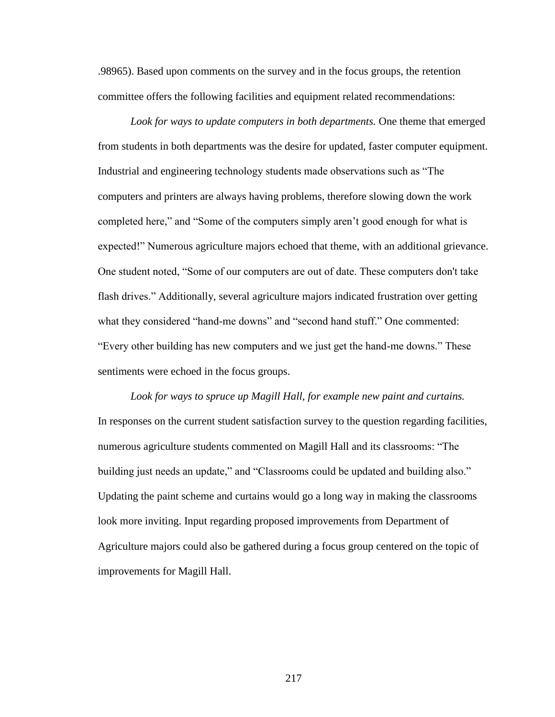.98965). Based upon comments on the survey and in the focus groups, the retention committee offers the following facilities and equipment related recommendations:

*Look for ways to update computers in both departments.* One theme that emerged from students in both departments was the desire for updated, faster computer equipment. Industrial and engineering technology students made observations such as "The computers and printers are always having problems, therefore slowing down the work completed here," and "Some of the computers simply aren't good enough for what is expected!" Numerous agriculture majors echoed that theme, with an additional grievance. One student noted, "Some of our computers are out of date. These computers don't take flash drives." Additionally, several agriculture majors indicated frustration over getting what they considered "hand-me downs" and "second hand stuff." One commented: "Every other building has new computers and we just get the hand-me downs." These sentiments were echoed in the focus groups.

*Look for ways to spruce up Magill Hall, for example new paint and curtains.* In responses on the current student satisfaction survey to the question regarding facilities, numerous agriculture students commented on Magill Hall and its classrooms: "The building just needs an update," and "Classrooms could be updated and building also." Updating the paint scheme and curtains would go a long way in making the classrooms look more inviting. Input regarding proposed improvements from Department of Agriculture majors could also be gathered during a focus group centered on the topic of improvements for Magill Hall.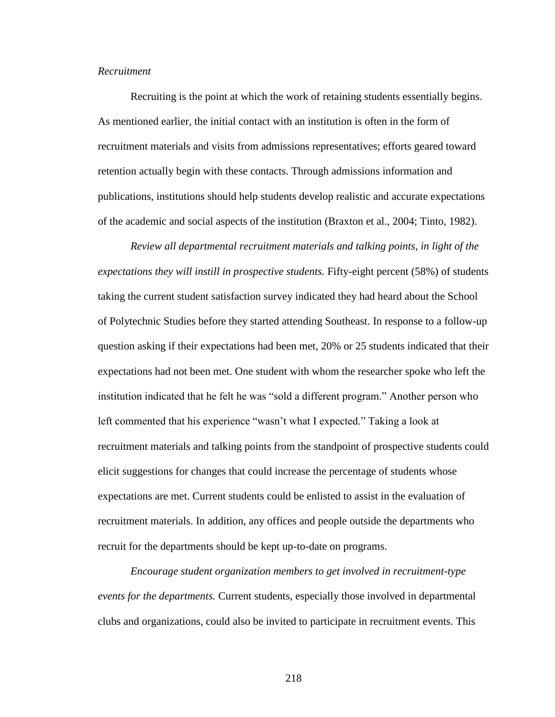### *Recruitment*

Recruiting is the point at which the work of retaining students essentially begins. As mentioned earlier, the initial contact with an institution is often in the form of recruitment materials and visits from admissions representatives; efforts geared toward retention actually begin with these contacts. Through admissions information and publications, institutions should help students develop realistic and accurate expectations of the academic and social aspects of the institution (Braxton et al., 2004; Tinto, 1982).

*Review all departmental recruitment materials and talking points, in light of the expectations they will instill in prospective students.* Fifty-eight percent (58%) of students taking the current student satisfaction survey indicated they had heard about the School of Polytechnic Studies before they started attending Southeast. In response to a follow-up question asking if their expectations had been met, 20% or 25 students indicated that their expectations had not been met. One student with whom the researcher spoke who left the institution indicated that he felt he was "sold a different program." Another person who left commented that his experience "wasn"t what I expected." Taking a look at recruitment materials and talking points from the standpoint of prospective students could elicit suggestions for changes that could increase the percentage of students whose expectations are met. Current students could be enlisted to assist in the evaluation of recruitment materials. In addition, any offices and people outside the departments who recruit for the departments should be kept up-to-date on programs.

*Encourage student organization members to get involved in recruitment-type events for the departments.* Current students, especially those involved in departmental clubs and organizations, could also be invited to participate in recruitment events. This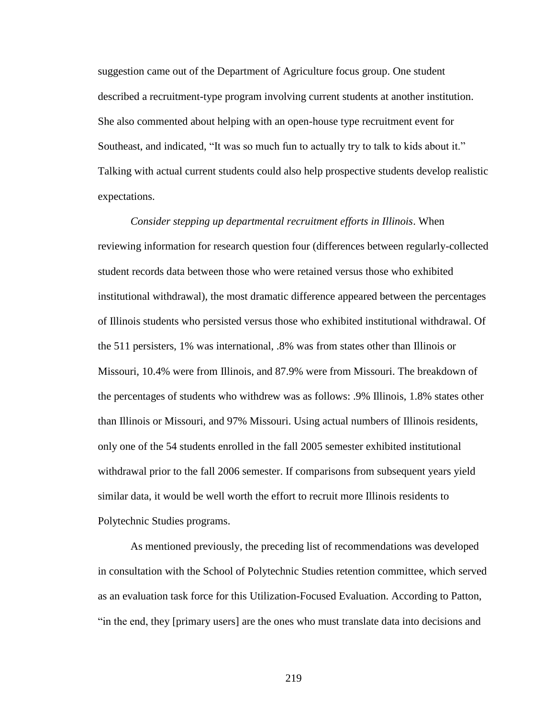suggestion came out of the Department of Agriculture focus group. One student described a recruitment-type program involving current students at another institution. She also commented about helping with an open-house type recruitment event for Southeast, and indicated, "It was so much fun to actually try to talk to kids about it." Talking with actual current students could also help prospective students develop realistic expectations.

*Consider stepping up departmental recruitment efforts in Illinois*. When reviewing information for research question four (differences between regularly-collected student records data between those who were retained versus those who exhibited institutional withdrawal), the most dramatic difference appeared between the percentages of Illinois students who persisted versus those who exhibited institutional withdrawal. Of the 511 persisters, 1% was international, .8% was from states other than Illinois or Missouri, 10.4% were from Illinois, and 87.9% were from Missouri. The breakdown of the percentages of students who withdrew was as follows: .9% Illinois, 1.8% states other than Illinois or Missouri, and 97% Missouri. Using actual numbers of Illinois residents, only one of the 54 students enrolled in the fall 2005 semester exhibited institutional withdrawal prior to the fall 2006 semester. If comparisons from subsequent years yield similar data, it would be well worth the effort to recruit more Illinois residents to Polytechnic Studies programs.

As mentioned previously, the preceding list of recommendations was developed in consultation with the School of Polytechnic Studies retention committee, which served as an evaluation task force for this Utilization-Focused Evaluation. According to Patton, "in the end, they [primary users] are the ones who must translate data into decisions and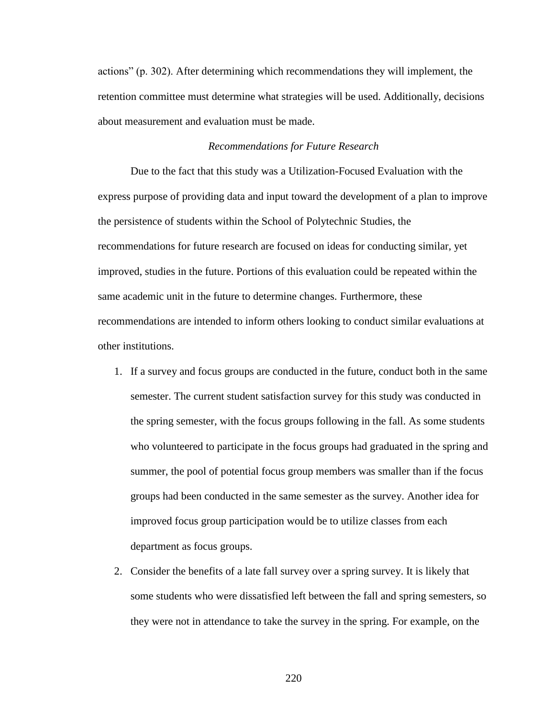actions" (p. 302). After determining which recommendations they will implement, the retention committee must determine what strategies will be used. Additionally, decisions about measurement and evaluation must be made.

### *Recommendations for Future Research*

Due to the fact that this study was a Utilization-Focused Evaluation with the express purpose of providing data and input toward the development of a plan to improve the persistence of students within the School of Polytechnic Studies, the recommendations for future research are focused on ideas for conducting similar, yet improved, studies in the future. Portions of this evaluation could be repeated within the same academic unit in the future to determine changes. Furthermore, these recommendations are intended to inform others looking to conduct similar evaluations at other institutions.

- 1. If a survey and focus groups are conducted in the future, conduct both in the same semester. The current student satisfaction survey for this study was conducted in the spring semester, with the focus groups following in the fall. As some students who volunteered to participate in the focus groups had graduated in the spring and summer, the pool of potential focus group members was smaller than if the focus groups had been conducted in the same semester as the survey. Another idea for improved focus group participation would be to utilize classes from each department as focus groups.
- 2. Consider the benefits of a late fall survey over a spring survey. It is likely that some students who were dissatisfied left between the fall and spring semesters, so they were not in attendance to take the survey in the spring. For example, on the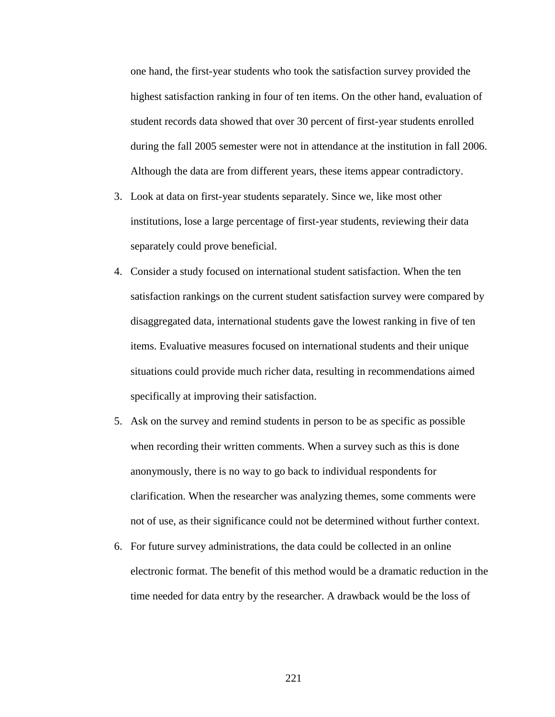one hand, the first-year students who took the satisfaction survey provided the highest satisfaction ranking in four of ten items. On the other hand, evaluation of student records data showed that over 30 percent of first-year students enrolled during the fall 2005 semester were not in attendance at the institution in fall 2006. Although the data are from different years, these items appear contradictory.

- 3. Look at data on first-year students separately. Since we, like most other institutions, lose a large percentage of first-year students, reviewing their data separately could prove beneficial.
- 4. Consider a study focused on international student satisfaction. When the ten satisfaction rankings on the current student satisfaction survey were compared by disaggregated data, international students gave the lowest ranking in five of ten items. Evaluative measures focused on international students and their unique situations could provide much richer data, resulting in recommendations aimed specifically at improving their satisfaction.
- 5. Ask on the survey and remind students in person to be as specific as possible when recording their written comments. When a survey such as this is done anonymously, there is no way to go back to individual respondents for clarification. When the researcher was analyzing themes, some comments were not of use, as their significance could not be determined without further context.
- 6. For future survey administrations, the data could be collected in an online electronic format. The benefit of this method would be a dramatic reduction in the time needed for data entry by the researcher. A drawback would be the loss of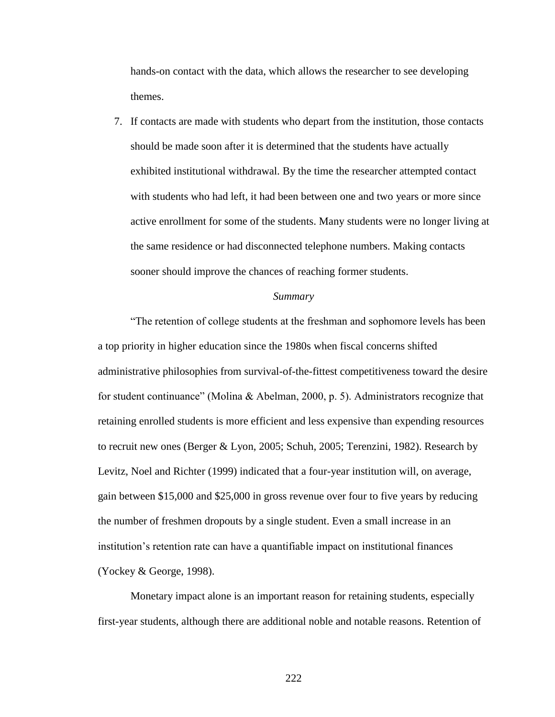hands-on contact with the data, which allows the researcher to see developing themes.

7. If contacts are made with students who depart from the institution, those contacts should be made soon after it is determined that the students have actually exhibited institutional withdrawal. By the time the researcher attempted contact with students who had left, it had been between one and two years or more since active enrollment for some of the students. Many students were no longer living at the same residence or had disconnected telephone numbers. Making contacts sooner should improve the chances of reaching former students.

#### *Summary*

"The retention of college students at the freshman and sophomore levels has been a top priority in higher education since the 1980s when fiscal concerns shifted administrative philosophies from survival-of-the-fittest competitiveness toward the desire for student continuance" (Molina & Abelman, 2000, p. 5). Administrators recognize that retaining enrolled students is more efficient and less expensive than expending resources to recruit new ones (Berger & Lyon, 2005; Schuh, 2005; Terenzini, 1982). Research by Levitz, Noel and Richter (1999) indicated that a four-year institution will, on average, gain between \$15,000 and \$25,000 in gross revenue over four to five years by reducing the number of freshmen dropouts by a single student. Even a small increase in an institution"s retention rate can have a quantifiable impact on institutional finances (Yockey & George, 1998).

Monetary impact alone is an important reason for retaining students, especially first-year students, although there are additional noble and notable reasons. Retention of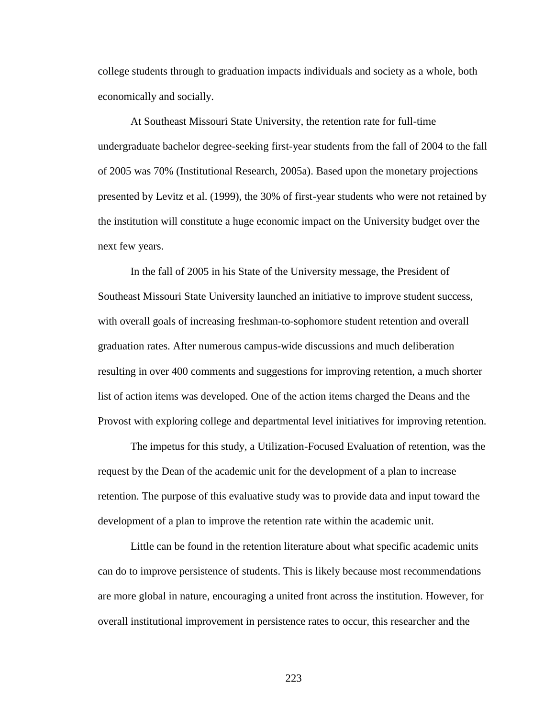college students through to graduation impacts individuals and society as a whole, both economically and socially.

At Southeast Missouri State University, the retention rate for full-time undergraduate bachelor degree-seeking first-year students from the fall of 2004 to the fall of 2005 was 70% (Institutional Research, 2005a). Based upon the monetary projections presented by Levitz et al. (1999), the 30% of first-year students who were not retained by the institution will constitute a huge economic impact on the University budget over the next few years.

In the fall of 2005 in his State of the University message, the President of Southeast Missouri State University launched an initiative to improve student success, with overall goals of increasing freshman-to-sophomore student retention and overall graduation rates. After numerous campus-wide discussions and much deliberation resulting in over 400 comments and suggestions for improving retention, a much shorter list of action items was developed. One of the action items charged the Deans and the Provost with exploring college and departmental level initiatives for improving retention.

The impetus for this study, a Utilization-Focused Evaluation of retention, was the request by the Dean of the academic unit for the development of a plan to increase retention. The purpose of this evaluative study was to provide data and input toward the development of a plan to improve the retention rate within the academic unit.

Little can be found in the retention literature about what specific academic units can do to improve persistence of students. This is likely because most recommendations are more global in nature, encouraging a united front across the institution. However, for overall institutional improvement in persistence rates to occur, this researcher and the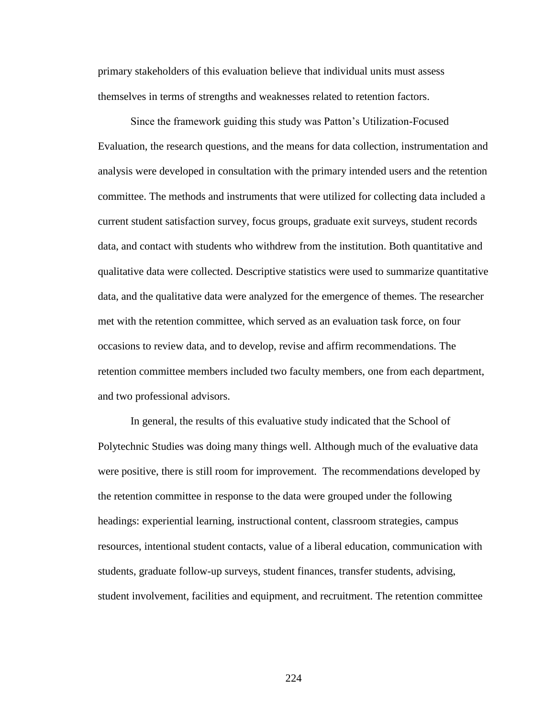primary stakeholders of this evaluation believe that individual units must assess themselves in terms of strengths and weaknesses related to retention factors.

Since the framework guiding this study was Patton"s Utilization-Focused Evaluation, the research questions, and the means for data collection, instrumentation and analysis were developed in consultation with the primary intended users and the retention committee. The methods and instruments that were utilized for collecting data included a current student satisfaction survey, focus groups, graduate exit surveys, student records data, and contact with students who withdrew from the institution. Both quantitative and qualitative data were collected. Descriptive statistics were used to summarize quantitative data, and the qualitative data were analyzed for the emergence of themes. The researcher met with the retention committee, which served as an evaluation task force, on four occasions to review data, and to develop, revise and affirm recommendations. The retention committee members included two faculty members, one from each department, and two professional advisors.

In general, the results of this evaluative study indicated that the School of Polytechnic Studies was doing many things well. Although much of the evaluative data were positive, there is still room for improvement. The recommendations developed by the retention committee in response to the data were grouped under the following headings: experiential learning, instructional content, classroom strategies, campus resources, intentional student contacts, value of a liberal education, communication with students, graduate follow-up surveys, student finances, transfer students, advising, student involvement, facilities and equipment, and recruitment. The retention committee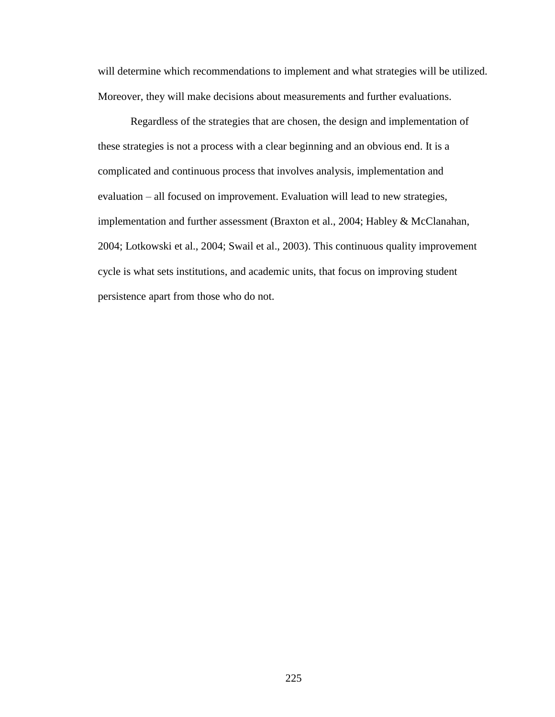will determine which recommendations to implement and what strategies will be utilized. Moreover, they will make decisions about measurements and further evaluations.

Regardless of the strategies that are chosen, the design and implementation of these strategies is not a process with a clear beginning and an obvious end. It is a complicated and continuous process that involves analysis, implementation and evaluation – all focused on improvement. Evaluation will lead to new strategies, implementation and further assessment (Braxton et al., 2004; Habley & McClanahan, 2004; Lotkowski et al., 2004; Swail et al., 2003). This continuous quality improvement cycle is what sets institutions, and academic units, that focus on improving student persistence apart from those who do not.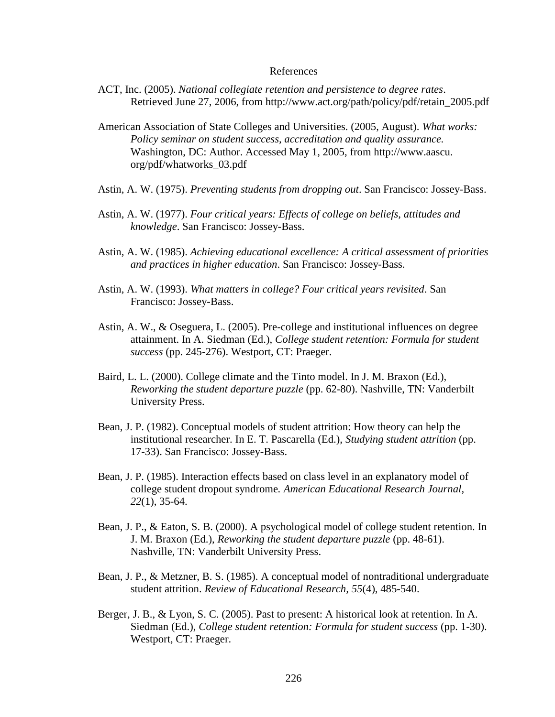### References

- ACT, Inc. (2005). *National collegiate retention and persistence to degree rates*. Retrieved June 27, 2006, from [http://www.act.org/path/policy/pdf/retain\\_2005.pdf](http://www.act.org/path/policy/pdf/retain_2005.pdf)
- American Association of State Colleges and Universities. (2005, August). *What works: Policy seminar on student success, accreditation and quality assurance.*  Washington, DC: Author. Accessed May 1, 2005, from http://www.aascu. org/pdf/whatworks\_03.pdf
- Astin, A. W. (1975). *Preventing students from dropping out*. San Francisco: Jossey-Bass.
- Astin, A. W. (1977). *Four critical years: Effects of college on beliefs, attitudes and knowledge*. San Francisco: Jossey-Bass.
- Astin, A. W. (1985). *Achieving educational excellence: A critical assessment of priorities and practices in higher education*. San Francisco: Jossey-Bass.
- Astin, A. W. (1993). *What matters in college? Four critical years revisited*. San Francisco: Jossey-Bass.
- Astin, A. W., & Oseguera, L. (2005). Pre-college and institutional influences on degree attainment. In A. Siedman (Ed.), *College student retention: Formula for student success* (pp. 245-276). Westport, CT: Praeger.
- Baird, L. L. (2000). College climate and the Tinto model. In J. M. Braxon (Ed.), *Reworking the student departure puzzle* (pp. 62-80). Nashville, TN: Vanderbilt University Press.
- Bean, J. P. (1982). Conceptual models of student attrition: How theory can help the institutional researcher. In E. T. Pascarella (Ed.), *Studying student attrition* (pp. 17-33). San Francisco: Jossey-Bass.
- Bean, J. P. (1985). Interaction effects based on class level in an explanatory model of college student dropout syndrome*. American Educational Research Journal, 22*(1), 35-64.
- Bean, J. P., & Eaton, S. B. (2000). A psychological model of college student retention. In J. M. Braxon (Ed.), *Reworking the student departure puzzle* (pp. 48-61). Nashville, TN: Vanderbilt University Press.
- Bean, J. P., & Metzner, B. S. (1985). A conceptual model of nontraditional undergraduate student attrition. *Review of Educational Research, 55*(4), 485-540.
- Berger, J. B., & Lyon, S. C. (2005). Past to present: A historical look at retention. In A. Siedman (Ed.), *College student retention: Formula for student success* (pp. 1-30). Westport, CT: Praeger.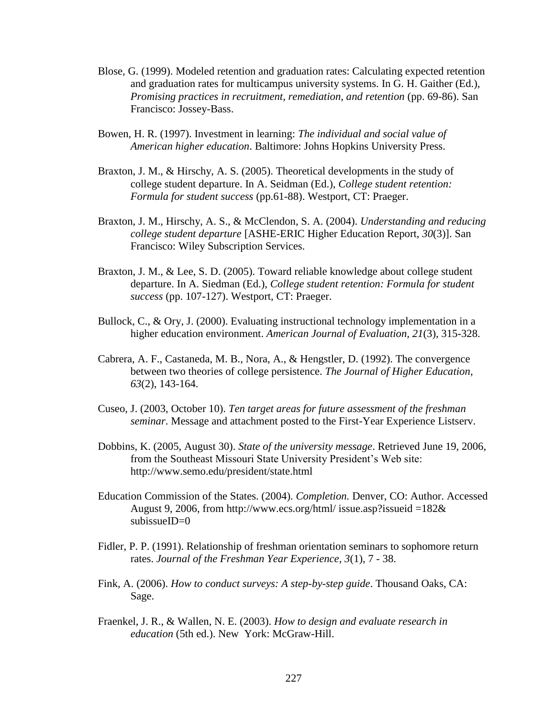- Blose, G. (1999). Modeled retention and graduation rates: Calculating expected retention and graduation rates for multicampus university systems. In G. H. Gaither (Ed.), *Promising practices in recruitment, remediation, and retention* (pp. 69-86). San Francisco: Jossey-Bass.
- Bowen, H. R. (1997). Investment in learning: *The individual and social value of American higher education*. Baltimore: Johns Hopkins University Press.
- Braxton, J. M., & Hirschy, A. S. (2005). Theoretical developments in the study of college student departure. In A. Seidman (Ed.), *College student retention: Formula for student success* (pp.61-88). Westport, CT: Praeger.
- Braxton, J. M., Hirschy, A. S., & McClendon, S. A. (2004). *Understanding and reducing college student departure* [ASHE-ERIC Higher Education Report, *30*(3)]. San Francisco: Wiley Subscription Services.
- Braxton, J. M., & Lee, S. D. (2005). Toward reliable knowledge about college student departure. In A. Siedman (Ed.), *College student retention: Formula for student success* (pp. 107-127). Westport, CT: Praeger.
- Bullock, C., & Ory, J. (2000). Evaluating instructional technology implementation in a higher education environment. *American Journal of Evaluation, 21*(3), 315-328.
- Cabrera, A. F., Castaneda, M. B., Nora, A., & Hengstler, D. (1992). The convergence between two theories of college persistence. *The Journal of Higher Education*, *63*(2), 143-164.
- Cuseo, J. (2003, October 10). *Ten target areas for future assessment of the freshman seminar*. Message and attachment posted to the First-Year Experience Listserv.
- Dobbins, K. (2005, August 30). *State of the university message*. Retrieved June 19, 2006, from the Southeast Missouri State University President"s Web site: <http://www.semo.edu/president/state.html>
- Education Commission of the States. (2004). *Completion.* Denver, CO: Author. Accessed August 9, 2006, from http://www.ecs.org/html/ issue.asp?issueid =182 $\&$ [subissueID=0](http://www.ecs.org/html/%20issue.asp?issueid%20=182&%20subissueID=0)
- Fidler, P. P. (1991). Relationship of freshman orientation seminars to sophomore return rates. *Journal of the Freshman Year Experience*, *3*(1), 7 - 38.
- Fink, A. (2006). *How to conduct surveys: A step-by-step guide*. Thousand Oaks, CA: Sage.
- Fraenkel, J. R., & Wallen, N. E. (2003). *How to design and evaluate research in education* (5th ed.). New York: McGraw-Hill.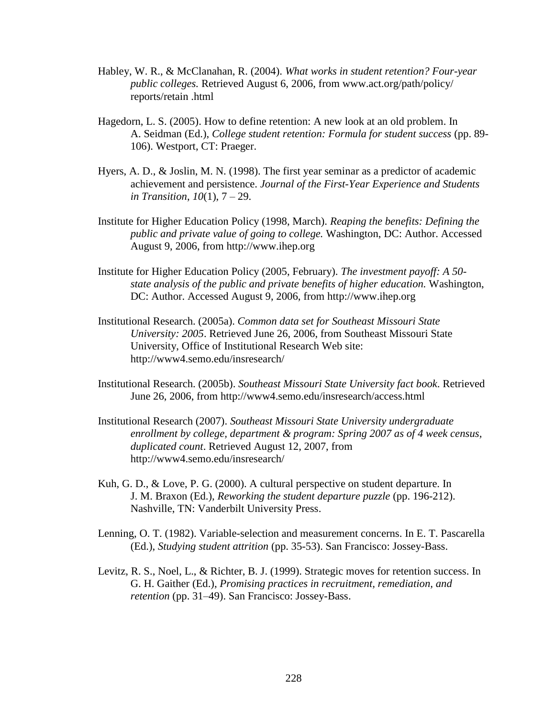- Habley, W. R., & McClanahan, R. (2004). *What works in student retention? Four-year public colleges.* Retrieved August 6, 2006, from [www.act.org/path/policy/](http://www.act.org/path/policy/%20%20%20%20reports/retain%20.html)  [reports/retain .html](http://www.act.org/path/policy/%20%20%20%20reports/retain%20.html)
- Hagedorn, L. S. (2005). How to define retention: A new look at an old problem. In A. Seidman (Ed.), *College student retention: Formula for student success* (pp. 89- 106). Westport, CT: Praeger.
- Hyers, A. D., & Joslin, M. N. (1998). The first year seminar as a predictor of academic achievement and persistence. *Journal of the First-Year Experience and Students in Transition*, *10*(1), 7 – 29.
- Institute for Higher Education Policy (1998, March). *Reaping the benefits: Defining the public and private value of going to college.* Washington, DC: Author. Accessed August 9, 2006, from [http://www.ihep.org](http://www.ihep.org/)
- Institute for Higher Education Policy (2005, February). *The investment payoff: A 50 state analysis of the public and private benefits of higher education.* Washington, DC: Author. Accessed August 9, 2006, from [http://www.ihep.org](http://www.ihep.org/)
- Institutional Research. (2005a). *Common data set for Southeast Missouri State University: 2005*. Retrieved June 26, 2006, from Southeast Missouri State University, Office of Institutional Research Web site: <http://www4.semo.edu/insresearch/>
- Institutional Research. (2005b). *Southeast Missouri State University fact book*. Retrieved June 26, 2006, from<http://www4.semo.edu/insresearch/access.html>
- Institutional Research (2007). *Southeast Missouri State University undergraduate enrollment by college, department & program: Spring 2007 as of 4 week census, duplicated count*. Retrieved August 12, 2007, from <http://www4.semo.edu/insresearch/>
- Kuh, G. D., & Love, P. G. (2000). A cultural perspective on student departure. In J. M. Braxon (Ed.), *Reworking the student departure puzzle* (pp. 196-212). Nashville, TN: Vanderbilt University Press.
- Lenning, O. T. (1982). Variable-selection and measurement concerns. In E. T. Pascarella (Ed.), *Studying student attrition* (pp. 35-53). San Francisco: Jossey-Bass.
- Levitz, R. S., Noel, L., & Richter, B. J. (1999). Strategic moves for retention success. In G. H. Gaither (Ed.), *Promising practices in recruitment, remediation, and retention* (pp. 31–49). San Francisco: Jossey-Bass.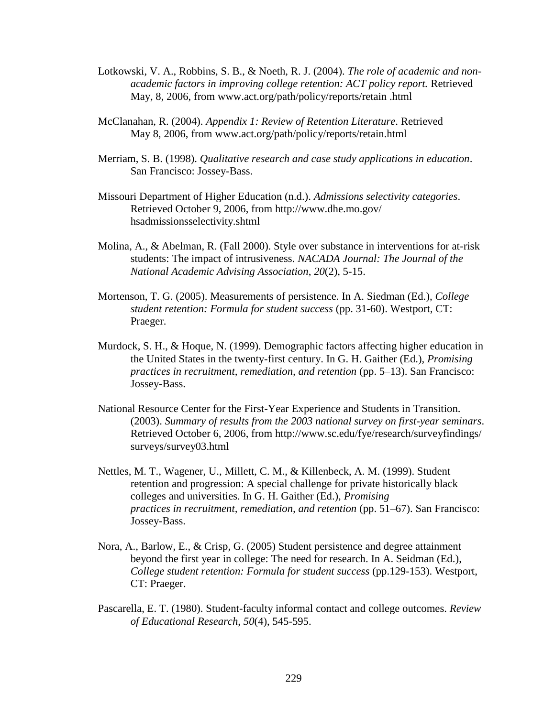- Lotkowski, V. A., Robbins, S. B., & Noeth, R. J. (2004). *The role of academic and nonacademic factors in improving college retention: ACT policy report.* Retrieved May, 8, 2006, from [www.act.org/path/policy/reports/retain .html](http://www.act.org/path/policy/reports/retain%20.html)
- McClanahan, R. (2004). *Appendix 1: Review of Retention Literature*. Retrieved May 8, 2006, from [www.act.org/path/policy/reports/retain.html](http://www.act.org/path/policy/reports/retain.html)
- Merriam, S. B. (1998). *Qualitative research and case study applications in education*. San Francisco: Jossey-Bass.
- Missouri Department of Higher Education (n.d.). *Admissions selectivity categories*. Retrieved October 9, 2006, from [http://www.dhe.mo.gov/](http://www.dhe.mo.gov/%20hsadmissionsselectivity.shtml)  [hsadmissionsselectivity.shtml](http://www.dhe.mo.gov/%20hsadmissionsselectivity.shtml)
- Molina, A., & Abelman, R. (Fall 2000). Style over substance in interventions for at-risk students: The impact of intrusiveness. *NACADA Journal: The Journal of the National Academic Advising Association*, *20*(2), 5-15.
- Mortenson, T. G. (2005). Measurements of persistence. In A. Siedman (Ed.), *College student retention: Formula for student success* (pp. 31-60). Westport, CT: Praeger.
- Murdock, S. H., & Hoque, N. (1999). Demographic factors affecting higher education in the United States in the twenty-first century. In G. H. Gaither (Ed.), *Promising practices in recruitment, remediation, and retention* (pp. 5–13). San Francisco: Jossey-Bass.
- National Resource Center for the First-Year Experience and Students in Transition. (2003). *Summary of results from the 2003 national survey on first-year seminars*. Retrieved October 6, 2006, from [http://www.sc.edu/fye/research/surveyfindings/](http://www.sc.edu/fye/research/surveyfindings/%20surveys/survey03.html)  [surveys/survey03.html](http://www.sc.edu/fye/research/surveyfindings/%20surveys/survey03.html)
- Nettles, M. T., Wagener, U., Millett, C. M., & Killenbeck, A. M. (1999). Student retention and progression: A special challenge for private historically black colleges and universities. In G. H. Gaither (Ed.), *Promising practices in recruitment, remediation, and retention* (pp. 51–67). San Francisco: Jossey-Bass.
- Nora, A., Barlow, E., & Crisp, G. (2005) Student persistence and degree attainment beyond the first year in college: The need for research. In A. Seidman (Ed.), *College student retention: Formula for student success* (pp.129-153). Westport, CT: Praeger.
- Pascarella, E. T. (1980). Student-faculty informal contact and college outcomes. *Review of Educational Research*, *50*(4), 545-595.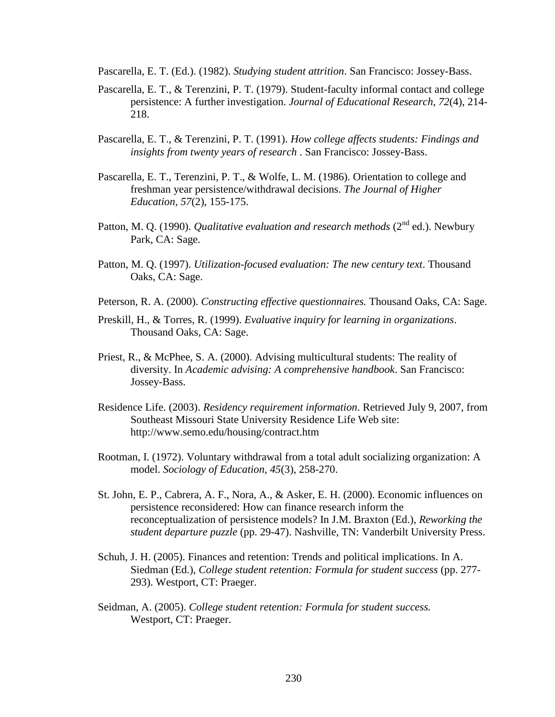Pascarella, E. T. (Ed.). (1982). *Studying student attrition*. San Francisco: Jossey-Bass.

- Pascarella, E. T., & Terenzini, P. T. (1979). Student-faculty informal contact and college persistence: A further investigation. *Journal of Educational Research*, *72*(4), 214- 218.
- Pascarella, E. T., & Terenzini, P. T. (1991). *How college affects students: Findings and insights from twenty years of research* . San Francisco: Jossey-Bass.
- Pascarella, E. T., Terenzini, P. T., & Wolfe, L. M. (1986). Orientation to college and freshman year persistence/withdrawal decisions. *The Journal of Higher Education, 57*(2), 155-175.
- Patton, M. Q. (1990). *Qualitative evaluation and research methods* (2<sup>nd</sup> ed.). Newbury Park, CA: Sage.
- Patton, M. Q. (1997). *Utilization-focused evaluation: The new century text*. Thousand Oaks, CA: Sage.
- Peterson, R. A. (2000). *Constructing effective questionnaires.* Thousand Oaks, CA: Sage.
- Preskill, H., & Torres, R. (1999). *Evaluative inquiry for learning in organizations*. Thousand Oaks, CA: Sage.
- Priest, R., & McPhee, S. A. (2000). Advising multicultural students: The reality of diversity. In *Academic advising: A comprehensive handbook*. San Francisco: Jossey-Bass.
- Residence Life. (2003). *Residency requirement information*. Retrieved July 9, 2007, from Southeast Missouri State University Residence Life Web site: http://www.semo.edu/housing/contract.htm
- Rootman, I. (1972). Voluntary withdrawal from a total adult socializing organization: A model. *Sociology of Education, 45*(3), 258-270.
- St. John, E. P., Cabrera, A. F., Nora, A., & Asker, E. H. (2000). Economic influences on persistence reconsidered: How can finance research inform the reconceptualization of persistence models? In J.M. Braxton (Ed.), *Reworking the student departure puzzle* (pp. 29-47). Nashville, TN: Vanderbilt University Press.
- Schuh, J. H. (2005). Finances and retention: Trends and political implications. In A. Siedman (Ed.), *College student retention: Formula for student success* (pp. 277- 293). Westport, CT: Praeger.
- Seidman, A. (2005). *College student retention: Formula for student success.*  Westport, CT: Praeger.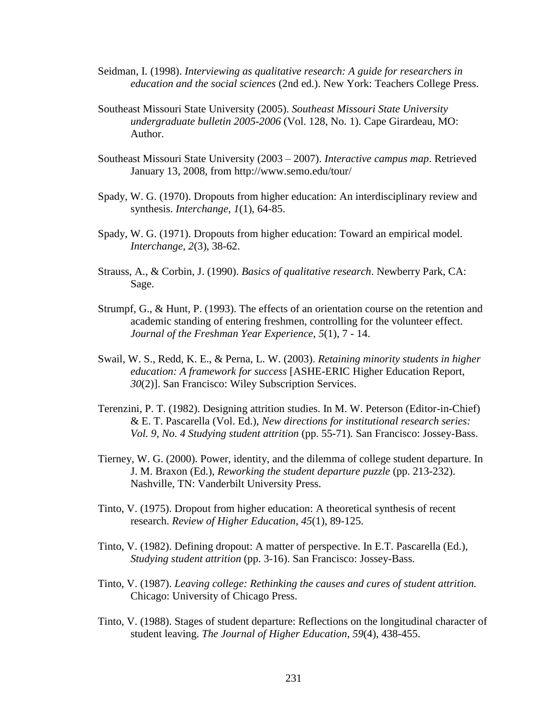- Seidman, I. (1998). *Interviewing as qualitative research: A guide for researchers in education and the social sciences* (2nd ed.). New York: Teachers College Press.
- Southeast Missouri State University (2005). *Southeast Missouri State University undergraduate bulletin 2005-2006* (Vol. 128, No. 1). Cape Girardeau, MO: Author.
- Southeast Missouri State University (2003 2007). *Interactive campus map*. Retrieved January 13, 2008, from http://www.semo.edu/tour/
- Spady, W. G. (1970). Dropouts from higher education: An interdisciplinary review and synthesis. *Interchange*, *1*(1), 64-85.
- Spady, W. G. (1971). Dropouts from higher education: Toward an empirical model. *Interchange*, *2*(3), 38-62.
- Strauss, A., & Corbin, J. (1990). *Basics of qualitative research*. Newberry Park, CA: Sage.
- Strumpf, G., & Hunt, P. (1993). The effects of an orientation course on the retention and academic standing of entering freshmen, controlling for the volunteer effect. *Journal of the Freshman Year Experience*, *5*(1), 7 - 14.
- Swail, W. S., Redd, K. E., & Perna, L. W. (2003). *Retaining minority students in higher education: A framework for success* [ASHE-ERIC Higher Education Report, *30*(2)]. San Francisco: Wiley Subscription Services.
- Terenzini, P. T. (1982). Designing attrition studies. In M. W. Peterson (Editor-in-Chief) & E. T. Pascarella (Vol. Ed.), *New directions for institutional research series: Vol. 9, No. 4 Studying student attrition* (pp. 55-71)*.* San Francisco: Jossey-Bass.
- Tierney, W. G. (2000). Power, identity, and the dilemma of college student departure. In J. M. Braxon (Ed.), *Reworking the student departure puzzle* (pp. 213-232). Nashville, TN: Vanderbilt University Press.
- Tinto, V. (1975). Dropout from higher education: A theoretical synthesis of recent research. *Review of Higher Education*, *45*(1), 89-125.
- Tinto, V. (1982). Defining dropout: A matter of perspective. In E.T. Pascarella (Ed.), *Studying student attrition* (pp. 3-16). San Francisco: Jossey-Bass.
- Tinto, V. (1987). *Leaving college: Rethinking the causes and cures of student attrition.*  Chicago: University of Chicago Press.
- Tinto, V. (1988). Stages of student departure: Reflections on the longitudinal character of student leaving. *The Journal of Higher Education*, *59*(4), 438-455.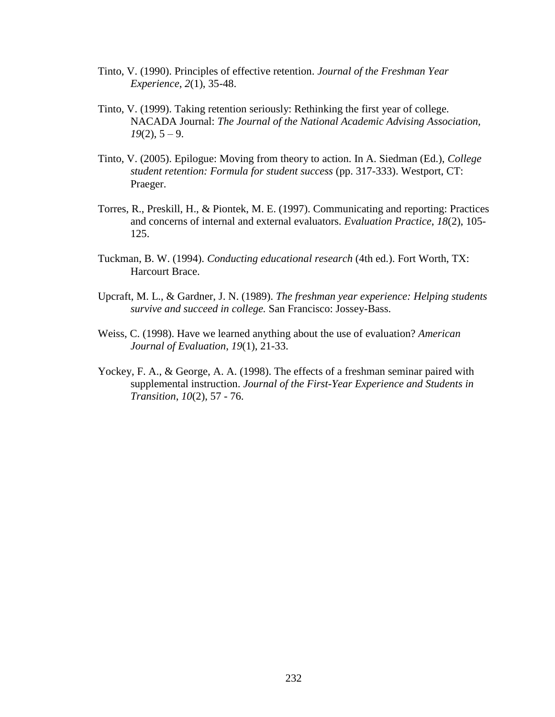- Tinto, V. (1990). Principles of effective retention. *Journal of the Freshman Year Experience*, *2*(1), 35-48.
- Tinto, V. (1999). Taking retention seriously: Rethinking the first year of college. NACADA Journal: *The Journal of the National Academic Advising Association,*   $19(2)$ ,  $5 - 9$ .
- Tinto, V. (2005). Epilogue: Moving from theory to action. In A. Siedman (Ed.), *College student retention: Formula for student success* (pp. 317-333). Westport, CT: Praeger.
- Torres, R., Preskill, H., & Piontek, M. E. (1997). Communicating and reporting: Practices and concerns of internal and external evaluators. *Evaluation Practice*, *18*(2), 105- 125.
- Tuckman, B. W. (1994). *Conducting educational research* (4th ed.). Fort Worth, TX: Harcourt Brace.
- Upcraft, M. L., & Gardner, J. N. (1989). *The freshman year experience: Helping students survive and succeed in college.* San Francisco: Jossey-Bass.
- Weiss, C. (1998). Have we learned anything about the use of evaluation? *American Journal of Evaluation*, *19*(1), 21-33.
- Yockey, F. A., & George, A. A. (1998). The effects of a freshman seminar paired with supplemental instruction. *Journal of the First-Year Experience and Students in Transition*, *10*(2), 57 - 76.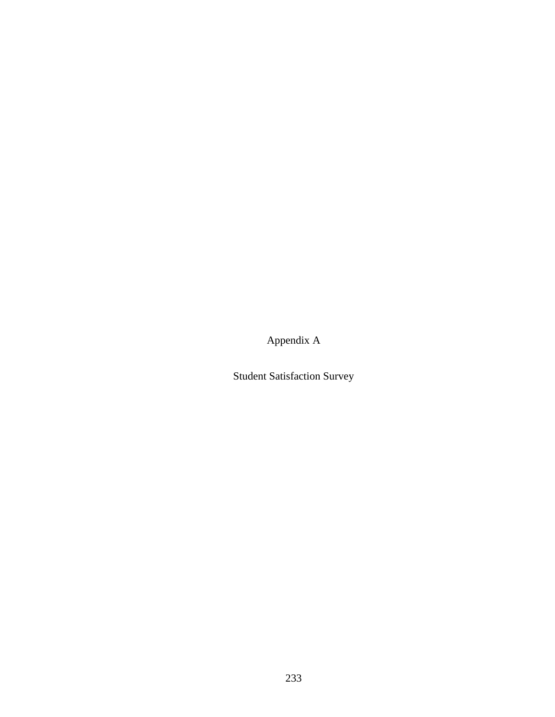Appendix A

Student Satisfaction Survey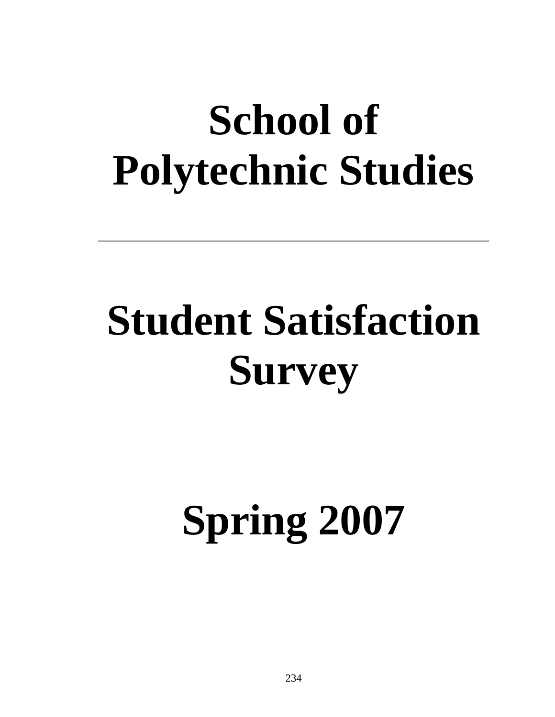### **School of Polytechnic Studies**

## **Student Satisfaction Survey**

# **Spring 2007**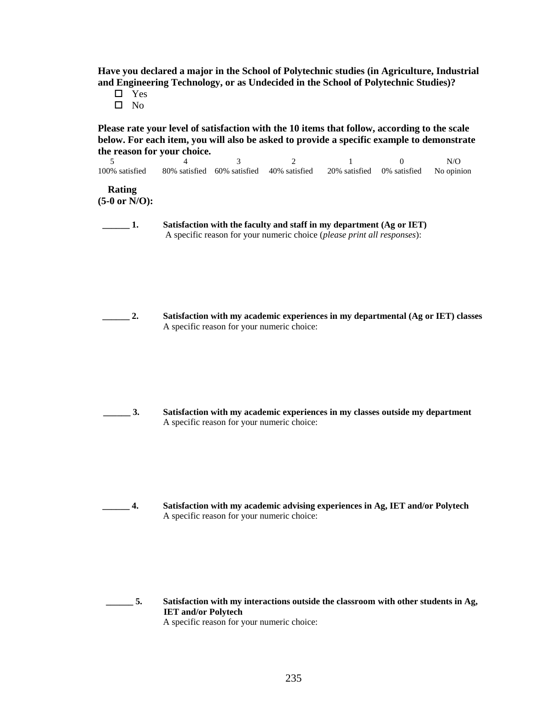**Have you declared a major in the School of Polytechnic studies (in Agriculture, Industrial and Engineering Technology, or as Undecided in the School of Polytechnic Studies)?**

- □ Yes
- $\square$  No

**Please rate your level of satisfaction with the 10 items that follow, according to the scale below. For each item, you will also be asked to provide a specific example to demonstrate the reason for your choice.**

| 100% satisfied                     | -3-<br>80% satisfied 60% satisfied 40% satisfied | $\mathcal{D}$ | 20% satisfied 0% satisfied | N/O<br>No opinion |
|------------------------------------|--------------------------------------------------|---------------|----------------------------|-------------------|
| Rating<br>$(5-0 \text{ or } N/O):$ |                                                  |               |                            |                   |

 **\_\_\_\_\_\_ 1. Satisfaction with the faculty and staff in my department (Ag or IET)** A specific reason for your numeric choice (*please print all responses*):

 **\_\_\_\_\_\_ 2. Satisfaction with my academic experiences in my departmental (Ag or IET) classes** A specific reason for your numeric choice:

- 
- **\_\_\_\_\_\_ 3. Satisfaction with my academic experiences in my classes outside my department** A specific reason for your numeric choice:

 **\_\_\_\_\_\_ 4. Satisfaction with my academic advising experiences in Ag, IET and/or Polytech** A specific reason for your numeric choice:

 **\_\_\_\_\_\_ 5. Satisfaction with my interactions outside the classroom with other students in Ag, IET and/or Polytech** A specific reason for your numeric choice: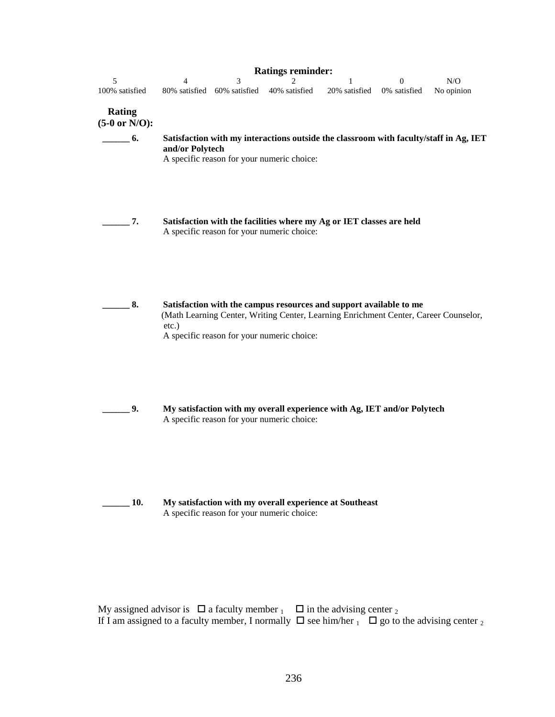|                                                                                                |  |  | N/O |
|------------------------------------------------------------------------------------------------|--|--|-----|
| 100% satisfied 80% satisfied 60% satisfied 40% satisfied 20% satisfied 0% satisfied No opinion |  |  |     |

### **Rating**

- **(5-0 or N/O):**
- **\_\_\_\_\_\_ 6. Satisfaction with my interactions outside the classroom with faculty/staff in Ag, IET and/or Polytech**

A specific reason for your numeric choice:

- **\_\_\_\_\_\_ 7. Satisfaction with the facilities where my Ag or IET classes are held** A specific reason for your numeric choice:
	- **\_\_\_\_\_\_ 8. Satisfaction with the campus resources and support available to me** (Math Learning Center, Writing Center, Learning Enrichment Center, Career Counselor, etc.) A specific reason for your numeric choice:
- **\_\_\_\_\_\_ 9. My satisfaction with my overall experience with Ag, IET and/or Polytech** A specific reason for your numeric choice:
	-
- **\_\_\_\_\_\_ 10. My satisfaction with my overall experience at Southeast** A specific reason for your numeric choice:

My assigned advisor is  $\Box$  a faculty member  $\Box$  in the advising center  $\Box$ If I am assigned to a faculty member, I normally  $\Box$  see him/her  $\Box$  go to the advising center  $\Box$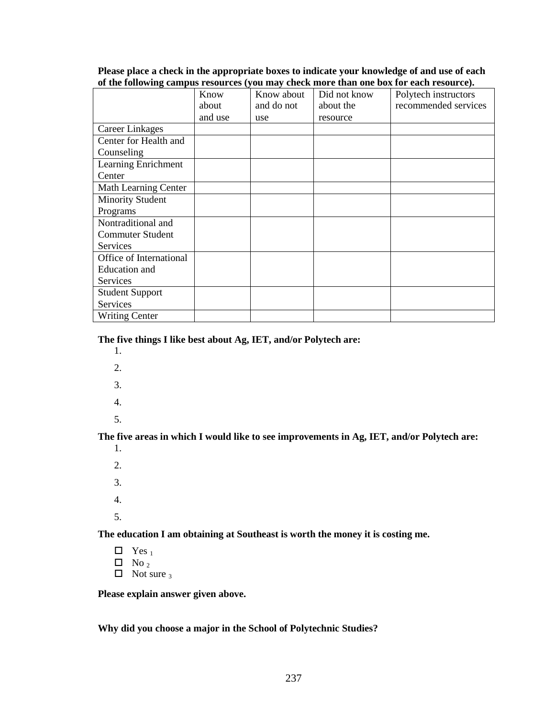### **Please place a check in the appropriate boxes to indicate your knowledge of and use of each of the following campus resources (you may check more than one box for each resource).**

|                         | Know    | Know about | Did not know | Polytech instructors |
|-------------------------|---------|------------|--------------|----------------------|
|                         | about   | and do not | about the    | recommended services |
|                         | and use | use        | resource     |                      |
| <b>Career Linkages</b>  |         |            |              |                      |
| Center for Health and   |         |            |              |                      |
| Counseling              |         |            |              |                      |
| Learning Enrichment     |         |            |              |                      |
| Center                  |         |            |              |                      |
| Math Learning Center    |         |            |              |                      |
| <b>Minority Student</b> |         |            |              |                      |
| Programs                |         |            |              |                      |
| Nontraditional and      |         |            |              |                      |
| <b>Commuter Student</b> |         |            |              |                      |
| <b>Services</b>         |         |            |              |                      |
| Office of International |         |            |              |                      |
| Education and           |         |            |              |                      |
| Services                |         |            |              |                      |
| <b>Student Support</b>  |         |            |              |                      |
| Services                |         |            |              |                      |
| <b>Writing Center</b>   |         |            |              |                      |

**The five things I like best about Ag, IET, and/or Polytech are:**

- 1.
- 2.
- 3.
- 4.
- 5.

**The five areas in which I would like to see improvements in Ag, IET, and/or Polytech are:**

1. 2. 3. 4. 5.

**The education I am obtaining at Southeast is worth the money it is costing me.**

 $\Box$  Yes<sub>1</sub>  $\Box$  No <sub>2</sub>  $\Box$  Not sure 3

**Please explain answer given above.**

**Why did you choose a major in the School of Polytechnic Studies?**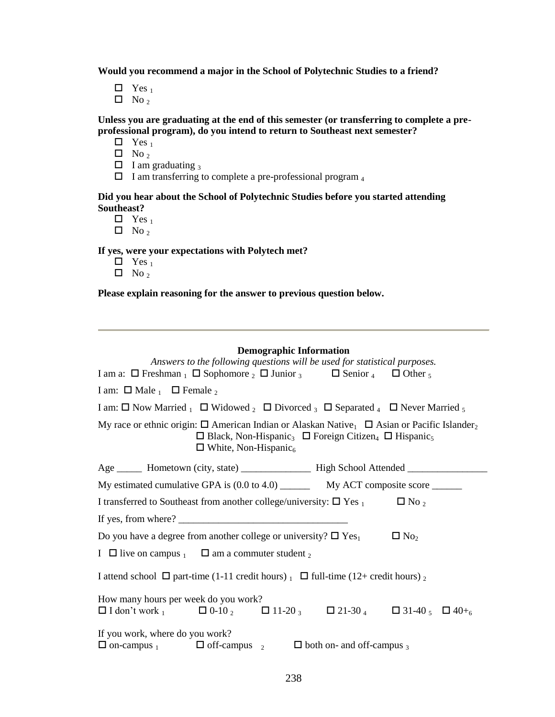**Would you recommend a major in the School of Polytechnic Studies to a friend?**

 $\Box$  Yes<sub>1</sub>

 $\Box$  No<sub>2</sub>

**Unless you are graduating at the end of this semester (or transferring to complete a preprofessional program), do you intend to return to Southeast next semester?** 

 $\Box$  Yes<sub>1</sub>

 $\Box$  No<sub>2</sub>

 $\Box$  I am graduating 3

 $\Box$  I am transferring to complete a pre-professional program  $_4$ 

**Did you hear about the School of Polytechnic Studies before you started attending Southeast?** 

 $\Box$  Yes<sub>1</sub>

 $\Box$  No<sub>2</sub>

**If yes, were your expectations with Polytech met?** 

- $\Box$  Yes<sub>1</sub>
- $\Box$  No<sub>2</sub>

**Please explain reasoning for the answer to previous question below.**

### **Demographic Information**

| Answers to the following questions will be used for statistical purposes.                                                                                                                                                                                                                                                                                                               |  |  |  |  |  |
|-----------------------------------------------------------------------------------------------------------------------------------------------------------------------------------------------------------------------------------------------------------------------------------------------------------------------------------------------------------------------------------------|--|--|--|--|--|
| I am a: $\Box$ Freshman $\Box$ Sophomore $\Box$ $\Box$ Junior $\Box$ $\Box$ Senior $\Box$ $\Box$ Other $\Box$                                                                                                                                                                                                                                                                           |  |  |  |  |  |
| I am: $\Box$ Male $_1$ $\Box$ Female $_2$                                                                                                                                                                                                                                                                                                                                               |  |  |  |  |  |
| I am: $\Box$ Now Married $\Box$ I Widowed $\Box$ Divorced $\Box$ Separated $\Box$ I Never Married $\Box$                                                                                                                                                                                                                                                                                |  |  |  |  |  |
| My race or ethnic origin: $\Box$ American Indian or Alaskan Native <sub>1</sub> $\Box$ Asian or Pacific Islander <sub>2</sub><br>$\Box$ Black, Non-Hispanic <sub>3</sub> $\Box$ Foreign Citizen <sub>4</sub> $\Box$ Hispanic <sub>5</sub><br>$\Box$ White, Non-Hispanic <sub>6</sub>                                                                                                    |  |  |  |  |  |
|                                                                                                                                                                                                                                                                                                                                                                                         |  |  |  |  |  |
|                                                                                                                                                                                                                                                                                                                                                                                         |  |  |  |  |  |
| I transferred to Southeast from another college/university: $\Box$ Yes $_1$ $\Box$ No $_2$                                                                                                                                                                                                                                                                                              |  |  |  |  |  |
| If yes, from where? $\frac{1}{\sqrt{1-\frac{1}{2}}}\left\{ \frac{1}{2} + \frac{1}{2} + \frac{1}{2} + \frac{1}{2} + \frac{1}{2} + \frac{1}{2} + \frac{1}{2} + \frac{1}{2} + \frac{1}{2} + \frac{1}{2} + \frac{1}{2} + \frac{1}{2} + \frac{1}{2} + \frac{1}{2} + \frac{1}{2} + \frac{1}{2} + \frac{1}{2} + \frac{1}{2} + \frac{1}{2} + \frac{1}{2} + \frac{1}{2} + \frac{1}{2} + \frac{1$ |  |  |  |  |  |
| Do you have a degree from another college or university? $\Box$ Yes <sub>1</sub><br>$\Box$ No <sub>2</sub>                                                                                                                                                                                                                                                                              |  |  |  |  |  |
| I $\Box$ live on campus $\Box$ $\Box$ am a commuter student $\Box$                                                                                                                                                                                                                                                                                                                      |  |  |  |  |  |
| I attend school $\Box$ part-time (1-11 credit hours) $\Box$ full-time (12+ credit hours) $\Box$                                                                                                                                                                                                                                                                                         |  |  |  |  |  |
| How many hours per week do you work?                                                                                                                                                                                                                                                                                                                                                    |  |  |  |  |  |
| $\Box$ I don't work $_1$ $\Box$ 0-10 $_2$ $\Box$ 11-20 $_3$ $\Box$ 21-30 $_4$ $\Box$ 31-40 $_5$ $\Box$ 40+ $_6$                                                                                                                                                                                                                                                                         |  |  |  |  |  |
| If you work, where do you work?<br>$\Box$ on-campus $\Box$ off-campus $\Box$<br>$\Box$ both on- and off-campus 3                                                                                                                                                                                                                                                                        |  |  |  |  |  |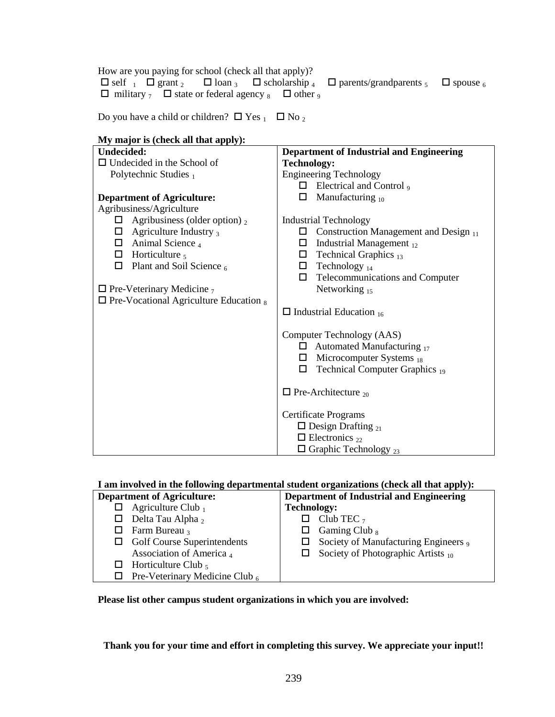How are you paying for school (check all that apply)?  $\Box$  self  $\Box$   $\Box$  grant  $\Box$   $\Box$  loan  $\Box$   $\Box$  scholarship  $\Box$   $\Box$  parents/grandparents  $\Box$   $\Box$  spouse  $\Box$  $\Box$  military  $\frac{1}{7}$   $\Box$  state or federal agency  $\frac{1}{8}$   $\Box$  other  $\frac{1}{9}$ 

Do you have a child or children?  $\Box$  Yes  $_1$   $\Box$  No  $_2$ 

| My major is (check all that apply):              |                                                 |  |  |  |
|--------------------------------------------------|-------------------------------------------------|--|--|--|
| <b>Undecided:</b>                                | <b>Department of Industrial and Engineering</b> |  |  |  |
| $\Box$ Undecided in the School of                | <b>Technology:</b>                              |  |  |  |
| Polytechnic Studies $_1$                         | <b>Engineering Technology</b>                   |  |  |  |
|                                                  | Electrical and Control 9<br>0.                  |  |  |  |
| <b>Department of Agriculture:</b>                | Manufacturing $_{10}$<br>□                      |  |  |  |
| Agribusiness/Agriculture                         |                                                 |  |  |  |
| Agribusiness (older option) $_2$<br>$\Box$       | <b>Industrial Technology</b>                    |  |  |  |
| $\Box$ Agriculture Industry 3                    | Construction Management and Design 11<br>⊔ ⊢    |  |  |  |
| $\Box$ Animal Science 4                          | Industrial Management 12<br>$\Box$              |  |  |  |
| $\Box$ Horticulture $\frac{1}{5}$                | Technical Graphics 13<br>□                      |  |  |  |
| $\Box$<br>Plant and Soil Science 6               | $\Box$ Technology <sub>14</sub>                 |  |  |  |
|                                                  | Telecommunications and Computer<br>$\Box$       |  |  |  |
| $\Box$ Pre-Veterinary Medicine $_7$              | Networking 15                                   |  |  |  |
| $\Box$ Pre-Vocational Agriculture Education $_8$ |                                                 |  |  |  |
|                                                  | $\Box$ Industrial Education $_{16}$             |  |  |  |
|                                                  |                                                 |  |  |  |
|                                                  | Computer Technology (AAS)                       |  |  |  |
|                                                  | $\Box$ Automated Manufacturing $_{17}$          |  |  |  |
|                                                  | Microcomputer Systems 18<br>□                   |  |  |  |
|                                                  | Technical Computer Graphics 19<br>□             |  |  |  |
|                                                  | $\Box$ Pre-Architecture <sub>20</sub>           |  |  |  |
|                                                  |                                                 |  |  |  |
|                                                  | Certificate Programs                            |  |  |  |
|                                                  | $\Box$ Design Drafting <sub>21</sub>            |  |  |  |
|                                                  | $\Box$ Electronics <sub>22</sub>                |  |  |  |
|                                                  | $\Box$ Graphic Technology <sub>23</sub>         |  |  |  |

### **I am involved in the following departmental student organizations (check all that apply):**

| <b>Department of Agriculture:</b> |                                    | <b>Department of Industrial and Engineering</b> |                                         |  |
|-----------------------------------|------------------------------------|-------------------------------------------------|-----------------------------------------|--|
|                                   | $\Box$ Agriculture Club $_1$       | <b>Technology:</b>                              |                                         |  |
|                                   | $\Box$ Delta Tau Alpha 2           |                                                 | $\Box$ Club TEC $_7$                    |  |
|                                   | $\Box$ Farm Bureau 3               |                                                 | Gaming Club <sub>8</sub>                |  |
|                                   | $\Box$ Golf Course Superintendents |                                                 | Society of Manufacturing Engineers,     |  |
|                                   | Association of America 4           |                                                 | Society of Photographic Artists $_{10}$ |  |
|                                   | $\Box$ Horticulture Club,          |                                                 |                                         |  |
| ப                                 | Pre-Veterinary Medicine Club $_6$  |                                                 |                                         |  |

**Please list other campus student organizations in which you are involved:**

**Thank you for your time and effort in completing this survey. We appreciate your input!!**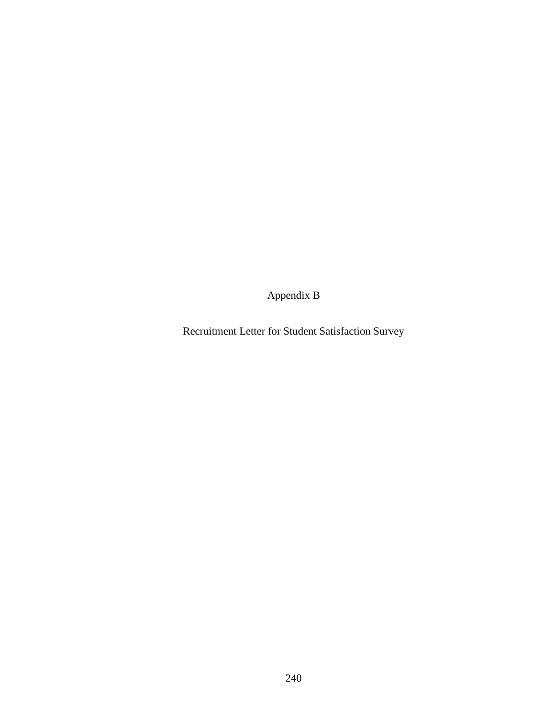Appendix B

Recruitment Letter for Student Satisfaction Survey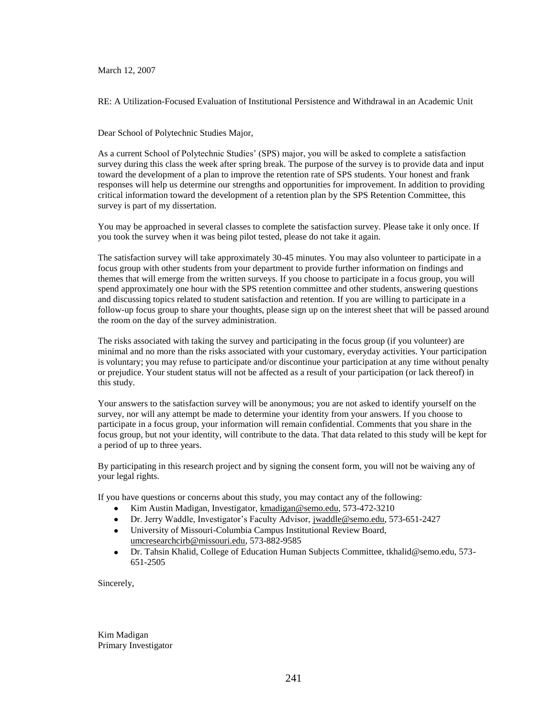March 12, 2007

RE: A Utilization-Focused Evaluation of Institutional Persistence and Withdrawal in an Academic Unit

Dear School of Polytechnic Studies Major,

As a current School of Polytechnic Studies" (SPS) major, you will be asked to complete a satisfaction survey during this class the week after spring break. The purpose of the survey is to provide data and input toward the development of a plan to improve the retention rate of SPS students. Your honest and frank responses will help us determine our strengths and opportunities for improvement. In addition to providing critical information toward the development of a retention plan by the SPS Retention Committee, this survey is part of my dissertation.

You may be approached in several classes to complete the satisfaction survey. Please take it only once. If you took the survey when it was being pilot tested, please do not take it again.

The satisfaction survey will take approximately 30-45 minutes. You may also volunteer to participate in a focus group with other students from your department to provide further information on findings and themes that will emerge from the written surveys. If you choose to participate in a focus group, you will spend approximately one hour with the SPS retention committee and other students, answering questions and discussing topics related to student satisfaction and retention. If you are willing to participate in a follow-up focus group to share your thoughts, please sign up on the interest sheet that will be passed around the room on the day of the survey administration.

The risks associated with taking the survey and participating in the focus group (if you volunteer) are minimal and no more than the risks associated with your customary, everyday activities. Your participation is voluntary; you may refuse to participate and/or discontinue your participation at any time without penalty or prejudice. Your student status will not be affected as a result of your participation (or lack thereof) in this study.

Your answers to the satisfaction survey will be anonymous; you are not asked to identify yourself on the survey, nor will any attempt be made to determine your identity from your answers. If you choose to participate in a focus group, your information will remain confidential. Comments that you share in the focus group, but not your identity, will contribute to the data. That data related to this study will be kept for a period of up to three years.

By participating in this research project and by signing the consent form, you will not be waiving any of your legal rights.

If you have questions or concerns about this study, you may contact any of the following:

- Kim Austin Madigan, Investigator, [kmadigan@semo.edu,](mailto:kmadigan@semo.edu) 573-472-3210  $\bullet$
- Dr. Jerry Waddle, Investigator"s Faculty Advisor, [jwaddle@semo.edu,](mailto:jwaddle@semo.edu) 573-651-2427  $\bullet$
- University of Missouri-Columbia Campus Institutional Review Board,  $\bullet$ [umcresearchcirb@missouri.edu,](mailto:umcresearchcirb@missouri.edu) 573-882-9585
- Dr. Tahsin Khalid, College of Education Human Subjects Committee, tkhalid@semo.edu, 573-  $\bullet$ 651-2505

Sincerely,

Kim Madigan Primary Investigator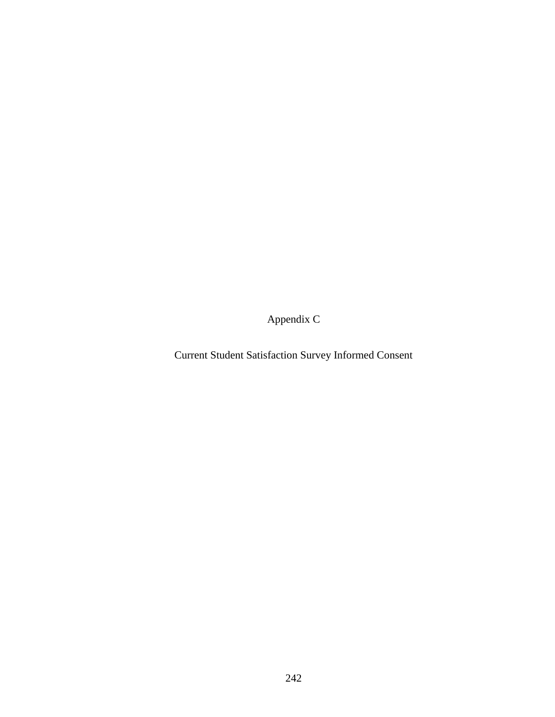Appendix C

Current Student Satisfaction Survey Informed Consent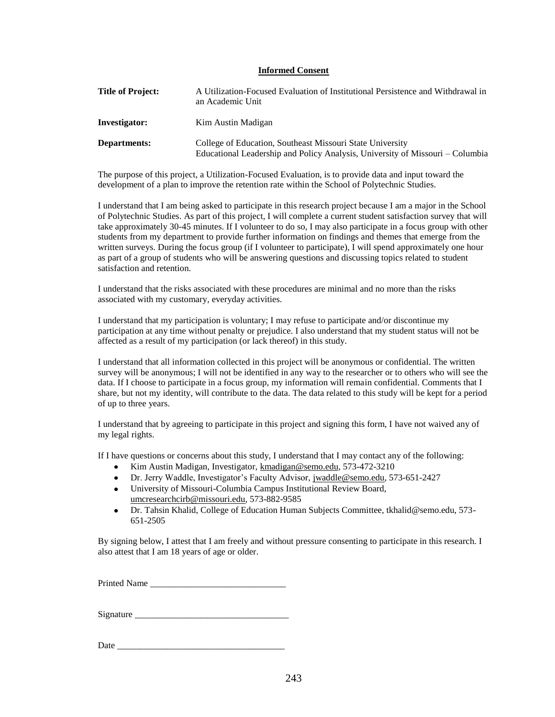### **Informed Consent**

| <b>Title of Project:</b> | A Utilization-Focused Evaluation of Institutional Persistence and Withdrawal in<br>an Academic Unit                                        |
|--------------------------|--------------------------------------------------------------------------------------------------------------------------------------------|
| Investigator:            | Kim Austin Madigan                                                                                                                         |
| Departments:             | College of Education, Southeast Missouri State University<br>Educational Leadership and Policy Analysis, University of Missouri – Columbia |

The purpose of this project, a Utilization-Focused Evaluation, is to provide data and input toward the development of a plan to improve the retention rate within the School of Polytechnic Studies.

I understand that I am being asked to participate in this research project because I am a major in the School of Polytechnic Studies. As part of this project, I will complete a current student satisfaction survey that will take approximately 30-45 minutes. If I volunteer to do so, I may also participate in a focus group with other students from my department to provide further information on findings and themes that emerge from the written surveys. During the focus group (if I volunteer to participate), I will spend approximately one hour as part of a group of students who will be answering questions and discussing topics related to student satisfaction and retention.

I understand that the risks associated with these procedures are minimal and no more than the risks associated with my customary, everyday activities.

I understand that my participation is voluntary; I may refuse to participate and/or discontinue my participation at any time without penalty or prejudice. I also understand that my student status will not be affected as a result of my participation (or lack thereof) in this study.

I understand that all information collected in this project will be anonymous or confidential. The written survey will be anonymous; I will not be identified in any way to the researcher or to others who will see the data. If I choose to participate in a focus group, my information will remain confidential. Comments that I share, but not my identity, will contribute to the data. The data related to this study will be kept for a period of up to three years.

I understand that by agreeing to participate in this project and signing this form, I have not waived any of my legal rights.

If I have questions or concerns about this study, I understand that I may contact any of the following:

- Kim Austin Madigan, Investigator, [kmadigan@semo.edu,](mailto:kmadigan@semo.edu) 573-472-3210
- Dr. Jerry Waddle, Investigator"s Faculty Advisor, [jwaddle@semo.edu,](mailto:jwaddle@semo.edu) 573-651-2427
- University of Missouri-Columbia Campus Institutional Review Board, [umcresearchcirb@missouri.edu,](mailto:umcresearchcirb@missouri.edu) 573-882-9585
- Dr. Tahsin Khalid, College of Education Human Subjects Committee, tkhalid@semo.edu, 573-  $\bullet$ 651-2505

By signing below, I attest that I am freely and without pressure consenting to participate in this research. I also attest that I am 18 years of age or older.

Printed Name

Signature \_\_\_\_\_\_\_\_\_\_\_\_\_\_\_\_\_\_\_\_\_\_\_\_\_\_\_\_\_\_\_\_\_\_

Date  $\Box$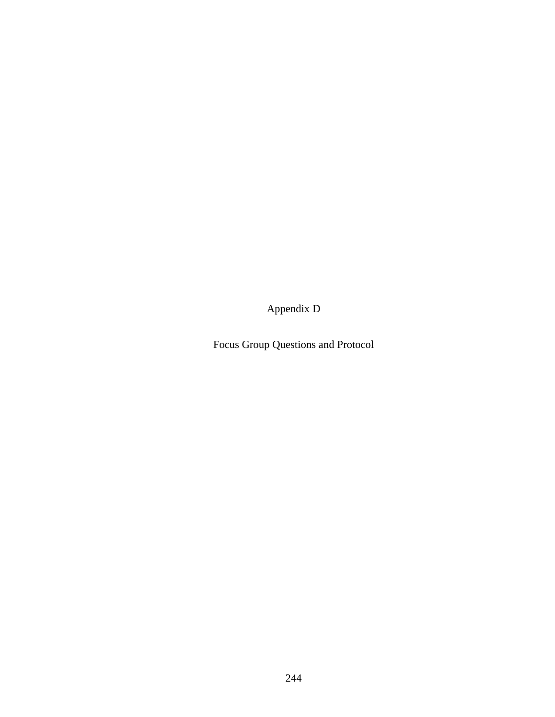Appendix D

Focus Group Questions and Protocol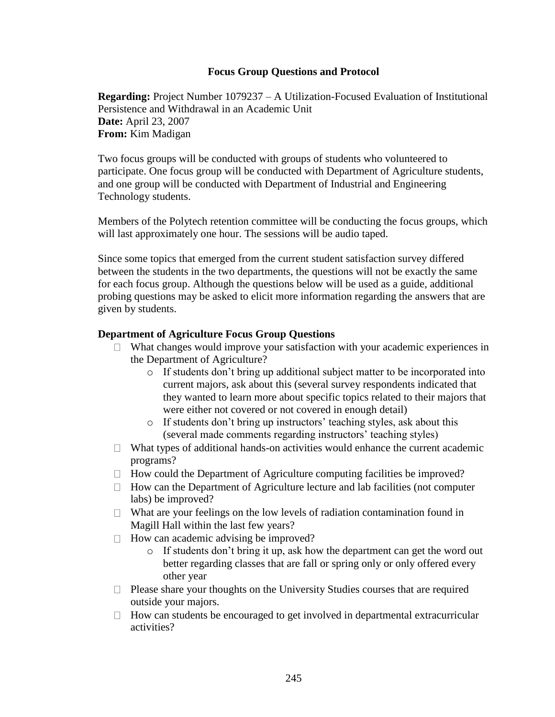# **Focus Group Questions and Protocol**

**Regarding:** Project Number 1079237 – A Utilization-Focused Evaluation of Institutional Persistence and Withdrawal in an Academic Unit **Date:** April 23, 2007 **From:** Kim Madigan

Two focus groups will be conducted with groups of students who volunteered to participate. One focus group will be conducted with Department of Agriculture students, and one group will be conducted with Department of Industrial and Engineering Technology students.

Members of the Polytech retention committee will be conducting the focus groups, which will last approximately one hour. The sessions will be audio taped.

Since some topics that emerged from the current student satisfaction survey differed between the students in the two departments, the questions will not be exactly the same for each focus group. Although the questions below will be used as a guide, additional probing questions may be asked to elicit more information regarding the answers that are given by students.

# **Department of Agriculture Focus Group Questions**

- $\Box$  What changes would improve your satisfaction with your academic experiences in the Department of Agriculture?
	- o If students don"t bring up additional subject matter to be incorporated into current majors, ask about this (several survey respondents indicated that they wanted to learn more about specific topics related to their majors that were either not covered or not covered in enough detail)
	- o If students don"t bring up instructors" teaching styles, ask about this (several made comments regarding instructors' teaching styles)
- $\Box$  What types of additional hands-on activities would enhance the current academic programs?
- $\Box$  How could the Department of Agriculture computing facilities be improved?
- $\Box$  How can the Department of Agriculture lecture and lab facilities (not computer labs) be improved?
- $\Box$  What are your feelings on the low levels of radiation contamination found in Magill Hall within the last few years?
- $\Box$  How can academic advising be improved?
	- o If students don"t bring it up, ask how the department can get the word out better regarding classes that are fall or spring only or only offered every other year
- $\Box$  Please share your thoughts on the University Studies courses that are required outside your majors.
- $\Box$  How can students be encouraged to get involved in departmental extracurricular activities?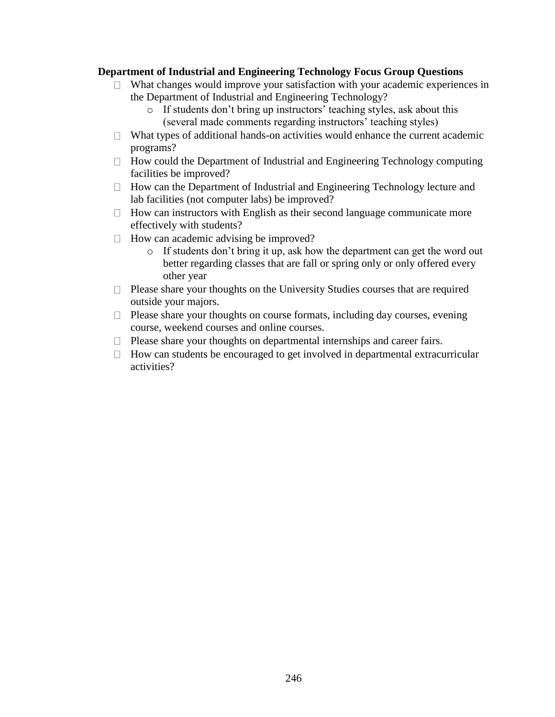# **Department of Industrial and Engineering Technology Focus Group Questions**

- $\Box$  What changes would improve your satisfaction with your academic experiences in the Department of Industrial and Engineering Technology?
	- o If students don"t bring up instructors" teaching styles, ask about this (several made comments regarding instructors' teaching styles)
- $\Box$  What types of additional hands-on activities would enhance the current academic programs?
- $\Box$  How could the Department of Industrial and Engineering Technology computing facilities be improved?
- $\Box$  How can the Department of Industrial and Engineering Technology lecture and lab facilities (not computer labs) be improved?
- $\Box$  How can instructors with English as their second language communicate more effectively with students?
- $\Box$  How can academic advising be improved?
	- o If students don"t bring it up, ask how the department can get the word out better regarding classes that are fall or spring only or only offered every other year
- $\Box$  Please share your thoughts on the University Studies courses that are required outside your majors.
- $\Box$  Please share your thoughts on course formats, including day courses, evening course, weekend courses and online courses.
- $\Box$  Please share your thoughts on departmental internships and career fairs.
- $\Box$  How can students be encouraged to get involved in departmental extracurricular activities?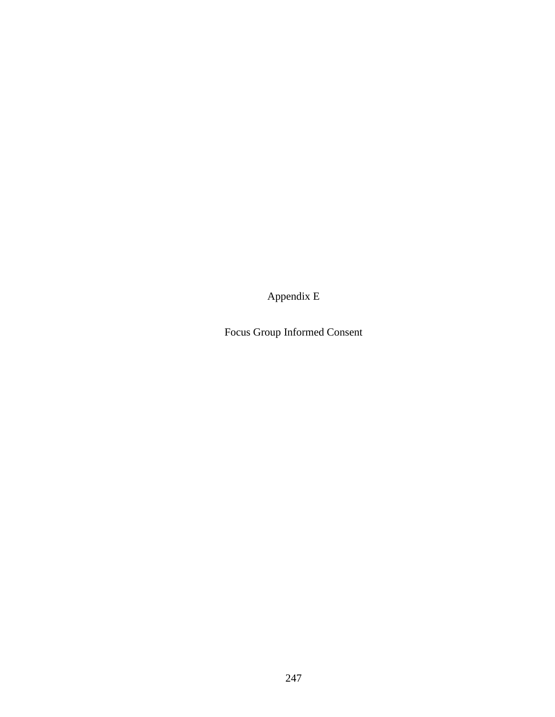Appendix E

Focus Group Informed Consent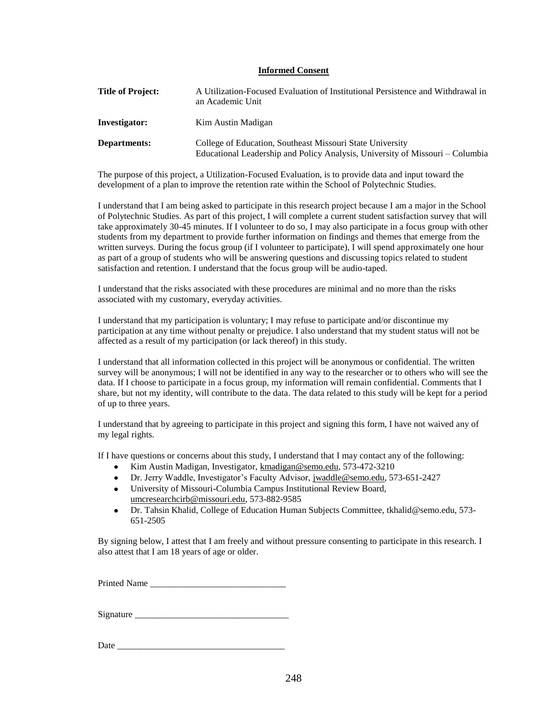### **Informed Consent**

| <b>Title of Project:</b> | A Utilization-Focused Evaluation of Institutional Persistence and Withdrawal in<br>an Academic Unit                                        |
|--------------------------|--------------------------------------------------------------------------------------------------------------------------------------------|
| Investigator:            | Kim Austin Madigan                                                                                                                         |
| Departments:             | College of Education, Southeast Missouri State University<br>Educational Leadership and Policy Analysis, University of Missouri – Columbia |

The purpose of this project, a Utilization-Focused Evaluation, is to provide data and input toward the development of a plan to improve the retention rate within the School of Polytechnic Studies.

I understand that I am being asked to participate in this research project because I am a major in the School of Polytechnic Studies. As part of this project, I will complete a current student satisfaction survey that will take approximately 30-45 minutes. If I volunteer to do so, I may also participate in a focus group with other students from my department to provide further information on findings and themes that emerge from the written surveys. During the focus group (if I volunteer to participate), I will spend approximately one hour as part of a group of students who will be answering questions and discussing topics related to student satisfaction and retention. I understand that the focus group will be audio-taped.

I understand that the risks associated with these procedures are minimal and no more than the risks associated with my customary, everyday activities.

I understand that my participation is voluntary; I may refuse to participate and/or discontinue my participation at any time without penalty or prejudice. I also understand that my student status will not be affected as a result of my participation (or lack thereof) in this study.

I understand that all information collected in this project will be anonymous or confidential. The written survey will be anonymous; I will not be identified in any way to the researcher or to others who will see the data. If I choose to participate in a focus group, my information will remain confidential. Comments that I share, but not my identity, will contribute to the data. The data related to this study will be kept for a period of up to three years.

I understand that by agreeing to participate in this project and signing this form, I have not waived any of my legal rights.

If I have questions or concerns about this study, I understand that I may contact any of the following:

- Kim Austin Madigan, Investigator, [kmadigan@semo.edu,](mailto:kmadigan@semo.edu) 573-472-3210
- Dr. Jerry Waddle, Investigator"s Faculty Advisor, [jwaddle@semo.edu,](mailto:jwaddle@semo.edu) 573-651-2427
- University of Missouri-Columbia Campus Institutional Review Board, [umcresearchcirb@missouri.edu,](mailto:umcresearchcirb@missouri.edu) 573-882-9585
- Dr. Tahsin Khalid, College of Education Human Subjects Committee, tkhalid@semo.edu, 573-  $\bullet$ 651-2505

By signing below, I attest that I am freely and without pressure consenting to participate in this research. I also attest that I am 18 years of age or older.

Printed Name

Signature \_\_\_\_\_\_\_\_\_\_\_\_\_\_\_\_\_\_\_\_\_\_\_\_\_\_\_\_\_\_\_\_\_\_

Date  $\Box$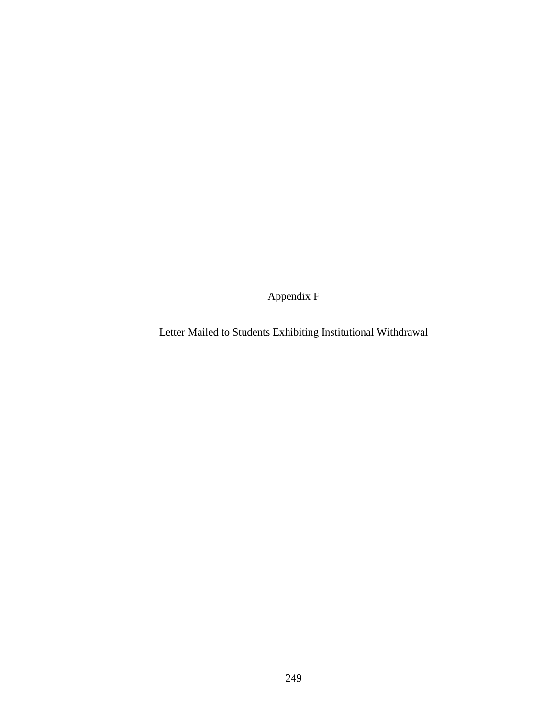Appendix F

Letter Mailed to Students Exhibiting Institutional Withdrawal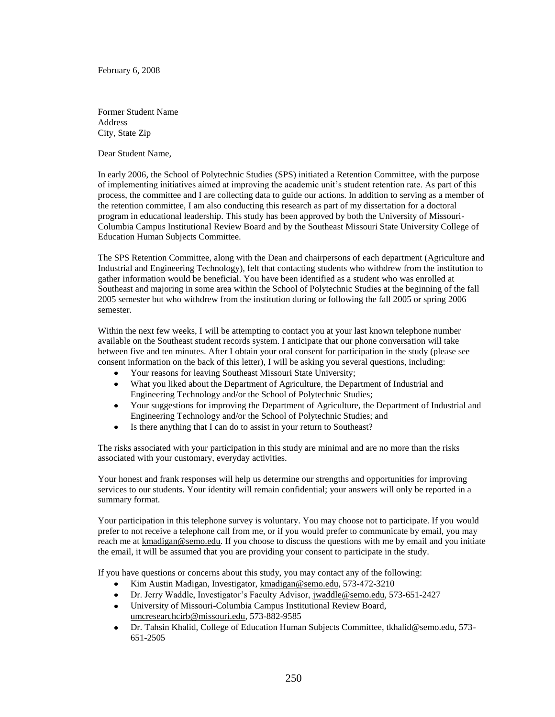February 6, 2008

Former Student Name Address City, State Zip

Dear Student Name,

In early 2006, the School of Polytechnic Studies (SPS) initiated a Retention Committee, with the purpose of implementing initiatives aimed at improving the academic unit"s student retention rate. As part of this process, the committee and I are collecting data to guide our actions. In addition to serving as a member of the retention committee, I am also conducting this research as part of my dissertation for a doctoral program in educational leadership. This study has been approved by both the University of Missouri-Columbia Campus Institutional Review Board and by the Southeast Missouri State University College of Education Human Subjects Committee.

The SPS Retention Committee, along with the Dean and chairpersons of each department (Agriculture and Industrial and Engineering Technology), felt that contacting students who withdrew from the institution to gather information would be beneficial. You have been identified as a student who was enrolled at Southeast and majoring in some area within the School of Polytechnic Studies at the beginning of the fall 2005 semester but who withdrew from the institution during or following the fall 2005 or spring 2006 semester.

Within the next few weeks, I will be attempting to contact you at your last known telephone number available on the Southeast student records system. I anticipate that our phone conversation will take between five and ten minutes. After I obtain your oral consent for participation in the study (please see consent information on the back of this letter), I will be asking you several questions, including:

- Your reasons for leaving Southeast Missouri State University;
- What you liked about the Department of Agriculture, the Department of Industrial and  $\bullet$ Engineering Technology and/or the School of Polytechnic Studies;
- Your suggestions for improving the Department of Agriculture, the Department of Industrial and  $\bullet$ Engineering Technology and/or the School of Polytechnic Studies; and
- $\bullet$ Is there anything that I can do to assist in your return to Southeast?

The risks associated with your participation in this study are minimal and are no more than the risks associated with your customary, everyday activities.

Your honest and frank responses will help us determine our strengths and opportunities for improving services to our students. Your identity will remain confidential; your answers will only be reported in a summary format.

Your participation in this telephone survey is voluntary. You may choose not to participate. If you would prefer to not receive a telephone call from me, or if you would prefer to communicate by email, you may reach me at [kmadigan@semo.edu.](mailto:kmadigan@semo.edu) If you choose to discuss the questions with me by email and you initiate the email, it will be assumed that you are providing your consent to participate in the study.

If you have questions or concerns about this study, you may contact any of the following:

- $\bullet$ Kim Austin Madigan, Investigator, [kmadigan@semo.edu,](mailto:kmadigan@semo.edu) 573-472-3210
- Dr. Jerry Waddle, Investigator"s Faculty Advisor, [jwaddle@semo.edu,](mailto:jwaddle@semo.edu) 573-651-2427  $\bullet$
- University of Missouri-Columbia Campus Institutional Review Board,  $\bullet$ [umcresearchcirb@missouri.edu,](mailto:umcresearchcirb@missouri.edu) 573-882-9585
- Dr. Tahsin Khalid, College of Education Human Subjects Committee, tkhalid@semo.edu, 573- $\bullet$ 651-2505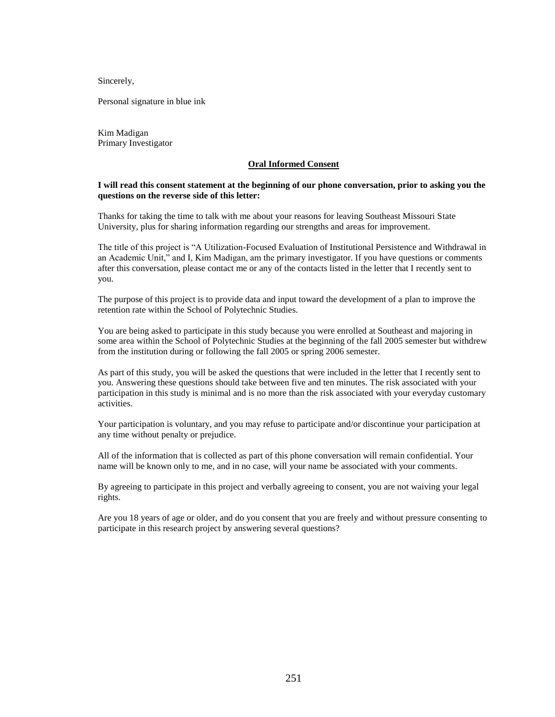Sincerely,

Personal signature in blue ink

Kim Madigan Primary Investigator

#### **Oral Informed Consent**

### **I will read this consent statement at the beginning of our phone conversation, prior to asking you the questions on the reverse side of this letter:**

Thanks for taking the time to talk with me about your reasons for leaving Southeast Missouri State University, plus for sharing information regarding our strengths and areas for improvement.

The title of this project is "A Utilization-Focused Evaluation of Institutional Persistence and Withdrawal in an Academic Unit," and I, Kim Madigan, am the primary investigator. If you have questions or comments after this conversation, please contact me or any of the contacts listed in the letter that I recently sent to you.

The purpose of this project is to provide data and input toward the development of a plan to improve the retention rate within the School of Polytechnic Studies.

You are being asked to participate in this study because you were enrolled at Southeast and majoring in some area within the School of Polytechnic Studies at the beginning of the fall 2005 semester but withdrew from the institution during or following the fall 2005 or spring 2006 semester.

As part of this study, you will be asked the questions that were included in the letter that I recently sent to you. Answering these questions should take between five and ten minutes. The risk associated with your participation in this study is minimal and is no more than the risk associated with your everyday customary activities.

Your participation is voluntary, and you may refuse to participate and/or discontinue your participation at any time without penalty or prejudice.

All of the information that is collected as part of this phone conversation will remain confidential. Your name will be known only to me, and in no case, will your name be associated with your comments.

By agreeing to participate in this project and verbally agreeing to consent, you are not waiving your legal rights.

Are you 18 years of age or older, and do you consent that you are freely and without pressure consenting to participate in this research project by answering several questions?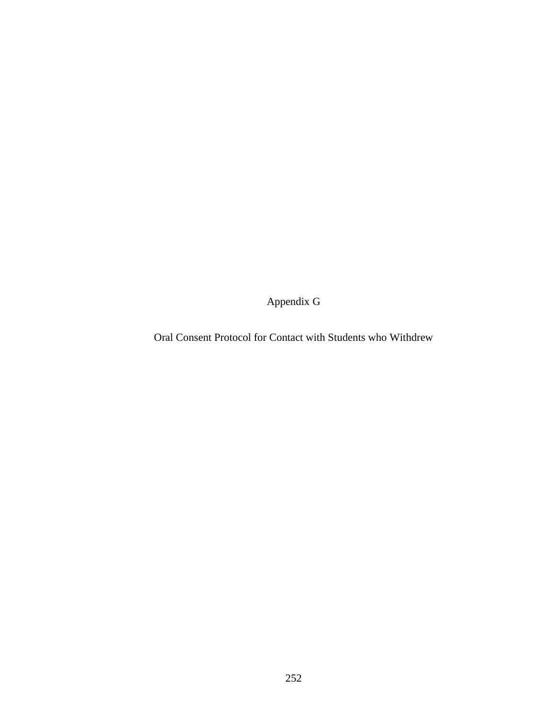Appendix G

Oral Consent Protocol for Contact with Students who Withdrew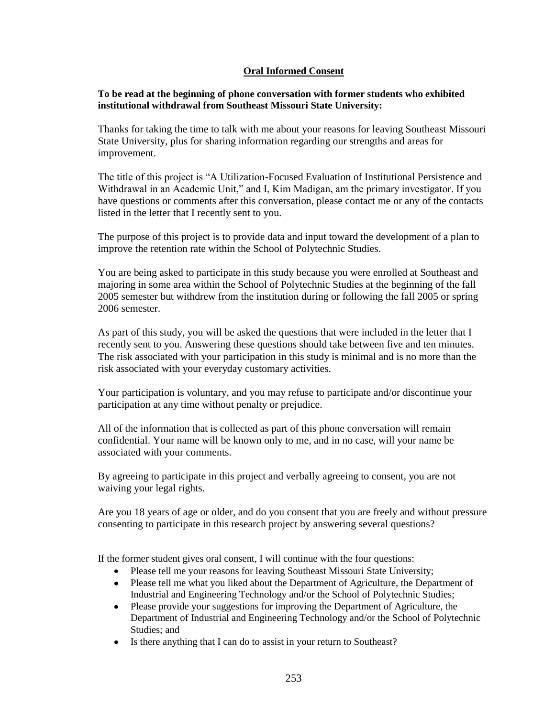## **Oral Informed Consent**

## **To be read at the beginning of phone conversation with former students who exhibited institutional withdrawal from Southeast Missouri State University:**

Thanks for taking the time to talk with me about your reasons for leaving Southeast Missouri State University, plus for sharing information regarding our strengths and areas for improvement.

The title of this project is "A Utilization-Focused Evaluation of Institutional Persistence and Withdrawal in an Academic Unit," and I, Kim Madigan, am the primary investigator. If you have questions or comments after this conversation, please contact me or any of the contacts listed in the letter that I recently sent to you.

The purpose of this project is to provide data and input toward the development of a plan to improve the retention rate within the School of Polytechnic Studies.

You are being asked to participate in this study because you were enrolled at Southeast and majoring in some area within the School of Polytechnic Studies at the beginning of the fall 2005 semester but withdrew from the institution during or following the fall 2005 or spring 2006 semester.

As part of this study, you will be asked the questions that were included in the letter that I recently sent to you. Answering these questions should take between five and ten minutes. The risk associated with your participation in this study is minimal and is no more than the risk associated with your everyday customary activities.

Your participation is voluntary, and you may refuse to participate and/or discontinue your participation at any time without penalty or prejudice.

All of the information that is collected as part of this phone conversation will remain confidential. Your name will be known only to me, and in no case, will your name be associated with your comments.

By agreeing to participate in this project and verbally agreeing to consent, you are not waiving your legal rights.

Are you 18 years of age or older, and do you consent that you are freely and without pressure consenting to participate in this research project by answering several questions?

If the former student gives oral consent, I will continue with the four questions:

- Please tell me your reasons for leaving Southeast Missouri State University;  $\bullet$
- Please tell me what you liked about the Department of Agriculture, the Department of  $\bullet$ Industrial and Engineering Technology and/or the School of Polytechnic Studies;
- Please provide your suggestions for improving the Department of Agriculture, the  $\bullet$ Department of Industrial and Engineering Technology and/or the School of Polytechnic Studies; and
- Is there anything that I can do to assist in your return to Southeast? $\bullet$